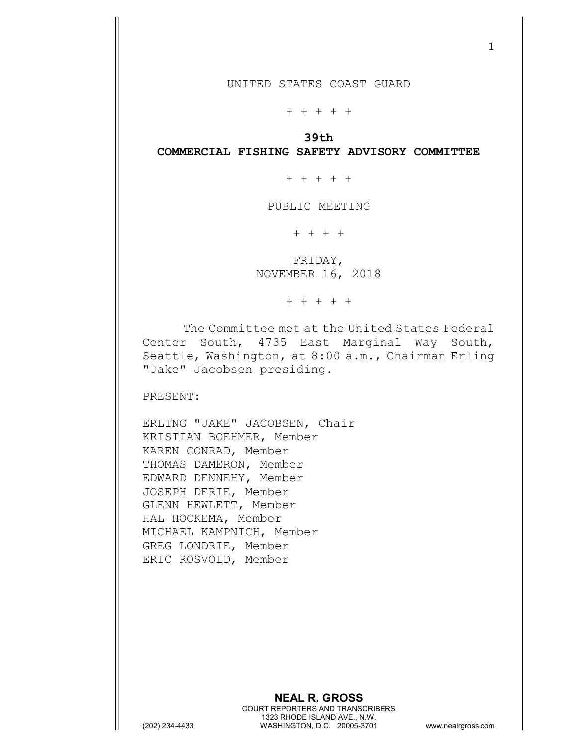+ + + + +

39th COMMERCIAL FISHING SAFETY ADVISORY COMMITTEE

+ + + + +

PUBLIC MEETING

+ + + +

 FRIDAY, NOVEMBER 16, 2018

+ + + + +

The Committee met at the United States Federal Center South, 4735 East Marginal Way South, Seattle, Washington, at 8:00 a.m., Chairman Erling "Jake" Jacobsen presiding.

PRESENT:

ERLING "JAKE" JACOBSEN, Chair KRISTIAN BOEHMER, Member KAREN CONRAD, Member THOMAS DAMERON, Member EDWARD DENNEHY, Member JOSEPH DERIE, Member GLENN HEWLETT, Member HAL HOCKEMA, Member MICHAEL KAMPNICH, Member GREG LONDRIE, Member ERIC ROSVOLD, Member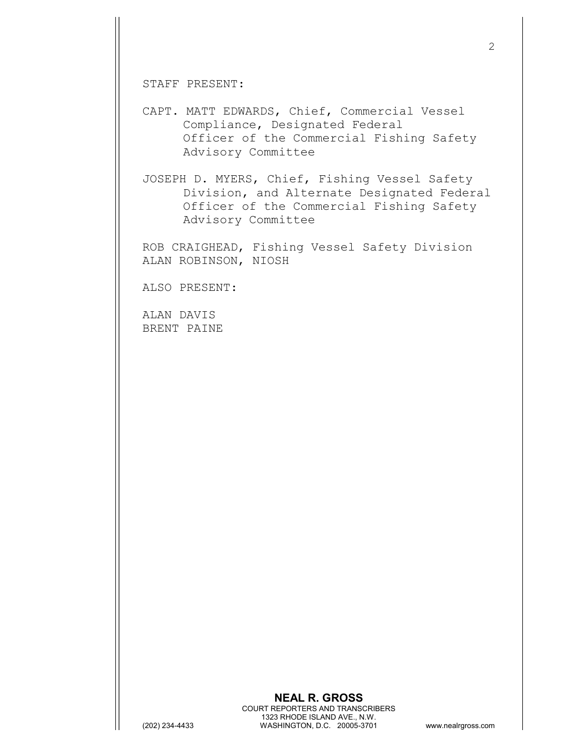STAFF PRESENT:

CAPT. MATT EDWARDS, Chief, Commercial Vessel Compliance, Designated Federal Officer of the Commercial Fishing Safety Advisory Committee

JOSEPH D. MYERS, Chief, Fishing Vessel Safety Division, and Alternate Designated Federal Officer of the Commercial Fishing Safety Advisory Committee

ROB CRAIGHEAD, Fishing Vessel Safety Division ALAN ROBINSON, NIOSH

ALSO PRESENT:

ALAN DAVIS BRENT PAINE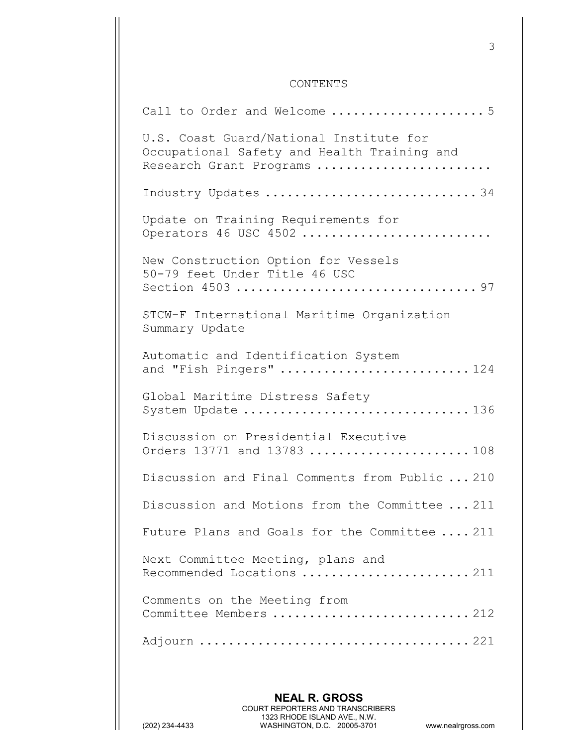## CONTENTS

| Call to Order and Welcome  5                                                                                      |  |
|-------------------------------------------------------------------------------------------------------------------|--|
| U.S. Coast Guard/National Institute for<br>Occupational Safety and Health Training and<br>Research Grant Programs |  |
| Industry Updates 34                                                                                               |  |
| Update on Training Requirements for<br>Operators 46 USC 4502                                                      |  |
| New Construction Option for Vessels<br>50-79 feet Under Title 46 USC                                              |  |
| STCW-F International Maritime Organization<br>Summary Update                                                      |  |
| Automatic and Identification System<br>and "Fish Pingers"  124                                                    |  |
| Global Maritime Distress Safety<br>System Update 136                                                              |  |
| Discussion on Presidential Executive<br>Orders 13771 and 13783  108                                               |  |
| Discussion and Final Comments from Public  210                                                                    |  |
| Discussion and Motions from the Committee  211                                                                    |  |
| Future Plans and Goals for the Committee  211                                                                     |  |
| Next Committee Meeting, plans and<br>Recommended Locations 211                                                    |  |
| Comments on the Meeting from<br>Committee Members 212                                                             |  |
|                                                                                                                   |  |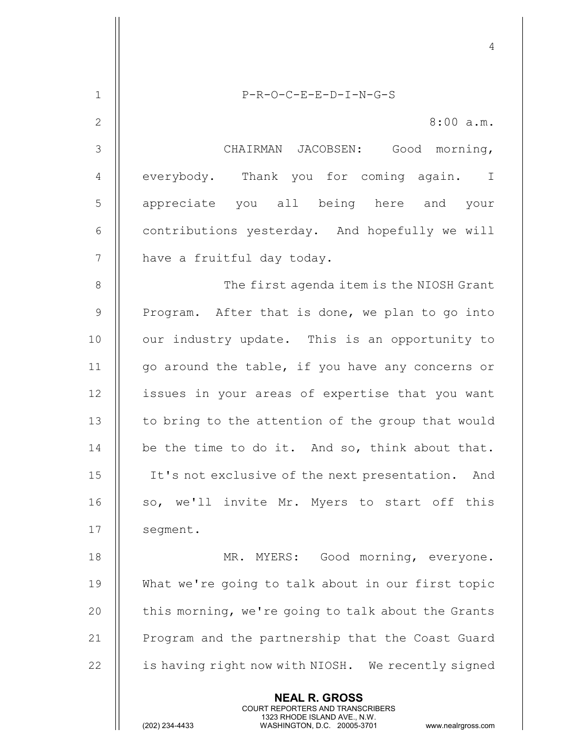|                | 4                                                                                                                                                                      |
|----------------|------------------------------------------------------------------------------------------------------------------------------------------------------------------------|
| $\mathbf 1$    | $P-R-O-C-E-E-D-I-N-G-S$                                                                                                                                                |
| $\mathbf{2}$   | 8:00 a.m.                                                                                                                                                              |
| 3              | CHAIRMAN JACOBSEN: Good morning,                                                                                                                                       |
| $\overline{4}$ | everybody. Thank you for coming again. I                                                                                                                               |
|                |                                                                                                                                                                        |
| 5              | appreciate you all being here and your                                                                                                                                 |
| 6              | contributions yesterday. And hopefully we will                                                                                                                         |
| 7              | have a fruitful day today.                                                                                                                                             |
| 8              | The first agenda item is the NIOSH Grant                                                                                                                               |
| $\mathcal{G}$  | Program. After that is done, we plan to go into                                                                                                                        |
| 10             | our industry update. This is an opportunity to                                                                                                                         |
| 11             | go around the table, if you have any concerns or                                                                                                                       |
| 12             | issues in your areas of expertise that you want                                                                                                                        |
| 13             | to bring to the attention of the group that would                                                                                                                      |
| 14             | be the time to do it. And so, think about that.                                                                                                                        |
| 15             | It's not exclusive of the next presentation.<br>And                                                                                                                    |
| 16             | so, we'll invite Mr. Myers to start off this                                                                                                                           |
| 17             | segment.                                                                                                                                                               |
| 18             | MR. MYERS: Good morning, everyone.                                                                                                                                     |
| 19             | What we're going to talk about in our first topic                                                                                                                      |
| 20             | this morning, we're going to talk about the Grants                                                                                                                     |
| 21             | Program and the partnership that the Coast Guard                                                                                                                       |
| 22             | is having right now with NIOSH. We recently signed                                                                                                                     |
|                | <b>NEAL R. GROSS</b><br><b>COURT REPORTERS AND TRANSCRIBERS</b><br>1323 RHODE ISLAND AVE., N.W.<br>(202) 234-4433<br>WASHINGTON, D.C. 20005-3701<br>www.nealrgross.com |

 $\mathsf{||}$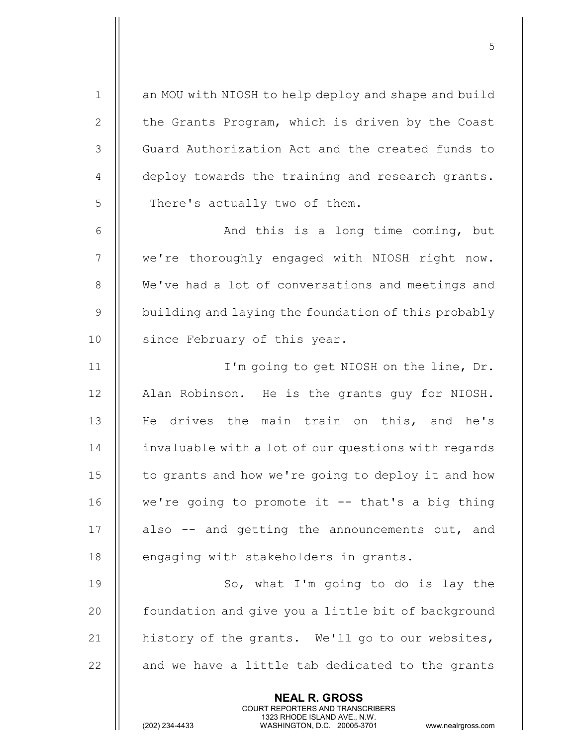1 || an MOU with NIOSH to help deploy and shape and build 2 | the Grants Program, which is driven by the Coast 3 || Guard Authorization Act and the created funds to 4 | deploy towards the training and research grants.  $5$  || There's actually two of them.

 $5<sub>5</sub>$ 

6 || And this is a long time coming, but 7 || we're thoroughly engaged with NIOSH right now. 8 | We've had a lot of conversations and meetings and 9 building and laying the foundation of this probably 10 || since February of this year.

11 I'm going to get NIOSH on the line, Dr. 12 | Alan Robinson. He is the grants guy for NIOSH. 13 || He drives the main train on this, and he's 14 | invaluable with a lot of our questions with regards 15  $\parallel$  to grants and how we're going to deploy it and how 16  $\parallel$  we're going to promote it  $-$  that's a big thing 17  $\parallel$  also  $-$  and getting the announcements out, and 18 || engaging with stakeholders in grants.

19 || So, what I'm going to do is lay the 20 | foundation and give you a little bit of background 21  $\parallel$  history of the grants. We'll go to our websites,  $22$   $\parallel$  and we have a little tab dedicated to the grants

> NEAL R. GROSS COURT REPORTERS AND TRANSCRIBERS

1323 RHODE ISLAND AVE., N.W.<br>WASHINGTON, D.C. 20005-3701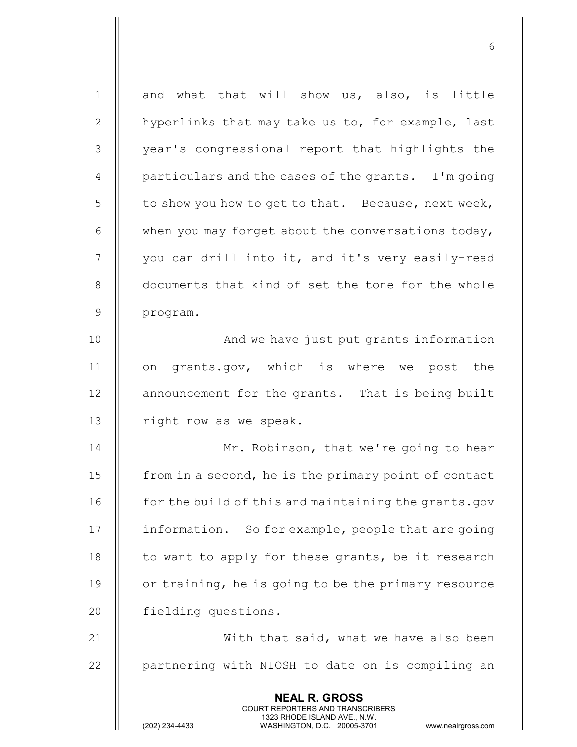| $\mathbf{1}$   | and what that will show us, also, is little                                                                                                                            |
|----------------|------------------------------------------------------------------------------------------------------------------------------------------------------------------------|
| $\mathbf{2}$   | hyperlinks that may take us to, for example, last                                                                                                                      |
| 3              | year's congressional report that highlights the                                                                                                                        |
| $\overline{4}$ | particulars and the cases of the grants. I'm going                                                                                                                     |
| 5              | to show you how to get to that. Because, next week,                                                                                                                    |
| 6              | when you may forget about the conversations today,                                                                                                                     |
| 7              | you can drill into it, and it's very easily-read                                                                                                                       |
| $8\,$          | documents that kind of set the tone for the whole                                                                                                                      |
| $\mathsf 9$    | program.                                                                                                                                                               |
| 10             | And we have just put grants information                                                                                                                                |
| 11             | grants.gov, which is where we post the<br>on                                                                                                                           |
| 12             | announcement for the grants. That is being built                                                                                                                       |
| 13             | right now as we speak.                                                                                                                                                 |
| 14             | Mr. Robinson, that we're going to hear                                                                                                                                 |
| 15             | from in a second, he is the primary point of contact                                                                                                                   |
| 16             | for the build of this and maintaining the grants.gov                                                                                                                   |
| 17             | information. So for example, people that are going                                                                                                                     |
| 18             | to want to apply for these grants, be it research                                                                                                                      |
| 19             | or training, he is going to be the primary resource                                                                                                                    |
| 20             | fielding questions.                                                                                                                                                    |
| 21             | With that said, what we have also been                                                                                                                                 |
| 22             | partnering with NIOSH to date on is compiling an                                                                                                                       |
|                | <b>NEAL R. GROSS</b><br><b>COURT REPORTERS AND TRANSCRIBERS</b><br>1323 RHODE ISLAND AVE., N.W.<br>(202) 234-4433<br>WASHINGTON, D.C. 20005-3701<br>www.nealrgross.com |

 $\sim$  6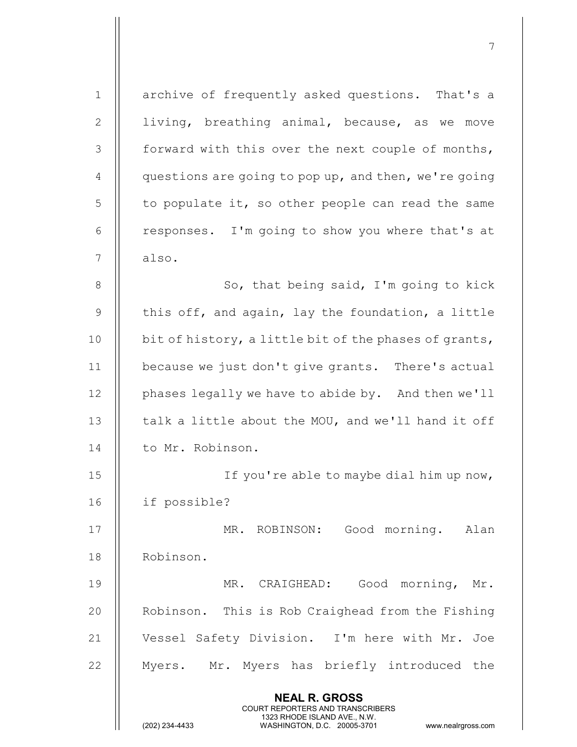| $\mathbf 1$    | archive of frequently asked questions. That's a                                                                                                |
|----------------|------------------------------------------------------------------------------------------------------------------------------------------------|
| 2              | living, breathing animal, because, as we move                                                                                                  |
| 3              | forward with this over the next couple of months,                                                                                              |
| $\overline{4}$ | questions are going to pop up, and then, we're going                                                                                           |
| 5              | to populate it, so other people can read the same                                                                                              |
| 6              | responses. I'm going to show you where that's at                                                                                               |
| 7              | also.                                                                                                                                          |
| 8              | So, that being said, I'm going to kick                                                                                                         |
| $\mathsf 9$    | this off, and again, lay the foundation, a little                                                                                              |
| 10             | bit of history, a little bit of the phases of grants,                                                                                          |
| 11             | because we just don't give grants. There's actual                                                                                              |
| 12             | phases legally we have to abide by. And then we'll                                                                                             |
| 13             | talk a little about the MOU, and we'll hand it off                                                                                             |
| 14             | to Mr. Robinson.                                                                                                                               |
| 15             | If you're able to maybe dial him up now,                                                                                                       |
| 16             | if possible?                                                                                                                                   |
| 17             | MR. ROBINSON:<br>Good morning. Alan                                                                                                            |
| 18             | Robinson.                                                                                                                                      |
| 19             | Good morning,<br>MR. CRAIGHEAD:<br>Mr.                                                                                                         |
| 20             | Robinson. This is Rob Craighead from the Fishing                                                                                               |
| 21             | Vessel Safety Division. I'm here with Mr.<br>Joe                                                                                               |
| 22             | Myers. Mr. Myers has briefly introduced the                                                                                                    |
|                | <b>NEAL R. GROSS</b>                                                                                                                           |
|                | <b>COURT REPORTERS AND TRANSCRIBERS</b><br>1323 RHODE ISLAND AVE., N.W.<br>(202) 234-4433<br>WASHINGTON, D.C. 20005-3701<br>www.nealrgross.com |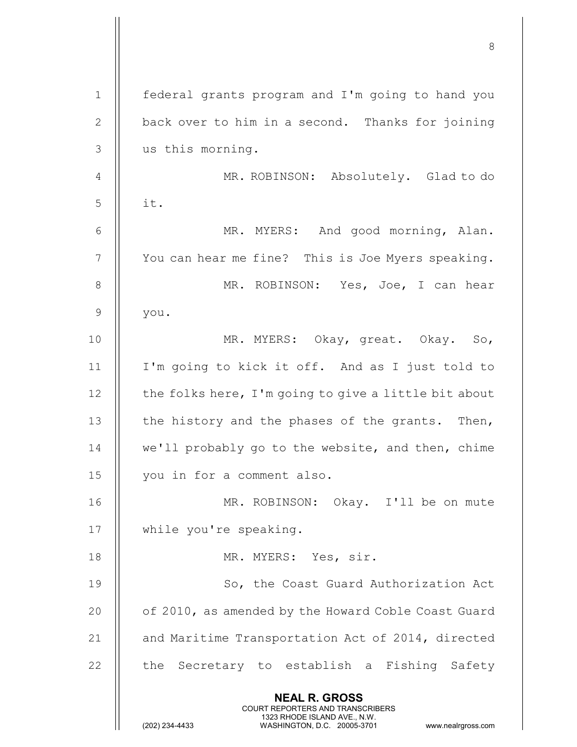|              | 8                                                                                                                                                                      |
|--------------|------------------------------------------------------------------------------------------------------------------------------------------------------------------------|
| $\mathbf 1$  | federal grants program and I'm going to hand you                                                                                                                       |
| $\mathbf{2}$ | back over to him in a second. Thanks for joining                                                                                                                       |
| 3            | us this morning.                                                                                                                                                       |
| 4            | MR. ROBINSON: Absolutely. Glad to do                                                                                                                                   |
| 5            | it.                                                                                                                                                                    |
| 6            | MR. MYERS: And good morning, Alan.                                                                                                                                     |
| 7            | You can hear me fine? This is Joe Myers speaking.                                                                                                                      |
| 8            | MR. ROBINSON: Yes, Joe, I can hear                                                                                                                                     |
| 9            | you.                                                                                                                                                                   |
| 10           | MR. MYERS: Okay, great. Okay. So,                                                                                                                                      |
| 11           | I'm going to kick it off. And as I just told to                                                                                                                        |
| 12           | the folks here, I'm going to give a little bit about                                                                                                                   |
| 13           | the history and the phases of the grants. Then,                                                                                                                        |
| 14           | we'll probably go to the website, and then, chime                                                                                                                      |
| 15           | you in for a comment also.                                                                                                                                             |
| 16           | MR. ROBINSON: Okay. I'll be on mute                                                                                                                                    |
| 17           | while you're speaking.                                                                                                                                                 |
| 18           | MR. MYERS: Yes, sir.                                                                                                                                                   |
| 19           | So, the Coast Guard Authorization Act                                                                                                                                  |
| 20           | of 2010, as amended by the Howard Coble Coast Guard                                                                                                                    |
| 21           | and Maritime Transportation Act of 2014, directed                                                                                                                      |
| 22           | the Secretary to establish a Fishing Safety                                                                                                                            |
|              |                                                                                                                                                                        |
|              | <b>NEAL R. GROSS</b><br><b>COURT REPORTERS AND TRANSCRIBERS</b><br>1323 RHODE ISLAND AVE., N.W.<br>(202) 234-4433<br>WASHINGTON, D.C. 20005-3701<br>www.nealrgross.com |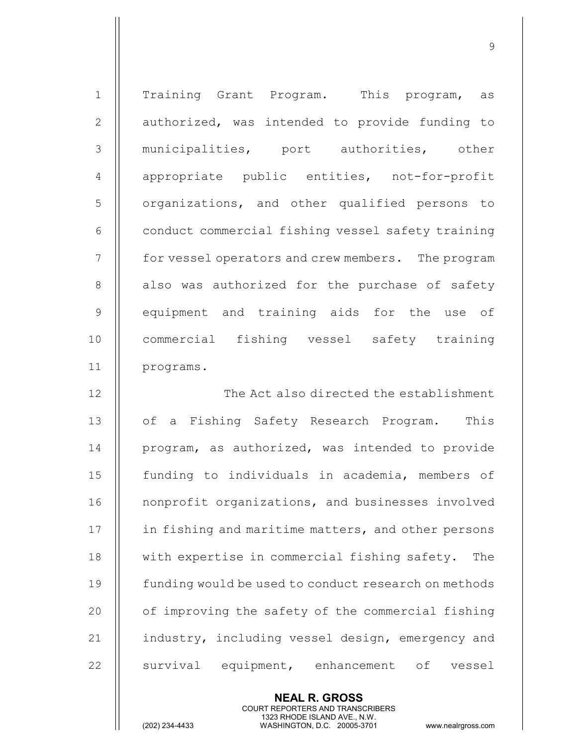1 || Training Grant Program. This program, as 2 || authorized, was intended to provide funding to 3 || municipalities, port authorities, other 4 || appropriate public entities, not-for-profit 5 | organizations, and other qualified persons to 6 | conduct commercial fishing vessel safety training 7 | for vessel operators and crew members. The program 8 || also was authorized for the purchase of safety 9 || equipment and training aids for the use of 10 || commercial fishing vessel safety training 11 programs. 12 The Act also directed the establishment 13 || of a Fishing Safety Research Program. This

en de la construction de la construction de la construction de la construction de la construction de la constr<br>19 de juny 1990, la construction de la construction de la construction de la construction de la construction d

14 || program, as authorized, was intended to provide 15 funding to individuals in academia, members of 16 | nonprofit organizations, and businesses involved 17 | in fishing and maritime matters, and other persons 18 || with expertise in commercial fishing safety. The 19 **funding would be used to conduct research on methods** 20 | of improving the safety of the commercial fishing 21  $\parallel$  industry, including vessel design, emergency and 22 || survival equipment, enhancement of vessel

> NEAL R. GROSS COURT REPORTERS AND TRANSCRIBERS

1323 RHODE ISLAND AVE., N.W.<br>WASHINGTON, D.C. 20005-3701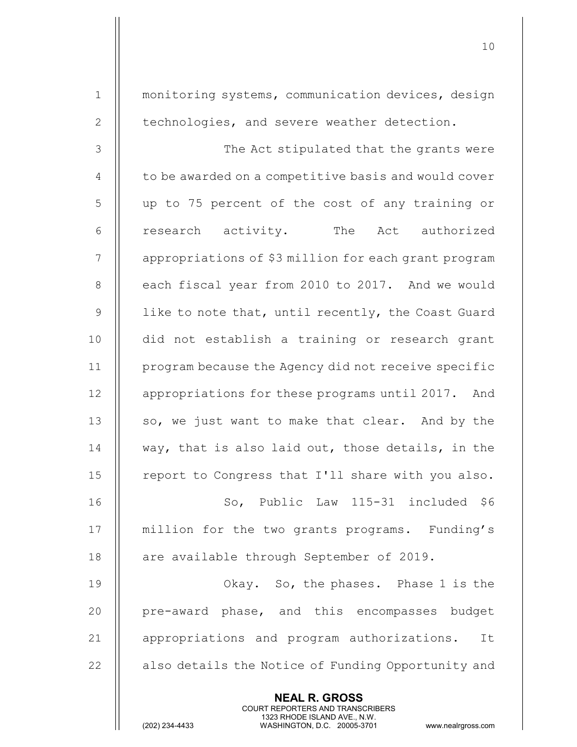NEAL R. GROSS COURT REPORTERS AND TRANSCRIBERS 1 | monitoring systems, communication devices, design 2 | technologies, and severe weather detection. 3 The Act stipulated that the grants were  $4 \parallel$  to be awarded on a competitive basis and would cover 5 up to 75 percent of the cost of any training or 6 || research activity. The Act authorized 7 | | appropriations of \$3 million for each grant program 8 | each fiscal year from 2010 to 2017. And we would 9  $\parallel$  like to note that, until recently, the Coast Guard 10 || did not establish a training or research grant 11 program because the Agency did not receive specific 12 | appropriations for these programs until 2017. And 13  $\parallel$  so, we just want to make that clear. And by the 14  $\parallel$  way, that is also laid out, those details, in the 15 || report to Congress that I'll share with you also. 16 || So, Public Law 115-31 included \$6 17 || million for the two grants programs. Funding's 18 | are available through September of 2019. 19 Okay. So, the phases. Phase 1 is the 20 || pre-award phase, and this encompasses budget 21 || appropriations and program authorizations. It 22 | also details the Notice of Funding Opportunity and

10

1323 RHODE ISLAND AVE., N.W.<br>WASHINGTON, D.C. 20005-3701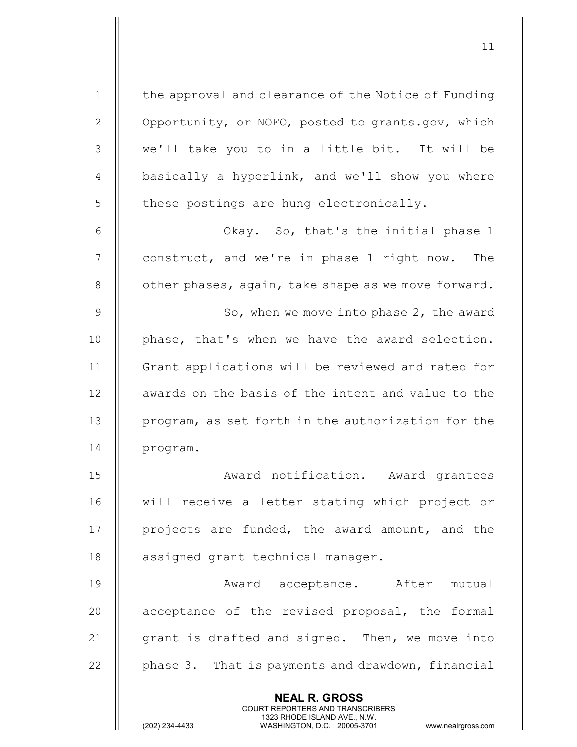1 | the approval and clearance of the Notice of Funding 2  $\parallel$  Opportunity, or NOFO, posted to grants.gov, which 3 || we'll take you to in a little bit. It will be 4  $\parallel$  basically a hyperlink, and we'll show you where  $5$   $\parallel$  these postings are hung electronically. 6 || Chay. So, that's the initial phase 1 7 || construct, and we're in phase 1 right now. The  $8$  | other phases, again, take shape as we move forward. 9 | So, when we move into phase 2, the award 10 || phase, that's when we have the award selection. 11 Grant applications will be reviewed and rated for 12 || awards on the basis of the intent and value to the 13 | program, as set forth in the authorization for the 14 | program. 15 Award notification. Award grantees 16 will receive a letter stating which project or 17 || projects are funded, the award amount, and the 18 | assigned grant technical manager. 19 || Award acceptance. After mutual 20 || acceptance of the revised proposal, the formal

11

21  $\parallel$  grant is drafted and signed. Then, we move into 22  $\parallel$  phase 3. That is payments and drawdown, financial

> NEAL R. GROSS COURT REPORTERS AND TRANSCRIBERS

1323 RHODE ISLAND AVE., N.W.<br>WASHINGTON, D.C. 20005-3701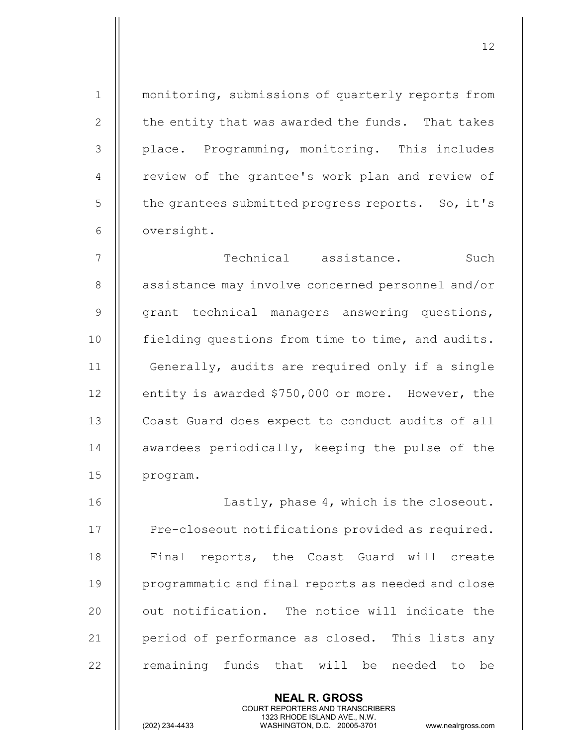1 || monitoring, submissions of quarterly reports from 2  $\parallel$  the entity that was awarded the funds. That takes 3 | place. Programming, monitoring. This includes 4 || review of the grantee's work plan and review of  $5$   $\parallel$  the grantees submitted progress reports. So, it's 6 | oversight. 7 Technical assistance. Such 8 | assistance may involve concerned personnel and/or  $9$   $\parallel$  grant technical managers answering questions, 10 | fielding questions from time to time, and audits. 11 | Generally, audits are required only if a single 12 | entity is awarded \$750,000 or more. However, the 13 | Coast Guard does expect to conduct audits of all 14 || awardees periodically, keeping the pulse of the 15 || program. 16 || Lastly, phase 4, which is the closeout. 17 | Pre-closeout notifications provided as required. 18 || Final reports, the Coast Guard will create 19 || programmatic and final reports as needed and close

12

 $20$   $\parallel$  out notification. The notice will indicate the 21 | period of performance as closed. This lists any  $22$   $\parallel$  remaining funds that will be needed to be

> NEAL R. GROSS COURT REPORTERS AND TRANSCRIBERS

1323 RHODE ISLAND AVE., N.W.<br>WASHINGTON, D.C. 20005-3701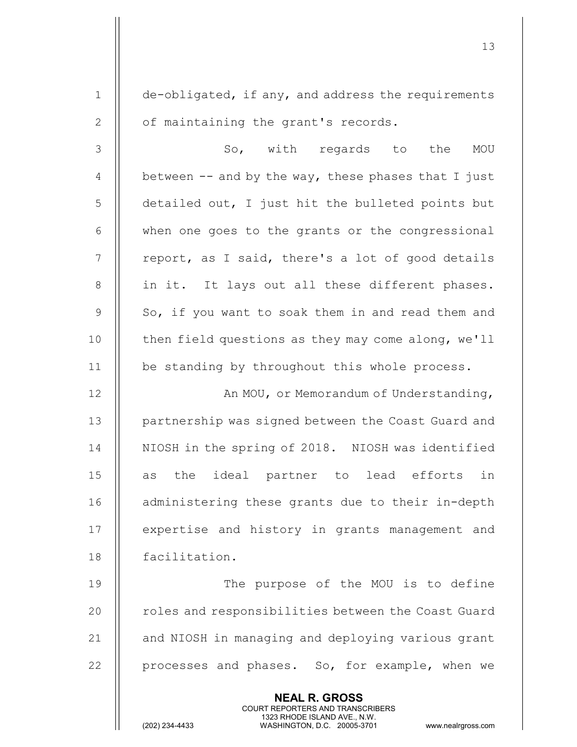NEAL R. GROSS 1 de-obligated, if any, and address the requirements 2 | of maintaining the grant's records. 3 So, with regards to the MOU 4  $\parallel$  between -- and by the way, these phases that I just 5 detailed out, I just hit the bulleted points but  $6$   $\parallel$  when one goes to the grants or the congressional  $7$  || report, as I said, there's a lot of good details 8 || in it. It lays out all these different phases.  $9 \parallel$  So, if you want to soak them in and read them and 10  $\parallel$  then field questions as they may come along, we'll 11 | be standing by throughout this whole process. 12 || An MOU, or Memorandum of Understanding, 13 || partnership was signed between the Coast Guard and 14 || NIOSH in the spring of 2018. NIOSH was identified 15 || as the ideal partner to lead efforts in 16 || administering these grants due to their in-depth 17 || expertise and history in grants management and 18 facilitation. 19 || The purpose of the MOU is to define 20 | roles and responsibilities between the Coast Guard 21 || and NIOSH in managing and deploying various grant 22 || processes and phases. So, for example, when we

COURT REPORTERS AND TRANSCRIBERS

13

1323 RHODE ISLAND AVE., N.W.<br>WASHINGTON, D.C. 20005-3701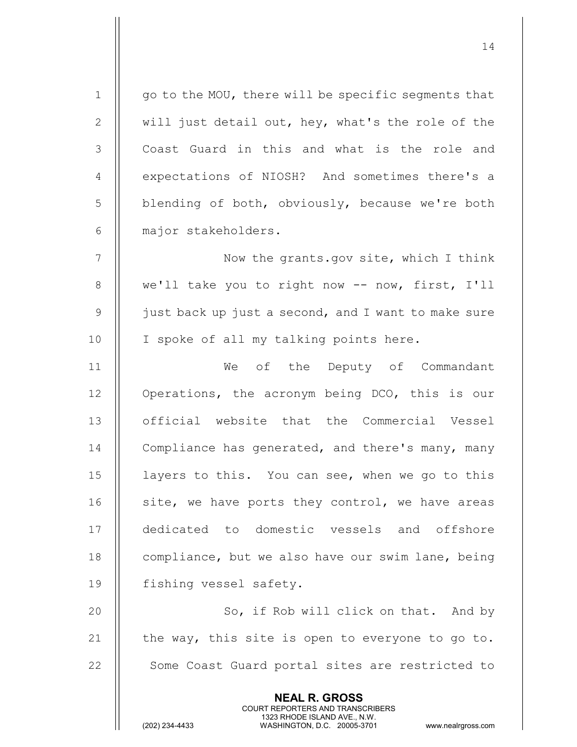| $\mathbf 1$    | go to the MOU, there will be specific segments that                                                                                                                    |
|----------------|------------------------------------------------------------------------------------------------------------------------------------------------------------------------|
| 2              | will just detail out, hey, what's the role of the                                                                                                                      |
| 3              | Coast Guard in this and what is the role and                                                                                                                           |
| $\overline{4}$ | expectations of NIOSH? And sometimes there's a                                                                                                                         |
| 5              | blending of both, obviously, because we're both                                                                                                                        |
| 6              | major stakeholders.                                                                                                                                                    |
| 7              | Now the grants.gov site, which I think                                                                                                                                 |
| 8              | we'll take you to right now -- now, first, I'll                                                                                                                        |
| 9              | just back up just a second, and I want to make sure                                                                                                                    |
| 10             | I spoke of all my talking points here.                                                                                                                                 |
| 11             | We of the Deputy of Commandant                                                                                                                                         |
| 12             | Operations, the acronym being DCO, this is our                                                                                                                         |
| 13             | official website that the Commercial Vessel                                                                                                                            |
| 14             | Compliance has generated, and there's many, many                                                                                                                       |
| 15             | layers to this. You can see, when we go to this                                                                                                                        |
| 16             | site, we have ports they control, we have areas                                                                                                                        |
| 17             | dedicated to domestic vessels and offshore                                                                                                                             |
| 18             | compliance, but we also have our swim lane, being                                                                                                                      |
| 19             | fishing vessel safety.                                                                                                                                                 |
| 20             | So, if Rob will click on that. And by                                                                                                                                  |
| 21             | the way, this site is open to everyone to go to.                                                                                                                       |
| 22             | Some Coast Guard portal sites are restricted to                                                                                                                        |
|                | <b>NEAL R. GROSS</b><br><b>COURT REPORTERS AND TRANSCRIBERS</b><br>1323 RHODE ISLAND AVE., N.W.<br>(202) 234-4433<br>WASHINGTON, D.C. 20005-3701<br>www.nealrgross.com |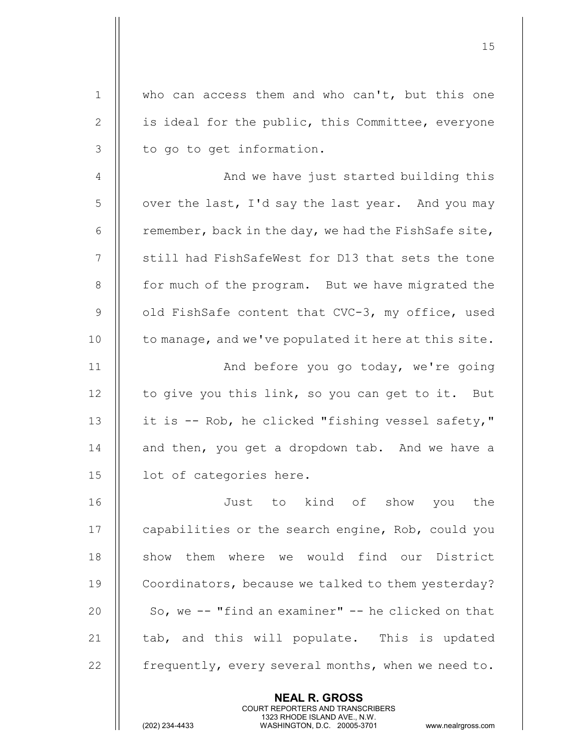| $\mathbf 1$  | who can access them and who can't, but this one          |
|--------------|----------------------------------------------------------|
| $\mathbf{2}$ | is ideal for the public, this Committee, everyone        |
| 3            | to go to get information.                                |
| 4            | And we have just started building this                   |
| 5            | over the last, I'd say the last year. And you may        |
| 6            | remember, back in the day, we had the FishSafe site,     |
| 7            | still had FishSafeWest for D13 that sets the tone        |
| 8            | for much of the program. But we have migrated the        |
| $\mathsf 9$  | old FishSafe content that CVC-3, my office, used         |
| 10           | to manage, and we've populated it here at this site.     |
| 11           | And before you go today, we're going                     |
| 12           | to give you this link, so you can get to it. But         |
| 13           | it is -- Rob, he clicked "fishing vessel safety,"        |
| 14           | and then, you get a dropdown tab. And we have a          |
| 15           | lot of categories here.                                  |
| 16           | Just to kind of show you the                             |
| 17           | capabilities or the search engine, Rob, could you        |
| 18           | show them where we would find our District               |
| 19           | Coordinators, because we talked to them yesterday?       |
| 20           | So, we -- "find an examiner" -- he clicked on that       |
| 21           | tab, and this will populate. This is updated             |
| 22           | frequently, every several months, when we need to.       |
|              | <b>NEAL R. GROSS</b><br>COURT REPORTERS AND TRANSCRIBERS |

 $\frac{1}{2}$ 

1323 RHODE ISLAND AVE., N.W.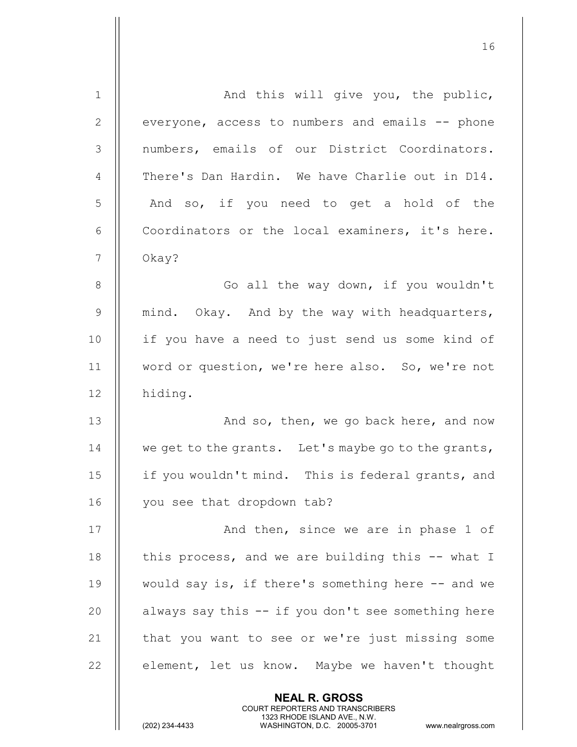| $\mathbf 1$    | And this will give you, the public,                 |
|----------------|-----------------------------------------------------|
| $\mathbf{2}$   | everyone, access to numbers and emails -- phone     |
| 3              | numbers, emails of our District Coordinators.       |
| $\overline{4}$ | There's Dan Hardin. We have Charlie out in D14.     |
| 5              | And so, if you need to get a hold of the            |
| 6              | Coordinators or the local examiners, it's here.     |
| 7              | Okay?                                               |
| 8              | Go all the way down, if you wouldn't                |
| $\mathcal{G}$  | mind. Okay. And by the way with headquarters,       |
| 10             | if you have a need to just send us some kind of     |
| 11             | word or question, we're here also. So, we're not    |
| 12             | hiding.                                             |
| 13             | And so, then, we go back here, and now              |
| 14             | we get to the grants. Let's maybe go to the grants, |
| 15             | if you wouldn't mind. This is federal grants, and   |
| 16             | you see that dropdown tab?                          |
| 17             | And then, since we are in phase 1 of                |
| 18             | this process, and we are building this -- what I    |
| 19             | would say is, if there's something here -- and we   |
| 20             | always say this -- if you don't see something here  |
| 21             | that you want to see or we're just missing some     |
| 22             | element, let us know. Maybe we haven't thought      |
|                | <b>NEAL R. GROSS</b>                                |

 COURT REPORTERS AND TRANSCRIBERS 1323 RHODE ISLAND AVE., N.W.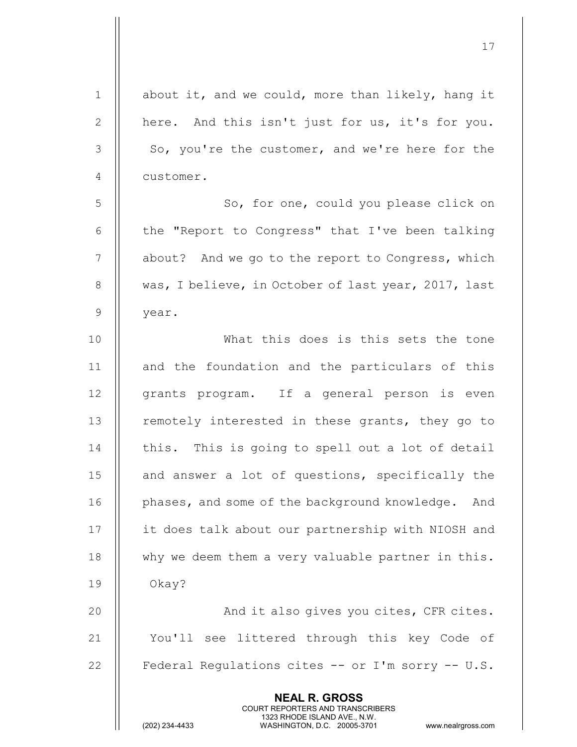| $1\,$        | about it, and we could, more than likely, hang it                                                                                                                      |
|--------------|------------------------------------------------------------------------------------------------------------------------------------------------------------------------|
| $\mathbf{2}$ | here. And this isn't just for us, it's for you.                                                                                                                        |
| 3            | So, you're the customer, and we're here for the                                                                                                                        |
| 4            | customer.                                                                                                                                                              |
| 5            | So, for one, could you please click on                                                                                                                                 |
| 6            | the "Report to Congress" that I've been talking                                                                                                                        |
| 7            | about? And we go to the report to Congress, which                                                                                                                      |
| $\,8\,$      | was, I believe, in October of last year, 2017, last                                                                                                                    |
| $\mathsf 9$  | year.                                                                                                                                                                  |
| 10           | What this does is this sets the tone                                                                                                                                   |
| 11           | and the foundation and the particulars of this                                                                                                                         |
| 12           | grants program. If a general person is even                                                                                                                            |
| 13           | remotely interested in these grants, they go to                                                                                                                        |
| 14           | this. This is going to spell out a lot of detail                                                                                                                       |
| 15           | and answer a lot of questions, specifically the                                                                                                                        |
| 16           | phases, and some of the background knowledge.<br>And                                                                                                                   |
| 17           | it does talk about our partnership with NIOSH and                                                                                                                      |
| 18           | why we deem them a very valuable partner in this.                                                                                                                      |
| 19           | Okay?                                                                                                                                                                  |
| 20           | And it also gives you cites, CFR cites.                                                                                                                                |
| 21           | You'll see littered through this key Code of                                                                                                                           |
| 22           | Federal Regulations cites -- or I'm sorry -- U.S.                                                                                                                      |
|              | <b>NEAL R. GROSS</b><br><b>COURT REPORTERS AND TRANSCRIBERS</b><br>1323 RHODE ISLAND AVE., N.W.<br>(202) 234-4433<br>WASHINGTON, D.C. 20005-3701<br>www.nealrgross.com |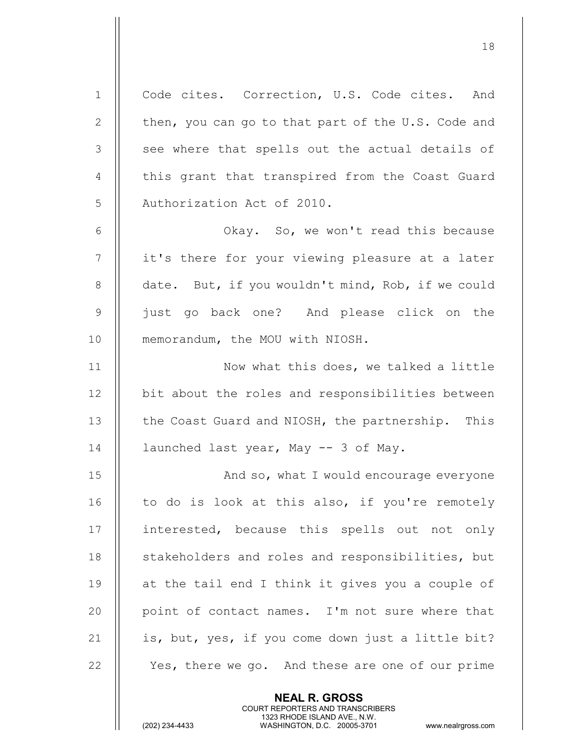1 | Code cites. Correction, U.S. Code cites. And 2 | then, you can go to that part of the U.S. Code and 3 || see where that spells out the actual details of 4 || this grant that transpired from the Coast Guard 5 || Authorization Act of 2010. 6 | Chay. So, we won't read this because 7 || it's there for your viewing pleasure at a later 8 | date. But, if you wouldn't mind, Rob, if we could 9 || iust go back one? And please click on the 10 || memorandum, the MOU with NIOSH. 11 || Now what this does, we talked a little 12 | bit about the roles and responsibilities between 13 || the Coast Guard and NIOSH, the partnership. This 14  $\parallel$  launched last year, May -- 3 of May. 15 || And so, what I would encourage everyone  $16$  || to do is look at this also, if you're remotely 17 || interested, because this spells out not only 18 || stakeholders and roles and responsibilities, but 19  $\parallel$  at the tail end I think it gives you a couple of 20 || point of contact names. I'm not sure where that 21  $\parallel$  is, but, yes, if you come down just a little bit? 22 || Yes, there we go. And these are one of our prime

> NEAL R. GROSS COURT REPORTERS AND TRANSCRIBERS

18

1323 RHODE ISLAND AVE., N.W.<br>WASHINGTON, D.C. 20005-3701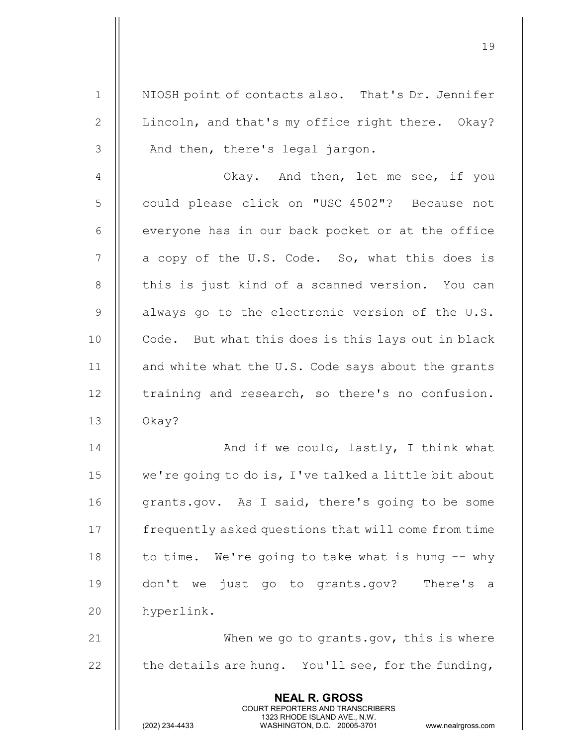1 | NIOSH point of contacts also. That's Dr. Jennifer 2 | Lincoln, and that's my office right there. Okay?  $3 \parallel$  And then, there's legal jargon.

19

4 || Ckay. And then, let me see, if you 5 || could please click on "USC 4502"? Because not  $6$  || everyone has in our back pocket or at the office  $7 \parallel$  a copy of the U.S. Code. So, what this does is 8 || this is just kind of a scanned version. You can  $9$  | always go to the electronic version of the U.S. 10 || Code. But what this does is this lays out in black 11  $\parallel$  and white what the U.S. Code says about the grants  $12$  | training and research, so there's no confusion.  $13$  | Okay?

And if we could, lastly, I think what we're going to do is, I've talked a little bit about 16 || grants.gov. As I said, there's going to be some frequently asked questions that will come from time  $\parallel$  to time. We're going to take what is hung  $-$  why don't we just go to grants.gov? There's a hyperlink.

21 || When we go to grants.gov, this is where 22  $\parallel$  the details are hung. You'll see, for the funding,

> NEAL R. GROSS COURT REPORTERS AND TRANSCRIBERS

1323 RHODE ISLAND AVE., N.W.<br>WASHINGTON, D.C. 20005-3701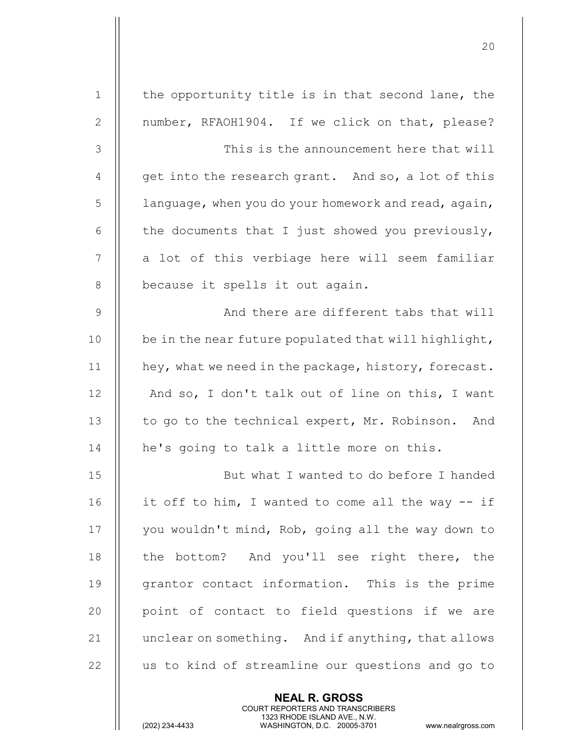| $\mathbf 1$   | the opportunity title is in that second lane, the    |
|---------------|------------------------------------------------------|
| $\mathbf{2}$  | number, RFAOH1904. If we click on that, please?      |
| $\mathcal{S}$ | This is the announcement here that will              |
| 4             | get into the research grant. And so, a lot of this   |
| 5             | language, when you do your homework and read, again, |
| 6             | the documents that I just showed you previously,     |
| 7             | a lot of this verbiage here will seem familiar       |
| $\,8\,$       | because it spells it out again.                      |
| $\mathsf 9$   | And there are different tabs that will               |
| 10            | be in the near future populated that will highlight, |
| 11            | hey, what we need in the package, history, forecast. |
| 12            | And so, I don't talk out of line on this, I want     |
| 13            | to go to the technical expert, Mr. Robinson. And     |
| 14            | he's going to talk a little more on this.            |
| 15            | But what I wanted to do before I handed              |
| 16            | it off to him, I wanted to come all the way -- if    |
| 17            | you wouldn't mind, Rob, going all the way down to    |
| 18            | the bottom? And you'll see right there, the          |
| 19            | grantor contact information. This is the prime       |
| 20            | point of contact to field questions if we are        |
| 21            | unclear on something. And if anything, that allows   |
| 22            | us to kind of streamline our questions and go to     |
|               | <b>NEAL R. GROSS</b>                                 |

 COURT REPORTERS AND TRANSCRIBERS 1323 RHODE ISLAND AVE., N.W.

 $\mathbb{I}$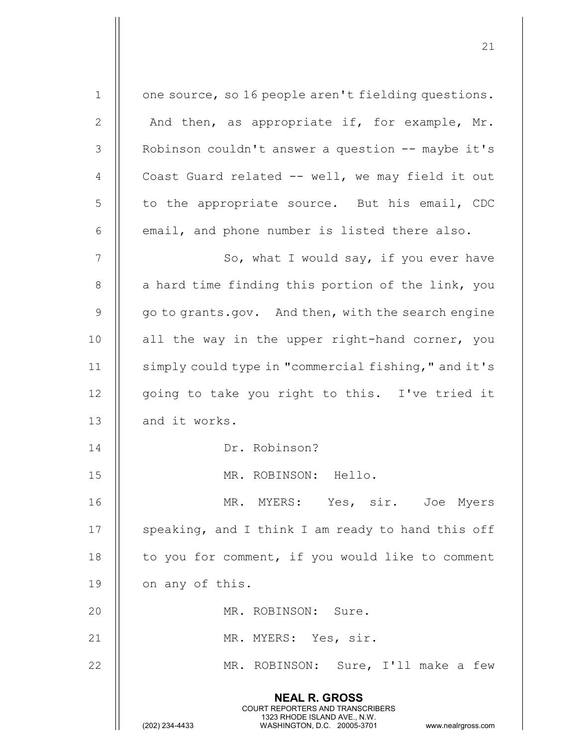| $1\,$          | one source, so 16 people aren't fielding questions.                                                                                                                    |
|----------------|------------------------------------------------------------------------------------------------------------------------------------------------------------------------|
| $\mathbf{2}$   | And then, as appropriate if, for example, Mr.                                                                                                                          |
| $\mathcal{S}$  | Robinson couldn't answer a question -- maybe it's                                                                                                                      |
| $\overline{4}$ | Coast Guard related -- well, we may field it out                                                                                                                       |
| 5              | to the appropriate source. But his email, CDC                                                                                                                          |
| 6              | email, and phone number is listed there also.                                                                                                                          |
| 7              | So, what I would say, if you ever have                                                                                                                                 |
| $8\,$          | a hard time finding this portion of the link, you                                                                                                                      |
| $\mathsf 9$    | go to grants.gov. And then, with the search engine                                                                                                                     |
| 10             | all the way in the upper right-hand corner, you                                                                                                                        |
| 11             | simply could type in "commercial fishing," and it's                                                                                                                    |
| 12             | going to take you right to this. I've tried it                                                                                                                         |
| 13             | and it works.                                                                                                                                                          |
| 14             | Dr. Robinson?                                                                                                                                                          |
| 15             | MR. ROBINSON: Hello.                                                                                                                                                   |
| 16             | MR. MYERS: Yes, sir. Joe Myers                                                                                                                                         |
| 17             | speaking, and I think I am ready to hand this off                                                                                                                      |
| 18             | to you for comment, if you would like to comment                                                                                                                       |
| 19             | on any of this.                                                                                                                                                        |
| 20             | MR. ROBINSON: Sure.                                                                                                                                                    |
| 21             | MR. MYERS: Yes, sir.                                                                                                                                                   |
| 22             | MR. ROBINSON: Sure, I'll make a few                                                                                                                                    |
|                | <b>NEAL R. GROSS</b><br><b>COURT REPORTERS AND TRANSCRIBERS</b><br>1323 RHODE ISLAND AVE., N.W.<br>(202) 234-4433<br>WASHINGTON, D.C. 20005-3701<br>www.nealrgross.com |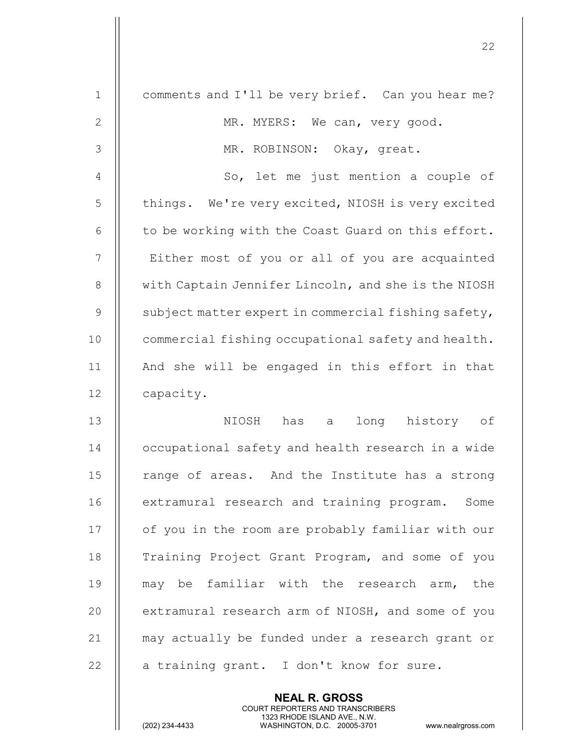| $\mathbf 1$    | comments and I'll be very brief. Can you hear me?   |
|----------------|-----------------------------------------------------|
| $\mathbf{2}$   | MR. MYERS: We can, very good.                       |
| 3              | MR. ROBINSON: Okay, great.                          |
| $\overline{4}$ | So, let me just mention a couple of                 |
| 5              | things. We're very excited, NIOSH is very excited   |
| 6              | to be working with the Coast Guard on this effort.  |
| $\overline{7}$ | Either most of you or all of you are acquainted     |
| 8              | with Captain Jennifer Lincoln, and she is the NIOSH |
| 9              | subject matter expert in commercial fishing safety, |
| 10             | commercial fishing occupational safety and health.  |
| 11             | And she will be engaged in this effort in that      |
| 12             | capacity.                                           |
| 13             | long history of<br>NIOSH has a                      |
| 14             | occupational safety and health research in a wide   |
| 15             | range of areas. And the Institute has a strong      |
| 16             | extramural research and training program. Some      |
| 17             | of you in the room are probably familiar with our   |
| 18             | Training Project Grant Program, and some of you     |
| 19             | may be familiar with the research arm, the          |
| 20             | extramural research arm of NIOSH, and some of you   |
| 21             | may actually be funded under a research grant or    |
| 22             | a training grant. I don't know for sure.            |
|                |                                                     |

NEAL R. GROSS

 COURT REPORTERS AND TRANSCRIBERS 1323 RHODE ISLAND AVE., N.W.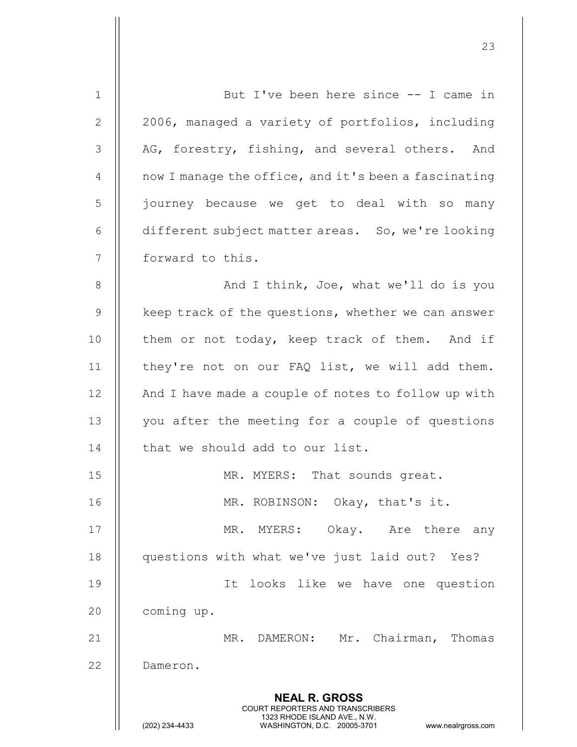| $\mathbf 1$    | But I've been here since -- I came in                                                                                                          |
|----------------|------------------------------------------------------------------------------------------------------------------------------------------------|
| $\mathbf{2}$   | 2006, managed a variety of portfolios, including                                                                                               |
| 3              | AG, forestry, fishing, and several others. And                                                                                                 |
| 4              | now I manage the office, and it's been a fascinating                                                                                           |
| 5              | journey because we get to deal with so many                                                                                                    |
| 6              | different subject matter areas. So, we're looking                                                                                              |
| $\overline{7}$ | forward to this.                                                                                                                               |
| 8              | And I think, Joe, what we'll do is you                                                                                                         |
| 9              | keep track of the questions, whether we can answer                                                                                             |
| 10             | them or not today, keep track of them. And if                                                                                                  |
| 11             | they're not on our FAQ list, we will add them.                                                                                                 |
| 12             | And I have made a couple of notes to follow up with                                                                                            |
| 13             | you after the meeting for a couple of questions                                                                                                |
| 14             | that we should add to our list.                                                                                                                |
| 15             | MR. MYERS: That sounds great.                                                                                                                  |
| 16             | MR. ROBINSON: Okay, that's it.                                                                                                                 |
| 17             | MR. MYERS: Okay. Are there any                                                                                                                 |
| 18             | questions with what we've just laid out? Yes?                                                                                                  |
| 19             | It looks like we have one question                                                                                                             |
| 20             | coming up.                                                                                                                                     |
| 21             | MR. DAMERON: Mr. Chairman, Thomas                                                                                                              |
| 22             | Dameron.                                                                                                                                       |
|                | <b>NEAL R. GROSS</b>                                                                                                                           |
|                | <b>COURT REPORTERS AND TRANSCRIBERS</b><br>1323 RHODE ISLAND AVE., N.W.<br>WASHINGTON, D.C. 20005-3701<br>(202) 234-4433<br>www.nealrgross.com |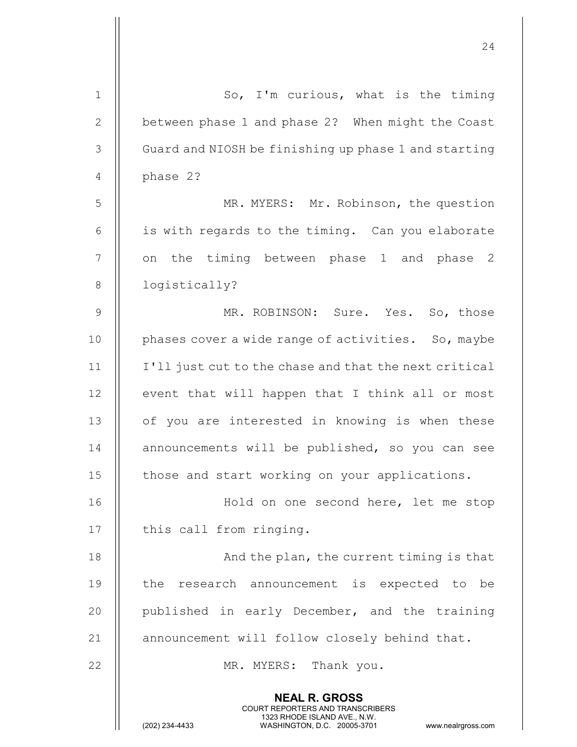| $\mathbf 1$  | So, I'm curious, what is the timing                                                                                                                                    |
|--------------|------------------------------------------------------------------------------------------------------------------------------------------------------------------------|
| $\mathbf{2}$ | between phase 1 and phase 2? When might the Coast                                                                                                                      |
| 3            | Guard and NIOSH be finishing up phase 1 and starting                                                                                                                   |
| 4            | phase 2?                                                                                                                                                               |
| 5            | MR. MYERS: Mr. Robinson, the question                                                                                                                                  |
| 6            | is with regards to the timing. Can you elaborate                                                                                                                       |
| 7            | the timing between phase 1 and phase 2<br>on                                                                                                                           |
| $8\,$        | logistically?                                                                                                                                                          |
| $\mathsf 9$  | MR. ROBINSON: Sure. Yes. So, those                                                                                                                                     |
| 10           | phases cover a wide range of activities. So, maybe                                                                                                                     |
| 11           | I'll just cut to the chase and that the next critical                                                                                                                  |
| 12           | event that will happen that I think all or most                                                                                                                        |
| 13           | of you are interested in knowing is when these                                                                                                                         |
| 14           | announcements will be published, so you can see                                                                                                                        |
| 15           | those and start working on your applications.                                                                                                                          |
| 16           | Hold on one second here, let me stop                                                                                                                                   |
| 17           | this call from ringing.                                                                                                                                                |
| 18           | And the plan, the current timing is that                                                                                                                               |
| 19           | the research announcement is expected to be                                                                                                                            |
| 20           | published in early December, and the training                                                                                                                          |
| 21           | announcement will follow closely behind that.                                                                                                                          |
| 22           | MR. MYERS: Thank you.                                                                                                                                                  |
|              | <b>NEAL R. GROSS</b><br><b>COURT REPORTERS AND TRANSCRIBERS</b><br>1323 RHODE ISLAND AVE., N.W.<br>(202) 234-4433<br>WASHINGTON, D.C. 20005-3701<br>www.nealrgross.com |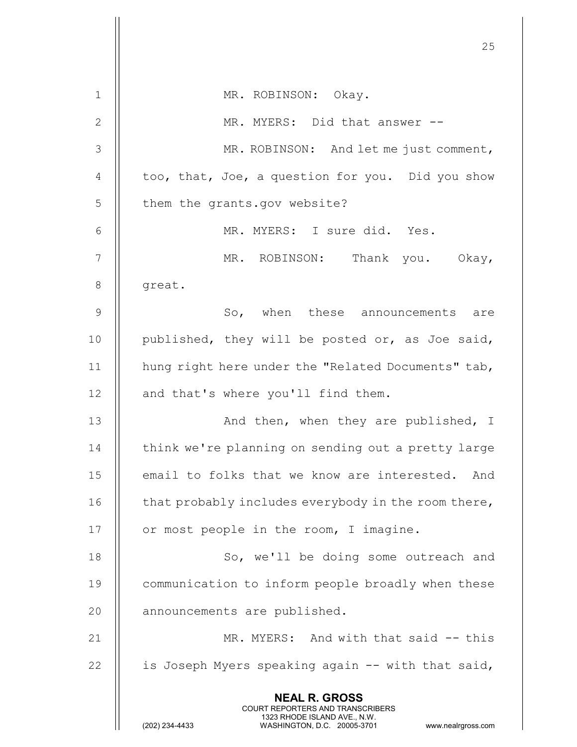|               | 25                                                                                                                                                                     |
|---------------|------------------------------------------------------------------------------------------------------------------------------------------------------------------------|
| $\mathbf 1$   | MR. ROBINSON: Okay.                                                                                                                                                    |
| 2             | MR. MYERS: Did that answer --                                                                                                                                          |
| 3             | MR. ROBINSON: And let me just comment,                                                                                                                                 |
| 4             | too, that, Joe, a question for you. Did you show                                                                                                                       |
| 5             | them the grants.gov website?                                                                                                                                           |
| 6             | MR. MYERS: I sure did. Yes.                                                                                                                                            |
| 7             | MR. ROBINSON: Thank you. Okay,                                                                                                                                         |
| $8\,$         | great.                                                                                                                                                                 |
| $\mathcal{G}$ | So, when these announcements are                                                                                                                                       |
| 10            | published, they will be posted or, as Joe said,                                                                                                                        |
| 11            | hung right here under the "Related Documents" tab,                                                                                                                     |
| 12            | and that's where you'll find them.                                                                                                                                     |
| 13            | And then, when they are published, I                                                                                                                                   |
| 14            | think we're planning on sending out a pretty large                                                                                                                     |
| 15            | email to folks that we know are interested.<br>And                                                                                                                     |
| 16            | that probably includes everybody in the room there,                                                                                                                    |
| 17            | or most people in the room, I imagine.                                                                                                                                 |
| 18            | So, we'll be doing some outreach and                                                                                                                                   |
| 19            | communication to inform people broadly when these                                                                                                                      |
| 20            | announcements are published.                                                                                                                                           |
| 21            | MR. MYERS: And with that said -- this                                                                                                                                  |
| 22            | is Joseph Myers speaking again -- with that said,                                                                                                                      |
|               | <b>NEAL R. GROSS</b><br><b>COURT REPORTERS AND TRANSCRIBERS</b><br>1323 RHODE ISLAND AVE., N.W.<br>(202) 234-4433<br>WASHINGTON, D.C. 20005-3701<br>www.nealrgross.com |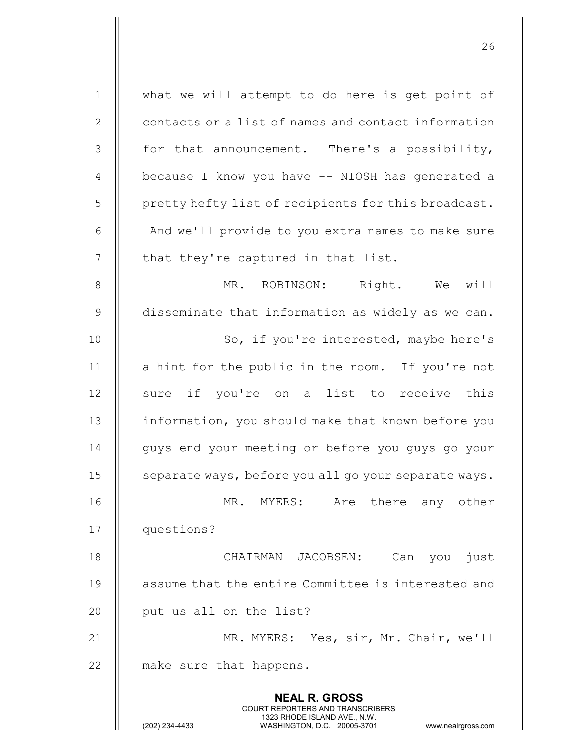| $\mathbf 1$    | what we will attempt to do here is get point of                                                                                                                        |
|----------------|------------------------------------------------------------------------------------------------------------------------------------------------------------------------|
| $\mathbf{2}$   | contacts or a list of names and contact information                                                                                                                    |
| 3              | for that announcement. There's a possibility,                                                                                                                          |
| $\overline{4}$ | because I know you have -- NIOSH has generated a                                                                                                                       |
| 5              | pretty hefty list of recipients for this broadcast.                                                                                                                    |
| 6              | And we'll provide to you extra names to make sure                                                                                                                      |
| $\overline{7}$ | that they're captured in that list.                                                                                                                                    |
| $8\,$          | MR. ROBINSON: Right. We will                                                                                                                                           |
| $\mathcal{G}$  | disseminate that information as widely as we can.                                                                                                                      |
| 10             | So, if you're interested, maybe here's                                                                                                                                 |
| 11             | a hint for the public in the room. If you're not                                                                                                                       |
| 12             | sure if you're on a list to receive this                                                                                                                               |
| 13             | information, you should make that known before you                                                                                                                     |
| 14             | guys end your meeting or before you guys go your                                                                                                                       |
| 15             | separate ways, before you all go your separate ways.                                                                                                                   |
| 16             | Are there any other<br>MR. MYERS:                                                                                                                                      |
| 17             | questions?                                                                                                                                                             |
| 18             | CHAIRMAN JACOBSEN:<br>Can you just                                                                                                                                     |
| 19             | assume that the entire Committee is interested and                                                                                                                     |
| 20             | put us all on the list?                                                                                                                                                |
| 21             | MR. MYERS: Yes, sir, Mr. Chair, we'll                                                                                                                                  |
| 22             | make sure that happens.                                                                                                                                                |
|                | <b>NEAL R. GROSS</b><br><b>COURT REPORTERS AND TRANSCRIBERS</b><br>1323 RHODE ISLAND AVE., N.W.<br>(202) 234-4433<br>WASHINGTON, D.C. 20005-3701<br>www.nealrgross.com |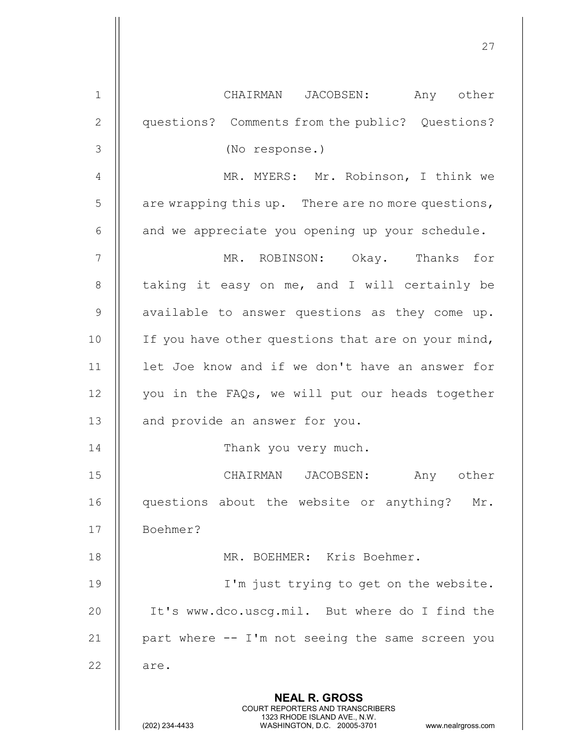|                | 27                                                                                                                                                              |
|----------------|-----------------------------------------------------------------------------------------------------------------------------------------------------------------|
| $\mathbf{1}$   | CHAIRMAN JACOBSEN: Any other                                                                                                                                    |
| $\mathbf{2}$   | questions? Comments from the public? Questions?                                                                                                                 |
| 3              | (No response.)                                                                                                                                                  |
| 4              | MR. MYERS: Mr. Robinson, I think we                                                                                                                             |
| 5              | are wrapping this up. There are no more questions,                                                                                                              |
| 6              | and we appreciate you opening up your schedule.                                                                                                                 |
| $\overline{7}$ | MR. ROBINSON: Okay. Thanks for                                                                                                                                  |
| $8\,$          | taking it easy on me, and I will certainly be                                                                                                                   |
| $\mathsf 9$    | available to answer questions as they come up.                                                                                                                  |
| 10             | If you have other questions that are on your mind,                                                                                                              |
| 11             | let Joe know and if we don't have an answer for                                                                                                                 |
| 12             | you in the FAQs, we will put our heads together                                                                                                                 |
| 13             | and provide an answer for you.                                                                                                                                  |
| 14             | Thank you very much.                                                                                                                                            |
| 15             | CHAIRMAN JACOBSEN:<br>Any other                                                                                                                                 |
| 16             | questions about the website or anything?<br>Mr.                                                                                                                 |
| 17             | Boehmer?                                                                                                                                                        |
| 18             | MR. BOEHMER: Kris Boehmer.                                                                                                                                      |
| 19             | I'm just trying to get on the website.                                                                                                                          |
| 20             | It's www.dco.uscg.mil. But where do I find the                                                                                                                  |
| 21             | part where -- I'm not seeing the same screen you                                                                                                                |
| 22             | are.                                                                                                                                                            |
|                | <b>NEAL R. GROSS</b><br>COURT REPORTERS AND TRANSCRIBERS<br>1323 RHODE ISLAND AVE., N.W.<br>(202) 234-4433<br>WASHINGTON, D.C. 20005-3701<br>www.nealrgross.com |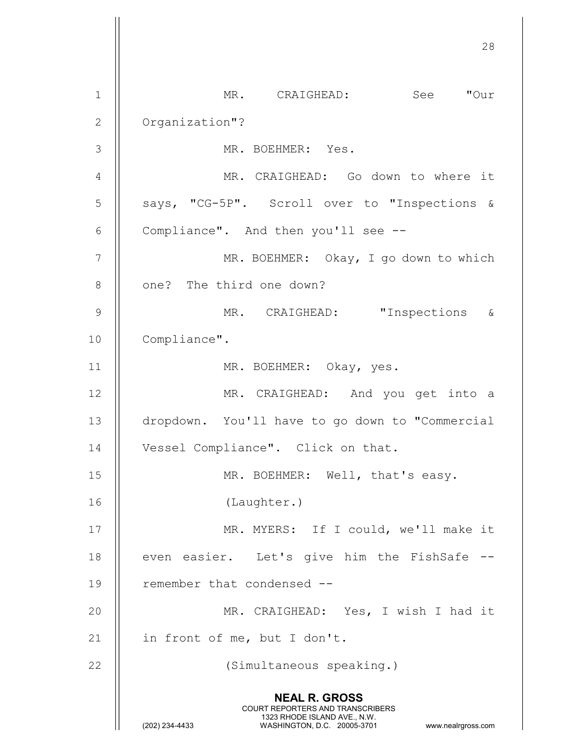28 NEAL R. GROSS COURT REPORTERS AND TRANSCRIBERS 1323 RHODE ISLAND AVE., N.W.<br>WASHINGTON, D.C. 20005-3701 WASHINGTON, D.C. WASHINGTON, D.C. 20005-3701 www.nealrgross.com 1 MR. CRAIGHEAD: See "Our 2 | Organization"? 3 MR. BOEHMER: Yes. 4 | MR. CRAIGHEAD: Go down to where it 5 || says, "CG-5P". Scroll over to "Inspections & 6  $\parallel$  Compliance". And then you'll see --7 || MR. BOEHMER: Okay, I go down to which 8 | one? The third one down? 9 MR. CRAIGHEAD: "Inspections & 10 | Compliance". 11 || MR. BOEHMER: Okay, yes. 12 || MR. CRAIGHEAD: And you get into a 13 dropdown. You'll have to go down to "Commercial 14 | Vessel Compliance". Click on that. 15 || MR. BOEHMER: Well, that's easy. 16 (Laughter.) 17 || MR. MYERS: If I could, we'll make it 18  $\parallel$  even easier. Let's give him the FishSafe --19 || remember that condensed --20 || MR. CRAIGHEAD: Yes, I wish I had it 21  $\parallel$  in front of me, but I don't. 22 (Simultaneous speaking.)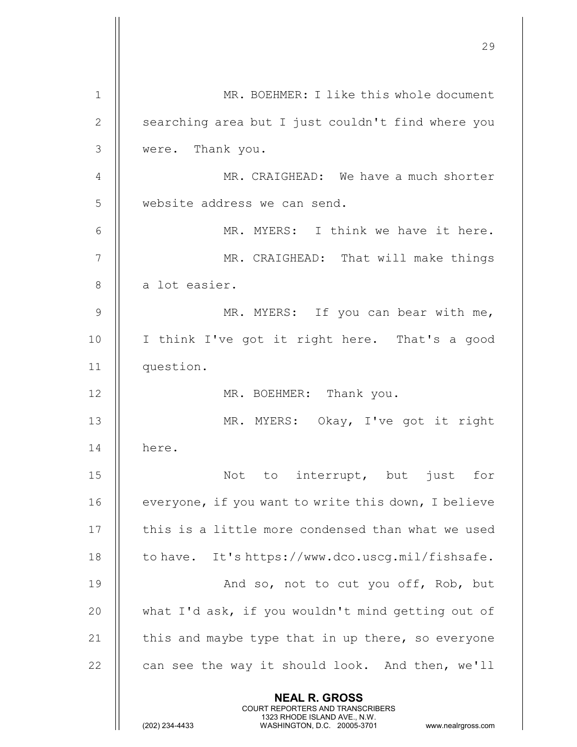|                | 29                                                                                                                                                                     |
|----------------|------------------------------------------------------------------------------------------------------------------------------------------------------------------------|
| $\mathbf{1}$   | MR. BOEHMER: I like this whole document                                                                                                                                |
| $\overline{2}$ | searching area but I just couldn't find where you                                                                                                                      |
| 3              | were. Thank you.                                                                                                                                                       |
| 4              | MR. CRAIGHEAD: We have a much shorter                                                                                                                                  |
| 5              | website address we can send.                                                                                                                                           |
| 6              | MR. MYERS: I think we have it here.                                                                                                                                    |
| $\overline{7}$ | MR. CRAIGHEAD: That will make things                                                                                                                                   |
| 8              | a lot easier.                                                                                                                                                          |
| 9              | MR. MYERS: If you can bear with me,                                                                                                                                    |
| 10             | I think I've got it right here. That's a good                                                                                                                          |
| 11             | question.                                                                                                                                                              |
| 12             | MR. BOEHMER: Thank you.                                                                                                                                                |
| 13             | MR. MYERS: Okay, I've got it right                                                                                                                                     |
| 14             | here.                                                                                                                                                                  |
| 15             | Not to interrupt, but just<br>for                                                                                                                                      |
| 16             | everyone, if you want to write this down, I believe                                                                                                                    |
| 17             | this is a little more condensed than what we used                                                                                                                      |
| 18             | to have. It's https://www.dco.uscg.mil/fishsafe.                                                                                                                       |
| 19             | And so, not to cut you off, Rob, but                                                                                                                                   |
| 20             | what I'd ask, if you wouldn't mind getting out of                                                                                                                      |
| 21             | this and maybe type that in up there, so everyone                                                                                                                      |
| 22             | can see the way it should look. And then, we'll                                                                                                                        |
|                | <b>NEAL R. GROSS</b><br><b>COURT REPORTERS AND TRANSCRIBERS</b><br>1323 RHODE ISLAND AVE., N.W.<br>(202) 234-4433<br>WASHINGTON, D.C. 20005-3701<br>www.nealrgross.com |

 $\begin{array}{c} \hline \end{array}$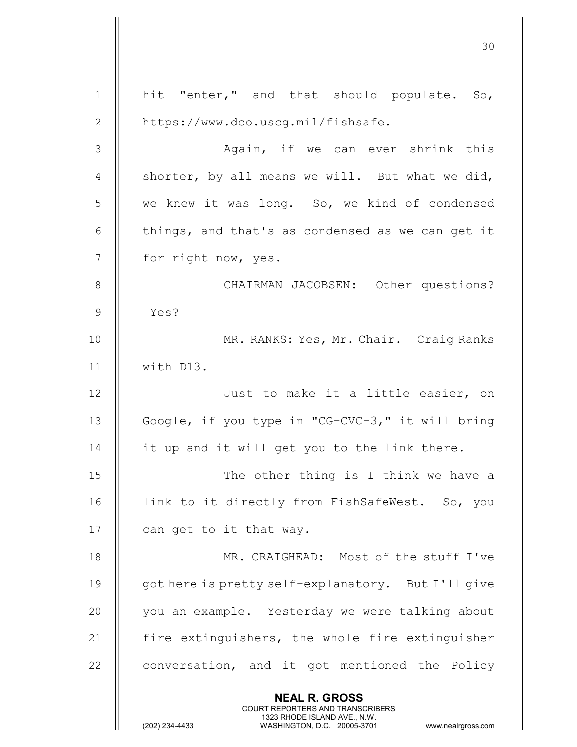30 NEAL R. GROSS COURT REPORTERS AND TRANSCRIBERS 1323 RHODE ISLAND AVE., N.W.<br>WASHINGTON, D.C. 20005-3701 WASHINGTON, D.C. 1 || hit "enter," and that should populate. So, 2 | https://www.dco.uscq.mil/fishsafe. 3 Again, if we can ever shrink this 4  $\parallel$  shorter, by all means we will. But what we did, 5 We knew it was long. So, we kind of condensed 6  $\parallel$  things, and that's as condensed as we can get it 7 || for right now, yes. 8 || CHAIRMAN JACOBSEN: Other questions? 9 Yes? 10 MR. RANKS: Yes, Mr. Chair. Craig Ranks 11 with D13. 12 || Just to make it a little easier, on 13 || Google, if you type in "CG-CVC-3," it will bring  $14$  | it up and it will get you to the link there. 15 || The other thing is I think we have a 16 || link to it directly from FishSafeWest. So, you 17  $\parallel$  can get to it that way. 18 MR. CRAIGHEAD: Most of the stuff I've 19 || qot here is pretty self-explanatory. But I'll give 20 || you an example. Yesterday we were talking about 21  $\parallel$  fire extinguishers, the whole fire extinguisher  $22$   $\parallel$  conversation, and it got mentioned the Policy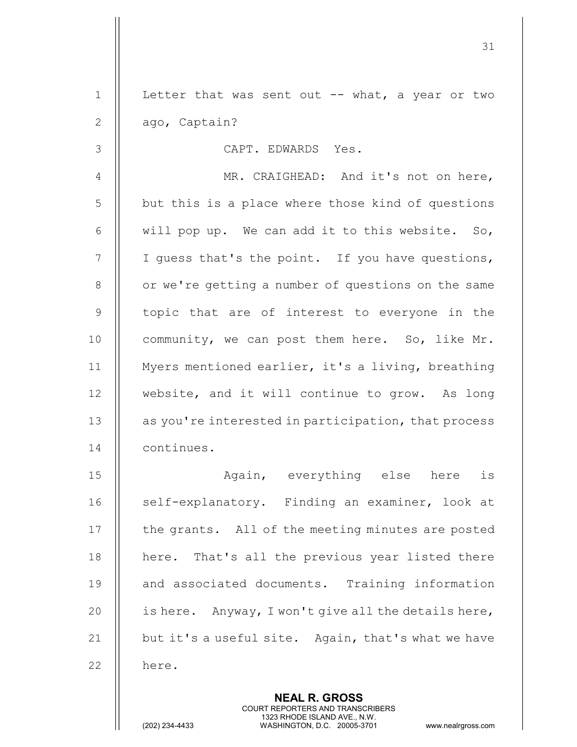|                 | <b>NEAL R. GROSS</b>                                |
|-----------------|-----------------------------------------------------|
| 22              | here.                                               |
| 21              | but it's a useful site. Again, that's what we have  |
| 20              | is here. Anyway, I won't give all the details here, |
| 19              | and associated documents. Training information      |
| 18              | here. That's all the previous year listed there     |
| 17              | the grants. All of the meeting minutes are posted   |
| 16              | self-explanatory. Finding an examiner, look at      |
| 15              | Again, everything else here<br>is                   |
| 14              | continues.                                          |
| 13              | as you're interested in participation, that process |
| 12              | website, and it will continue to grow. As long      |
| 11              | Myers mentioned earlier, it's a living, breathing   |
| 10              | community, we can post them here. So, like Mr.      |
| $\mathcal{G}$   | topic that are of interest to everyone in the       |
| 8               | or we're getting a number of questions on the same  |
| $7\phantom{.0}$ | I guess that's the point. If you have questions,    |
| 6               | will pop up. We can add it to this website. So,     |
| 5               | but this is a place where those kind of questions   |
| $\overline{4}$  | MR. CRAIGHEAD: And it's not on here,                |
| 3               | CAPT. EDWARDS Yes.                                  |
| 2               | ago, Captain?                                       |
| $\mathbf{1}$    | Letter that was sent out $--$ what, a year or two   |
|                 | 31                                                  |

 COURT REPORTERS AND TRANSCRIBERS 1323 RHODE ISLAND AVE., N.W.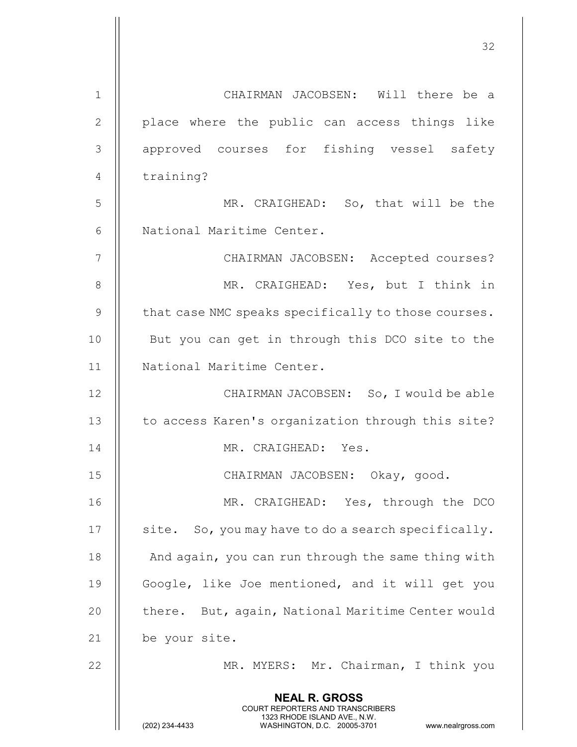|               | 32                                                                                                                                                                     |
|---------------|------------------------------------------------------------------------------------------------------------------------------------------------------------------------|
| $\mathbf{1}$  | CHAIRMAN JACOBSEN: Will there be a                                                                                                                                     |
| $\mathbf{2}$  | place where the public can access things like                                                                                                                          |
| 3             | approved courses for fishing vessel safety                                                                                                                             |
| 4             | training?                                                                                                                                                              |
| 5             | MR. CRAIGHEAD: So, that will be the                                                                                                                                    |
| 6             | National Maritime Center.                                                                                                                                              |
| 7             | CHAIRMAN JACOBSEN: Accepted courses?                                                                                                                                   |
| 8             | MR. CRAIGHEAD: Yes, but I think in                                                                                                                                     |
| $\mathcal{G}$ | that case NMC speaks specifically to those courses.                                                                                                                    |
| 10            | But you can get in through this DCO site to the                                                                                                                        |
| 11            | National Maritime Center.                                                                                                                                              |
| 12            | CHAIRMAN JACOBSEN: So, I would be able                                                                                                                                 |
| 13            | to access Karen's organization through this site?                                                                                                                      |
| 14            | MR. CRAIGHEAD: Yes.                                                                                                                                                    |
| 15            | CHAIRMAN JACOBSEN: Okay, good.                                                                                                                                         |
| 16            | MR. CRAIGHEAD: Yes, through the DCO                                                                                                                                    |
| 17            | site. So, you may have to do a search specifically.                                                                                                                    |
| 18            | And again, you can run through the same thing with                                                                                                                     |
| 19            | Google, like Joe mentioned, and it will get you                                                                                                                        |
| 20            | there. But, again, National Maritime Center would                                                                                                                      |
| 21            | be your site.                                                                                                                                                          |
| 22            | MR. MYERS: Mr. Chairman, I think you                                                                                                                                   |
|               | <b>NEAL R. GROSS</b><br><b>COURT REPORTERS AND TRANSCRIBERS</b><br>1323 RHODE ISLAND AVE., N.W.<br>(202) 234-4433<br>WASHINGTON, D.C. 20005-3701<br>www.nealrgross.com |

 $\mathsf{II}$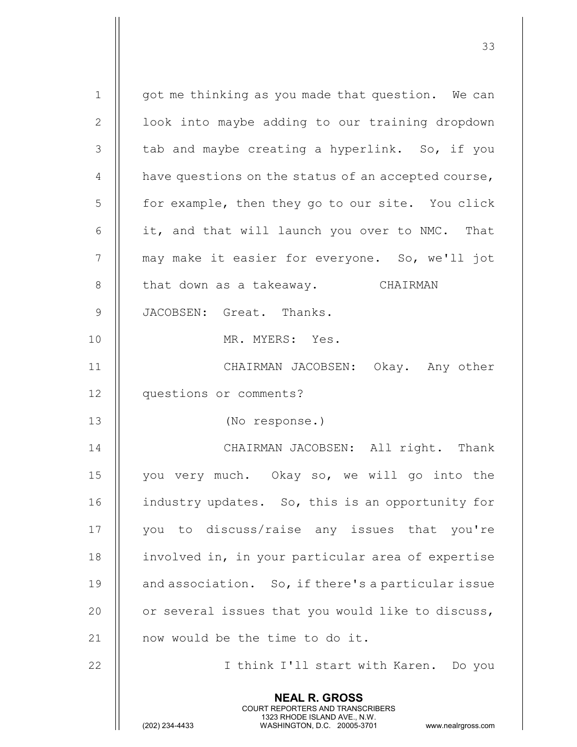| $\mathbf 1$    |                                                                                                                                                                        |
|----------------|------------------------------------------------------------------------------------------------------------------------------------------------------------------------|
|                | got me thinking as you made that question. We can                                                                                                                      |
| $\overline{2}$ | look into maybe adding to our training dropdown                                                                                                                        |
| $\mathcal{S}$  | tab and maybe creating a hyperlink. So, if you                                                                                                                         |
| $\overline{4}$ | have questions on the status of an accepted course,                                                                                                                    |
| 5              | for example, then they go to our site. You click                                                                                                                       |
| $6\,$          | it, and that will launch you over to NMC. That                                                                                                                         |
| 7              | may make it easier for everyone. So, we'll jot                                                                                                                         |
| 8              | that down as a takeaway. CHAIRMAN                                                                                                                                      |
| $\mathcal{G}$  | JACOBSEN: Great. Thanks.                                                                                                                                               |
| 10             | MR. MYERS: Yes.                                                                                                                                                        |
| 11             | CHAIRMAN JACOBSEN: Okay. Any other                                                                                                                                     |
| 12             | questions or comments?                                                                                                                                                 |
| 13             | (No response.)                                                                                                                                                         |
| 14             | CHAIRMAN JACOBSEN: All right. Thank                                                                                                                                    |
| 15             | you very much. Okay so, we will go into the                                                                                                                            |
| 16             | industry updates. So, this is an opportunity for                                                                                                                       |
| 17             | you to discuss/raise any issues that you're                                                                                                                            |
| 18             | involved in, in your particular area of expertise                                                                                                                      |
| 19             | and association. So, if there's a particular issue                                                                                                                     |
| 20             | or several issues that you would like to discuss,                                                                                                                      |
| 21             | now would be the time to do it.                                                                                                                                        |
| 22             | I think I'll start with Karen. Do you                                                                                                                                  |
|                | <b>NEAL R. GROSS</b><br><b>COURT REPORTERS AND TRANSCRIBERS</b><br>1323 RHODE ISLAND AVE., N.W.<br>(202) 234-4433<br>WASHINGTON, D.C. 20005-3701<br>www.nealrgross.com |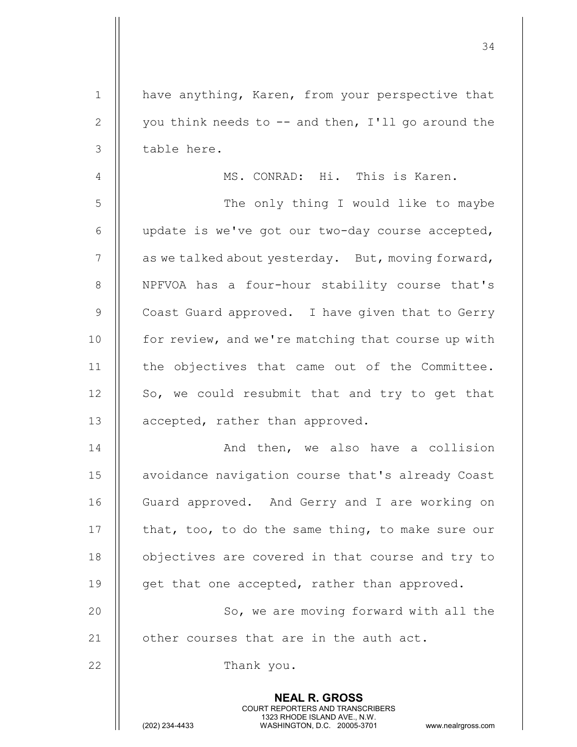NEAL R. GROSS COURT REPORTERS AND TRANSCRIBERS 1323 RHODE ISLAND AVE., N.W.<br>WASHINGTON, D.C. 20005-3701 1 | have anything, Karen, from your perspective that 2  $\parallel$  you think needs to  $-$  and then, I'll go around the  $3$  | table here. 4 MS. CONRAD: Hi. This is Karen. 5 | The only thing I would like to maybe 6  $\parallel$  update is we've got our two-day course accepted,  $7$  | as we talked about yesterday. But, moving forward, 8 || NPFVOA has a four-hour stability course that's 9 || Coast Guard approved. I have given that to Gerry 10 | for review, and we're matching that course up with 11 | the objectives that came out of the Committee.  $12$  | So, we could resubmit that and try to get that 13 | accepted, rather than approved. 14 And then, we also have a collision 15 | avoidance navigation course that's already Coast 16 || Guard approved. And Gerry and I are working on 17  $\parallel$  that, too, to do the same thing, to make sure our 18 | objectives are covered in that course and try to 19  $\parallel$  get that one accepted, rather than approved. 20 || So, we are moving forward with all the  $21$  || other courses that are in the auth act. 22 || Thank you.

34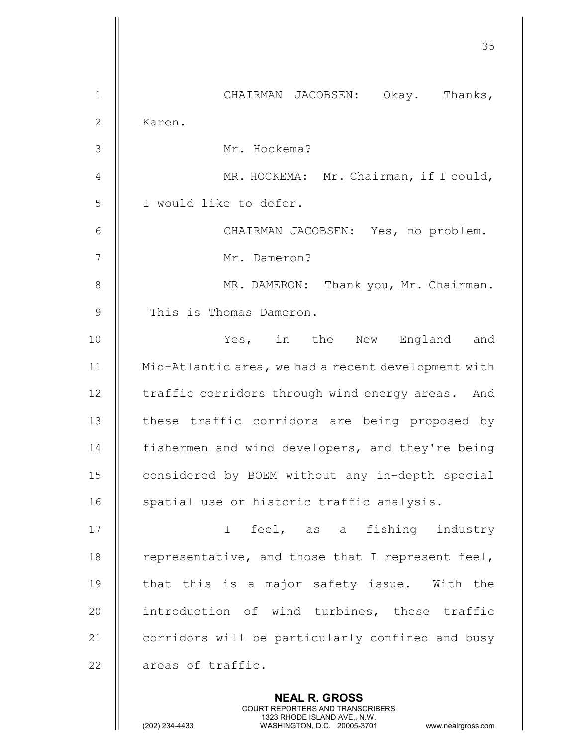<u>35 and 200 million and 200 million and 200 million and 200 million and 200 million and 200 million and 200 million and 200 million and 200 million and 200 million and 200 million and 200 million and 200 million and 200 mi</u> NEAL R. GROSS COURT REPORTERS AND TRANSCRIBERS 1 CHAIRMAN JACOBSEN: Okay. Thanks, 2 || Karen. 3 Mr. Hockema? 4 | MR. HOCKEMA: Mr. Chairman, if I could, 5 || I would like to defer. 6 CHAIRMAN JACOBSEN: Yes, no problem. 7 || Mr. Dameron? 8 | MR. DAMERON: Thank you, Mr. Chairman. 9 | This is Thomas Dameron. 10 Yes, in the New England and 11 Mid-Atlantic area, we had a recent development with 12 | traffic corridors through wind energy areas. And 13 || these traffic corridors are being proposed by 14 | fishermen and wind developers, and they're being 15 | considered by BOEM without any in-depth special 16 || spatial use or historic traffic analysis. 17 || I feel, as a fishing industry 18  $\parallel$  representative, and those that I represent feel, 19  $\parallel$  that this is a major safety issue. With the 20  $\parallel$  introduction of wind turbines, these traffic 21 | corridors will be particularly confined and busy 22 | areas of traffic.

1323 RHODE ISLAND AVE., N.W.<br>WASHINGTON, D.C. 20005-3701 WASHINGTON, D.C.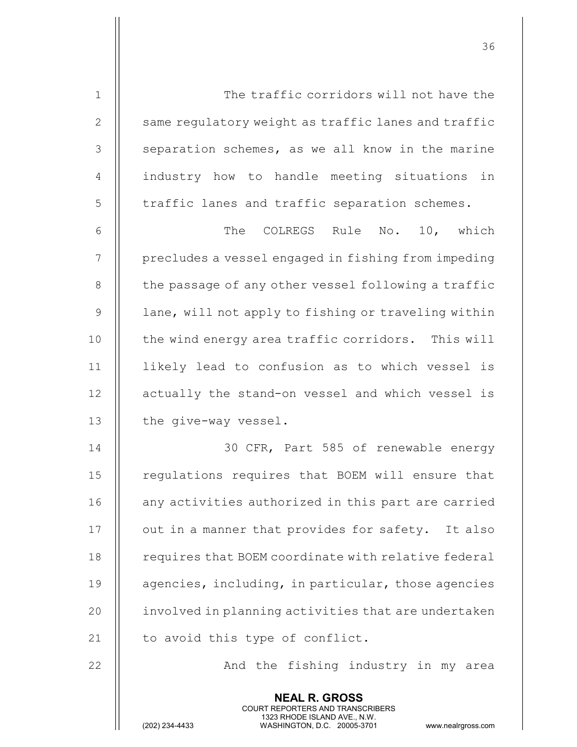| $\mathbf 1$    | The traffic corridors will not have the             |
|----------------|-----------------------------------------------------|
| $\mathbf{2}$   | same regulatory weight as traffic lanes and traffic |
| 3              | separation schemes, as we all know in the marine    |
| $\overline{4}$ | industry how to handle meeting situations in        |
| 5              | traffic lanes and traffic separation schemes.       |
| 6              | The COLREGS Rule No. 10, which                      |
| 7              | precludes a vessel engaged in fishing from impeding |
| 8              | the passage of any other vessel following a traffic |
| $\mathcal{G}$  | lane, will not apply to fishing or traveling within |
| 10             | the wind energy area traffic corridors. This will   |
| 11             | likely lead to confusion as to which vessel is      |
| 12             | actually the stand-on vessel and which vessel is    |
| 13             | the give-way vessel.                                |
| 14             | 30 CFR, Part 585 of renewable energy                |
| 15             | regulations requires that BOEM will ensure that     |
| 16             | any activities authorized in this part are carried  |
| 17             | out in a manner that provides for safety. It also   |
| 18             | requires that BOEM coordinate with relative federal |
| 19             | agencies, including, in particular, those agencies  |
| 20             | involved in planning activities that are undertaken |
| 21             | to avoid this type of conflict.                     |
| 22             | And the fishing industry in my area                 |
|                | <b>NEAL R. GROSS</b>                                |

 COURT REPORTERS AND TRANSCRIBERS 1323 RHODE ISLAND AVE., N.W.

<u>36 and 2012 and 2013</u>

Ш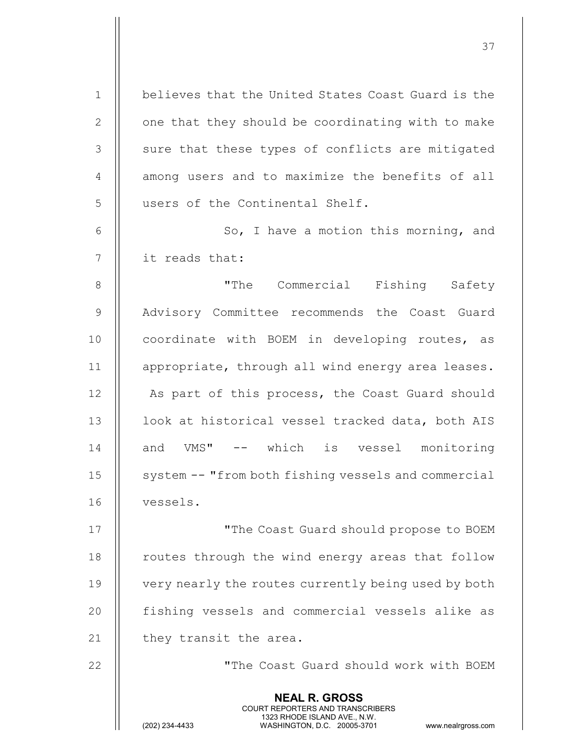| $1\,$          | believes that the United States Coast Guard is the                                                                                                                     |
|----------------|------------------------------------------------------------------------------------------------------------------------------------------------------------------------|
| $\mathbf{2}$   | one that they should be coordinating with to make                                                                                                                      |
| 3              | sure that these types of conflicts are mitigated                                                                                                                       |
| $\overline{4}$ | among users and to maximize the benefits of all                                                                                                                        |
| 5              | users of the Continental Shelf.                                                                                                                                        |
| 6              | So, I have a motion this morning, and                                                                                                                                  |
| $\overline{7}$ | it reads that:                                                                                                                                                         |
| $8\,$          | "The Commercial Fishing Safety                                                                                                                                         |
| $\mathcal{G}$  | Advisory Committee recommends the Coast Guard                                                                                                                          |
| 10             | coordinate with BOEM in developing routes, as                                                                                                                          |
| 11             | appropriate, through all wind energy area leases.                                                                                                                      |
| 12             | As part of this process, the Coast Guard should                                                                                                                        |
| 13             | look at historical vessel tracked data, both AIS                                                                                                                       |
| 14             | and VMS" -- which is vessel monitoring                                                                                                                                 |
| 15             | system -- "from both fishing vessels and commercial                                                                                                                    |
| 16             | vessels.                                                                                                                                                               |
| 17             | "The Coast Guard should propose to BOEM                                                                                                                                |
| 18             | routes through the wind energy areas that follow                                                                                                                       |
| 19             | very nearly the routes currently being used by both                                                                                                                    |
| 20             | fishing vessels and commercial vessels alike as                                                                                                                        |
| 21             | they transit the area.                                                                                                                                                 |
| 22             | "The Coast Guard should work with BOEM                                                                                                                                 |
|                | <b>NEAL R. GROSS</b><br><b>COURT REPORTERS AND TRANSCRIBERS</b><br>1323 RHODE ISLAND AVE., N.W.<br>(202) 234-4433<br>WASHINGTON, D.C. 20005-3701<br>www.nealrgross.com |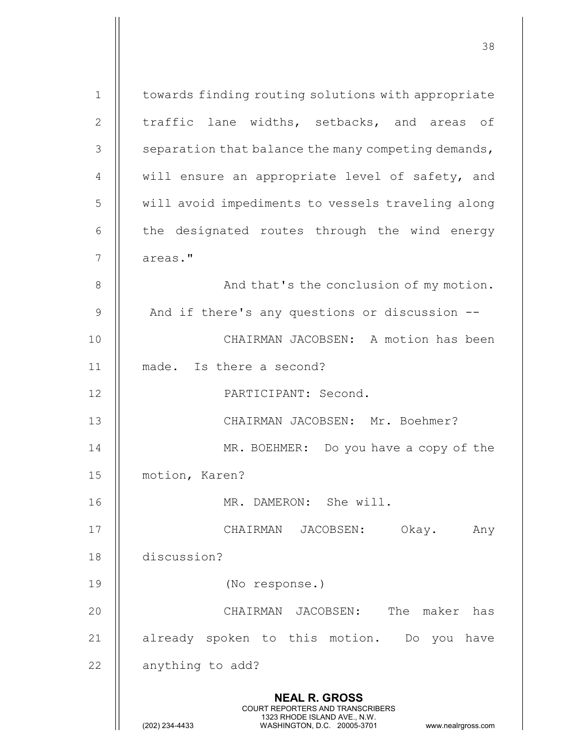NEAL R. GROSS COURT REPORTERS AND TRANSCRIBERS 1323 RHODE ISLAND AVE., N.W.<br>WASHINGTON, D.C. 20005-3701 WASHINGTON, D.C. WASHINGTON, D.C. 20005-3701 www.nealrgross.com 1 | towards finding routing solutions with appropriate 2  $\parallel$  traffic lane widths, setbacks, and areas of  $3 \parallel$  separation that balance the many competing demands, 4 || will ensure an appropriate level of safety, and 5 | will avoid impediments to vessels traveling along  $6$   $\parallel$  the designated routes through the wind energy 7 | areas." 8 | And that's the conclusion of my motion.  $9$  |  $\blacksquare$  And if there's any questions or discussion --10 CHAIRMAN JACOBSEN: A motion has been 11 made. Is there a second? 12 PARTICIPANT: Second. 13 CHAIRMAN JACOBSEN: Mr. Boehmer? 14 MR. BOEHMER: Do you have a copy of the 15 | motion, Karen? 16 MR. DAMERON: She will. 17 CHAIRMAN JACOBSEN: Okay. Any 18 discussion? 19 (No response.) 20 CHAIRMAN JACOBSEN: The maker has 21 || already spoken to this motion. Do you have  $22$  | anything to add?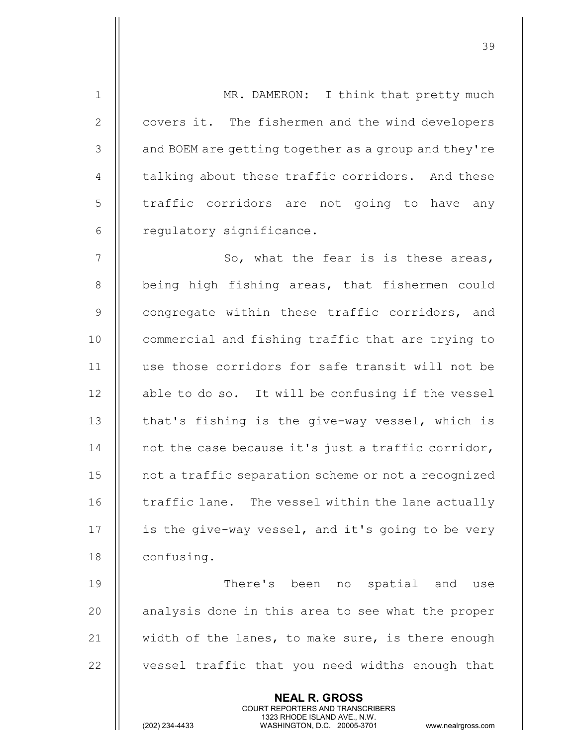NEAL R. GROSS 1 | MR. DAMERON: I think that pretty much 2 | covers it. The fishermen and the wind developers 3 | and BOEM are getting together as a group and they're 4  $\parallel$  talking about these traffic corridors. And these 5 | traffic corridors are not going to have any 6 | regulatory significance.  $7$  || So, what the fear is is these areas, 8 || being high fishing areas, that fishermen could 9 || congregate within these traffic corridors, and 10 **commercial and fishing traffic that are trying to** 11 use those corridors for safe transit will not be 12 || able to do so. It will be confusing if the vessel  $13$  | that's fishing is the give-way vessel, which is 14 **not the case because it's just a traffic corridor**, 15 not a traffic separation scheme or not a recognized 16 | traffic lane. The vessel within the lane actually 17  $\parallel$  is the give-way vessel, and it's going to be very 18 | confusing. 19 There's been no spatial and use 20 || analysis done in this area to see what the proper 21  $\parallel$  width of the lanes, to make sure, is there enough 22 || vessel traffic that you need widths enough that

COURT REPORTERS AND TRANSCRIBERS

39

1323 RHODE ISLAND AVE., N.W.<br>WASHINGTON, D.C. 20005-3701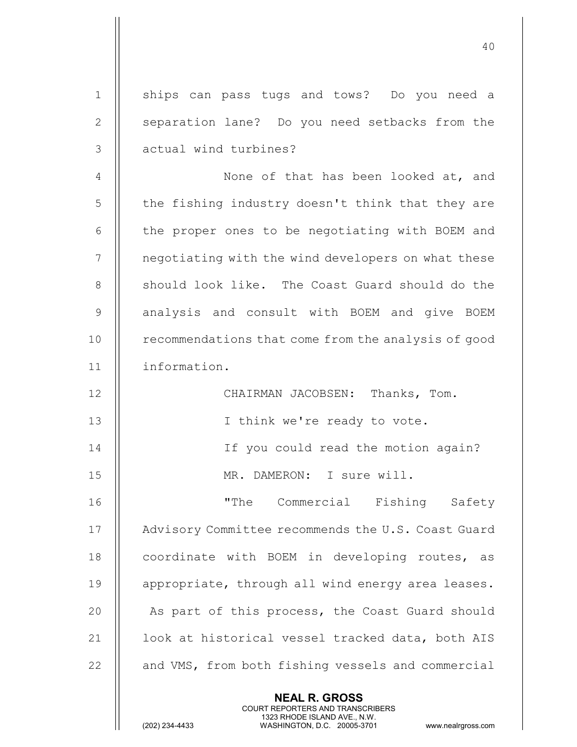| $\mathbf 1$    | ships can pass tugs and tows? Do you need a                                                                                                                            |
|----------------|------------------------------------------------------------------------------------------------------------------------------------------------------------------------|
| $\mathbf{2}$   | separation lane? Do you need setbacks from the                                                                                                                         |
| 3              | actual wind turbines?                                                                                                                                                  |
| $\overline{4}$ | None of that has been looked at, and                                                                                                                                   |
| 5              | the fishing industry doesn't think that they are                                                                                                                       |
| 6              | the proper ones to be negotiating with BOEM and                                                                                                                        |
| 7              | negotiating with the wind developers on what these                                                                                                                     |
| 8              | should look like. The Coast Guard should do the                                                                                                                        |
| $\mathcal{G}$  | analysis and consult with BOEM and give BOEM                                                                                                                           |
| 10             | recommendations that come from the analysis of good                                                                                                                    |
| 11             | information.                                                                                                                                                           |
| 12             | CHAIRMAN JACOBSEN: Thanks, Tom.                                                                                                                                        |
| 13             | I think we're ready to vote.                                                                                                                                           |
| 14             | If you could read the motion again?                                                                                                                                    |
| 15             | MR. DAMERON: I sure will.                                                                                                                                              |
| 16             | "The Commercial Fishing Safety                                                                                                                                         |
| 17             | Advisory Committee recommends the U.S. Coast Guard                                                                                                                     |
| 18             | coordinate with BOEM in developing routes, as                                                                                                                          |
| 19             | appropriate, through all wind energy area leases.                                                                                                                      |
| 20             | As part of this process, the Coast Guard should                                                                                                                        |
| 21             | look at historical vessel tracked data, both AIS                                                                                                                       |
| 22             | and VMS, from both fishing vessels and commercial                                                                                                                      |
|                | <b>NEAL R. GROSS</b><br><b>COURT REPORTERS AND TRANSCRIBERS</b><br>1323 RHODE ISLAND AVE., N.W.<br>(202) 234-4433<br>WASHINGTON, D.C. 20005-3701<br>www.nealrgross.com |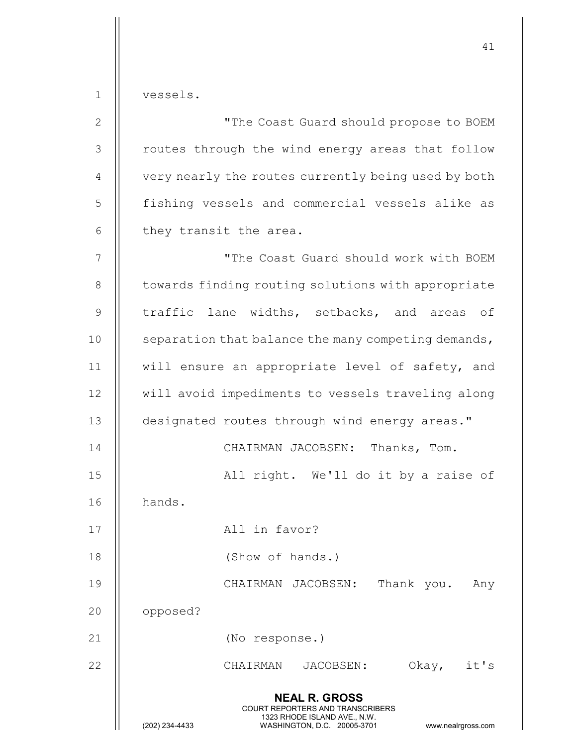1 vessels.

| $\mathbf{2}$   | "The Coast Guard should propose to BOEM                                                                                                                                |
|----------------|------------------------------------------------------------------------------------------------------------------------------------------------------------------------|
| $\mathcal{S}$  | routes through the wind energy areas that follow                                                                                                                       |
| $\overline{4}$ | very nearly the routes currently being used by both                                                                                                                    |
| 5              | fishing vessels and commercial vessels alike as                                                                                                                        |
| 6              | they transit the area.                                                                                                                                                 |
| $\overline{7}$ | "The Coast Guard should work with BOEM                                                                                                                                 |
| $8\,$          | towards finding routing solutions with appropriate                                                                                                                     |
| $\mathsf 9$    | traffic lane widths, setbacks, and areas of                                                                                                                            |
| 10             | separation that balance the many competing demands,                                                                                                                    |
| 11             | will ensure an appropriate level of safety, and                                                                                                                        |
| 12             | will avoid impediments to vessels traveling along                                                                                                                      |
| 13             | designated routes through wind energy areas."                                                                                                                          |
| 14             | CHAIRMAN JACOBSEN: Thanks, Tom.                                                                                                                                        |
| 15             | All right. We'll do it by a raise of                                                                                                                                   |
| 16             | hands.                                                                                                                                                                 |
| 17             | All in favor?                                                                                                                                                          |
| 18             | (Show of hands.)                                                                                                                                                       |
| 19             | CHAIRMAN JACOBSEN:<br>Thank you.<br>Any                                                                                                                                |
| 20             | opposed?                                                                                                                                                               |
| 21             | (No response.)                                                                                                                                                         |
| 22             | Okay,<br>CHAIRMAN<br>JACOBSEN:<br>it's                                                                                                                                 |
|                | <b>NEAL R. GROSS</b><br><b>COURT REPORTERS AND TRANSCRIBERS</b><br>1323 RHODE ISLAND AVE., N.W.<br>(202) 234-4433<br>WASHINGTON, D.C. 20005-3701<br>www.nealrgross.com |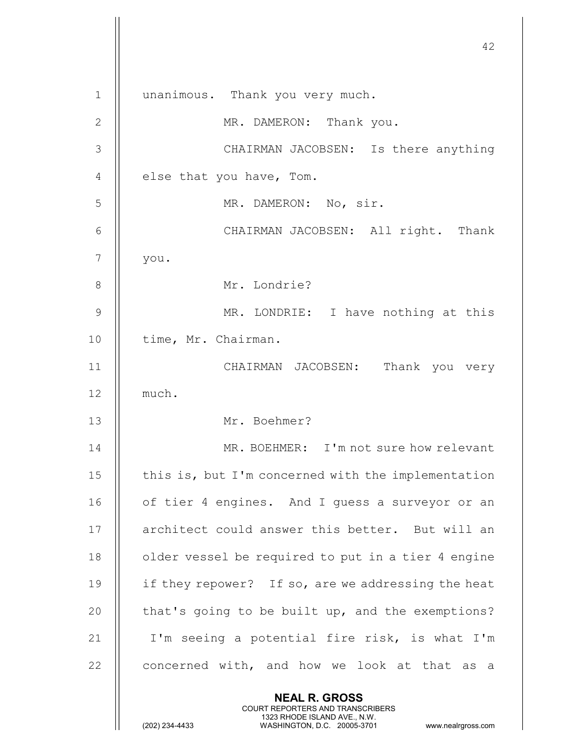42 NEAL R. GROSS COURT REPORTERS AND TRANSCRIBERS 1323 RHODE ISLAND AVE., N.W.<br>WASHINGTON, D.C. 20005-3701 WASHINGTON, D.C. 1 || unanimous. Thank you very much. 2 || MR. DAMERON: Thank you. 3 CHAIRMAN JACOBSEN: Is there anything  $4$  || else that you have, Tom. 5 MR. DAMERON: No, sir. 6 CHAIRMAN JACOBSEN: All right. Thank 7 you. 8 || Mr. Londrie? 9 MR. LONDRIE: I have nothing at this 10 | time, Mr. Chairman. 11 CHAIRMAN JACOBSEN: Thank you very 12 much. 13 Mr. Boehmer? 14 MR. BOEHMER: I'm not sure how relevant 15  $\parallel$  this is, but I'm concerned with the implementation 16 || of tier 4 engines. And I quess a surveyor or an 17 || architect could answer this better. But will an 18 || older vessel be required to put in a tier 4 engine 19  $\parallel$  if they repower? If so, are we addressing the heat 20  $\parallel$  that's going to be built up, and the exemptions? 21  $\parallel$  I'm seeing a potential fire risk, is what I'm 22  $\parallel$  concerned with, and how we look at that as a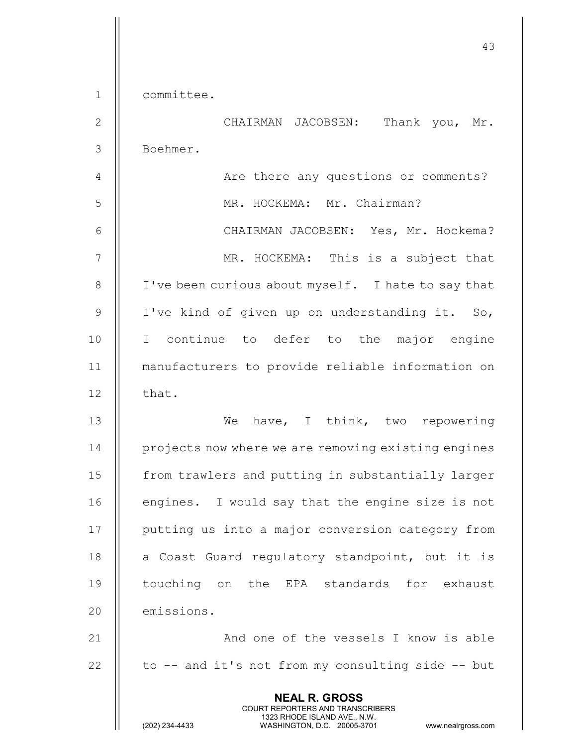1 committee.

2 CHAIRMAN JACOBSEN: Thank you, Mr. 3 Boehmer.

4 | Are there any questions or comments? 5 MR. HOCKEMA: Mr. Chairman? 6 CHAIRMAN JACOBSEN: Yes, Mr. Hockema? 7 || MR. HOCKEMA: This is a subject that 8 | I've been curious about myself. I hate to say that 9  $\parallel$  I've kind of given up on understanding it. So, 10 I continue to defer to the major engine 11 manufacturers to provide reliable information on  $12$  | that.

13 We have, I think, two repowering 14 **I** projects now where we are removing existing engines 15 | from trawlers and putting in substantially larger 16 || engines. I would say that the engine size is not 17 || putting us into a major conversion category from 18  $\parallel$  a Coast Guard regulatory standpoint, but it is 19 || touching on the EPA standards for exhaust 20 **emissions.** 

21 And one of the vessels I know is able 22  $\parallel$  to -- and it's not from my consulting side -- but

> NEAL R. GROSS COURT REPORTERS AND TRANSCRIBERS

1323 RHODE ISLAND AVE., N.W.<br>WASHINGTON, D.C. 20005-3701 WASHINGTON, D.C.

WASHINGTON, D.C. 20005-3701 www.nealrgross.com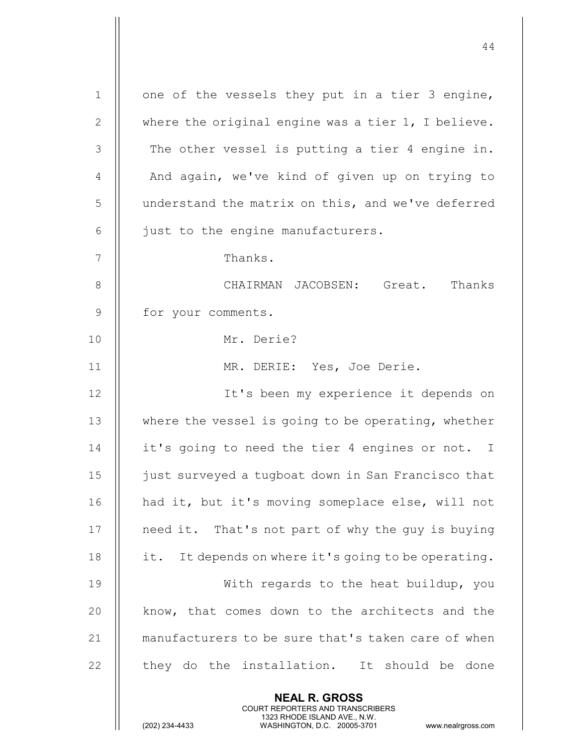NEAL R. GROSS 1 | one of the vessels they put in a tier 3 engine, 2  $\parallel$  where the original engine was a tier 1, I believe.  $3$   $\parallel$  The other vessel is putting a tier 4 engine in. 4 || And again, we've kind of given up on trying to 5 | understand the matrix on this, and we've deferred  $6$  || just to the engine manufacturers. 7 || Thanks. 8 CHAIRMAN JACOBSEN: Great. Thanks 9 | for your comments. 10 Mr. Derie? 11 MR. DERIE: Yes, Joe Derie. 12 || It's been my experience it depends on 13 || where the vessel is going to be operating, whether 14 | it's going to need the tier 4 engines or not. I 15 just surveyed a tugboat down in San Francisco that 16 || had it, but it's moving someplace else, will not 17 || need it. That's not part of why the quy is buying 18  $\parallel$  it. It depends on where it's going to be operating. 19 || With regards to the heat buildup, you 20 || know, that comes down to the architects and the 21 || manufacturers to be sure that's taken care of when  $22$   $\parallel$  they do the installation. It should be done

COURT REPORTERS AND TRANSCRIBERS

44

1323 RHODE ISLAND AVE., N.W.<br>WASHINGTON, D.C. 20005-3701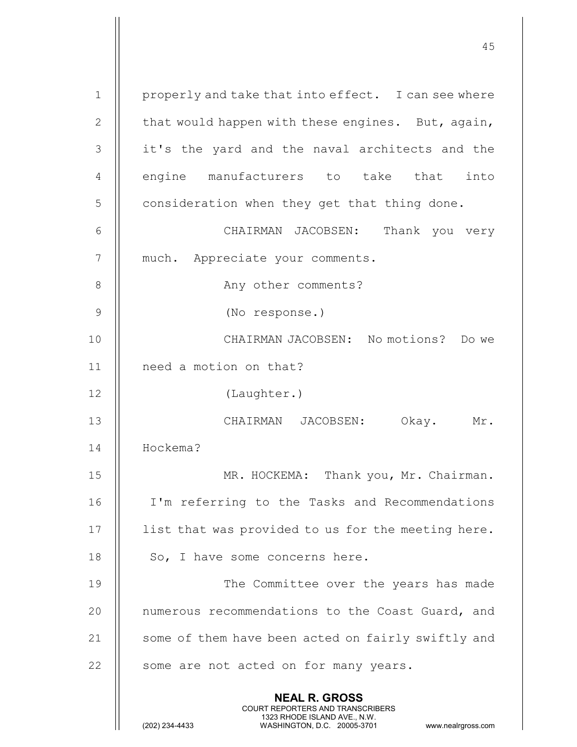| $\mathbf 1$   | properly and take that into effect. I can see where                                                                                                                    |
|---------------|------------------------------------------------------------------------------------------------------------------------------------------------------------------------|
| $\mathbf{2}$  | that would happen with these engines. But, again,                                                                                                                      |
| 3             | it's the yard and the naval architects and the                                                                                                                         |
| 4             | engine manufacturers to take that<br>into                                                                                                                              |
| 5             | consideration when they get that thing done.                                                                                                                           |
| 6             | CHAIRMAN JACOBSEN: Thank you very                                                                                                                                      |
| 7             | much. Appreciate your comments.                                                                                                                                        |
| 8             | Any other comments?                                                                                                                                                    |
| $\mathcal{G}$ | (No response.)                                                                                                                                                         |
| 10            | CHAIRMAN JACOBSEN: No motions? Do we                                                                                                                                   |
| 11            | need a motion on that?                                                                                                                                                 |
| 12            | (Laughter.)                                                                                                                                                            |
| 13            | CHAIRMAN JACOBSEN:<br>Okay. Mr.                                                                                                                                        |
| 14            | Hockema?                                                                                                                                                               |
| 15            | MR. HOCKEMA: Thank you, Mr. Chairman.                                                                                                                                  |
| 16            | I'm referring to the Tasks and Recommendations                                                                                                                         |
| 17            | list that was provided to us for the meeting here.                                                                                                                     |
| 18            | So, I have some concerns here.                                                                                                                                         |
| 19            | The Committee over the years has made                                                                                                                                  |
| 20            | numerous recommendations to the Coast Guard, and                                                                                                                       |
| 21            | some of them have been acted on fairly swiftly and                                                                                                                     |
| 22            | some are not acted on for many years.                                                                                                                                  |
|               | <b>NEAL R. GROSS</b><br><b>COURT REPORTERS AND TRANSCRIBERS</b><br>1323 RHODE ISLAND AVE., N.W.<br>(202) 234-4433<br>WASHINGTON, D.C. 20005-3701<br>www.nealrgross.com |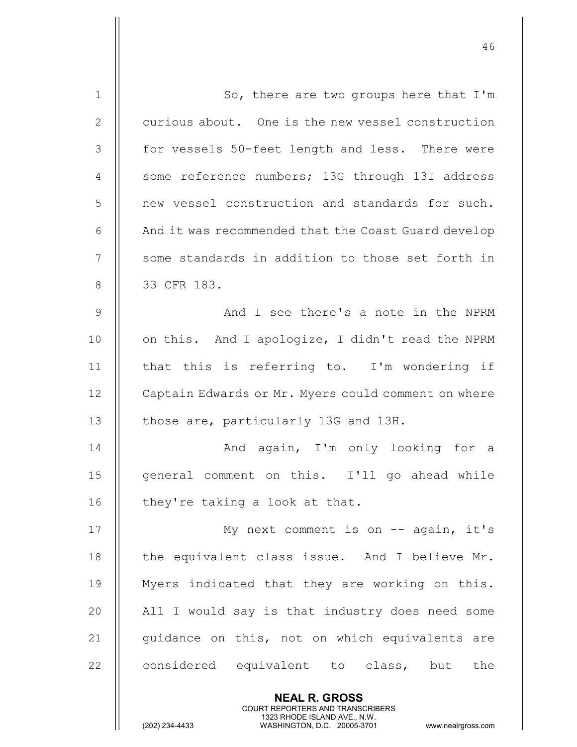| $\mathbf 1$    | So, there are two groups here that I'm                                                                                                                                 |
|----------------|------------------------------------------------------------------------------------------------------------------------------------------------------------------------|
| 2              | curious about. One is the new vessel construction                                                                                                                      |
| 3              | for vessels 50-feet length and less. There were                                                                                                                        |
| 4              | some reference numbers; 13G through 13I address                                                                                                                        |
| 5              | new vessel construction and standards for such.                                                                                                                        |
| 6              | And it was recommended that the Coast Guard develop                                                                                                                    |
| 7              | some standards in addition to those set forth in                                                                                                                       |
| 8              | 33 CFR 183.                                                                                                                                                            |
| $\overline{9}$ | And I see there's a note in the NPRM                                                                                                                                   |
| 10             | on this. And I apologize, I didn't read the NPRM                                                                                                                       |
| 11             | that this is referring to. I'm wondering if                                                                                                                            |
| 12             | Captain Edwards or Mr. Myers could comment on where                                                                                                                    |
| 13             | those are, particularly 13G and 13H.                                                                                                                                   |
| 14             | And again, I'm only looking for a                                                                                                                                      |
| 15             | general comment on this. I'll go ahead while                                                                                                                           |
| 16             | they're taking a look at that.                                                                                                                                         |
| 17             | My next comment is on $-$ again, it's                                                                                                                                  |
| 18             | the equivalent class issue. And I believe Mr.                                                                                                                          |
| 19             | Myers indicated that they are working on this.                                                                                                                         |
| 20             | All I would say is that industry does need some                                                                                                                        |
| 21             | guidance on this, not on which equivalents are                                                                                                                         |
| 22             | considered equivalent to class, but<br>the                                                                                                                             |
|                | <b>NEAL R. GROSS</b><br><b>COURT REPORTERS AND TRANSCRIBERS</b><br>1323 RHODE ISLAND AVE., N.W.<br>(202) 234-4433<br>WASHINGTON, D.C. 20005-3701<br>www.nealrgross.com |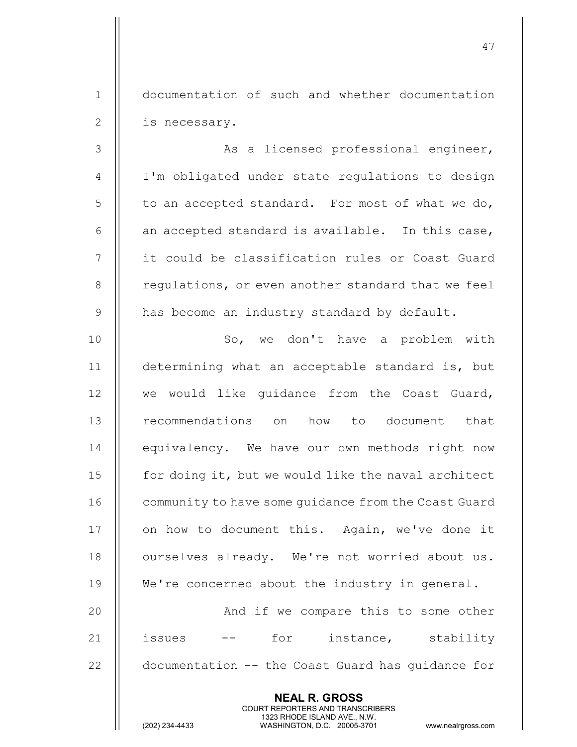1 documentation of such and whether documentation 2 | is necessary.

3 || As a licensed professional engineer, 4 || I'm obligated under state regulations to design  $5 \parallel$  to an accepted standard. For most of what we do, 6  $\parallel$  an accepted standard is available. In this case, 7 it could be classification rules or Coast Guard 8 | regulations, or even another standard that we feel  $9$  | has become an industry standard by default.

10 || So, we don't have a problem with 11 determining what an acceptable standard is, but 12 || we would like guidance from the Coast Guard, 13 || recommendations on how to document that 14 || equivalency. We have our own methods right now 15 | for doing it, but we would like the naval architect 16 | community to have some quidance from the Coast Guard 17 || on how to document this. Again, we've done it 18 | ourselves already. We're not worried about us. 19 || We're concerned about the industry in general. 20 || And if we compare this to some other

21  $\parallel$  issues -- for instance, stability 22 documentation -- the Coast Guard has quidance for

> NEAL R. GROSS COURT REPORTERS AND TRANSCRIBERS

1323 RHODE ISLAND AVE., N.W.<br>WASHINGTON, D.C. 20005-3701

WASHINGTON, D.C. 20005-3701 www.nealrgross.com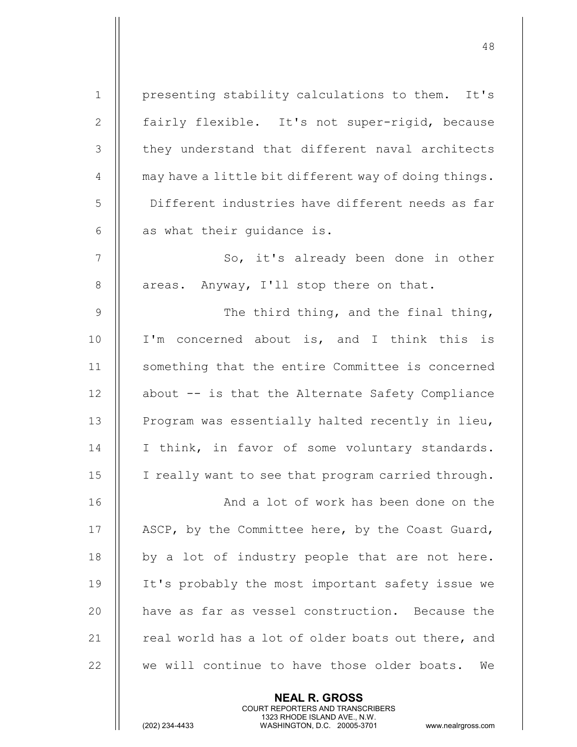| $\mathbf 1$    | presenting stability calculations to them. It's      |
|----------------|------------------------------------------------------|
| $\mathbf{2}$   | fairly flexible. It's not super-rigid, because       |
| 3              | they understand that different naval architects      |
| $\overline{4}$ | may have a little bit different way of doing things. |
| 5              | Different industries have different needs as far     |
| 6              | as what their guidance is.                           |
| $\overline{7}$ | So, it's already been done in other                  |
| 8              | areas. Anyway, I'll stop there on that.              |
| 9              | The third thing, and the final thing,                |
| 10             | I'm concerned about is, and I think this is          |
| 11             | something that the entire Committee is concerned     |
| 12             | about -- is that the Alternate Safety Compliance     |
| 13             | Program was essentially halted recently in lieu,     |
| 14             | I think, in favor of some voluntary standards.       |
| 15             | I really want to see that program carried through.   |
| 16             | And a lot of work has been done on the               |
| 17             | ASCP, by the Committee here, by the Coast Guard,     |
| 18             | by a lot of industry people that are not here.       |
| 19             | It's probably the most important safety issue we     |
| 20             | have as far as vessel construction. Because the      |
| 21             | real world has a lot of older boats out there, and   |
| 22             | we will continue to have those older boats.<br>We    |
|                |                                                      |

NEAL R. GROSS

 COURT REPORTERS AND TRANSCRIBERS 1323 RHODE ISLAND AVE., N.W.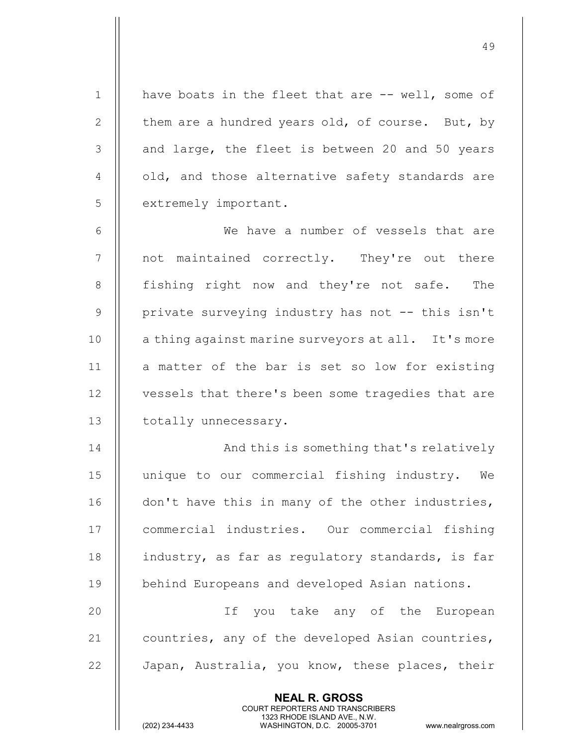1 || have boats in the fleet that are -- well, some of 2  $\parallel$  them are a hundred years old, of course. But, by  $3$  || and large, the fleet is between 20 and 50 years  $4$   $\parallel$  old, and those alternative safety standards are 5 | extremely important. 6 We have a number of vessels that are 7 || not maintained correctly. They're out there 8 || fishing right now and they're not safe. The

49

9 || private surveying industry has not -- this isn't 10 || a thing against marine surveyors at all. It's more 11  $\parallel$  a matter of the bar is set so low for existing 12 | vessels that there's been some tragedies that are 13 | totally unnecessary.

14 || And this is something that's relatively 15 unique to our commercial fishing industry. We 16 | don't have this in many of the other industries, 17 | commercial industries. Our commercial fishing 18 || industry, as far as regulatory standards, is far 19 | behind Europeans and developed Asian nations.

20 If you take any of the European 21  $\parallel$  countries, any of the developed Asian countries, 22 | Japan, Australia, you know, these places, their

> NEAL R. GROSS COURT REPORTERS AND TRANSCRIBERS

1323 RHODE ISLAND AVE., N.W.<br>WASHINGTON, D.C. 20005-3701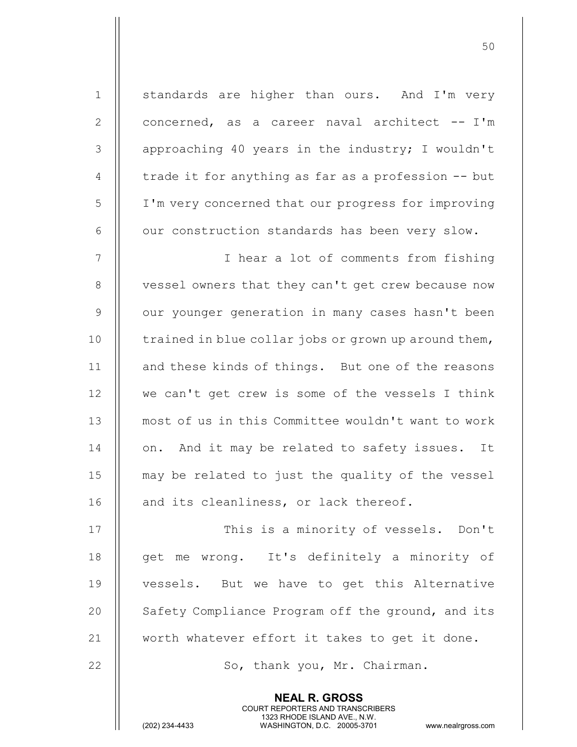NEAL R. GROSS COURT REPORTERS AND TRANSCRIBERS 1 || standards are higher than ours. And I'm very 2  $\parallel$  concerned, as a career naval architect  $-$  I'm 3 || approaching 40 years in the industry; I wouldn't 4  $\parallel$  trade it for anything as far as a profession  $-$ - but 5 I'm very concerned that our progress for improving  $6$   $\parallel$  our construction standards has been very slow. 7 || I hear a lot of comments from fishing 8 || vessel owners that they can't get crew because now 9 | our younger generation in many cases hasn't been 10  $\parallel$  trained in blue collar jobs or grown up around them, 11 || and these kinds of things. But one of the reasons 12 || we can't get crew is some of the vessels I think 13 most of us in this Committee wouldn't want to work 14 || on. And it may be related to safety issues. It 15 may be related to just the quality of the vessel 16 || and its cleanliness, or lack thereof. 17 || This is a minority of vessels. Don't 18 || get me wrong. It's definitely a minority of 19 || vessels. But we have to get this Alternative 20 || Safety Compliance Program off the ground, and its 21  $\parallel$  worth whatever effort it takes to get it done. 22 || So, thank you, Mr. Chairman.

50

1323 RHODE ISLAND AVE., N.W.<br>WASHINGTON, D.C. 20005-3701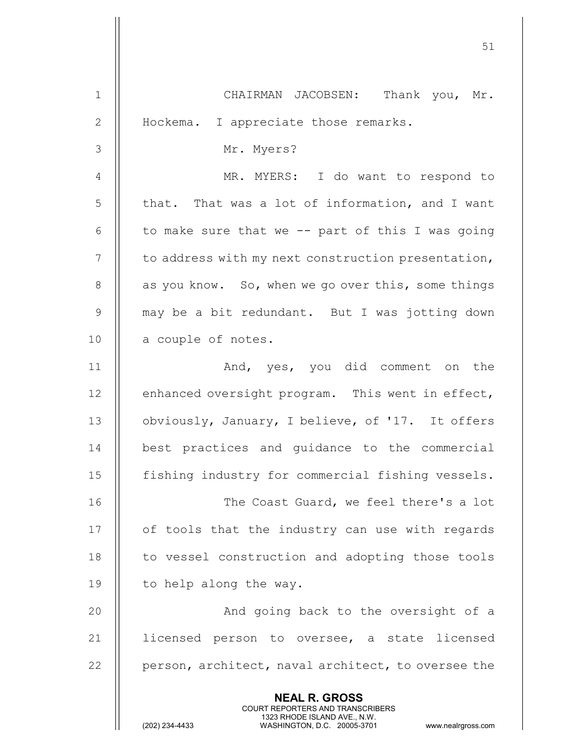|                | 51                                                                                                                                                                     |
|----------------|------------------------------------------------------------------------------------------------------------------------------------------------------------------------|
| $\mathbf{1}$   | CHAIRMAN JACOBSEN: Thank you, Mr.                                                                                                                                      |
| $\mathbf{2}$   | Hockema. I appreciate those remarks.                                                                                                                                   |
| 3              | Mr. Myers?                                                                                                                                                             |
| $\overline{4}$ | MR. MYERS: I do want to respond to                                                                                                                                     |
| 5              | that. That was a lot of information, and I want                                                                                                                        |
| 6              | to make sure that we -- part of this I was going                                                                                                                       |
| $\overline{7}$ | to address with my next construction presentation,                                                                                                                     |
| 8              | as you know. So, when we go over this, some things                                                                                                                     |
| $\mathcal{G}$  | may be a bit redundant. But I was jotting down                                                                                                                         |
| 10             | a couple of notes.                                                                                                                                                     |
| 11             | And, yes, you did comment on the                                                                                                                                       |
| 12             | enhanced oversight program. This went in effect,                                                                                                                       |
| 13             | obviously, January, I believe, of '17. It offers                                                                                                                       |
| 14             | best practices and guidance to the commercial                                                                                                                          |
| 15             | fishing industry for commercial fishing vessels.                                                                                                                       |
| 16             | The Coast Guard, we feel there's a lot                                                                                                                                 |
| 17             | of tools that the industry can use with regards                                                                                                                        |
| 18             | to vessel construction and adopting those tools                                                                                                                        |
| 19             | to help along the way.                                                                                                                                                 |
| 20             | And going back to the oversight of a                                                                                                                                   |
| 21             | licensed person to oversee, a state licensed                                                                                                                           |
| 22             | person, architect, naval architect, to oversee the                                                                                                                     |
|                | <b>NEAL R. GROSS</b><br><b>COURT REPORTERS AND TRANSCRIBERS</b><br>1323 RHODE ISLAND AVE., N.W.<br>(202) 234-4433<br>WASHINGTON, D.C. 20005-3701<br>www.nealrgross.com |

 $\mathsf{||}$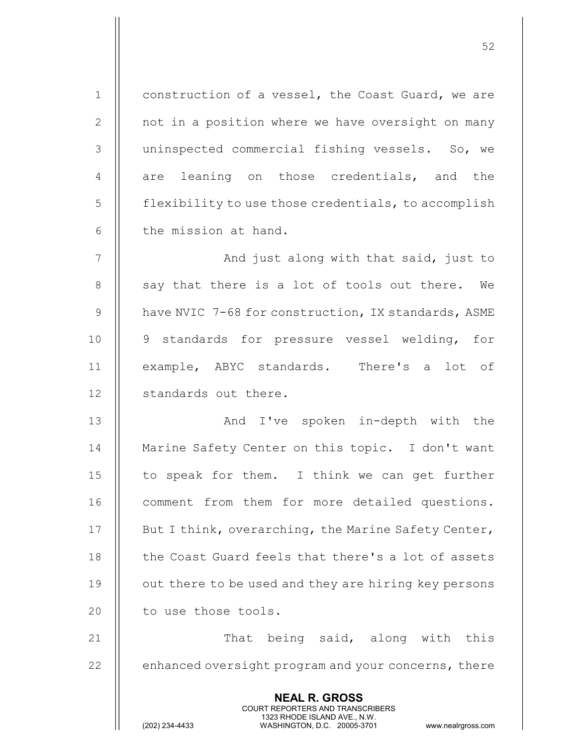| $\mathbf 1$ | construction of a vessel, the Coast Guard, we are                                                                                                                      |
|-------------|------------------------------------------------------------------------------------------------------------------------------------------------------------------------|
| 2           | not in a position where we have oversight on many                                                                                                                      |
| 3           | uninspected commercial fishing vessels. So, we                                                                                                                         |
| 4           | are leaning on those credentials, and the                                                                                                                              |
| 5           | flexibility to use those credentials, to accomplish                                                                                                                    |
| 6           | the mission at hand.                                                                                                                                                   |
| 7           | And just along with that said, just to                                                                                                                                 |
| 8           | say that there is a lot of tools out there. We                                                                                                                         |
| 9           | have NVIC 7-68 for construction, IX standards, ASME                                                                                                                    |
| 10          | 9 standards for pressure vessel welding, for                                                                                                                           |
| 11          | example, ABYC standards. There's a lot of                                                                                                                              |
| 12          | standards out there.                                                                                                                                                   |
| 13          | And I've spoken in-depth with the                                                                                                                                      |
| 14          | Marine Safety Center on this topic. I don't want                                                                                                                       |
| 15          | to speak for them. I think we can get further                                                                                                                          |
| 16          | comment from them for more detailed questions.                                                                                                                         |
| 17          | But I think, overarching, the Marine Safety Center,                                                                                                                    |
| 18          | the Coast Guard feels that there's a lot of assets                                                                                                                     |
| 19          | out there to be used and they are hiring key persons                                                                                                                   |
| 20          | to use those tools.                                                                                                                                                    |
| 21          | That being said, along with this                                                                                                                                       |
| 22          | enhanced oversight program and your concerns, there                                                                                                                    |
|             | <b>NEAL R. GROSS</b><br><b>COURT REPORTERS AND TRANSCRIBERS</b><br>1323 RHODE ISLAND AVE., N.W.<br>(202) 234-4433<br>WASHINGTON, D.C. 20005-3701<br>www.nealrgross.com |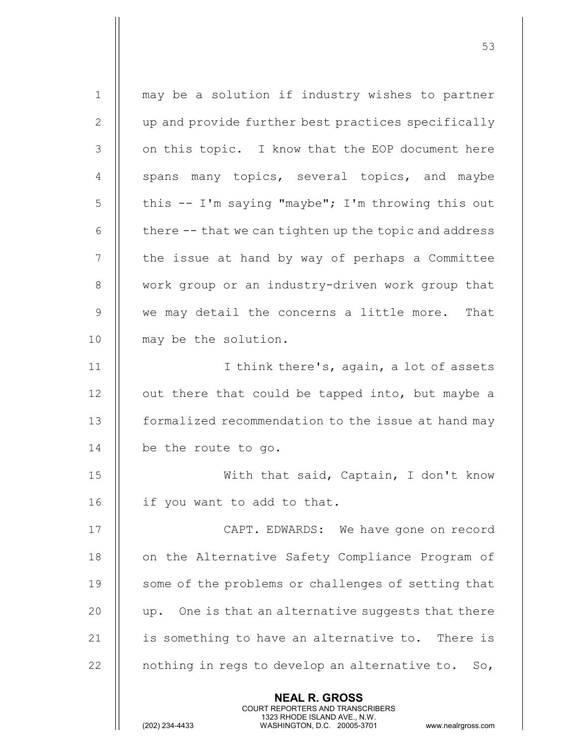| $\mathbf 1$    | may be a solution if industry wishes to partner                                                                                                                        |
|----------------|------------------------------------------------------------------------------------------------------------------------------------------------------------------------|
| 2              | up and provide further best practices specifically                                                                                                                     |
| 3              | on this topic. I know that the EOP document here                                                                                                                       |
| $\overline{4}$ | spans many topics, several topics, and maybe                                                                                                                           |
| 5              | this -- I'm saying "maybe"; I'm throwing this out                                                                                                                      |
| 6              | there -- that we can tighten up the topic and address                                                                                                                  |
| 7              | the issue at hand by way of perhaps a Committee                                                                                                                        |
| 8              | work group or an industry-driven work group that                                                                                                                       |
| $\overline{9}$ | we may detail the concerns a little more. That                                                                                                                         |
| 10             | may be the solution.                                                                                                                                                   |
| 11             | I think there's, again, a lot of assets                                                                                                                                |
| 12             | out there that could be tapped into, but maybe a                                                                                                                       |
| 13             | formalized recommendation to the issue at hand may                                                                                                                     |
| 14             | be the route to go.                                                                                                                                                    |
| 15             | With that said, Captain, I don't know                                                                                                                                  |
| 16             | if you want to add to that.                                                                                                                                            |
| 17             | CAPT. EDWARDS: We have gone on record                                                                                                                                  |
| 18             | on the Alternative Safety Compliance Program of                                                                                                                        |
| 19             | some of the problems or challenges of setting that                                                                                                                     |
| 20             | up. One is that an alternative suggests that there                                                                                                                     |
| 21             | is something to have an alternative to. There is                                                                                                                       |
| 22             | nothing in regs to develop an alternative to.<br>So,                                                                                                                   |
|                | <b>NEAL R. GROSS</b><br><b>COURT REPORTERS AND TRANSCRIBERS</b><br>1323 RHODE ISLAND AVE., N.W.<br>(202) 234-4433<br>WASHINGTON, D.C. 20005-3701<br>www.nealrgross.com |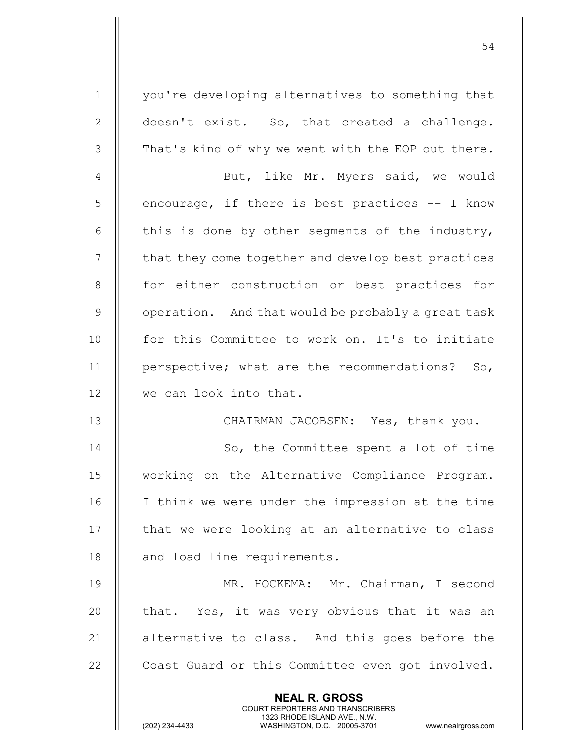1 || you're developing alternatives to something that 2 | doesn't exist. So, that created a challenge. 3 | That's kind of why we went with the EOP out there. 4 || But, like Mr. Myers said, we would  $5 \parallel$  encourage, if there is best practices  $-$ - I know 6  $\parallel$  this is done by other segments of the industry, 7 | that they come together and develop best practices 8 || for either construction or best practices for  $9 \parallel$  operation. And that would be probably a great task 10 || for this Committee to work on. It's to initiate 11 || perspective; what are the recommendations? So, 12 | we can look into that. 13 CHAIRMAN JACOBSEN: Yes, thank you. 14 || So, the Committee spent a lot of time 15 working on the Alternative Compliance Program. 16 I think we were under the impression at the time

54

17 || that we were looking at an alternative to class 18 || and load line requirements.

19 MR. HOCKEMA: Mr. Chairman, I second 20  $\parallel$  that. Yes, it was very obvious that it was an 21 || alternative to class. And this goes before the 22 | Coast Guard or this Committee even got involved.

> NEAL R. GROSS COURT REPORTERS AND TRANSCRIBERS

1323 RHODE ISLAND AVE., N.W.<br>WASHINGTON, D.C. 20005-3701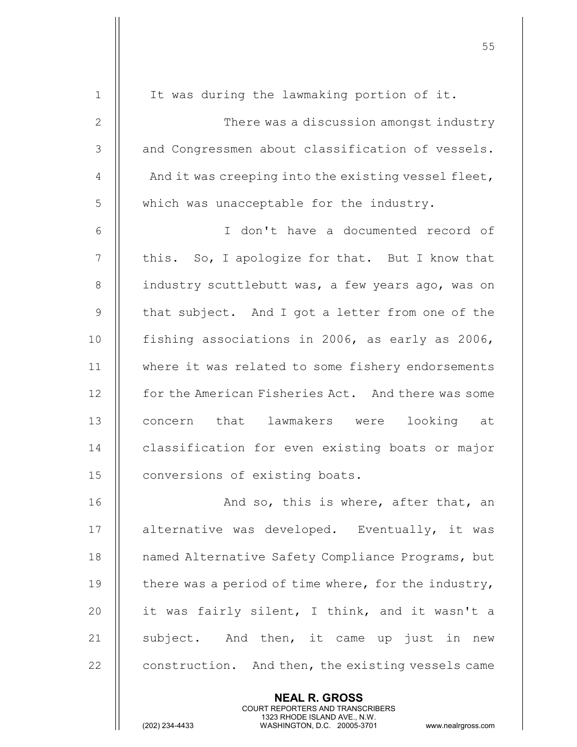|                | <b>NEAL R. GROSS</b>                                |
|----------------|-----------------------------------------------------|
| 22             | construction. And then, the existing vessels came   |
| 21             | subject. And then, it came up just in new           |
| 20             | it was fairly silent, I think, and it wasn't a      |
| 19             | there was a period of time where, for the industry, |
| 18             | named Alternative Safety Compliance Programs, but   |
| 17             | alternative was developed. Eventually, it was       |
| 16             | And so, this is where, after that, an               |
| 15             | conversions of existing boats.                      |
| 14             | classification for even existing boats or major     |
| 13             | concern that lawmakers were<br>looking at           |
| 12             | for the American Fisheries Act. And there was some  |
| 11             | where it was related to some fishery endorsements   |
| 10             | fishing associations in 2006, as early as 2006,     |
| $\mathsf 9$    | that subject. And I got a letter from one of the    |
| 8              | industry scuttlebutt was, a few years ago, was on   |
| 7              | this. So, I apologize for that. But I know that     |
| 6              | I don't have a documented record of                 |
| 5              | which was unacceptable for the industry.            |
| $\overline{4}$ | And it was creeping into the existing vessel fleet, |
| 3              | and Congressmen about classification of vessels.    |
| $\mathbf{2}$   | There was a discussion amongst industry             |
| $\mathbf{1}$   | It was during the lawmaking portion of it.          |
|                |                                                     |

COURT REPORTERS AND TRANSCRIBERS

1323 RHODE ISLAND AVE., N.W.

 $\mathbf{\mathsf{I}}$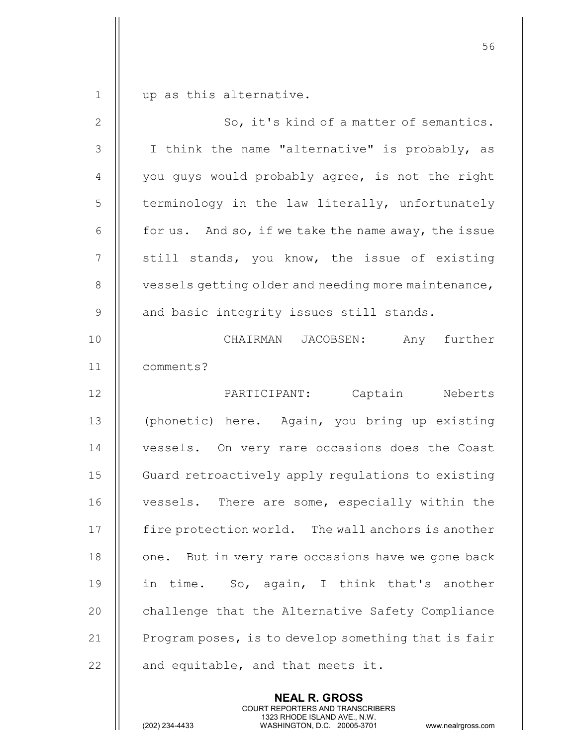1 || up as this alternative.

| $\mathbf{2}$   | So, it's kind of a matter of semantics.              |
|----------------|------------------------------------------------------|
| $\mathcal{S}$  | I think the name "alternative" is probably, as       |
| $\overline{4}$ | you guys would probably agree, is not the right      |
| 5              | terminology in the law literally, unfortunately      |
| 6              | for us. And so, if we take the name away, the issue  |
| $\overline{7}$ | still stands, you know, the issue of existing        |
| 8              | vessels getting older and needing more maintenance,  |
| $\overline{9}$ | and basic integrity issues still stands.             |
| 10             | CHAIRMAN JACOBSEN:<br>Any further                    |
| 11             | comments?                                            |
| 12             | PARTICIPANT: Captain Neberts                         |
| 13             | (phonetic) here. Again, you bring up existing        |
| 14             | vessels. On very rare occasions does the Coast       |
| 15             | Guard retroactively apply regulations to existing    |
| 16             | vessels. There are some, especially within the       |
| 17             | fire protection world. The wall anchors is another   |
| 18             | But in very rare occasions have we gone back<br>one. |
| 19             | in time. So, again, I think that's another           |
| 20             | challenge that the Alternative Safety Compliance     |
| 21             | Program poses, is to develop something that is fair  |
| 22             | and equitable, and that meets it.                    |

NEAL R. GROSS

 COURT REPORTERS AND TRANSCRIBERS 1323 RHODE ISLAND AVE., N.W.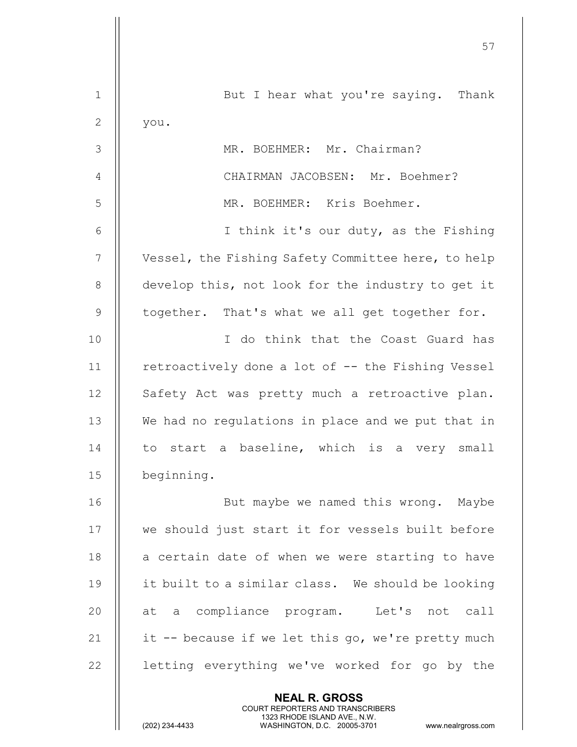|                | 57                                                                                                                                             |
|----------------|------------------------------------------------------------------------------------------------------------------------------------------------|
|                |                                                                                                                                                |
| $\mathbf 1$    | But I hear what you're saying. Thank                                                                                                           |
| $\mathbf{2}$   | you.                                                                                                                                           |
| 3              | MR. BOEHMER: Mr. Chairman?                                                                                                                     |
| 4              | CHAIRMAN JACOBSEN: Mr. Boehmer?                                                                                                                |
| 5              | MR. BOEHMER: Kris Boehmer.                                                                                                                     |
| 6              | I think it's our duty, as the Fishing                                                                                                          |
| 7              | Vessel, the Fishing Safety Committee here, to help                                                                                             |
| 8              | develop this, not look for the industry to get it                                                                                              |
| $\overline{9}$ | together. That's what we all get together for.                                                                                                 |
| 10             | I do think that the Coast Guard has                                                                                                            |
| 11             | retroactively done a lot of -- the Fishing Vessel                                                                                              |
| 12             | Safety Act was pretty much a retroactive plan.                                                                                                 |
| 13             | We had no regulations in place and we put that in                                                                                              |
| 14             | to start a baseline, which is a very small                                                                                                     |
| 15             | beginning.                                                                                                                                     |
| 16             | But maybe we named this wrong. Maybe                                                                                                           |
| 17             | we should just start it for vessels built before                                                                                               |
| 18             | a certain date of when we were starting to have                                                                                                |
| 19             | it built to a similar class. We should be looking                                                                                              |
| 20             | at a compliance program. Let's not call                                                                                                        |
| 21             | it -- because if we let this go, we're pretty much                                                                                             |
| 22             | letting everything we've worked for go by the                                                                                                  |
|                | <b>NEAL R. GROSS</b>                                                                                                                           |
|                | <b>COURT REPORTERS AND TRANSCRIBERS</b><br>1323 RHODE ISLAND AVE., N.W.<br>(202) 234-4433<br>WASHINGTON, D.C. 20005-3701<br>www.nealrgross.com |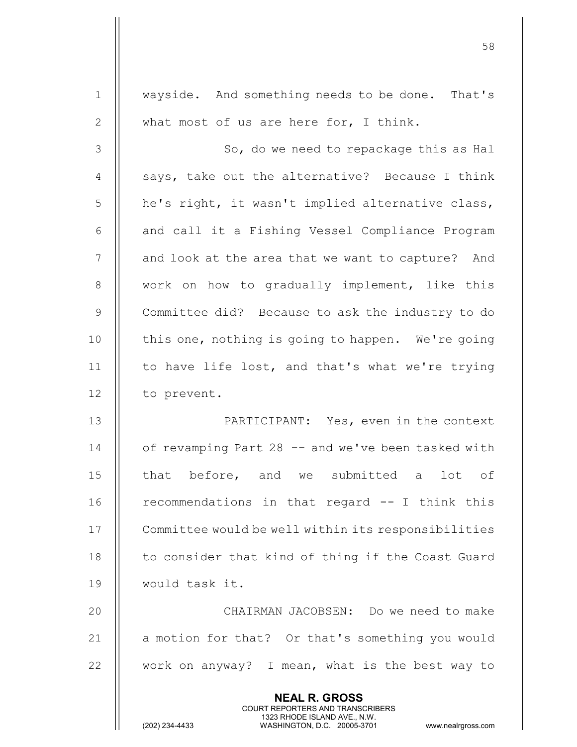| $\mathbf 1$    | wayside. And something needs to be done. That's                                                                                                                        |
|----------------|------------------------------------------------------------------------------------------------------------------------------------------------------------------------|
| $\mathbf{2}$   | what most of us are here for, I think.                                                                                                                                 |
| 3              | So, do we need to repackage this as Hal                                                                                                                                |
| $\overline{4}$ | says, take out the alternative? Because I think                                                                                                                        |
| 5              | he's right, it wasn't implied alternative class,                                                                                                                       |
| 6              | and call it a Fishing Vessel Compliance Program                                                                                                                        |
| 7              | and look at the area that we want to capture? And                                                                                                                      |
| 8              | work on how to gradually implement, like this                                                                                                                          |
| $\overline{9}$ | Committee did? Because to ask the industry to do                                                                                                                       |
| 10             | this one, nothing is going to happen. We're going                                                                                                                      |
| 11             | to have life lost, and that's what we're trying                                                                                                                        |
| 12             | to prevent.                                                                                                                                                            |
| 13             | PARTICIPANT: Yes, even in the context                                                                                                                                  |
| 14             | of revamping Part 28 -- and we've been tasked with                                                                                                                     |
| 15             | that before, and we submitted a<br>lot of                                                                                                                              |
| 16             | recommendations in that regard -- I think this                                                                                                                         |
| 17             | Committee would be well within its responsibilities                                                                                                                    |
| 18             | to consider that kind of thing if the Coast Guard                                                                                                                      |
| 19             | would task it.                                                                                                                                                         |
| 20             | CHAIRMAN JACOBSEN: Do we need to make                                                                                                                                  |
| 21             | a motion for that? Or that's something you would                                                                                                                       |
| 22             | work on anyway? I mean, what is the best way to                                                                                                                        |
|                | <b>NEAL R. GROSS</b><br><b>COURT REPORTERS AND TRANSCRIBERS</b><br>1323 RHODE ISLAND AVE., N.W.<br>(202) 234-4433<br>WASHINGTON, D.C. 20005-3701<br>www.nealrgross.com |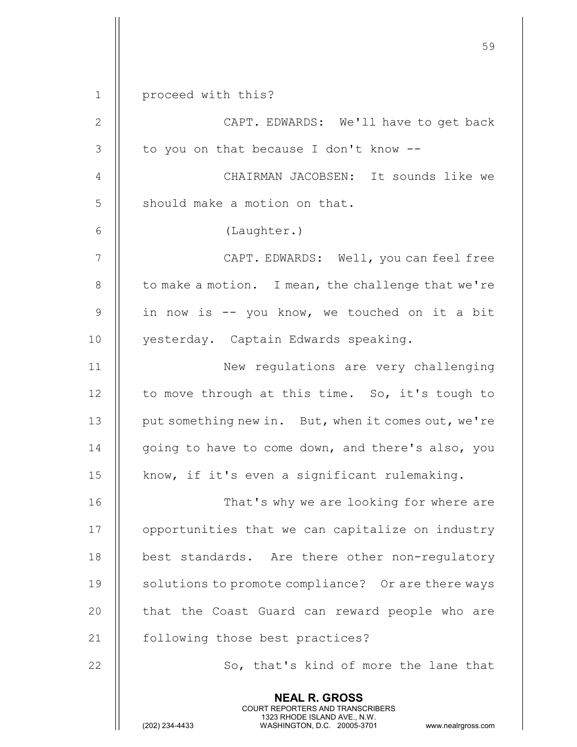|                | 59                                                                                                                                                                     |
|----------------|------------------------------------------------------------------------------------------------------------------------------------------------------------------------|
| $\mathbf 1$    | proceed with this?                                                                                                                                                     |
| $\mathbf{2}$   | CAPT. EDWARDS: We'll have to get back                                                                                                                                  |
| 3              | to you on that because I don't know --                                                                                                                                 |
| 4              | CHAIRMAN JACOBSEN: It sounds like we                                                                                                                                   |
| 5              | should make a motion on that.                                                                                                                                          |
| 6              | (Laughter.)                                                                                                                                                            |
| $\overline{7}$ | CAPT. EDWARDS: Well, you can feel free                                                                                                                                 |
| 8              | to make a motion. I mean, the challenge that we're                                                                                                                     |
| $\mathcal{G}$  | in now is -- you know, we touched on it a bit                                                                                                                          |
| 10             | yesterday. Captain Edwards speaking.                                                                                                                                   |
| 11             | New regulations are very challenging                                                                                                                                   |
| 12             | to move through at this time. So, it's tough to                                                                                                                        |
| 13             | put something new in. But, when it comes out, we're                                                                                                                    |
| 14             | going to have to come down, and there's also, you                                                                                                                      |
| 15             | know, if it's even a significant rulemaking.                                                                                                                           |
| 16             | That's why we are looking for where are                                                                                                                                |
| 17             | opportunities that we can capitalize on industry                                                                                                                       |
| 18             | best standards. Are there other non-regulatory                                                                                                                         |
| 19             | solutions to promote compliance? Or are there ways                                                                                                                     |
| 20             | that the Coast Guard can reward people who are                                                                                                                         |
| 21             | following those best practices?                                                                                                                                        |
| 22             | So, that's kind of more the lane that                                                                                                                                  |
|                | <b>NEAL R. GROSS</b><br><b>COURT REPORTERS AND TRANSCRIBERS</b><br>1323 RHODE ISLAND AVE., N.W.<br>(202) 234-4433<br>WASHINGTON, D.C. 20005-3701<br>www.nealrgross.com |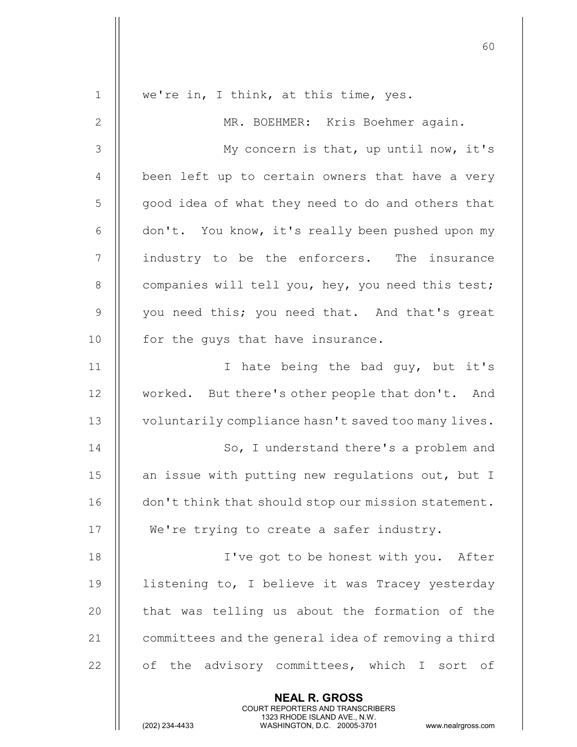| $\mathbf{1}$   | we're in, I think, at this time, yes.                                                                                                                                  |
|----------------|------------------------------------------------------------------------------------------------------------------------------------------------------------------------|
| $\mathbf{2}$   | MR. BOEHMER: Kris Boehmer again.                                                                                                                                       |
| $\mathcal{S}$  | My concern is that, up until now, it's                                                                                                                                 |
| $\overline{4}$ | been left up to certain owners that have a very                                                                                                                        |
| 5              | good idea of what they need to do and others that                                                                                                                      |
| 6              | don't. You know, it's really been pushed upon my                                                                                                                       |
| 7              | industry to be the enforcers. The insurance                                                                                                                            |
| 8              | companies will tell you, hey, you need this test;                                                                                                                      |
| 9              | you need this; you need that. And that's great                                                                                                                         |
| 10             | for the guys that have insurance.                                                                                                                                      |
| 11             | I hate being the bad guy, but it's                                                                                                                                     |
| 12             | worked. But there's other people that don't. And                                                                                                                       |
| 13             | voluntarily compliance hasn't saved too many lives.                                                                                                                    |
| 14             | So, I understand there's a problem and                                                                                                                                 |
| 15             | an issue with putting new regulations out, but I                                                                                                                       |
| 16             | don't think that should stop our mission statement.                                                                                                                    |
| 17             | We're trying to create a safer industry.                                                                                                                               |
| 18             | I've got to be honest with you. After                                                                                                                                  |
| 19             | listening to, I believe it was Tracey yesterday                                                                                                                        |
| 20             | that was telling us about the formation of the                                                                                                                         |
| 21             | committees and the general idea of removing a third                                                                                                                    |
| 22             | of the advisory committees, which I sort of                                                                                                                            |
|                | <b>NEAL R. GROSS</b><br><b>COURT REPORTERS AND TRANSCRIBERS</b><br>1323 RHODE ISLAND AVE., N.W.<br>(202) 234-4433<br>WASHINGTON, D.C. 20005-3701<br>www.nealrgross.com |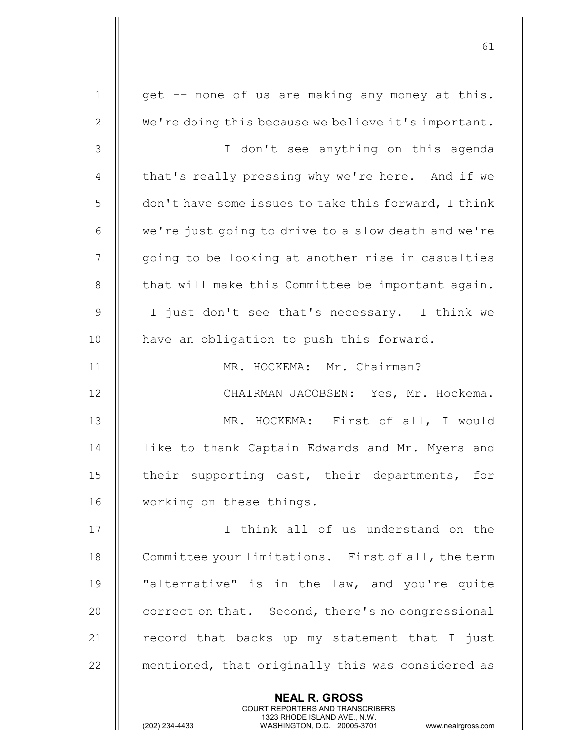| $\mathbf 1$     | get -- none of us are making any money at this.      |
|-----------------|------------------------------------------------------|
| $\mathbf{2}$    | We're doing this because we believe it's important.  |
| $\mathfrak{Z}$  | I don't see anything on this agenda                  |
| $\overline{4}$  | that's really pressing why we're here. And if we     |
| 5               | don't have some issues to take this forward, I think |
| 6               | we're just going to drive to a slow death and we're  |
| $7\phantom{.0}$ | going to be looking at another rise in casualties    |
| 8               | that will make this Committee be important again.    |
| 9               | I just don't see that's necessary. I think we        |
| 10              | have an obligation to push this forward.             |
| 11              | MR. HOCKEMA: Mr. Chairman?                           |
| 12              | CHAIRMAN JACOBSEN: Yes, Mr. Hockema.                 |
| 13              | MR. HOCKEMA: First of all, I would                   |
| 14              | like to thank Captain Edwards and Mr. Myers and      |
| 15              | their supporting cast, their departments, for        |
| 16              | working on these things.                             |
| 17              | I think all of us understand on the                  |
| 18              | Committee your limitations. First of all, the term   |
| 19              | "alternative" is in the law, and you're quite        |
| 20              | correct on that. Second, there's no congressional    |
| 21              | record that backs up my statement that I just        |
| 22              | mentioned, that originally this was considered as    |
|                 | <b>NEAL R. GROSS</b>                                 |

 COURT REPORTERS AND TRANSCRIBERS 1323 RHODE ISLAND AVE., N.W.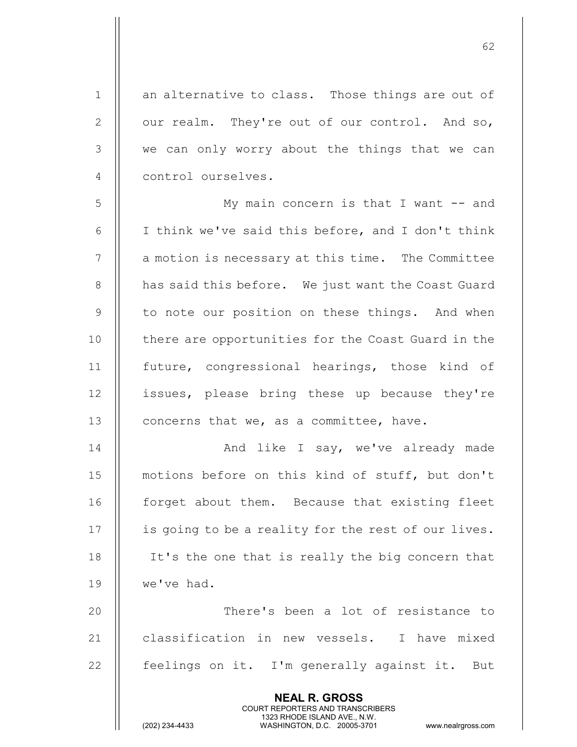1 an alternative to class. Those things are out of 2  $\parallel$  our realm. They're out of our control. And so, 3 || we can only worry about the things that we can 4 || control ourselves. 5 My main concern is that I want -- and 6  $\parallel$  I think we've said this before, and I don't think 7 | a motion is necessary at this time. The Committee 8 | has said this before. We just want the Coast Guard 9 || to note our position on these things. And when 10 || there are opportunities for the Coast Guard in the 11 future, congressional hearings, those kind of 12 || issues, please bring these up because they're 13 | concerns that we, as a committee, have. 14 And like I say, we've already made 15 || motions before on this kind of stuff, but don't 16 | forget about them. Because that existing fleet 17 | is going to be a reality for the rest of our lives. 18 || It's the one that is really the big concern that

62

19 we've had. 20 || There's been a lot of resistance to 21 || classification in new vessels. I have mixed 22  $\parallel$  feelings on it. I'm generally against it. But

> NEAL R. GROSS COURT REPORTERS AND TRANSCRIBERS

1323 RHODE ISLAND AVE., N.W.<br>WASHINGTON, D.C. 20005-3701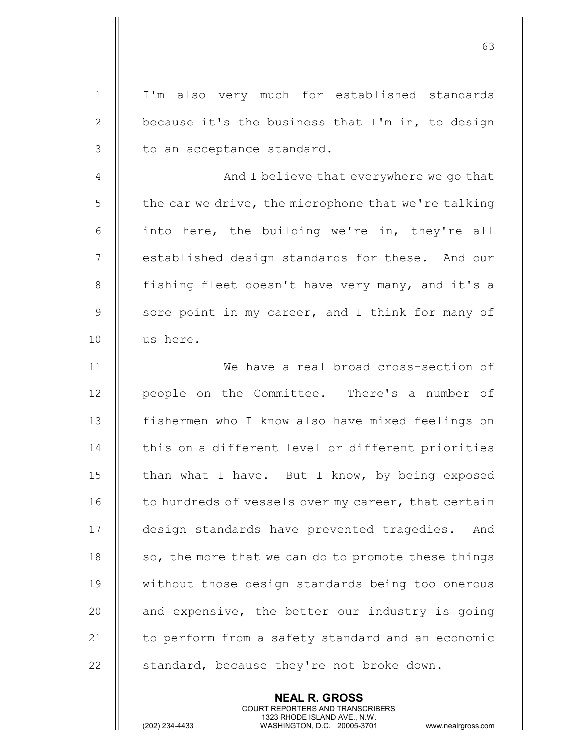| $\mathbf 1$ | I'm also very much for established standards        |
|-------------|-----------------------------------------------------|
| 2           | because it's the business that I'm in, to design    |
| 3           | to an acceptance standard.                          |
| 4           | And I believe that everywhere we go that            |
| 5           | the car we drive, the microphone that we're talking |
| 6           | into here, the building we're in, they're all       |
| 7           | established design standards for these. And our     |
| $8\,$       | fishing fleet doesn't have very many, and it's a    |
| $\mathsf 9$ | sore point in my career, and I think for many of    |
| 10          | us here.                                            |
| 11          | We have a real broad cross-section of               |
| 12          | people on the Committee. There's a number of        |
| 13          | fishermen who I know also have mixed feelings on    |
| 14          | this on a different level or different priorities   |
| 15          | than what I have. But I know, by being exposed      |
| 16          | to hundreds of vessels over my career, that certain |
| 17          | design standards have prevented tragedies.<br>And   |
| 18          | so, the more that we can do to promote these things |
| 19          | without those design standards being too onerous    |
| 20          | and expensive, the better our industry is going     |
| 21          | to perform from a safety standard and an economic   |
| 22          | standard, because they're not broke down.           |

NEAL R. GROSS

 COURT REPORTERS AND TRANSCRIBERS 1323 RHODE ISLAND AVE., N.W.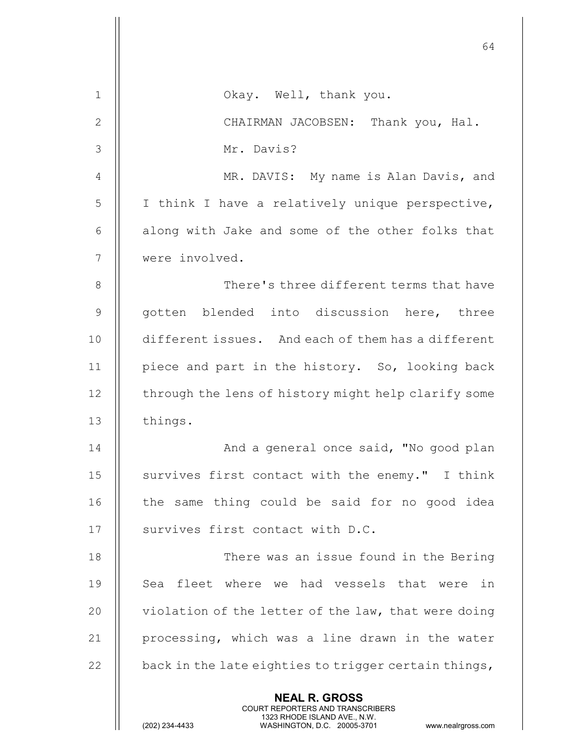|               | 64                                                                                                                                                                     |
|---------------|------------------------------------------------------------------------------------------------------------------------------------------------------------------------|
| 1             | Okay. Well, thank you.                                                                                                                                                 |
| $\mathbf{2}$  | CHAIRMAN JACOBSEN: Thank you, Hal.                                                                                                                                     |
| 3             | Mr. Davis?                                                                                                                                                             |
| 4             | MR. DAVIS: My name is Alan Davis, and                                                                                                                                  |
| 5             | I think I have a relatively unique perspective,                                                                                                                        |
| 6             | along with Jake and some of the other folks that                                                                                                                       |
| 7             | were involved.                                                                                                                                                         |
| 8             | There's three different terms that have                                                                                                                                |
| $\mathcal{G}$ | gotten blended into discussion here, three                                                                                                                             |
| 10            | different issues. And each of them has a different                                                                                                                     |
| 11            | piece and part in the history. So, looking back                                                                                                                        |
| 12            | through the lens of history might help clarify some                                                                                                                    |
| 13            | things.                                                                                                                                                                |
| 14            | And a general once said, "No good plan                                                                                                                                 |
| 15            | survives first contact with the enemy." I think                                                                                                                        |
| 16            | the same thing could be said for no good idea                                                                                                                          |
| 17            | survives first contact with D.C.                                                                                                                                       |
| 18            | There was an issue found in the Bering                                                                                                                                 |
| 19            | Sea fleet where we had vessels that were in                                                                                                                            |
| 20            | violation of the letter of the law, that were doing                                                                                                                    |
| 21            | processing, which was a line drawn in the water                                                                                                                        |
| 22            | back in the late eighties to trigger certain things,                                                                                                                   |
|               | <b>NEAL R. GROSS</b><br><b>COURT REPORTERS AND TRANSCRIBERS</b><br>1323 RHODE ISLAND AVE., N.W.<br>(202) 234-4433<br>WASHINGTON, D.C. 20005-3701<br>www.nealrgross.com |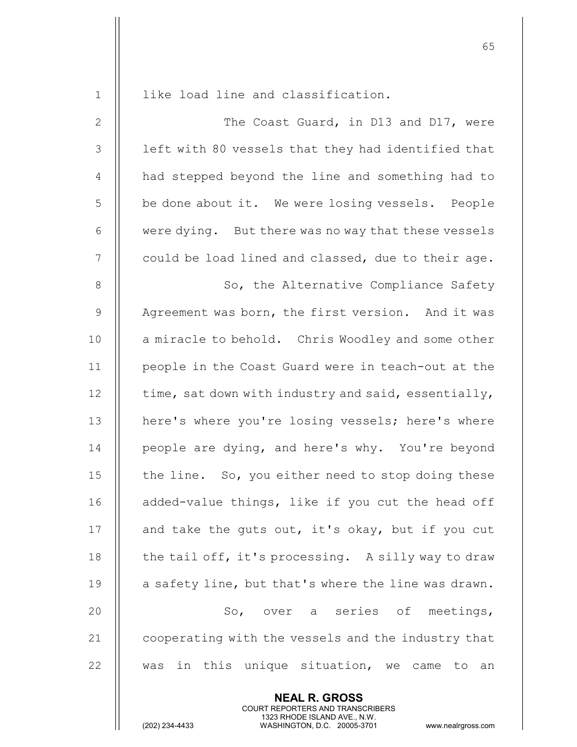1 || like load line and classification.

2 || The Coast Guard, in D13 and D17, were  $3$   $\parallel$  left with 80 vessels that they had identified that 4 || had stepped beyond the line and something had to 5 | be done about it. We were losing vessels. People 6 | were dying. But there was no way that these vessels  $7$   $\parallel$  could be load lined and classed, due to their age.

8 || So, the Alternative Compliance Safety 9 || Agreement was born, the first version. And it was 10 || a miracle to behold. Chris Woodley and some other 11 people in the Coast Guard were in teach-out at the 12  $\parallel$  time, sat down with industry and said, essentially, 13 || here's where you're losing vessels; here's where 14 | people are dying, and here's why. You're beyond 15  $\parallel$  the line. So, you either need to stop doing these 16 || added-value things, like if you cut the head off 17  $\parallel$  and take the guts out, it's okay, but if you cut 18  $\parallel$  the tail off, it's processing. A silly way to draw 19  $\parallel$  a safety line, but that's where the line was drawn. 20 || So, over a series of meetings, 21 | cooperating with the vessels and the industry that 22  $\parallel$  was in this unique situation, we came to an

> NEAL R. GROSS COURT REPORTERS AND TRANSCRIBERS

1323 RHODE ISLAND AVE., N.W.<br>WASHINGTON, D.C. 20005-3701

WASHINGTON, D.C. 20005-3701 www.nealrgross.com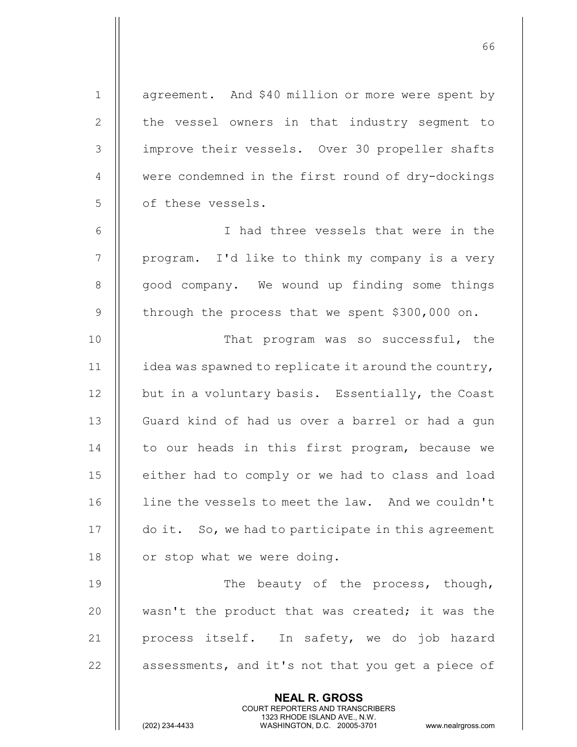NEAL R. GROSS COURT REPORTERS AND TRANSCRIBERS 1323 RHODE ISLAND AVE., N.W.<br>WASHINGTON, D.C. 20005-3701 1 | agreement. And \$40 million or more were spent by 2 || the vessel owners in that industry segment to 3 improve their vessels. Over 30 propeller shafts 4 | were condemned in the first round of dry-dockings 5 | of these vessels. 6 I had three vessels that were in the  $7 \parallel$  program. I'd like to think my company is a very 8 || good company. We wound up finding some things 9 through the process that we spent  $$300,000$  on. 10 || That program was so successful, the 11  $\parallel$  idea was spawned to replicate it around the country, 12 | but in a voluntary basis. Essentially, the Coast 13 || Guard kind of had us over a barrel or had a gun 14 || to our heads in this first program, because we 15 || either had to comply or we had to class and load 16 | line the vessels to meet the law. And we couldn't 17 | do it. So, we had to participate in this agreement 18  $\parallel$  or stop what we were doing. 19 **The beauty of the process, though,** 20 || wasn't the product that was created; it was the 21 || process itself. In safety, we do job hazard  $22$  | assessments, and it's not that you get a piece of

 $66$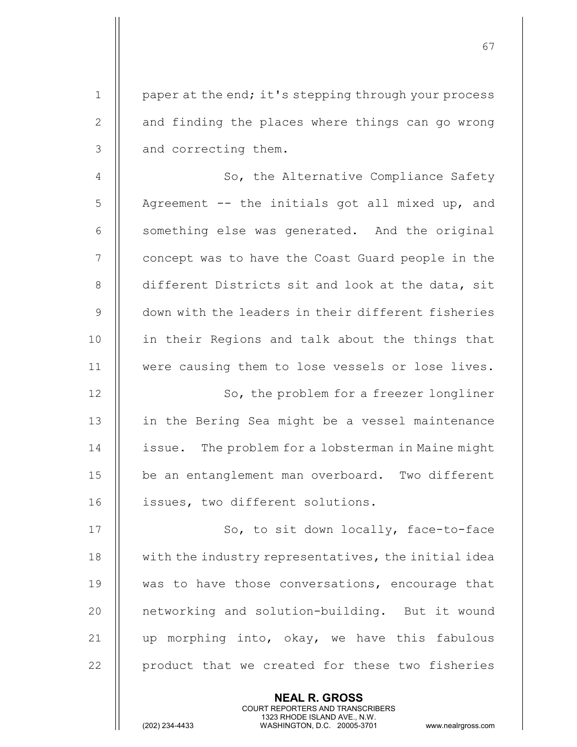1 | paper at the end; it's stepping through your process 2 || and finding the places where things can go wrong 3 || and correcting them.

67

4 | So, the Alternative Compliance Safety  $5$  || Agreement -- the initials got all mixed up, and  $6$   $\parallel$  something else was generated. And the original 7 || concept was to have the Coast Guard people in the 8 different Districts sit and look at the data, sit 9 down with the leaders in their different fisheries 10 || in their Regions and talk about the things that 11 | were causing them to lose vessels or lose lives.

12 || So, the problem for a freezer longliner 13 || in the Bering Sea might be a vessel maintenance 14 | issue. The problem for a lobsterman in Maine might 15 || be an entanglement man overboard. Two different 16 || issues, two different solutions.

17 || So, to sit down locally, face-to-face 18 || with the industry representatives, the initial idea 19 || was to have those conversations, encourage that 20 || networking and solution-building. But it wound 21  $\parallel$  up morphing into, okay, we have this fabulous 22 | product that we created for these two fisheries

> NEAL R. GROSS COURT REPORTERS AND TRANSCRIBERS

1323 RHODE ISLAND AVE., N.W.<br>WASHINGTON, D.C. 20005-3701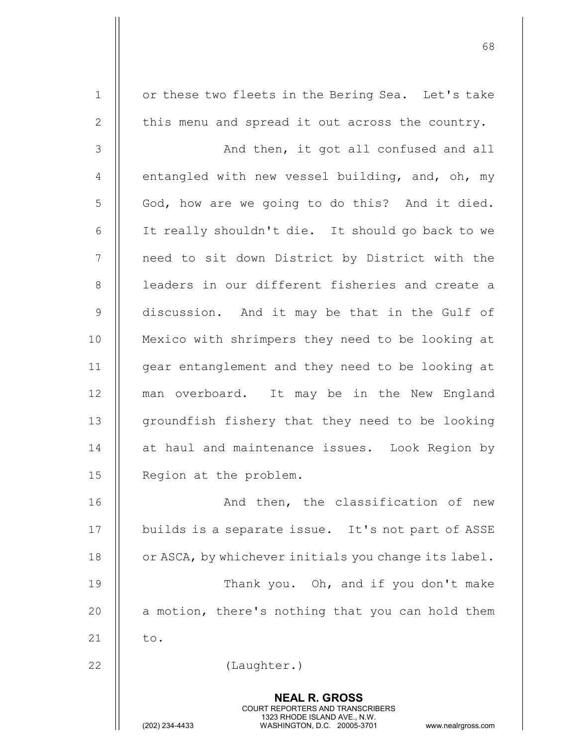1 | or these two fleets in the Bering Sea. Let's take 2  $\parallel$  this menu and spread it out across the country.

3 || And then, it got all confused and all 4  $\parallel$  entangled with new vessel building, and, oh, my 5 God, how are we going to do this? And it died. 6 It really shouldn't die. It should go back to we 7 || need to sit down District by District with the 8 || leaders in our different fisheries and create a 9 discussion. And it may be that in the Gulf of 10 Mexico with shrimpers they need to be looking at 11 || gear entanglement and they need to be looking at 12 || man overboard. It may be in the New England 13 || groundfish fishery that they need to be looking 14 || at haul and maintenance issues. Look Region by 15 | Region at the problem.

16 || The Classification of new 17 || builds is a separate issue. It's not part of ASSE 18 **c** or ASCA, by whichever initials you change its label. 19 || Thank you. Oh, and if you don't make 20  $\parallel$  a motion, there's nothing that you can hold them 21  $\parallel$  to.

> NEAL R. GROSS COURT REPORTERS AND TRANSCRIBERS

22 | (Laughter.)

1323 RHODE ISLAND AVE., N.W.<br>WASHINGTON, D.C. 20005-3701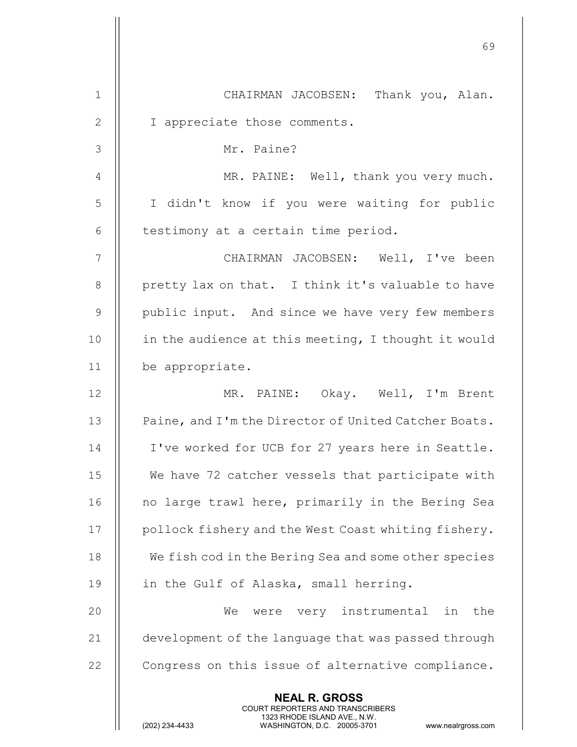|                | 69                                                                                                                                                              |
|----------------|-----------------------------------------------------------------------------------------------------------------------------------------------------------------|
| 1              | CHAIRMAN JACOBSEN: Thank you, Alan.                                                                                                                             |
| $\mathbf{2}$   | I appreciate those comments.                                                                                                                                    |
| 3              | Mr. Paine?                                                                                                                                                      |
| $\overline{4}$ | MR. PAINE: Well, thank you very much.                                                                                                                           |
| 5              | I didn't know if you were waiting for public                                                                                                                    |
| 6              | testimony at a certain time period.                                                                                                                             |
| $\overline{7}$ | CHAIRMAN JACOBSEN: Well, I've been                                                                                                                              |
| 8              | pretty lax on that. I think it's valuable to have                                                                                                               |
| $\overline{9}$ | public input. And since we have very few members                                                                                                                |
| 10             | in the audience at this meeting, I thought it would                                                                                                             |
| 11             | be appropriate.                                                                                                                                                 |
| 12             | MR. PAINE: Okay. Well, I'm Brent                                                                                                                                |
| 13             | Paine, and I'm the Director of United Catcher Boats.                                                                                                            |
| 14             | I've worked for UCB for 27 years here in Seattle.                                                                                                               |
| 15             | We have 72 catcher vessels that participate with                                                                                                                |
| 16             | no large trawl here, primarily in the Bering Sea                                                                                                                |
| 17             | pollock fishery and the West Coast whiting fishery.                                                                                                             |
| 18             | We fish cod in the Bering Sea and some other species                                                                                                            |
| 19             | in the Gulf of Alaska, small herring.                                                                                                                           |
| 20             | We<br>were very instrumental<br>the<br>in                                                                                                                       |
| 21             | development of the language that was passed through                                                                                                             |
| 22             | Congress on this issue of alternative compliance.                                                                                                               |
|                | <b>NEAL R. GROSS</b><br>COURT REPORTERS AND TRANSCRIBERS<br>1323 RHODE ISLAND AVE., N.W.<br>(202) 234-4433<br>WASHINGTON, D.C. 20005-3701<br>www.nealrgross.com |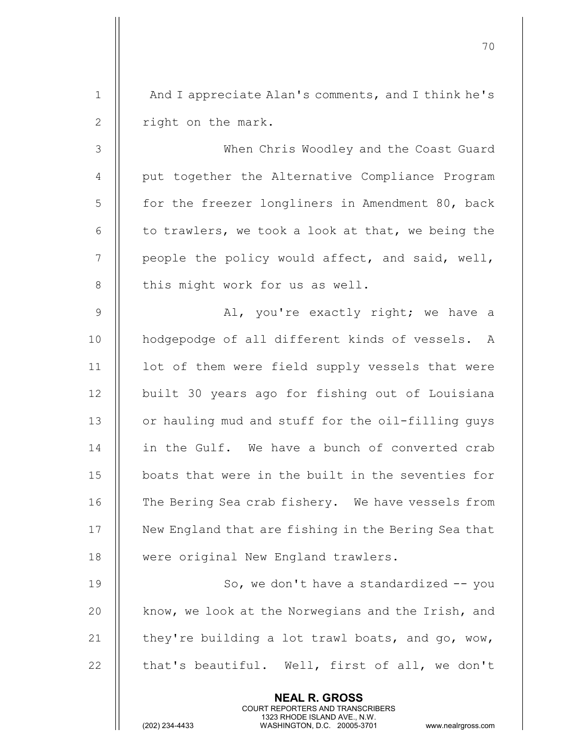1 || And I appreciate Alan's comments, and I think he's 2 || right on the mark.

When Chris Woodley and the Coast Guard 4 || put together the Alternative Compliance Program 5 | for the freezer longliners in Amendment 80, back  $\parallel$  to trawlers, we took a look at that, we being the || people the policy would affect, and said, well, || this might work for us as well.

9 Al, you're exactly right; we have a 10 || hodgepodge of all different kinds of vessels. A  $11$  | lot of them were field supply vessels that were 12 || built 30 years ago for fishing out of Louisiana 13 | or hauling mud and stuff for the oil-filling guys 14 || in the Gulf. We have a bunch of converted crab 15 boats that were in the built in the seventies for 16 || The Bering Sea crab fishery. We have vessels from 17 | New England that are fishing in the Bering Sea that 18 || were original New England trawlers.

19 || So, we don't have a standardized -- you 20 || know, we look at the Norwegians and the Irish, and 21  $\parallel$  they're building a lot trawl boats, and go, wow, 22  $\parallel$  that's beautiful. Well, first of all, we don't

> NEAL R. GROSS COURT REPORTERS AND TRANSCRIBERS

1323 RHODE ISLAND AVE., N.W.<br>WASHINGTON, D.C. 20005-3701

WASHINGTON, D.C. 20005-3701 www.nealrgross.com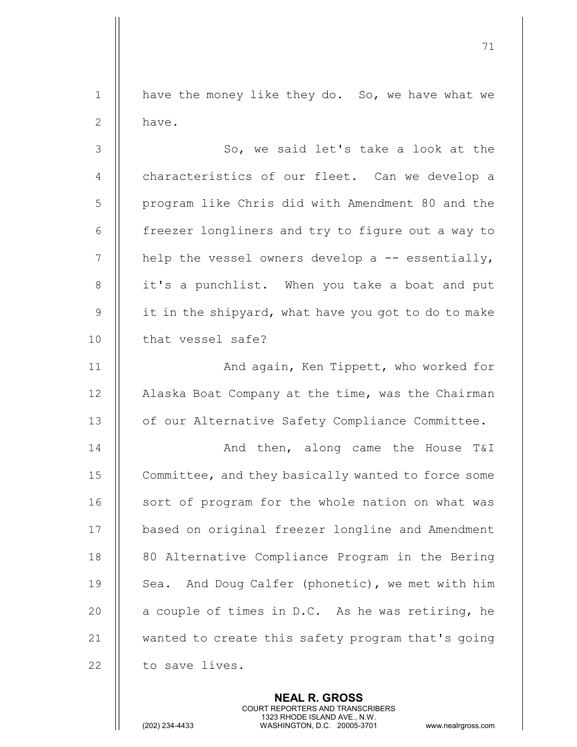1  $\parallel$  have the money like they do. So, we have what we 2 ll have.

71

3 || So, we said let's take a look at the 4 || characteristics of our fleet. Can we develop a 5 | program like Chris did with Amendment 80 and the  $6$  | freezer longliners and try to figure out a way to 7  $\parallel$  help the vessel owners develop a -- essentially, 8 || it's a punchlist. When you take a boat and put 9  $\parallel$  it in the shipvard, what have you got to do to make 10 || that vessel safe?

11 || **And again, Ken Tippett, who worked for** 12 | Alaska Boat Company at the time, was the Chairman 13 | of our Alternative Safety Compliance Committee.

14 And then, along came the House T&I 15 | Committee, and they basically wanted to force some 16 || sort of program for the whole nation on what was 17 | based on original freezer longline and Amendment 18 || 80 Alternative Compliance Program in the Bering 19 || Sea. And Doug Calfer (phonetic), we met with him 20  $\parallel$  a couple of times in D.C. As he was retiring, he 21 || wanted to create this safety program that's going  $22$  | to save lives.

> NEAL R. GROSS COURT REPORTERS AND TRANSCRIBERS

1323 RHODE ISLAND AVE., N.W.<br>WASHINGTON, D.C. 20005-3701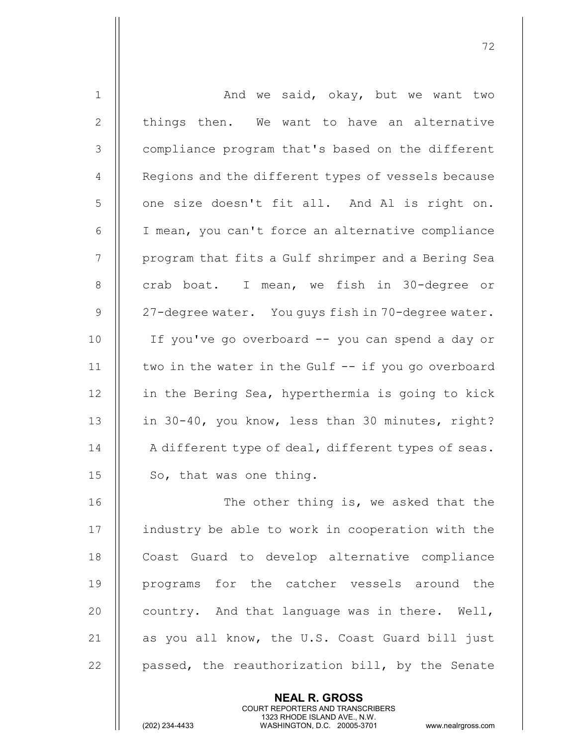| $\mathbf 1$    | And we said, okay, but we want two                  |
|----------------|-----------------------------------------------------|
| $\mathbf{2}$   | things then. We want to have an alternative         |
| $\mathfrak{Z}$ | compliance program that's based on the different    |
| $\overline{4}$ | Regions and the different types of vessels because  |
| 5              | one size doesn't fit all. And Al is right on.       |
| $\sqrt{6}$     | I mean, you can't force an alternative compliance   |
| 7              | program that fits a Gulf shrimper and a Bering Sea  |
| $8\,$          | crab boat. I mean, we fish in 30-degree or          |
| $\mathsf 9$    | 27-degree water. You guys fish in 70-degree water.  |
| 10             | If you've go overboard -- you can spend a day or    |
| 11             | two in the water in the Gulf -- if you go overboard |
| 12             | in the Bering Sea, hyperthermia is going to kick    |
| 13             | in 30-40, you know, less than 30 minutes, right?    |
| 14             | A different type of deal, different types of seas.  |
| 15             | So, that was one thing.                             |
| 16             | The other thing is, we asked that the               |
| 17             | industry be able to work in cooperation with the    |
| 18             | Coast Guard to develop alternative compliance       |
| 19             | programs for the catcher vessels around the         |
| 20             | country. And that language was in there. Well,      |
| 21             | as you all know, the U.S. Coast Guard bill just     |
| 22             | passed, the reauthorization bill, by the Senate     |

NEAL R. GROSS

COURT REPORTERS AND TRANSCRIBERS

1323 RHODE ISLAND AVE., N.W.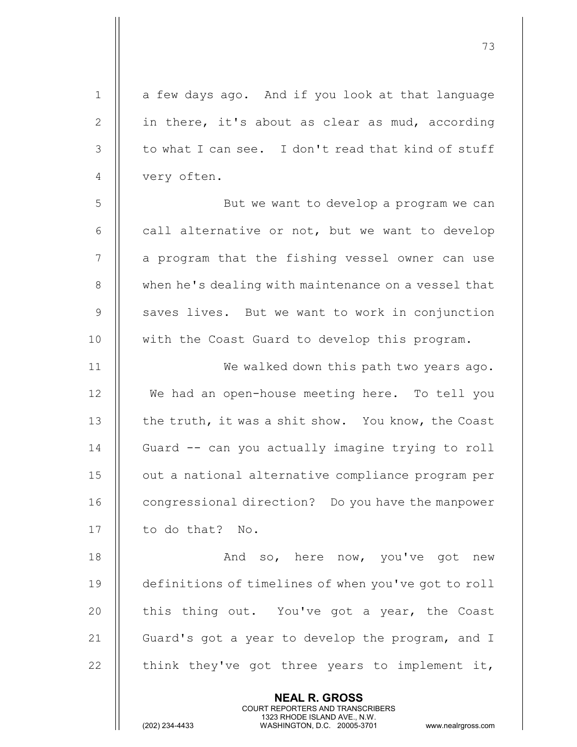| $\mathbf 1$ | a few days ago. And if you look at that language                                                                                                                |
|-------------|-----------------------------------------------------------------------------------------------------------------------------------------------------------------|
| 2           | in there, it's about as clear as mud, according                                                                                                                 |
| 3           | to what I can see. I don't read that kind of stuff                                                                                                              |
| 4           | very often.                                                                                                                                                     |
| 5           | But we want to develop a program we can                                                                                                                         |
| 6           | call alternative or not, but we want to develop                                                                                                                 |
| 7           | a program that the fishing vessel owner can use                                                                                                                 |
| 8           | when he's dealing with maintenance on a vessel that                                                                                                             |
| $\mathsf 9$ | saves lives. But we want to work in conjunction                                                                                                                 |
| 10          | with the Coast Guard to develop this program.                                                                                                                   |
| 11          | We walked down this path two years ago.                                                                                                                         |
| 12          | We had an open-house meeting here. To tell you                                                                                                                  |
| 13          | the truth, it was a shit show. You know, the Coast                                                                                                              |
| 14          | Guard -- can you actually imagine trying to roll                                                                                                                |
| 15          | out a national alternative compliance program per                                                                                                               |
| 16          | congressional direction? Do you have the manpower                                                                                                               |
| 17          | to do that? No.                                                                                                                                                 |
| 18          | And so, here now, you've got new                                                                                                                                |
| 19          | definitions of timelines of when you've got to roll                                                                                                             |
| 20          | this thing out. You've got a year, the Coast                                                                                                                    |
| 21          | Guard's got a year to develop the program, and I                                                                                                                |
| 22          | think they've got three years to implement it,                                                                                                                  |
|             | <b>NEAL R. GROSS</b><br>COURT REPORTERS AND TRANSCRIBERS<br>1323 RHODE ISLAND AVE., N.W.<br>(202) 234-4433<br>WASHINGTON, D.C. 20005-3701<br>www.nealrgross.com |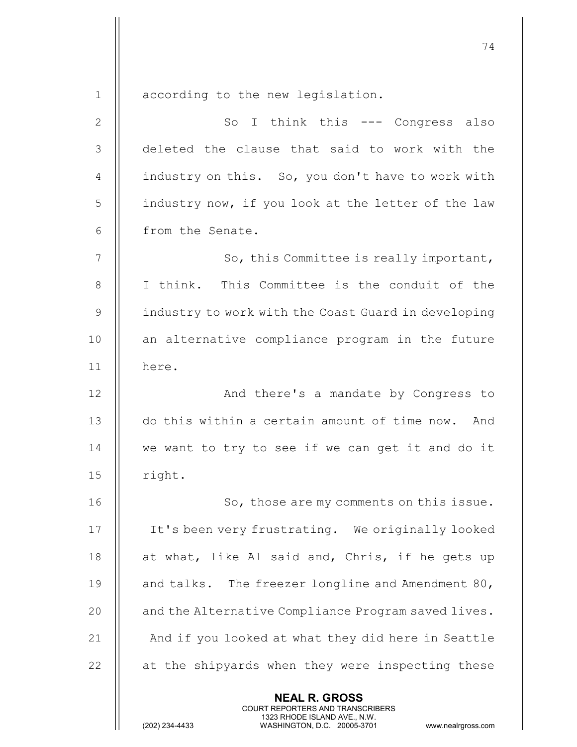1 | according to the new legislation.

NEAL R. GROSS 2 || So I think this --- Congress also 3 deleted the clause that said to work with the 4  $\parallel$  industry on this. So, you don't have to work with 5 | industry now, if you look at the letter of the law 6 | from the Senate. 7 || So, this Committee is really important, 8 || I think. This Committee is the conduit of the 9 | industry to work with the Coast Guard in developing 10 || an alternative compliance program in the future 11 here. 12 || And there's a mandate by Congress to 13 || do this within a certain amount of time now. And 14 || we want to try to see if we can get it and do it  $15$  | right. 16 || So, those are my comments on this issue. 17 It's been very frustrating. We originally looked 18  $\parallel$  at what, like Al said and, Chris, if he gets up 19  $\parallel$  and talks. The freezer longline and Amendment 80, 20 | and the Alternative Compliance Program saved lives.  $21$   $\parallel$  And if you looked at what they did here in Seattle  $22$   $\parallel$  at the shipyards when they were inspecting these

COURT REPORTERS AND TRANSCRIBERS

1323 RHODE ISLAND AVE., N.W.<br>WASHINGTON, D.C. 20005-3701

WASHINGTON, D.C. 20005-3701 www.nealrgross.com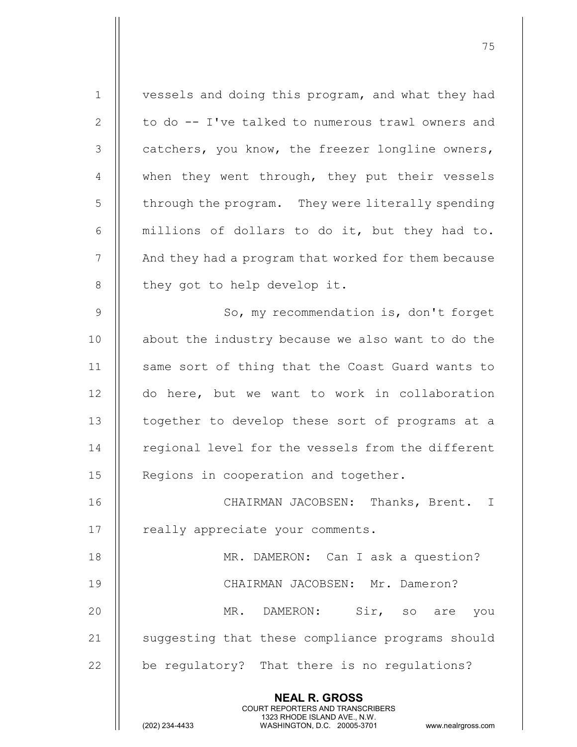NEAL R. GROSS COURT REPORTERS AND TRANSCRIBERS 1323 RHODE ISLAND AVE., N.W.<br>WASHINGTON, D.C. 20005-3701 1 | vessels and doing this program, and what they had  $2 \parallel$  to do  $-$  I've talked to numerous trawl owners and  $3$   $\parallel$  catchers, you know, the freezer longline owners, 4 || when they went through, they put their vessels  $5$   $\parallel$  through the program. They were literally spending  $6$  || millions of dollars to do it, but they had to. 7 | And they had a program that worked for them because  $8$  | they got to help develop it. 9 | So, my recommendation is, don't forget 10 || about the industry because we also want to do the 11 || same sort of thing that the Coast Guard wants to 12 || do here, but we want to work in collaboration 13 || together to develop these sort of programs at a 14 || regional level for the vessels from the different 15 || Regions in cooperation and together. 16 || CHAIRMAN JACOBSEN: Thanks, Brent. I 17 || really appreciate your comments. 18 || MR. DAMERON: Can I ask a question? 19 CHAIRMAN JACOBSEN: Mr. Dameron? 20 MR. DAMERON: Sir, so are you 21 | suggesting that these compliance programs should 22  $\parallel$  be regulatory? That there is no regulations?

75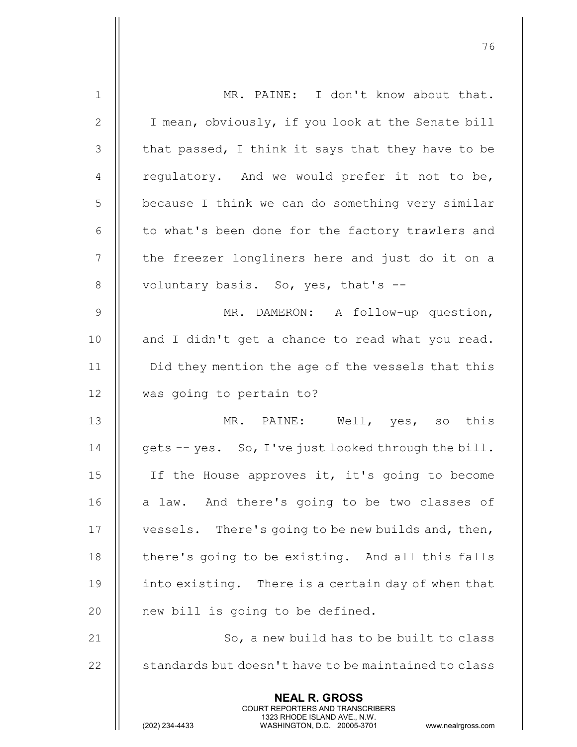| $\mathbf 1$    | MR. PAINE: I don't know about that.                                                                                                                                    |
|----------------|------------------------------------------------------------------------------------------------------------------------------------------------------------------------|
| $\mathbf{2}$   | I mean, obviously, if you look at the Senate bill                                                                                                                      |
| $\mathcal{S}$  | that passed, I think it says that they have to be                                                                                                                      |
| 4              | regulatory. And we would prefer it not to be,                                                                                                                          |
| 5              | because I think we can do something very similar                                                                                                                       |
| 6              | to what's been done for the factory trawlers and                                                                                                                       |
| $\overline{7}$ | the freezer longliners here and just do it on a                                                                                                                        |
| $8\,$          | voluntary basis. So, yes, that's --                                                                                                                                    |
| $\mathsf 9$    | MR. DAMERON: A follow-up question,                                                                                                                                     |
| 10             | and I didn't get a chance to read what you read.                                                                                                                       |
| 11             | Did they mention the age of the vessels that this                                                                                                                      |
| 12             | was going to pertain to?                                                                                                                                               |
| 13             | MR. PAINE: Well, yes, so this                                                                                                                                          |
| 14             | gets -- yes. So, I've just looked through the bill.                                                                                                                    |
| 15             | If the House approves it, it's going to become                                                                                                                         |
| 16             | a law. And there's going to be two classes of                                                                                                                          |
| 17             | vessels. There's going to be new builds and, then,                                                                                                                     |
| 18             | there's going to be existing. And all this falls                                                                                                                       |
| 19             | into existing. There is a certain day of when that                                                                                                                     |
| 20             | new bill is going to be defined.                                                                                                                                       |
| 21             | So, a new build has to be built to class                                                                                                                               |
| 22             | standards but doesn't have to be maintained to class                                                                                                                   |
|                | <b>NEAL R. GROSS</b><br><b>COURT REPORTERS AND TRANSCRIBERS</b><br>1323 RHODE ISLAND AVE., N.W.<br>(202) 234-4433<br>WASHINGTON, D.C. 20005-3701<br>www.nealrgross.com |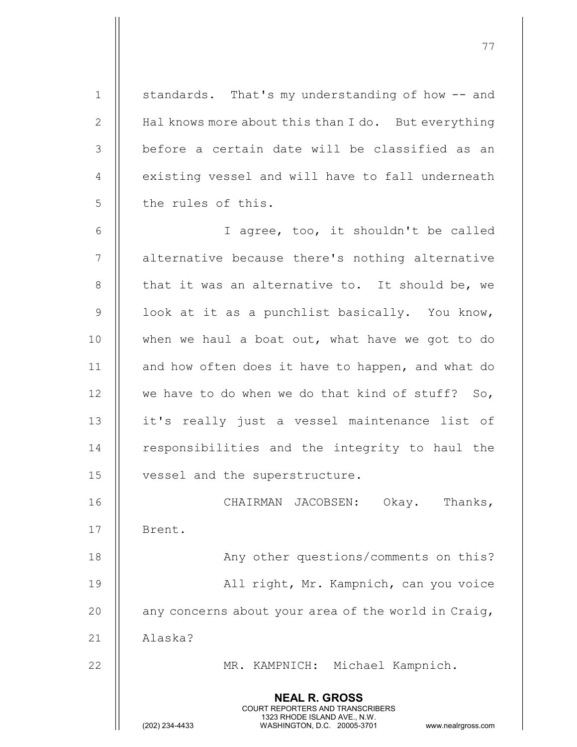1 | standards. That's my understanding of how -- and 2 | Hal knows more about this than I do. But everything  $3$   $\parallel$  before a certain date will be classified as an 4 | existing vessel and will have to fall underneath 5 || the rules of this.

6 I agree, too, it shouldn't be called 7 || alternative because there's nothing alternative 8  $\parallel$  that it was an alternative to. It should be, we 9 | look at it as a punchlist basically. You know, 10 || when we haul a boat out, what have we got to do 11 || and how often does it have to happen, and what do 12  $\parallel$  we have to do when we do that kind of stuff? So, 13 || it's really just a vessel maintenance list of 14 || responsibilities and the integrity to haul the 15 || vessel and the superstructure.

16 CHAIRMAN JACOBSEN: Okay. Thanks, 17 | Brent.

18 || Any other questions/comments on this? 19 All right, Mr. Kampnich, can you voice 20  $\parallel$  any concerns about your area of the world in Craig, 21 Alaska?

22 || MR. KAMPNICH: Michael Kampnich.

NEAL R. GROSS COURT REPORTERS AND TRANSCRIBERS

1323 RHODE ISLAND AVE., N.W.<br>WASHINGTON, D.C. 20005-3701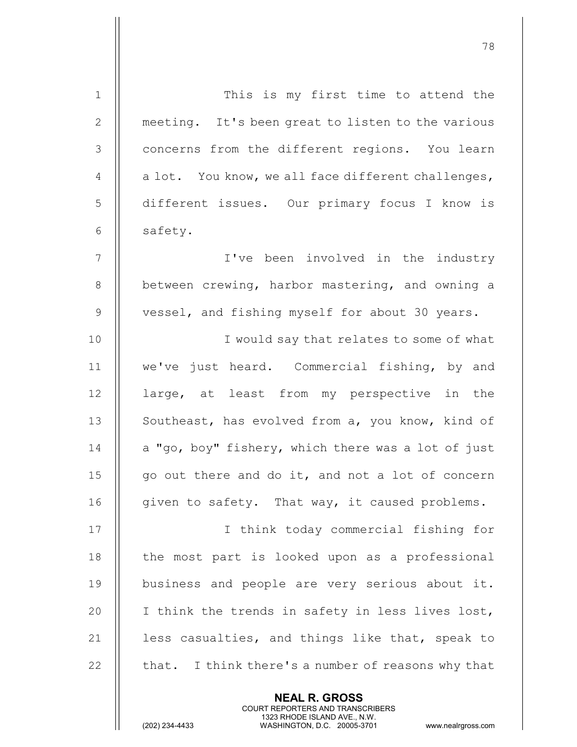| $\mathbf 1$     | This is my first time to attend the                |
|-----------------|----------------------------------------------------|
| 2               | meeting. It's been great to listen to the various  |
| 3               | concerns from the different regions. You learn     |
| $\overline{4}$  | a lot. You know, we all face different challenges, |
| 5               | different issues. Our primary focus I know is      |
| 6               | safety.                                            |
| $7\phantom{.0}$ | I've been involved in the industry                 |
| 8               | between crewing, harbor mastering, and owning a    |
| $\mathcal{G}$   | vessel, and fishing myself for about 30 years.     |
| 10              | I would say that relates to some of what           |
| 11              | we've just heard. Commercial fishing, by and       |
| 12              | large, at least from my perspective in the         |
| 13              | Southeast, has evolved from a, you know, kind of   |
| 14              | a "go, boy" fishery, which there was a lot of just |
| 15              | go out there and do it, and not a lot of concern   |
| 16              | given to safety. That way, it caused problems.     |
| 17              | I think today commercial fishing for               |
| 18              | the most part is looked upon as a professional     |
| 19              | business and people are very serious about it.     |
| 20              | I think the trends in safety in less lives lost,   |
| 21              | less casualties, and things like that, speak to    |
| 22              | that. I think there's a number of reasons why that |
|                 |                                                    |

NEAL R. GROSS

 COURT REPORTERS AND TRANSCRIBERS 1323 RHODE ISLAND AVE., N.W.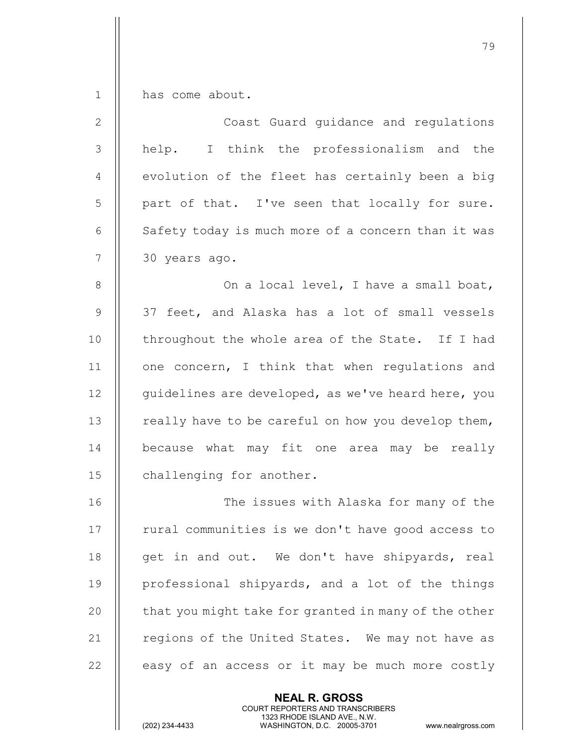1 | has come about.

| $\overline{2}$ | Coast Guard guidance and regulations               |
|----------------|----------------------------------------------------|
| 3              | help. I think the professionalism and the          |
| 4              | evolution of the fleet has certainly been a big    |
| 5              | part of that. I've seen that locally for sure.     |
| $6\,$          | Safety today is much more of a concern than it was |
| $\overline{7}$ | 30 years ago.                                      |
| $8\,$          | On a local level, I have a small boat,             |
| $\mathcal{G}$  | 37 feet, and Alaska has a lot of small vessels     |
| 10             | throughout the whole area of the State. If I had   |
| 11             | one concern, I think that when regulations and     |
| 12             | quidelines are developed, as we've heard here, you |
| 13             | really have to be careful on how you develop them, |
| 14             | because what may fit one area may be really        |
| 15             | challenging for another.                           |
| 16             | The issues with Alaska for many of the             |
| 17             | rural communities is we don't have good access to  |
| 18             | get in and out. We don't have shipyards, real      |

 $\parallel$  professional shipyards, and a lot of the things  $\parallel$  that you might take for granted in many of the other  $\parallel$  regions of the United States. We may not have as  $\parallel$  easy of an access or it may be much more costly

> NEAL R. GROSS COURT REPORTERS AND TRANSCRIBERS

1323 RHODE ISLAND AVE., N.W.<br>WASHINGTON, D.C. 20005-3701

WASHINGTON, D.C. 20005-3701 www.nealrgross.com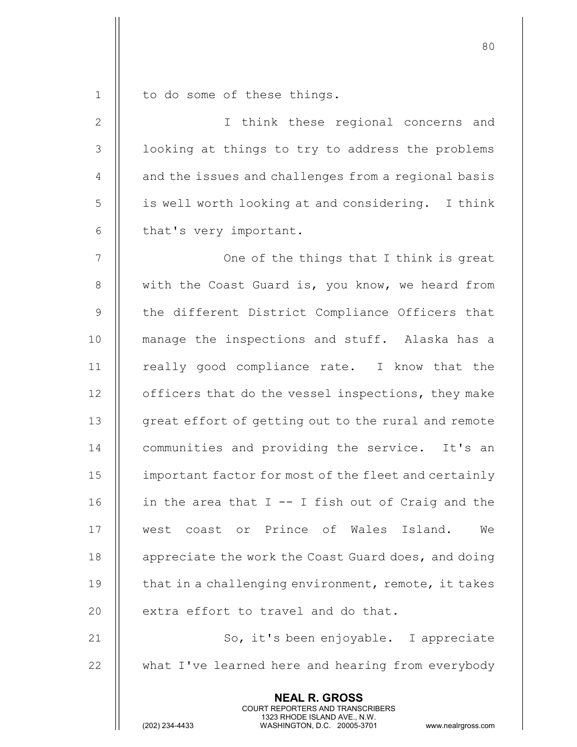$1 \parallel$  to do some of these things.

| $\mathbf{2}$   | I think these regional concerns and                  |
|----------------|------------------------------------------------------|
| 3              | looking at things to try to address the problems     |
| $\overline{4}$ | and the issues and challenges from a regional basis  |
| 5              | is well worth looking at and considering. I think    |
| $\epsilon$     | that's very important.                               |
| 7              | One of the things that I think is great              |
| $8\,$          | with the Coast Guard is, you know, we heard from     |
| $\overline{9}$ | the different District Compliance Officers that      |
| 10             | manage the inspections and stuff. Alaska has a       |
| 11             | really good compliance rate. I know that the         |
| 12             | officers that do the vessel inspections, they make   |
| 13             | great effort of getting out to the rural and remote  |
| 14             | communities and providing the service. It's an       |
| 15             | important factor for most of the fleet and certainly |
| 16             | in the area that $I - - I$ fish out of Craig and the |
| 17             | west coast or Prince of Wales Island. We             |
| 18             | appreciate the work the Coast Guard does, and doing  |
| 19             | that in a challenging environment, remote, it takes  |
| 20             | extra effort to travel and do that.                  |
| 21             | So, it's been enjoyable. I appreciate                |
| 22             | what I've learned here and hearing from everybody    |
|                | <b>NEAL R. GROSS</b>                                 |

COURT REPORTERS AND TRANSCRIBERS

1323 RHODE ISLAND AVE., N.W.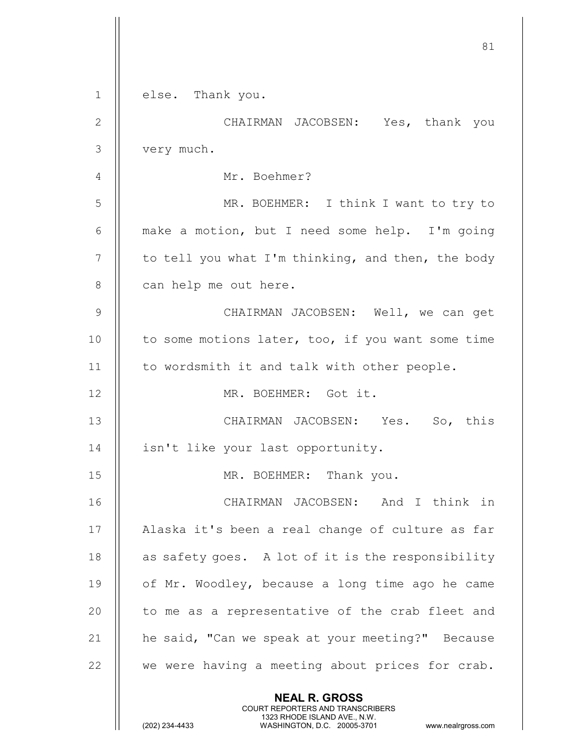|               | 81                                                                                                                                                                     |
|---------------|------------------------------------------------------------------------------------------------------------------------------------------------------------------------|
| $\mathbf{1}$  | else. Thank you.                                                                                                                                                       |
| $\mathbf{2}$  | CHAIRMAN JACOBSEN: Yes, thank you                                                                                                                                      |
| 3             | very much.                                                                                                                                                             |
| 4             | Mr. Boehmer?                                                                                                                                                           |
| 5             | MR. BOEHMER: I think I want to try to                                                                                                                                  |
| 6             | make a motion, but I need some help. I'm going                                                                                                                         |
| 7             | to tell you what I'm thinking, and then, the body                                                                                                                      |
| 8             | can help me out here.                                                                                                                                                  |
| $\mathcal{G}$ | CHAIRMAN JACOBSEN: Well, we can get                                                                                                                                    |
| 10            | to some motions later, too, if you want some time                                                                                                                      |
| 11            | to wordsmith it and talk with other people.                                                                                                                            |
| 12            | MR. BOEHMER: Got it.                                                                                                                                                   |
| 13            | CHAIRMAN JACOBSEN: Yes. So, this                                                                                                                                       |
| 14            | isn't like your last opportunity.                                                                                                                                      |
| 15            | MR. BOEHMER: Thank you.                                                                                                                                                |
| 16            | CHAIRMAN JACOBSEN: And I think in                                                                                                                                      |
| 17            | Alaska it's been a real change of culture as far                                                                                                                       |
| 18            | as safety goes. A lot of it is the responsibility                                                                                                                      |
| 19            | of Mr. Woodley, because a long time ago he came                                                                                                                        |
| 20            | to me as a representative of the crab fleet and                                                                                                                        |
| 21            | he said, "Can we speak at your meeting?" Because                                                                                                                       |
| 22            | we were having a meeting about prices for crab.                                                                                                                        |
|               | <b>NEAL R. GROSS</b><br><b>COURT REPORTERS AND TRANSCRIBERS</b><br>1323 RHODE ISLAND AVE., N.W.<br>(202) 234-4433<br>WASHINGTON, D.C. 20005-3701<br>www.nealrgross.com |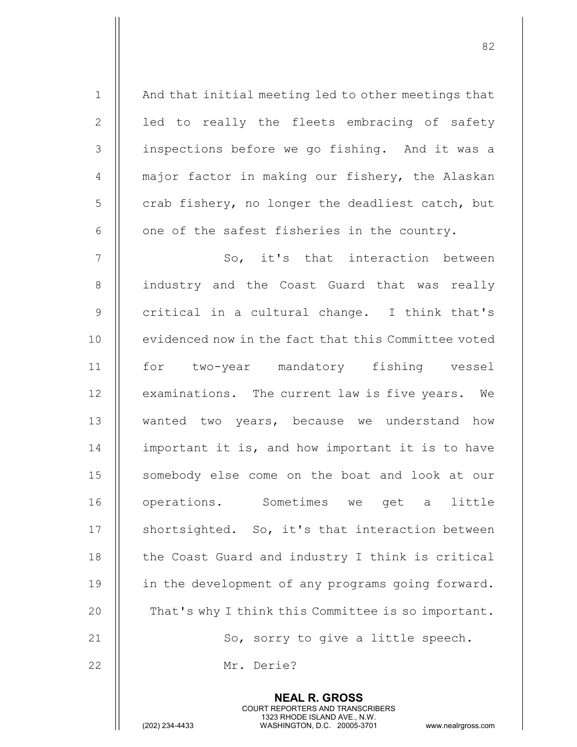1 || And that initial meeting led to other meetings that  $2 \parallel$  led to really the fleets embracing of safety 3 || inspections before we go fishing. And it was a 4  $\parallel$  major factor in making our fishery, the Alaskan  $5$  | crab fishery, no longer the deadliest catch, but 6  $\parallel$  one of the safest fisheries in the country. 7 So, it's that interaction between 8 || industry and the Coast Guard that was really

82

9 || critical in a cultural change. I think that's 10 || evidenced now in the fact that this Committee voted 11 for two-year mandatory fishing vessel 12 | examinations. The current law is five years. We 13 || wanted two years, because we understand how 14 | important it is, and how important it is to have 15 || somebody else come on the boat and look at our 16 || operations. Sometimes we get a little 17 || shortsighted. So, it's that interaction between 18 | the Coast Guard and industry I think is critical 19 || in the development of any programs going forward. 20 | That's why I think this Committee is so important. 21  $\parallel$  So, sorry to give a little speech.

> NEAL R. GROSS COURT REPORTERS AND TRANSCRIBERS

22 Mr. Derie?

1323 RHODE ISLAND AVE., N.W.<br>WASHINGTON, D.C. 20005-3701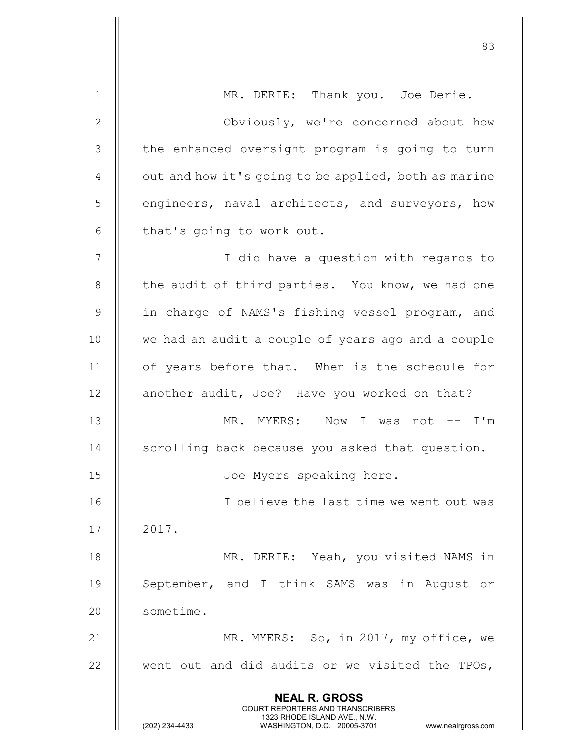| $\mathbf 1$    | MR. DERIE: Thank you. Joe Derie.                                                                                                                                       |
|----------------|------------------------------------------------------------------------------------------------------------------------------------------------------------------------|
| $\mathbf{2}$   | Obviously, we're concerned about how                                                                                                                                   |
| 3              | the enhanced oversight program is going to turn                                                                                                                        |
| $\overline{4}$ | out and how it's going to be applied, both as marine                                                                                                                   |
| 5              | engineers, naval architects, and surveyors, how                                                                                                                        |
| 6              | that's going to work out.                                                                                                                                              |
| 7              | I did have a question with regards to                                                                                                                                  |
| 8              | the audit of third parties. You know, we had one                                                                                                                       |
| $\mathsf 9$    | in charge of NAMS's fishing vessel program, and                                                                                                                        |
| 10             | we had an audit a couple of years ago and a couple                                                                                                                     |
| 11             | of years before that. When is the schedule for                                                                                                                         |
| 12             | another audit, Joe? Have you worked on that?                                                                                                                           |
| 13             | MR. MYERS: Now I was not -- I'm                                                                                                                                        |
| 14             | scrolling back because you asked that question.                                                                                                                        |
| 15             | Joe Myers speaking here.                                                                                                                                               |
| 16             | I believe the last time we went out was                                                                                                                                |
| 17             | 2017.                                                                                                                                                                  |
| 18             | MR. DERIE: Yeah, you visited NAMS in                                                                                                                                   |
| 19             | September, and I think SAMS was in August<br>or                                                                                                                        |
| 20             | sometime.                                                                                                                                                              |
| 21             | MR. MYERS: So, in 2017, my office, we                                                                                                                                  |
| 22             | went out and did audits or we visited the TPOs,                                                                                                                        |
|                | <b>NEAL R. GROSS</b><br><b>COURT REPORTERS AND TRANSCRIBERS</b><br>1323 RHODE ISLAND AVE., N.W.<br>(202) 234-4433<br>WASHINGTON, D.C. 20005-3701<br>www.nealrgross.com |

en and the state of the state of the state of the state of the state of the state of the state of the state of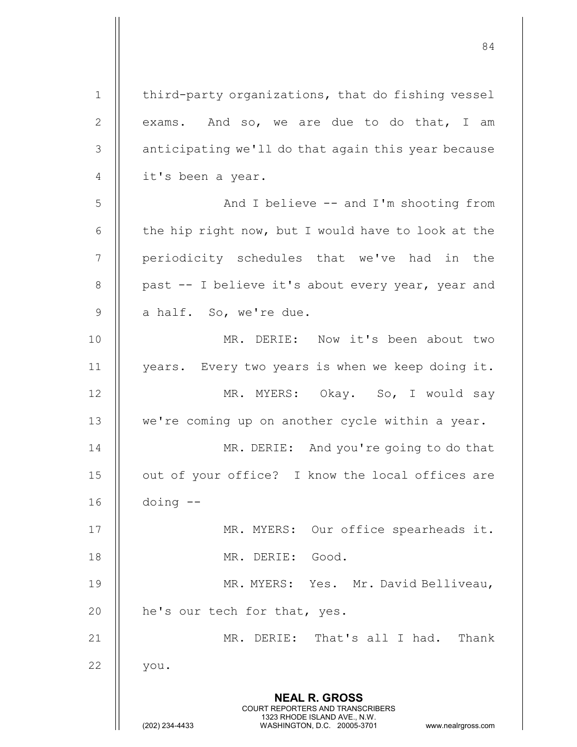NEAL R. GROSS COURT REPORTERS AND TRANSCRIBERS 1323 RHODE ISLAND AVE., N.W.<br>WASHINGTON, D.C. 20005-3701 WASHINGTON, D.C. 20005-3701 www.nealrgross.com 1 | third-party organizations, that do fishing vessel 2  $\parallel$  exams. And so, we are due to do that, I am  $3$  | anticipating we'll do that again this year because 4 || it's been a year. 5 | Root And I believe -- and I'm shooting from 6  $\parallel$  the hip right now, but I would have to look at the 7 || periodicity schedules that we've had in the 8 || past -- I believe it's about every year, year and  $9$  || a half. So, we're due. 10 MR. DERIE: Now it's been about two 11 years. Every two years is when we keep doing it. 12 || MR. MYERS: Okay. So, I would say 13 || we're coming up on another cycle within a year. 14 || MR. DERIE: And you're going to do that 15 || out of your office? I know the local offices are 16 doing -- 17 || MR. MYERS: Our office spearheads it. 18 MR. DERIE: Good. 19 MR. MYERS: Yes. Mr. David Belliveau, 20 || he's our tech for that, yes. 21 || MR. DERIE: That's all I had. Thank 22 || you.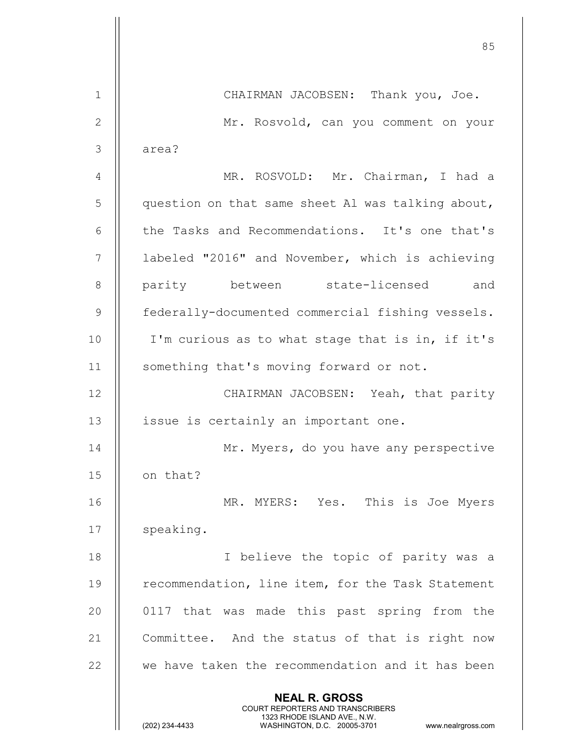en and the state of the state of the state of the state of the state of the state of the state of the state of NEAL R. GROSS COURT REPORTERS AND TRANSCRIBERS 1323 RHODE ISLAND AVE., N.W.<br>WASHINGTON, D.C. 20005-3701 WASHINGTON, D.C. 1 | CHAIRMAN JACOBSEN: Thank you, Joe. 2 Mr. Rosvold, can you comment on your 3 || area? 4 MR. ROSVOLD: Mr. Chairman, I had a 5 | question on that same sheet Al was talking about, 6 | the Tasks and Recommendations. It's one that's 7 | labeled "2016" and November, which is achieving 8 || parity between state-licensed and 9 **federally-documented commercial fishing vessels.** 10 || I'm curious as to what stage that is in, if it's 11 || something that's moving forward or not. 12 || CHAIRMAN JACOBSEN: Yeah, that parity 13 || issue is certainly an important one. 14 || Mr. Myers, do you have any perspective 15 || on that? 16 MR. MYERS: Yes. This is Joe Myers 17 || speaking. 18 || I believe the topic of parity was a 19 || recommendation, line item, for the Task Statement 20 || 0117 that was made this past spring from the 21 | Committee. And the status of that is right now 22 || we have taken the recommendation and it has been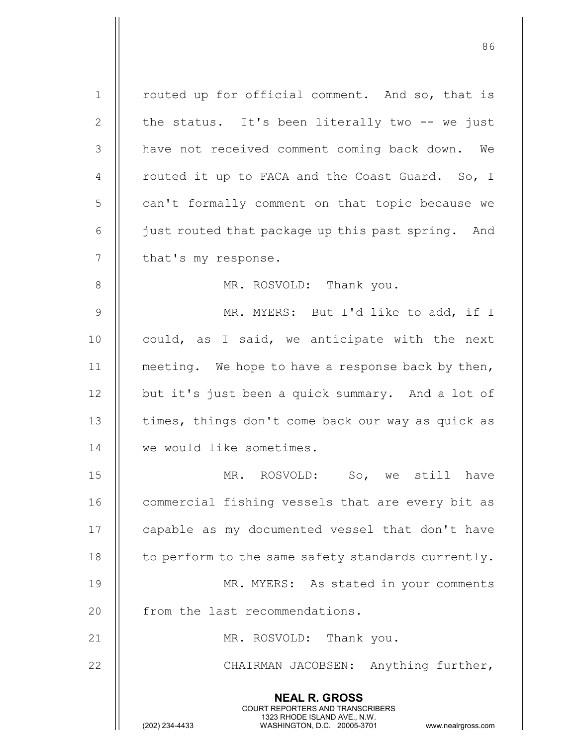NEAL R. GROSS COURT REPORTERS AND TRANSCRIBERS 1323 RHODE ISLAND AVE., N.W.<br>WASHINGTON, D.C. 20005-3701 WASHINGTON, D.C. 20005-3701 www.nealrgross.com 1 | routed up for official comment. And so, that is 2  $\parallel$  the status. It's been literally two -- we just 3 | have not received comment coming back down. We 4 | routed it up to FACA and the Coast Guard. So, I 5 | can't formally comment on that topic because we 6 | just routed that package up this past spring. And  $7$  | that's my response. 8 || MR. ROSVOLD: Thank you. 9 || MR. MYERS: But I'd like to add, if I 10  $\parallel$  could, as I said, we anticipate with the next 11 || meeting. We hope to have a response back by then, 12 || but it's just been a quick summary. And a lot of 13 || times, things don't come back our way as quick as 14 We would like sometimes. 15 MR. ROSVOLD: So, we still have 16 | commercial fishing vessels that are every bit as 17 || capable as my documented vessel that don't have  $18$   $\parallel$  to perform to the same safety standards currently. 19 || MR. MYERS: As stated in your comments 20 || from the last recommendations. 21 || MR. ROSVOLD: Thank you. 22 || CHAIRMAN JACOBSEN: Anything further,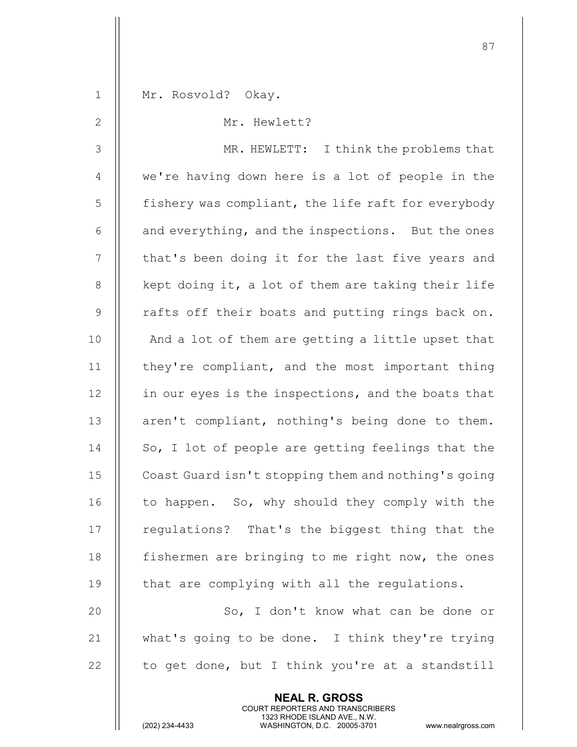| $\mathbf 1$    | Mr. Rosvold? Okay.                                       |
|----------------|----------------------------------------------------------|
| $\mathbf{2}$   | Mr. Hewlett?                                             |
| $\mathcal{S}$  | MR. HEWLETT: I think the problems that                   |
| $\overline{4}$ | we're having down here is a lot of people in the         |
| 5              | fishery was compliant, the life raft for everybody       |
| 6              | and everything, and the inspections. But the ones        |
| 7              | that's been doing it for the last five years and         |
| $\,8\,$        | kept doing it, a lot of them are taking their life       |
| $\mathsf 9$    | rafts off their boats and putting rings back on.         |
| 10             | And a lot of them are getting a little upset that        |
| 11             | they're compliant, and the most important thing          |
| 12             | in our eyes is the inspections, and the boats that       |
| 13             | aren't compliant, nothing's being done to them.          |
| 14             | So, I lot of people are getting feelings that the        |
| 15             | Coast Guard isn't stopping them and nothing's going      |
| 16             | to happen. So, why should they comply with the           |
| 17             | regulations? That's the biggest thing that the           |
| 18             | fishermen are bringing to me right now, the ones         |
| 19             | that are complying with all the regulations.             |
| 20             | So, I don't know what can be done or                     |
| 21             | what's going to be done. I think they're trying          |
| 22             | to get done, but I think you're at a standstill          |
|                | <b>NEAL R. GROSS</b><br>COURT REPORTERS AND TRANSCRIBERS |

1323 RHODE ISLAND AVE., N.W.

 $\frac{1}{2}$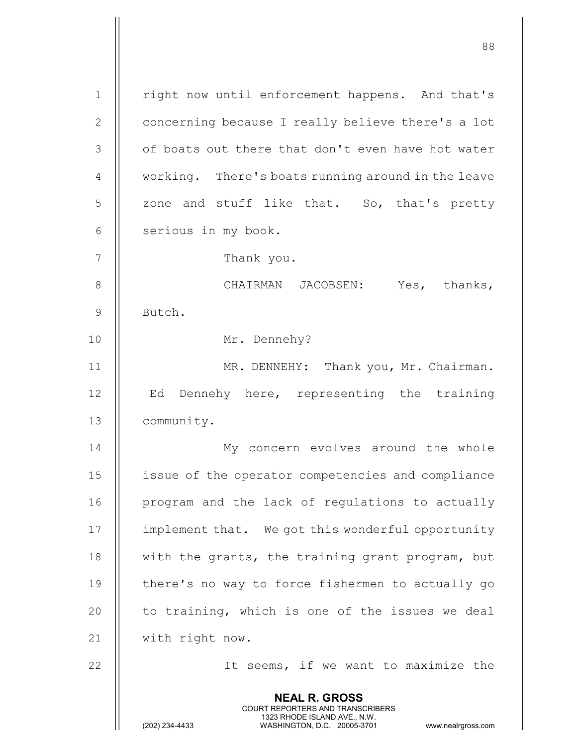NEAL R. GROSS COURT REPORTERS AND TRANSCRIBERS 1323 RHODE ISLAND AVE., N.W.<br>WASHINGTON, D.C. 20005-3701 WASHINGTON, D.C. 1 || right now until enforcement happens. And that's 2 | concerning because I really believe there's a lot 3 || of boats out there that don't even have hot water 4 | working. There's boats running around in the leave  $5 \parallel$  zone and stuff like that. So, that's pretty  $6$  | serious in my book. 7 || Thank you. 8 CHAIRMAN JACOBSEN: Yes, thanks, 9 | Butch. 10 || Mr. Dennehy? 11 || MR. DENNEHY: Thank you, Mr. Chairman. 12 || Ed Dennehy here, representing the training 13 community. 14 My concern evolves around the whole 15 issue of the operator competencies and compliance 16 || program and the lack of regulations to actually 17 | implement that. We got this wonderful opportunity 18  $\parallel$  with the grants, the training grant program, but 19 || there's no way to force fishermen to actually go 20  $\parallel$  to training, which is one of the issues we deal 21 | with right now. 22 || It seems, if we want to maximize the

88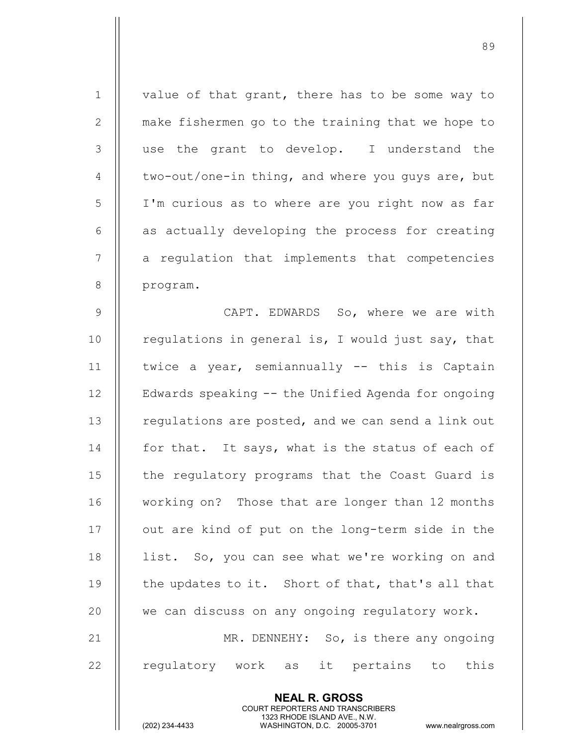| $\mathbf 1$    | value of that grant, there has to be some way to                                                                                                 |
|----------------|--------------------------------------------------------------------------------------------------------------------------------------------------|
| $\overline{2}$ | make fishermen go to the training that we hope to                                                                                                |
| 3              | use the grant to develop. I understand the                                                                                                       |
| 4              | two-out/one-in thing, and where you guys are, but                                                                                                |
| 5              | I'm curious as to where are you right now as far                                                                                                 |
| 6              | as actually developing the process for creating                                                                                                  |
| 7              | a regulation that implements that competencies                                                                                                   |
| $8\,$          | program.                                                                                                                                         |
| 9              | CAPT. EDWARDS So, where we are with                                                                                                              |
| 10             | regulations in general is, I would just say, that                                                                                                |
| 11             | twice a year, semiannually -- this is Captain                                                                                                    |
| 12             | Edwards speaking -- the Unified Agenda for ongoing                                                                                               |
| 13             | regulations are posted, and we can send a link out                                                                                               |
| 14             | for that. It says, what is the status of each of                                                                                                 |
| 15             | the regulatory programs that the Coast Guard is                                                                                                  |
| 16             | working on? Those that are longer than 12 months                                                                                                 |
| 17             | out are kind of put on the long-term side in the                                                                                                 |
| 18             | list. So, you can see what we're working on and                                                                                                  |
| 19             | the updates to it. Short of that, that's all that                                                                                                |
| 20             | we can discuss on any ongoing regulatory work.                                                                                                   |
| 21             | MR. DENNEHY: So, is there any ongoing                                                                                                            |
| 22             | regulatory work as it pertains to this                                                                                                           |
|                |                                                                                                                                                  |
|                | <b>NEAL R. GROSS</b><br><b>COURT REPORTERS AND TRANSCRIBERS</b><br>1323 RHODE ISLAND AVE., N.W.<br>(202) 234-4433<br>WASHINGTON, D.C. 20005-3701 |
|                | www.nealrgross.com                                                                                                                               |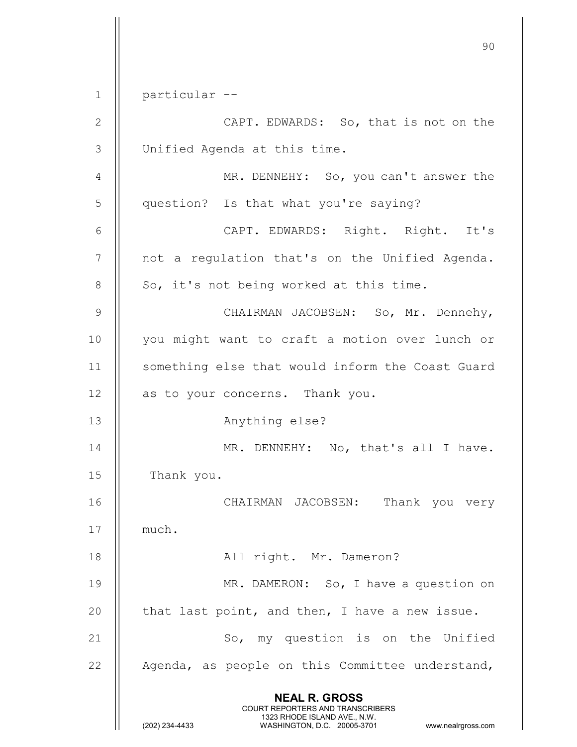90 NEAL R. GROSS COURT REPORTERS AND TRANSCRIBERS 1323 RHODE ISLAND AVE., N.W.<br>WASHINGTON, D.C. 20005-3701 WASHINGTON, D.C. 20005-3701 www.nealrgross.com 1 particular -- 2 | CAPT. EDWARDS: So, that is not on the 3 Unified Agenda at this time. 4 | MR. DENNEHY: So, you can't answer the 5 | question? Is that what you're saying? 6 CAPT. EDWARDS: Right. Right. It's 7 || not a regulation that's on the Unified Agenda.  $8 \parallel$  So, it's not being worked at this time. 9 CHAIRMAN JACOBSEN: So, Mr. Dennehy, 10 || you might want to craft a motion over lunch or 11 || something else that would inform the Coast Guard 12 || as to your concerns. Thank you. 13 | Anything else? 14 || MR. DENNEHY: No, that's all I have. 15 | Thank you. 16 CHAIRMAN JACOBSEN: Thank you very 17 | much. 18 || All right. Mr. Dameron? 19 || MR. DAMERON: So, I have a question on 20  $\parallel$  that last point, and then, I have a new issue. 21 || So, my question is on the Unified 22  $\parallel$  Agenda, as people on this Committee understand,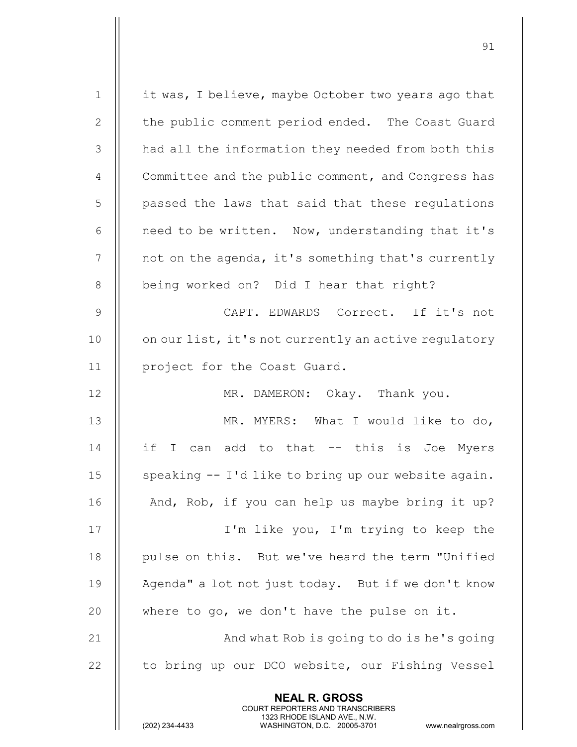| 21<br>22       | And what Rob is going to do is he's going<br>to bring up our DCO website, our Fishing Vessel |
|----------------|----------------------------------------------------------------------------------------------|
| 20             | where to go, we don't have the pulse on it.                                                  |
| 19             | Agenda" a lot not just today. But if we don't know                                           |
| 18             | pulse on this. But we've heard the term "Unified                                             |
| 17             | I'm like you, I'm trying to keep the                                                         |
| 16             | And, Rob, if you can help us maybe bring it up?                                              |
| 15             | speaking -- I'd like to bring up our website again.                                          |
| 14             | if I can add to that -- this is Joe Myers                                                    |
| 13             | MR. MYERS: What I would like to do,                                                          |
| 12             | MR. DAMERON: Okay. Thank you.                                                                |
| 11             | project for the Coast Guard.                                                                 |
| 10             | on our list, it's not currently an active regulatory                                         |
| 9              | CAPT. EDWARDS Correct. If it's not                                                           |
| 8              | being worked on? Did I hear that right?                                                      |
| $\overline{7}$ | not on the agenda, it's something that's currently                                           |
| 6              | need to be written. Now, understanding that it's                                             |
| 5              | passed the laws that said that these regulations                                             |
| 4              | Committee and the public comment, and Congress has                                           |
| 3              | had all the information they needed from both this                                           |
| 2              | the public comment period ended. The Coast Guard                                             |
| $\mathbf 1$    | it was, I believe, maybe October two years ago that                                          |
|                |                                                                                              |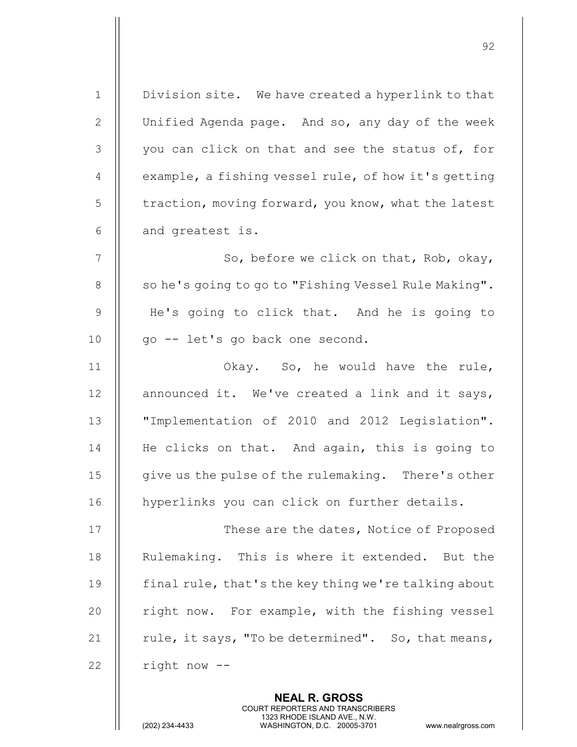| $\mathbf 1$    | Division site. We have created a hyperlink to that   |
|----------------|------------------------------------------------------|
| 2              | Unified Agenda page. And so, any day of the week     |
| 3              | you can click on that and see the status of, for     |
| $\overline{4}$ | example, a fishing vessel rule, of how it's getting  |
| 5              | traction, moving forward, you know, what the latest  |
| 6              | and greatest is.                                     |
| $\overline{7}$ | So, before we click on that, Rob, okay,              |
| 8              | so he's going to go to "Fishing Vessel Rule Making". |
| 9              | He's going to click that. And he is going to         |
| 10             | go -- let's go back one second.                      |
| 11             | Okay. So, he would have the rule,                    |
| 12             | announced it. We've created a link and it says,      |
| 13             | "Implementation of 2010 and 2012 Legislation".       |
| 14             | He clicks on that. And again, this is going to       |
| 15             | give us the pulse of the rulemaking. There's other   |
| 16             | hyperlinks you can click on further details.         |
| 17             | These are the dates, Notice of Proposed              |
| 18             | Rulemaking. This is where it extended. But the       |
| 19             | final rule, that's the key thing we're talking about |
| 20             | right now. For example, with the fishing vessel      |
| 21             | rule, it says, "To be determined". So, that means,   |
| 22             | right now --                                         |
|                | <b>NEAL R. GROSS</b>                                 |

 COURT REPORTERS AND TRANSCRIBERS 1323 RHODE ISLAND AVE., N.W.

 $\mathbf{\mathsf{I}}$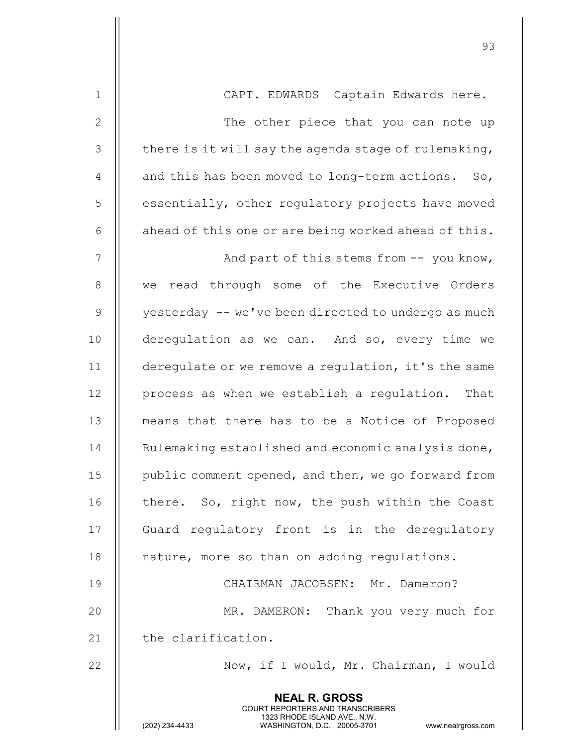| $1\,$          | CAPT. EDWARDS Captain Edwards here.                                                                                                                                    |
|----------------|------------------------------------------------------------------------------------------------------------------------------------------------------------------------|
| $\mathbf{2}$   | The other piece that you can note up                                                                                                                                   |
| 3              | there is it will say the agenda stage of rulemaking,                                                                                                                   |
| $\overline{4}$ | and this has been moved to long-term actions. So,                                                                                                                      |
| 5              | essentially, other regulatory projects have moved                                                                                                                      |
| $\epsilon$     | ahead of this one or are being worked ahead of this.                                                                                                                   |
| $\overline{7}$ | And part of this stems from -- you know,                                                                                                                               |
| $\,8\,$        | read through some of the Executive Orders<br>we                                                                                                                        |
| $\mathsf 9$    | yesterday -- we've been directed to undergo as much                                                                                                                    |
| 10             | deregulation as we can. And so, every time we                                                                                                                          |
| 11             | deregulate or we remove a regulation, it's the same                                                                                                                    |
| 12             | process as when we establish a regulation.<br>That                                                                                                                     |
| 13             | means that there has to be a Notice of Proposed                                                                                                                        |
| 14             | Rulemaking established and economic analysis done,                                                                                                                     |
| 15             | public comment opened, and then, we go forward from                                                                                                                    |
| 16             | there. So, right now, the push within the Coast                                                                                                                        |
| 17             | Guard regulatory front is in the deregulatory                                                                                                                          |
| 18             | nature, more so than on adding regulations.                                                                                                                            |
| 19             | CHAIRMAN JACOBSEN: Mr. Dameron?                                                                                                                                        |
| 20             | MR. DAMERON: Thank you very much for                                                                                                                                   |
| 21             | the clarification.                                                                                                                                                     |
| 22             | Now, if I would, Mr. Chairman, I would                                                                                                                                 |
|                | <b>NEAL R. GROSS</b><br><b>COURT REPORTERS AND TRANSCRIBERS</b><br>1323 RHODE ISLAND AVE., N.W.<br>(202) 234-4433<br>WASHINGTON, D.C. 20005-3701<br>www.nealrgross.com |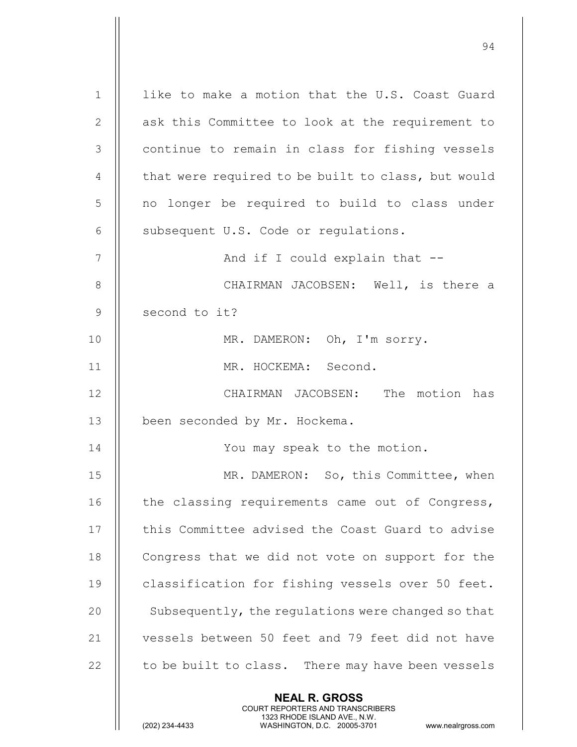NEAL R. GROSS COURT REPORTERS AND TRANSCRIBERS 1323 RHODE ISLAND AVE., N.W.<br>WASHINGTON, D.C. 20005-3701 1 || like to make a motion that the U.S. Coast Guard 2 || ask this Committee to look at the requirement to 3 | continue to remain in class for fishing vessels 4  $\parallel$  that were required to be built to class, but would 5 || no longer be required to build to class under 6  $\parallel$  subsequent U.S. Code or regulations. 7 And if I could explain that -- 8 CHAIRMAN JACOBSEN: Well, is there a 9 || second to it? 10 || MR. DAMERON: Oh, I'm sorry. 11 MR. HOCKEMA: Second. 12 CHAIRMAN JACOBSEN: The motion has 13 | been seconded by Mr. Hockema. 14 || You may speak to the motion. 15 || MR. DAMERON: So, this Committee, when 16 | the classing requirements came out of Congress, 17 | this Committee advised the Coast Guard to advise 18 | Congress that we did not vote on support for the 19 | classification for fishing vessels over 50 feet. 20 | Subsequently, the regulations were changed so that 21 || vessels between 50 feet and 79 feet did not have  $22$   $\parallel$  to be built to class. There may have been vessels

94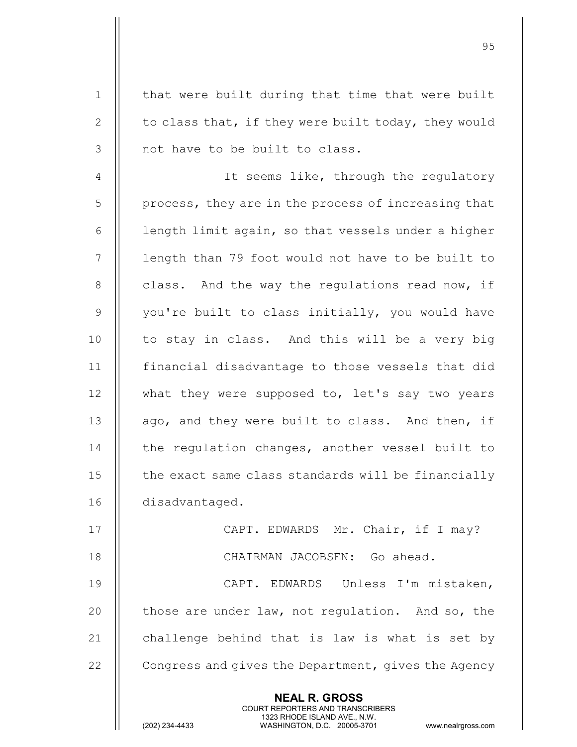NEAL R. GROSS COURT REPORTERS AND TRANSCRIBERS 1323 RHODE ISLAND AVE., N.W.<br>WASHINGTON, D.C. 20005-3701 1 || that were built during that time that were built 2  $\parallel$  to class that, if they were built today, they would 3 || not have to be built to class. 4 | It seems like, through the regulatory  $5 \parallel$  process, they are in the process of increasing that  $6$  | length limit again, so that vessels under a higher 7 || length than 79 foot would not have to be built to 8  $\parallel$  class. And the way the regulations read now, if 9  $\parallel$  you're built to class initially, you would have 10 || to stay in class. And this will be a very big 11 financial disadvantage to those vessels that did 12 || what they were supposed to, let's say two years 13  $\parallel$  ago, and they were built to class. And then, if 14 | the regulation changes, another vessel built to 15 | the exact same class standards will be financially 16 disadvantaged. 17 || CAPT. EDWARDS Mr. Chair, if I may? 18 CHAIRMAN JACOBSEN: Go ahead. 19 CAPT. EDWARDS Unless I'm mistaken, 20  $\parallel$  those are under law, not regulation. And so, the 21  $\parallel$  challenge behind that is law is what is set by 22  $\parallel$  Congress and gives the Department, gives the Agency

95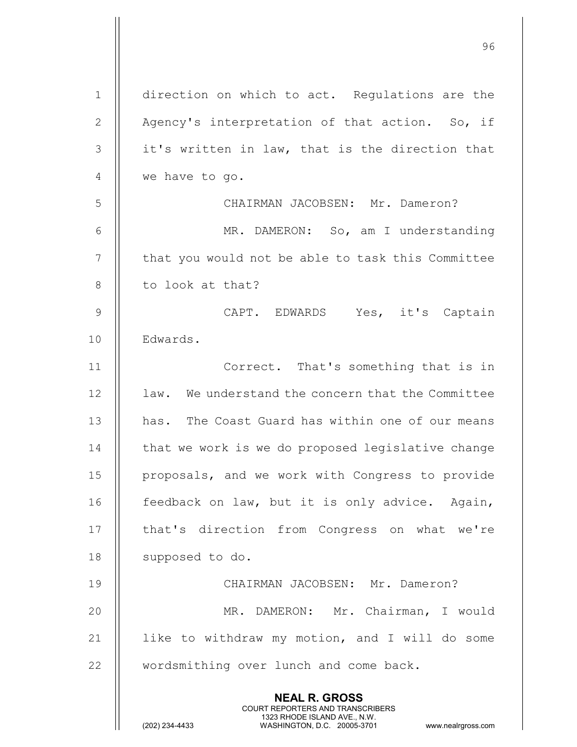| $\mathbf 1$     | direction on which to act. Regulations are the                                                                                                                         |
|-----------------|------------------------------------------------------------------------------------------------------------------------------------------------------------------------|
| $\mathbf{2}$    | Agency's interpretation of that action. So, if                                                                                                                         |
| 3               | it's written in law, that is the direction that                                                                                                                        |
| $\overline{4}$  | we have to go.                                                                                                                                                         |
| 5               | CHAIRMAN JACOBSEN: Mr. Dameron?                                                                                                                                        |
| 6               | MR. DAMERON: So, am I understanding                                                                                                                                    |
| $7\phantom{.0}$ | that you would not be able to task this Committee                                                                                                                      |
| $\,8\,$         | to look at that?                                                                                                                                                       |
| $\mathsf 9$     | CAPT. EDWARDS Yes, it's Captain                                                                                                                                        |
| 10              | Edwards.                                                                                                                                                               |
| 11              | Correct. That's something that is in                                                                                                                                   |
| 12              | law. We understand the concern that the Committee                                                                                                                      |
| 13              | has. The Coast Guard has within one of our means                                                                                                                       |
| 14              | that we work is we do proposed legislative change                                                                                                                      |
| 15              | proposals, and we work with Congress to provide                                                                                                                        |
| 16              | feedback on law, but it is only advice. Again,                                                                                                                         |
| 17              | that's direction from Congress on what we're                                                                                                                           |
| 18              | supposed to do.                                                                                                                                                        |
| 19              | CHAIRMAN JACOBSEN: Mr. Dameron?                                                                                                                                        |
| 20              | MR. DAMERON: Mr. Chairman, I would                                                                                                                                     |
| 21              | like to withdraw my motion, and I will do some                                                                                                                         |
| 22              | wordsmithing over lunch and come back.                                                                                                                                 |
|                 | <b>NEAL R. GROSS</b><br><b>COURT REPORTERS AND TRANSCRIBERS</b><br>1323 RHODE ISLAND AVE., N.W.<br>WASHINGTON, D.C. 20005-3701<br>(202) 234-4433<br>www.nealrgross.com |

е процесс в политическиот село в 1963 година в 1963 година в 1963 година в 1963 година в 1964 година в 1964 го<br>В 1964 година в 1964 година в 1964 година в 1964 година в 1964 година в 1964 година в 1964 година в 1964 годин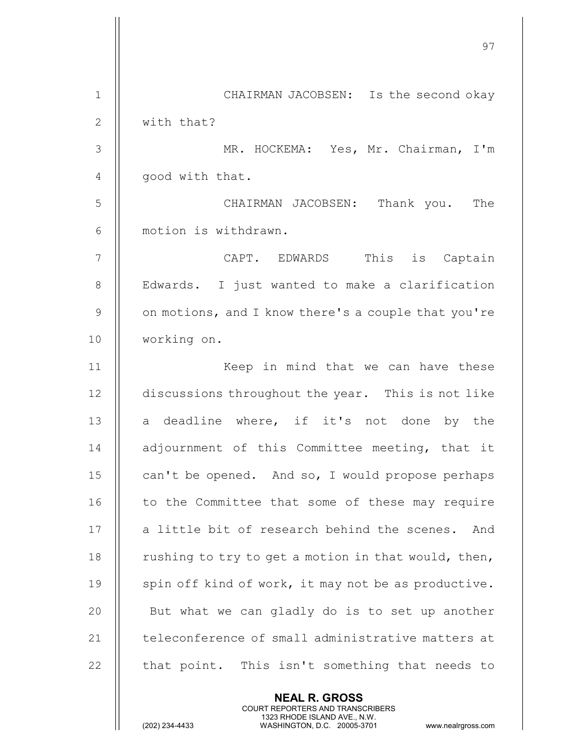|                | 97                                                  |
|----------------|-----------------------------------------------------|
| $\mathbf 1$    | CHAIRMAN JACOBSEN: Is the second okay               |
| $\mathbf{2}$   | with that?                                          |
| 3              | MR. HOCKEMA: Yes, Mr. Chairman, I'm                 |
| $\overline{4}$ | good with that.                                     |
| 5              | CHAIRMAN JACOBSEN: Thank you. The                   |
| 6              | motion is withdrawn.                                |
| 7              | CAPT. EDWARDS This is Captain                       |
| $\,8\,$        | Edwards. I just wanted to make a clarification      |
| $\overline{9}$ | on motions, and I know there's a couple that you're |
| 10             | working on.                                         |
| 11             | Keep in mind that we can have these                 |
| 12             | discussions throughout the year. This is not like   |
| 13             | a deadline where, if it's not done by the           |
| 14             | adjournment of this Committee meeting, that it      |
| 15             | can't be opened. And so, I would propose perhaps    |
| 16             | to the Committee that some of these may require     |
| 17             | a little bit of research behind the scenes.<br>And  |
| 18             | rushing to try to get a motion in that would, then, |
| 19             | spin off kind of work, it may not be as productive. |
| 20             | But what we can gladly do is to set up another      |
| 21             | teleconference of small administrative matters at   |
| 22             | that point. This isn't something that needs to      |
|                | <b>NEAL R. GROSS</b>                                |

 COURT REPORTERS AND TRANSCRIBERS 1323 RHODE ISLAND AVE., N.W.

Ш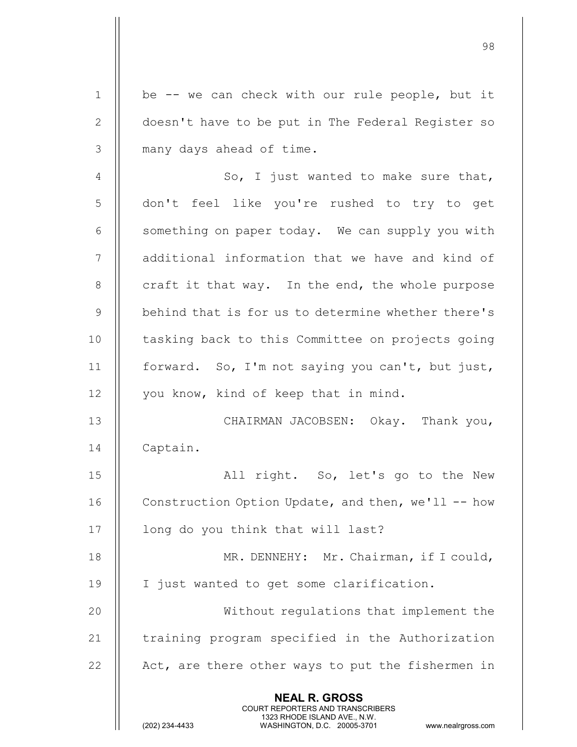NEAL R. GROSS COURT REPORTERS AND TRANSCRIBERS 1323 RHODE ISLAND AVE., N.W.<br>WASHINGTON, D.C. 20005-3701 1 || be -- we can check with our rule people, but it 2 | doesn't have to be put in The Federal Register so 3 || many days ahead of time. 4  $\parallel$  So, I just wanted to make sure that, 5 don't feel like you're rushed to try to get  $6$   $\parallel$  something on paper today. We can supply you with 7 | additional information that we have and kind of  $8$  || craft it that way. In the end, the whole purpose 9 || behind that is for us to determine whether there's 10 || tasking back to this Committee on projects going 11 | forward. So, I'm not saying you can't, but just, 12 || you know, kind of keep that in mind. 13 CHAIRMAN JACOBSEN: Okay. Thank you, 14 Captain. 15 || All right. So, let's go to the New 16 | Construction Option Update, and then, we'll -- how 17 || long do you think that will last? 18 || MR. DENNEHY: Mr. Chairman, if I could, 19 | I just wanted to get some clarification. 20 Without regulations that implement the 21 | training program specified in the Authorization 22  $\parallel$  Act, are there other ways to put the fishermen in

98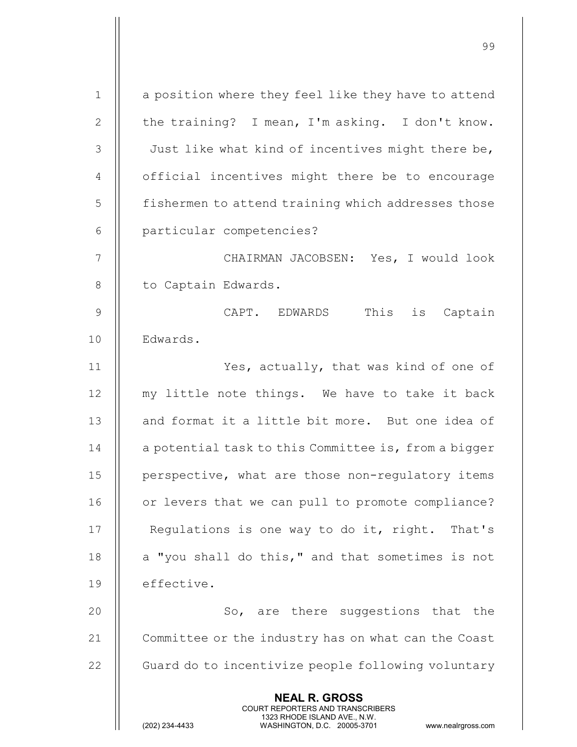| $\mathbf 1$    | a position where they feel like they have to attend                                                                                                             |
|----------------|-----------------------------------------------------------------------------------------------------------------------------------------------------------------|
| 2              | the training? I mean, I'm asking. I don't know.                                                                                                                 |
| 3              | Just like what kind of incentives might there be,                                                                                                               |
| $\overline{4}$ | official incentives might there be to encourage                                                                                                                 |
| 5              | fishermen to attend training which addresses those                                                                                                              |
| 6              | particular competencies?                                                                                                                                        |
| $\overline{7}$ | CHAIRMAN JACOBSEN: Yes, I would look                                                                                                                            |
| 8              | to Captain Edwards.                                                                                                                                             |
| 9              | This is Captain<br>CAPT. EDWARDS                                                                                                                                |
| 10             | Edwards.                                                                                                                                                        |
| 11             | Yes, actually, that was kind of one of                                                                                                                          |
| 12             | my little note things. We have to take it back                                                                                                                  |
| 13             | and format it a little bit more. But one idea of                                                                                                                |
| 14             | a potential task to this Committee is, from a bigger                                                                                                            |
| 15             | perspective, what are those non-regulatory items                                                                                                                |
| 16             | or levers that we can pull to promote compliance?                                                                                                               |
| 17             | Regulations is one way to do it, right. That's                                                                                                                  |
| 18             | a "you shall do this," and that sometimes is not                                                                                                                |
| 19             | effective.                                                                                                                                                      |
| 20             | So, are there suggestions that the                                                                                                                              |
| 21             | Committee or the industry has on what can the Coast                                                                                                             |
| 22             | Guard do to incentivize people following voluntary                                                                                                              |
|                | <b>NEAL R. GROSS</b><br>COURT REPORTERS AND TRANSCRIBERS<br>1323 RHODE ISLAND AVE., N.W.<br>(202) 234-4433<br>WASHINGTON, D.C. 20005-3701<br>www.nealrgross.com |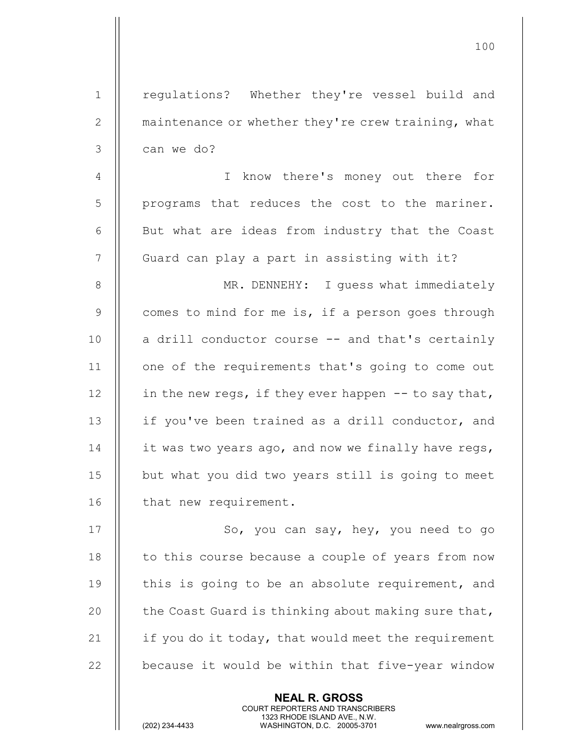| $\mathbf 1$    | regulations? Whether they're vessel build and         |
|----------------|-------------------------------------------------------|
| $\mathbf{2}$   | maintenance or whether they're crew training, what    |
| 3              | can we do?                                            |
| $\overline{4}$ | know there's money out there for<br>I.                |
| 5              | programs that reduces the cost to the mariner.        |
| 6              | But what are ideas from industry that the Coast       |
| 7              | Guard can play a part in assisting with it?           |
| 8              | MR. DENNEHY: I quess what immediately                 |
| $\mathsf 9$    | comes to mind for me is, if a person goes through     |
| 10             | a drill conductor course -- and that's certainly      |
| 11             | one of the requirements that's going to come out      |
| 12             | in the new regs, if they ever happen $-$ to say that, |
| 13             | if you've been trained as a drill conductor, and      |
| 14             | it was two years ago, and now we finally have regs,   |
| 15             | but what you did two years still is going to meet     |
| 16             | that new requirement.                                 |
| 17             | So, you can say, hey, you need to go                  |
| 18             | to this course because a couple of years from now     |
| 19             | this is going to be an absolute requirement, and      |
| 20             | the Coast Guard is thinking about making sure that,   |
| 21             | if you do it today, that would meet the requirement   |
| 22             | because it would be within that five-year window      |
|                |                                                       |

NEAL R. GROSS

 COURT REPORTERS AND TRANSCRIBERS 1323 RHODE ISLAND AVE., N.W.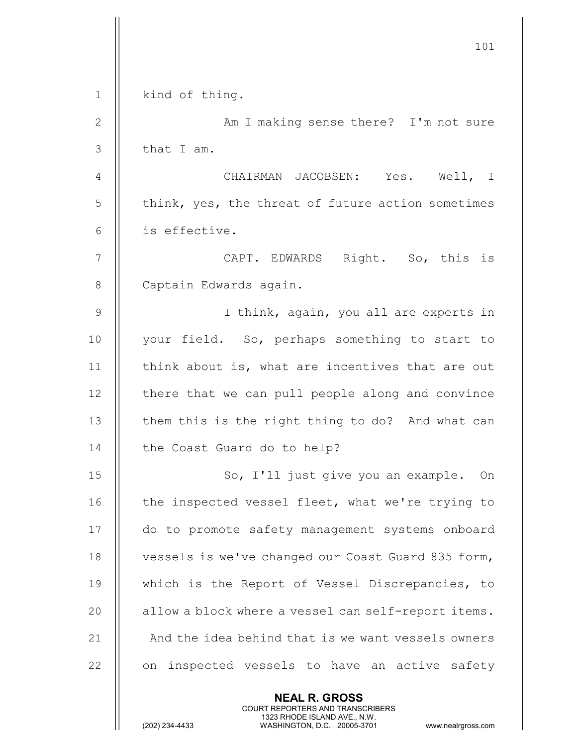|               | 101                                                                                                                                                                    |
|---------------|------------------------------------------------------------------------------------------------------------------------------------------------------------------------|
| $\mathbf{1}$  | kind of thing.                                                                                                                                                         |
| $\mathbf{2}$  | Am I making sense there? I'm not sure                                                                                                                                  |
| $\mathcal{S}$ | that I am.                                                                                                                                                             |
| 4             | CHAIRMAN JACOBSEN: Yes. Well, I                                                                                                                                        |
| 5             | think, yes, the threat of future action sometimes                                                                                                                      |
| 6             | is effective.                                                                                                                                                          |
| 7             | CAPT. EDWARDS Right. So, this is                                                                                                                                       |
| 8             | Captain Edwards again.                                                                                                                                                 |
| $\mathcal{G}$ | I think, again, you all are experts in                                                                                                                                 |
| 10            | your field. So, perhaps something to start to                                                                                                                          |
| 11            | think about is, what are incentives that are out                                                                                                                       |
| 12            | there that we can pull people along and convince                                                                                                                       |
| 13            | them this is the right thing to do? And what can                                                                                                                       |
| 14            | the Coast Guard do to help?                                                                                                                                            |
| 15            | So, I'll just give you an example. On                                                                                                                                  |
| 16            | the inspected vessel fleet, what we're trying to                                                                                                                       |
| 17            | do to promote safety management systems onboard                                                                                                                        |
| 18            | vessels is we've changed our Coast Guard 835 form,                                                                                                                     |
| 19            | which is the Report of Vessel Discrepancies, to                                                                                                                        |
| 20            | allow a block where a vessel can self-report items.                                                                                                                    |
| 21            | And the idea behind that is we want vessels owners                                                                                                                     |
| 22            | on inspected vessels to have an active safety                                                                                                                          |
|               | <b>NEAL R. GROSS</b><br><b>COURT REPORTERS AND TRANSCRIBERS</b><br>1323 RHODE ISLAND AVE., N.W.<br>(202) 234-4433<br>WASHINGTON, D.C. 20005-3701<br>www.nealrgross.com |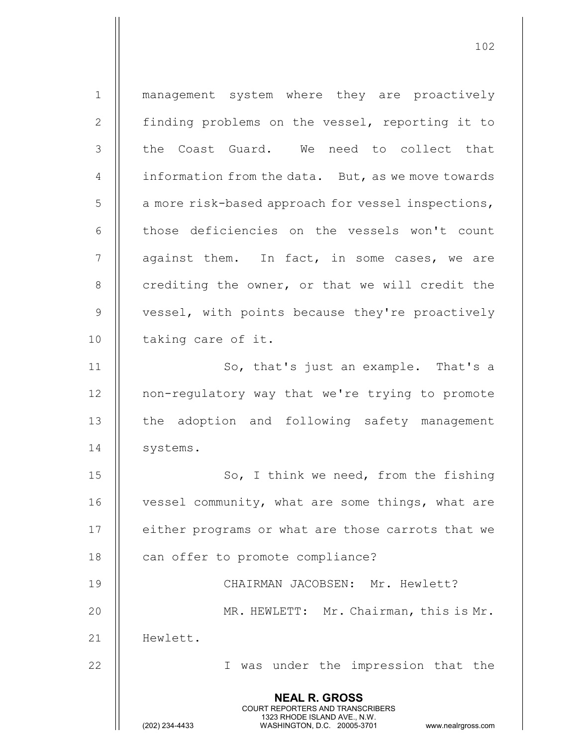NEAL R. GROSS COURT REPORTERS AND TRANSCRIBERS 1323 RHODE ISLAND AVE., N.W.<br>WASHINGTON, D.C. 20005-3701 WASHINGTON, D.C. WASHINGTON, D.C. 20005-3701 www.nealrgross.com 1 management system where they are proactively 2 | finding problems on the vessel, reporting it to 3 Il the Coast Guard. We need to collect that 4  $\parallel$  information from the data. But, as we move towards  $5$  | a more risk-based approach for vessel inspections, 6 | those deficiencies on the vessels won't count  $7 \parallel$  against them. In fact, in some cases, we are  $8$  || crediting the owner, or that we will credit the 9 || vessel, with points because they're proactively 10 || taking care of it. 11 || So, that's just an example. That's a 12 | non-regulatory way that we're trying to promote 13 || the adoption and following safety management 14 | systems. 15 || So, I think we need, from the fishing 16 | vessel community, what are some things, what are 17 || either programs or what are those carrots that we 18 || can offer to promote compliance? 19 || CHAIRMAN JACOBSEN: Mr. Hewlett? 20 MR. HEWLETT: Mr. Chairman, this is Mr. 21 || Hewlett. 22 || T was under the impression that the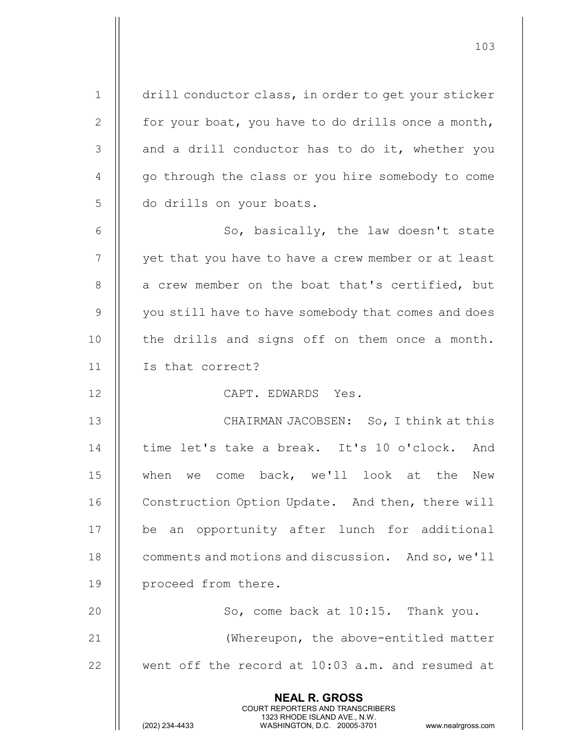| $\mathbf 1$   | drill conductor class, in order to get your sticker                                                                                                                    |
|---------------|------------------------------------------------------------------------------------------------------------------------------------------------------------------------|
| 2             | for your boat, you have to do drills once a month,                                                                                                                     |
| $\mathcal{S}$ | and a drill conductor has to do it, whether you                                                                                                                        |
| 4             | go through the class or you hire somebody to come                                                                                                                      |
| 5             | do drills on your boats.                                                                                                                                               |
| 6             | So, basically, the law doesn't state                                                                                                                                   |
| 7             | yet that you have to have a crew member or at least                                                                                                                    |
| $8\,$         | a crew member on the boat that's certified, but                                                                                                                        |
| $\mathsf 9$   | you still have to have somebody that comes and does                                                                                                                    |
| 10            | the drills and signs off on them once a month.                                                                                                                         |
| 11            | Is that correct?                                                                                                                                                       |
| 12            | CAPT. EDWARDS Yes.                                                                                                                                                     |
| 13            | CHAIRMAN JACOBSEN: So, I think at this                                                                                                                                 |
| 14            | time let's take a break. It's 10 o'clock. And                                                                                                                          |
| 15            | when we come back, we'll look at the<br>New                                                                                                                            |
| 16            | Construction Option Update. And then, there will                                                                                                                       |
| 17            | be an opportunity after lunch for additional                                                                                                                           |
| 18            | comments and motions and discussion. And so, we'll                                                                                                                     |
| 19            | proceed from there.                                                                                                                                                    |
| 20            | So, come back at 10:15. Thank you.                                                                                                                                     |
| 21            | (Whereupon, the above-entitled matter                                                                                                                                  |
| 22            | went off the record at 10:03 a.m. and resumed at                                                                                                                       |
|               | <b>NEAL R. GROSS</b><br><b>COURT REPORTERS AND TRANSCRIBERS</b><br>1323 RHODE ISLAND AVE., N.W.<br>(202) 234-4433<br>WASHINGTON, D.C. 20005-3701<br>www.nealrgross.com |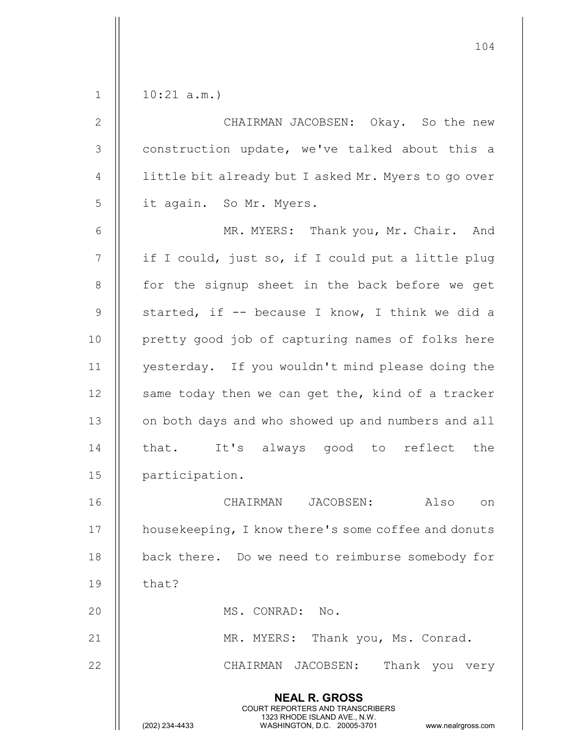| CHAIRMAN JACOBSEN: Okay. So the new<br>construction update, we've talked about this a<br>little bit already but I asked Mr. Myers to go over<br>MR. MYERS: Thank you, Mr. Chair. And |
|--------------------------------------------------------------------------------------------------------------------------------------------------------------------------------------|
|                                                                                                                                                                                      |
|                                                                                                                                                                                      |
|                                                                                                                                                                                      |
|                                                                                                                                                                                      |
|                                                                                                                                                                                      |
|                                                                                                                                                                                      |
| if I could, just so, if I could put a little plug                                                                                                                                    |
| for the signup sheet in the back before we get                                                                                                                                       |
| started, if -- because I know, I think we did a                                                                                                                                      |
| pretty good job of capturing names of folks here                                                                                                                                     |
| yesterday. If you wouldn't mind please doing the                                                                                                                                     |
| same today then we can get the, kind of a tracker                                                                                                                                    |
| on both days and who showed up and numbers and all                                                                                                                                   |
| that. It's always good to reflect the                                                                                                                                                |
|                                                                                                                                                                                      |
| on                                                                                                                                                                                   |
| housekeeping, I know there's some coffee and donuts                                                                                                                                  |
| back there. Do we need to reimburse somebody for                                                                                                                                     |
|                                                                                                                                                                                      |
|                                                                                                                                                                                      |
|                                                                                                                                                                                      |
| Thank you very                                                                                                                                                                       |
|                                                                                                                                                                                      |
| www.nealrgross.com                                                                                                                                                                   |
|                                                                                                                                                                                      |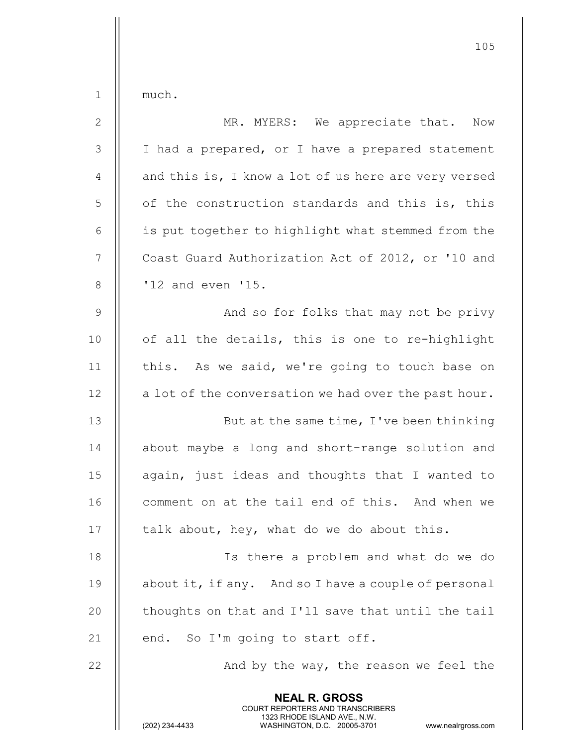| $1\,$          | much.                                                                                                                                   |
|----------------|-----------------------------------------------------------------------------------------------------------------------------------------|
| $\mathbf{2}$   | MR. MYERS: We appreciate that. Now                                                                                                      |
| $\mathfrak{Z}$ | I had a prepared, or I have a prepared statement                                                                                        |
| $\sqrt{4}$     | and this is, I know a lot of us here are very versed                                                                                    |
| $\overline{5}$ | of the construction standards and this is, this                                                                                         |
| $\sqrt{6}$     | is put together to highlight what stemmed from the                                                                                      |
| $\overline{7}$ | Coast Guard Authorization Act of 2012, or '10 and                                                                                       |
| $\,8\,$        | '12 and even '15.                                                                                                                       |
| $\mathsf 9$    | And so for folks that may not be privy                                                                                                  |
| 10             | of all the details, this is one to re-highlight                                                                                         |
| 11             | this. As we said, we're going to touch base on                                                                                          |
| 12             | a lot of the conversation we had over the past hour.                                                                                    |
| 13             | But at the same time, I've been thinking                                                                                                |
| 14             | about maybe a long and short-range solution and                                                                                         |
| 15             | again, just ideas and thoughts that I wanted to                                                                                         |
| 16             | comment on at the tail end of this. And when we                                                                                         |
| 17             | talk about, hey, what do we do about this.                                                                                              |
| 18             | Is there a problem and what do we do                                                                                                    |
| 19             | about it, if any. And so I have a couple of personal                                                                                    |
| 20             | thoughts on that and I'll save that until the tail                                                                                      |
| 21             | end. So I'm going to start off.                                                                                                         |
| 22             | And by the way, the reason we feel the                                                                                                  |
|                | <b>NEAL R. GROSS</b>                                                                                                                    |
|                | COURT REPORTERS AND TRANSCRIBERS<br>1323 RHODE ISLAND AVE., N.W.<br>(202) 234-4433<br>WASHINGTON, D.C. 20005-3701<br>www.nealrgross.com |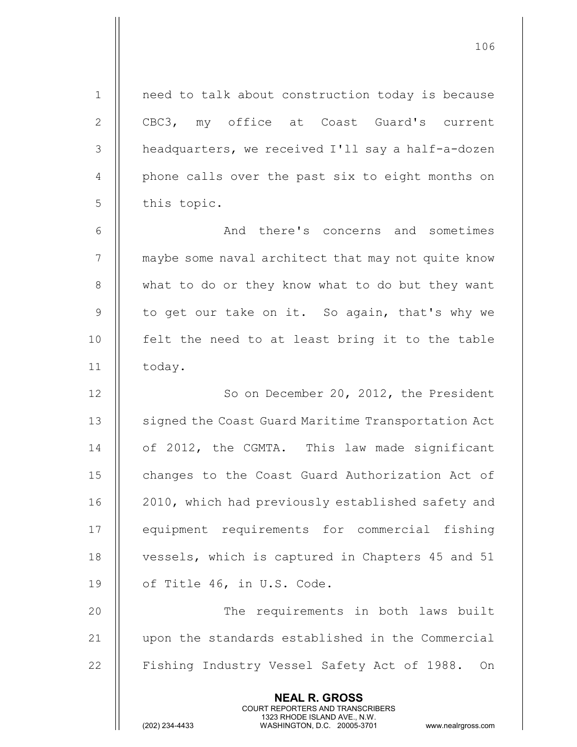NEAL R. GROSS COURT REPORTERS AND TRANSCRIBERS 1 || need to talk about construction today is because 2 CBC3, my office at Coast Guard's current 3 | headquarters, we received I'll say a half-a-dozen 4 || phone calls over the past six to eight months on  $5$  | this topic. 6 And there's concerns and sometimes 7 | maybe some naval architect that may not quite know 8 || what to do or they know what to do but they want 9 || to get our take on it. So again, that's why we 10 || felt the need to at least bring it to the table 11 | today. 12 || So on December 20, 2012, the President 13 | signed the Coast Guard Maritime Transportation Act 14 | of 2012, the CGMTA. This law made significant 15 | changes to the Coast Guard Authorization Act of 16 || 2010, which had previously established safety and 17 || equipment requirements for commercial fishing 18 || vessels, which is captured in Chapters 45 and 51 19  $\parallel$  of Title 46, in U.S. Code. 20 || The requirements in both laws built 21 upon the standards established in the Commercial 22 | Fishing Industry Vessel Safety Act of 1988. On

106

1323 RHODE ISLAND AVE., N.W.<br>WASHINGTON, D.C. 20005-3701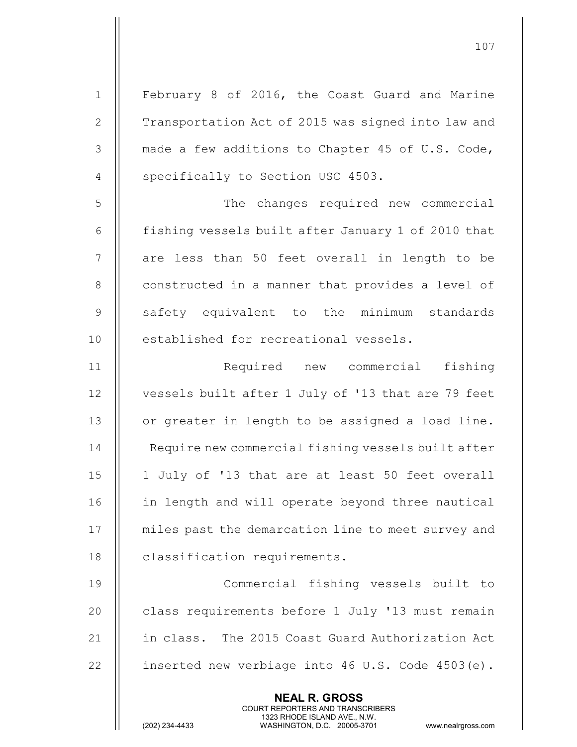NEAL R. GROSS COURT REPORTERS AND TRANSCRIBERS 1323 RHODE ISLAND AVE., N.W.<br>WASHINGTON, D.C. 20005-3701 1 | February 8 of 2016, the Coast Guard and Marine 2 | Transportation Act of 2015 was signed into law and  $3 \parallel$  made a few additions to Chapter 45 of U.S. Code, 4 | specifically to Section USC 4503. 5 | The changes required new commercial 6  $\parallel$  fishing vessels built after January 1 of 2010 that 7 || are less than 50 feet overall in length to be 8 | constructed in a manner that provides a level of 9 Safety equivalent to the minimum standards 10 || established for recreational vessels. 11 Required new commercial fishing 12 | vessels built after 1 July of '13 that are 79 feet 13 | or greater in length to be assigned a load line. 14 | Require new commercial fishing vessels built after 15 || 1 July of '13 that are at least 50 feet overall 16 in length and will operate beyond three nautical 17 || miles past the demarcation line to meet survey and 18 | classification requirements. 19 Commercial fishing vessels built to 20 | class requirements before 1 July '13 must remain 21 || in class. The 2015 Coast Guard Authorization Act 22  $\parallel$  inserted new verbiage into 46 U.S. Code 4503(e).

107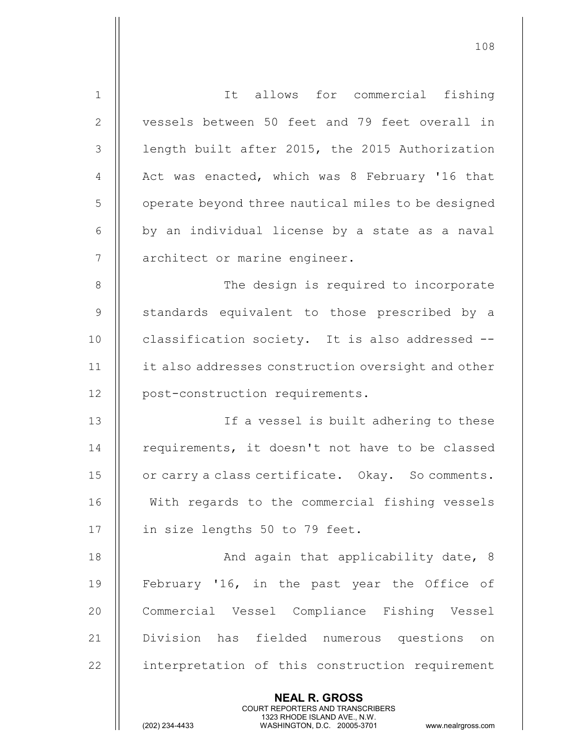| $\mathbf 1$    | It allows for commercial fishing                                                                                                               |
|----------------|------------------------------------------------------------------------------------------------------------------------------------------------|
| $\mathbf{2}$   | vessels between 50 feet and 79 feet overall in                                                                                                 |
| 3              | length built after 2015, the 2015 Authorization                                                                                                |
| $\overline{4}$ | Act was enacted, which was 8 February '16 that                                                                                                 |
| 5              | operate beyond three nautical miles to be designed                                                                                             |
| 6              | by an individual license by a state as a naval                                                                                                 |
| 7              | architect or marine engineer.                                                                                                                  |
| $8\,$          | The design is required to incorporate                                                                                                          |
| 9              | standards equivalent to those prescribed by a                                                                                                  |
| 10             | classification society. It is also addressed --                                                                                                |
| 11             | it also addresses construction oversight and other                                                                                             |
| 12             | post-construction requirements.                                                                                                                |
| 13             | If a vessel is built adhering to these                                                                                                         |
| 14             | requirements, it doesn't not have to be classed                                                                                                |
| 15             | or carry a class certificate. Okay. So comments.                                                                                               |
| 16             | With regards to the commercial fishing vessels                                                                                                 |
| 17             | in size lengths 50 to 79 feet.                                                                                                                 |
| 18             | And again that applicability date, 8                                                                                                           |
| 19             | February '16, in the past year the Office of                                                                                                   |
| 20             | Commercial Vessel Compliance Fishing Vessel                                                                                                    |
| 21             | Division has fielded numerous questions<br>on                                                                                                  |
| 22             | interpretation of this construction requirement                                                                                                |
|                | <b>NEAL R. GROSS</b>                                                                                                                           |
|                | <b>COURT REPORTERS AND TRANSCRIBERS</b><br>1323 RHODE ISLAND AVE., N.W.<br>(202) 234-4433<br>WASHINGTON, D.C. 20005-3701<br>www.nealrgross.com |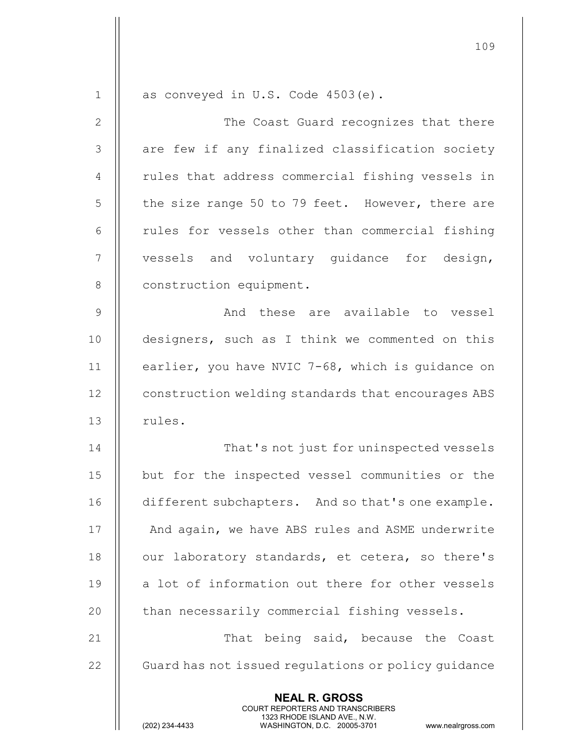NEAL R. GROSS COURT REPORTERS AND TRANSCRIBERS 1323 RHODE ISLAND AVE., N.W.<br>WASHINGTON, D.C. 20005-3701  $1 \parallel$  as conveyed in U.S. Code 4503(e). 2 The Coast Guard recognizes that there 3 || are few if any finalized classification society 4 || rules that address commercial fishing vessels in  $5 \parallel$  the size range 50 to 79 feet. However, there are  $6$  || rules for vessels other than commercial fishing 7 || vessels and voluntary quidance for design, 8 | construction equipment. 9 And these are available to vessel 10 || designers, such as I think we commented on this 11 earlier, you have NVIC 7-68, which is guidance on 12 | construction welding standards that encourages ABS 13 | rules. 14 || That's not just for uninspected vessels 15 but for the inspected vessel communities or the 16 **different subchapters.** And so that's one example. 17 || And again, we have ABS rules and ASME underwrite 18 || our laboratory standards, et cetera, so there's  $19$  a lot of information out there for other vessels 20 | than necessarily commercial fishing vessels. 21 || That being said, because the Coast 22 | Guard has not issued regulations or policy guidance

109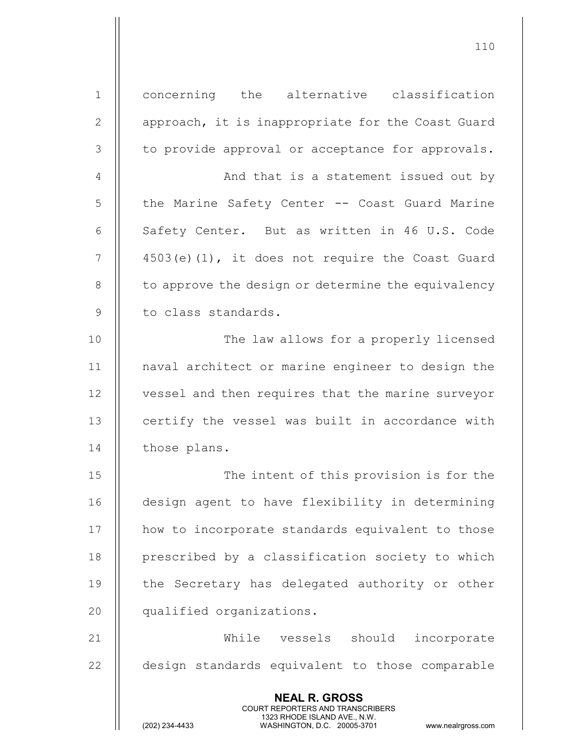NEAL R. GROSS COURT REPORTERS AND TRANSCRIBERS 1323 RHODE ISLAND AVE., N.W.<br>WASHINGTON, D.C. 20005-3701 WASHINGTON, D.C. 1 || concerning the alternative classification 2 | | approach, it is inappropriate for the Coast Guard 3 || to provide approval or acceptance for approvals. 4 | And that is a statement issued out by 5 | the Marine Safety Center -- Coast Guard Marine 6  $\parallel$  Safety Center. But as written in 46 U.S. Code  $7 \parallel$  4503(e)(1), it does not require the Coast Guard  $8$   $\parallel$  to approve the design or determine the equivalency 9 || to class standards. 10 || The law allows for a properly licensed 11 naval architect or marine engineer to design the 12 | vessel and then requires that the marine surveyor 13 | certify the vessel was built in accordance with 14 | those plans. 15 || The intent of this provision is for the 16 design agent to have flexibility in determining 17 || how to incorporate standards equivalent to those 18 || prescribed by a classification society to which 19 || the Secretary has delegated authority or other 20 qualified organizations. 21 While vessels should incorporate 22 | design standards equivalent to those comparable

110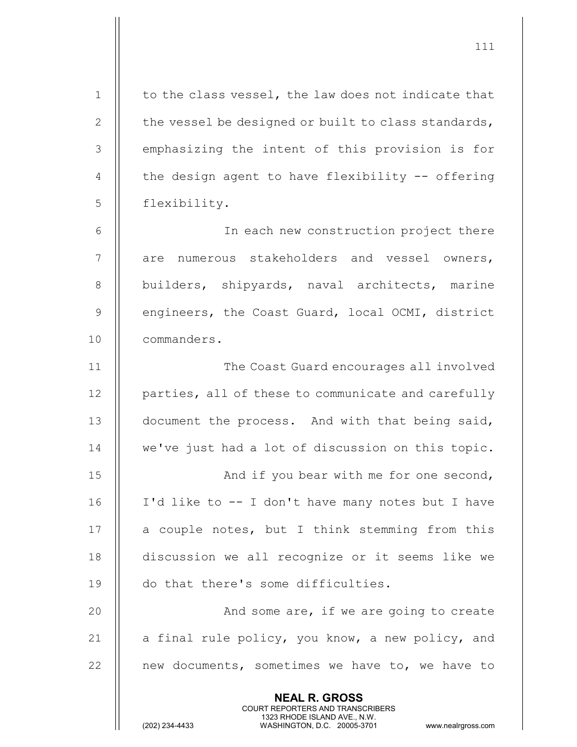NEAL R. GROSS COURT REPORTERS AND TRANSCRIBERS 1323 RHODE ISLAND AVE., N.W.<br>WASHINGTON, D.C. 20005-3701  $1 \parallel$  to the class vessel, the law does not indicate that 2  $\parallel$  the vessel be designed or built to class standards, 3 || emphasizing the intent of this provision is for 4  $\parallel$  the design agent to have flexibility -- offering 5 flexibility. 6 In each new construction project there 7 || are numerous stakeholders and vessel owners, 8 || builders, shipyards, naval architects, marine 9 | engineers, the Coast Guard, local OCMI, district 10 commanders. 11 The Coast Guard encourages all involved 12 | parties, all of these to communicate and carefully 13 || document the process. And with that being said, 14 || we've just had a lot of discussion on this topic. 15 || And if you bear with me for one second, 16 I'd like to -- I don't have many notes but I have  $17$  || a couple notes, but I think stemming from this 18 discussion we all recognize or it seems like we 19 || do that there's some difficulties. 20 And some are, if we are going to create 21  $\parallel$  a final rule policy, you know, a new policy, and  $22$  | new documents, sometimes we have to, we have to

111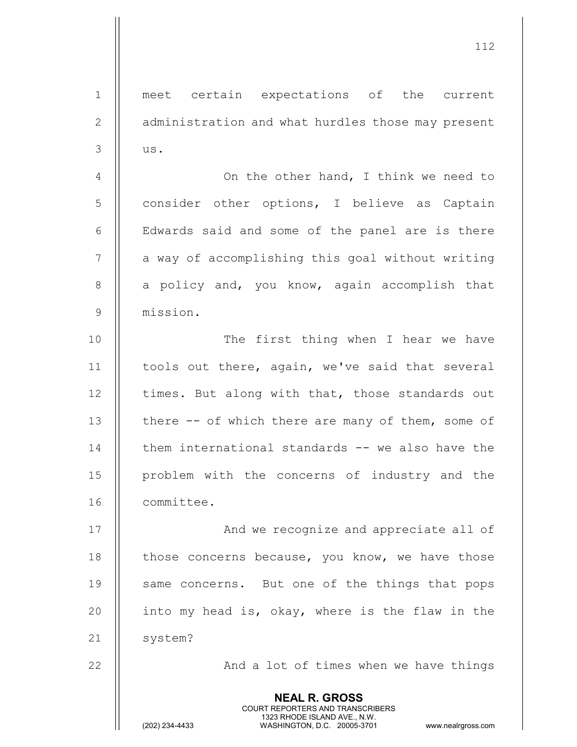NEAL R. GROSS COURT REPORTERS AND TRANSCRIBERS 1323 RHODE ISLAND AVE., N.W.<br>WASHINGTON, D.C. 20005-3701 1 || meet certain expectations of the current 2 | administration and what hurdles those may present  $3 \parallel$  us. 4 | On the other hand, I think we need to 5 consider other options, I believe as Captain 6 || Edwards said and some of the panel are is there 7 || a way of accomplishing this goal without writing  $8$  || a policy and, you know, again accomplish that 9 mission. 10 || The first thing when I hear we have 11 || tools out there, again, we've said that several  $12$  || times. But along with that, those standards out 13 || there -- of which there are many of them, some of  $14$   $\parallel$  them international standards  $-$  we also have the 15 problem with the concerns of industry and the 16 committee. 17 || And we recognize and appreciate all of 18  $\parallel$  those concerns because, you know, we have those 19 || same concerns. But one of the things that pops 20  $\parallel$  into my head is, okay, where is the flaw in the 21 | system? 22 || And a lot of times when we have things

112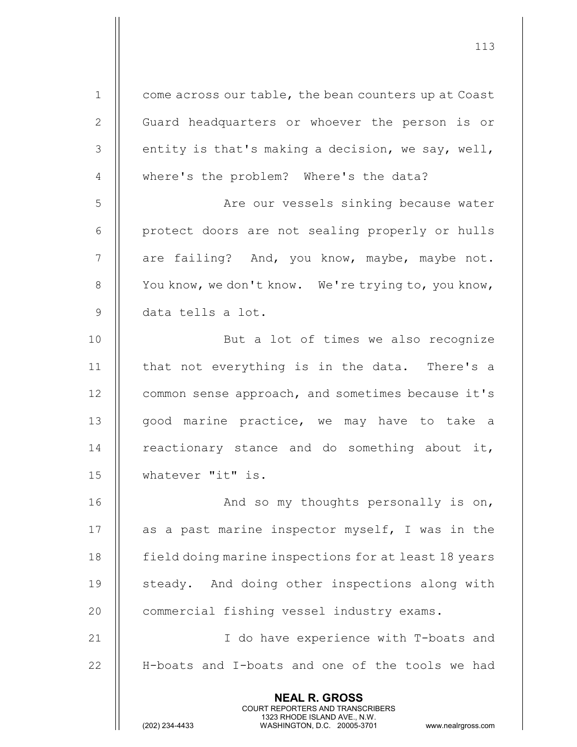NEAL R. GROSS COURT REPORTERS AND TRANSCRIBERS 1323 RHODE ISLAND AVE., N.W.<br>WASHINGTON, D.C. 20005-3701 1 | come across our table, the bean counters up at Coast 2 | Guard headquarters or whoever the person is or  $3$  || entity is that's making a decision, we say, well, 4 || where's the problem? Where's the data? 5 | Re our vessels sinking because water 6 || protect doors are not sealing properly or hulls  $7$  || are failing? And, you know, maybe, maybe not. 8 | You know, we don't know. We're trying to, you know, 9 data tells a lot. 10 || But a lot of times we also recognize 11 || that not everything is in the data. There's a 12 | common sense approach, and sometimes because it's 13 || good marine practice, we may have to take a 14  $\parallel$  reactionary stance and do something about it, 15 whatever "it" is. 16 || And so my thoughts personally is on, 17  $\parallel$  as a past marine inspector myself, I was in the 18 | field doing marine inspections for at least 18 years 19 || steady. And doing other inspections along with 20 | commercial fishing vessel industry exams. 21 || I do have experience with T-boats and 22 || H-boats and I-boats and one of the tools we had

113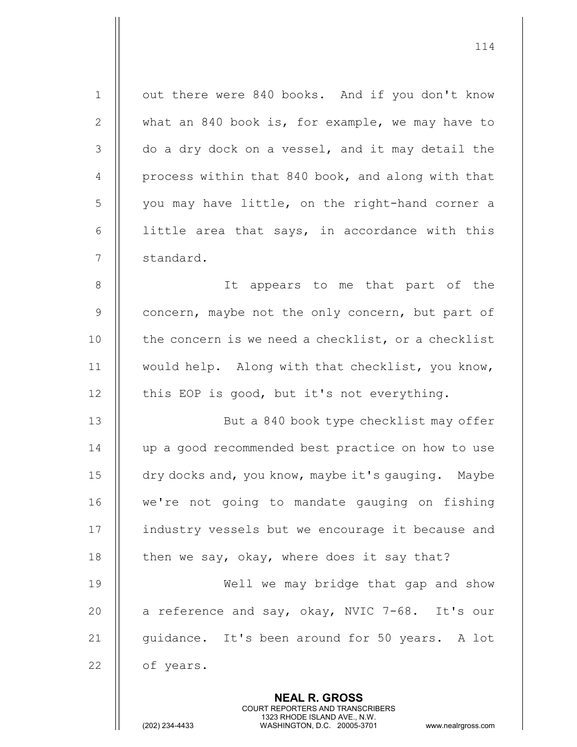| $\mathbf 1$    | out there were 840 books. And if you don't know    |
|----------------|----------------------------------------------------|
| $\mathbf{2}$   | what an 840 book is, for example, we may have to   |
| 3              | do a dry dock on a vessel, and it may detail the   |
| $\overline{4}$ | process within that 840 book, and along with that  |
| 5              | you may have little, on the right-hand corner a    |
| 6              | little area that says, in accordance with this     |
| 7              | standard.                                          |
| 8              | It appears to me that part of the                  |
| $\mathsf 9$    | concern, maybe not the only concern, but part of   |
| 10             | the concern is we need a checklist, or a checklist |
| 11             | would help. Along with that checklist, you know,   |
| 12             | this EOP is good, but it's not everything.         |
| 13             | But a 840 book type checklist may offer            |
| 14             | up a good recommended best practice on how to use  |
| 15             | dry docks and, you know, maybe it's gauging. Maybe |
| 16             | we're not going to mandate gauging on fishing      |
| 17             | industry vessels but we encourage it because and   |
| 18             | then we say, okay, where does it say that?         |
| 19             | Well we may bridge that gap and show               |
| 20             | a reference and say, okay, NVIC 7-68. It's our     |
| 21             | guidance. It's been around for 50 years. A lot     |
| 22             | of years.                                          |
|                | <b>NEAL R. GROSS</b>                               |

 COURT REPORTERS AND TRANSCRIBERS 1323 RHODE ISLAND AVE., N.W.

 $\parallel$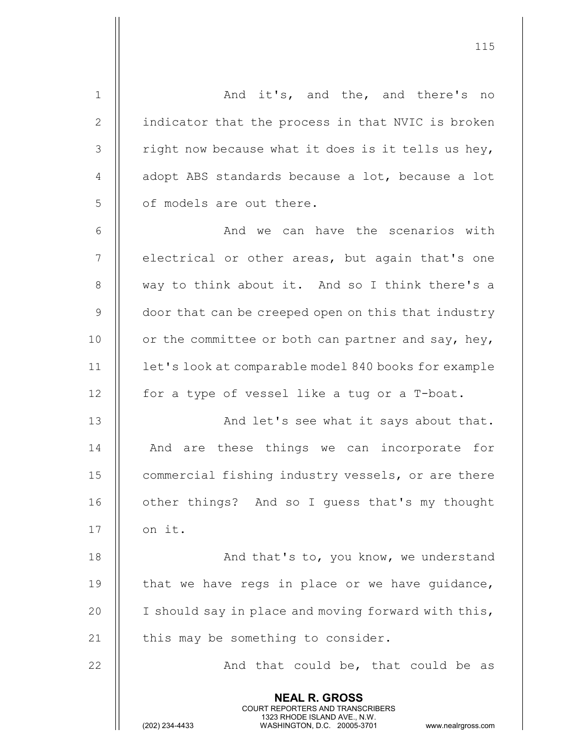NEAL R. GROSS 1 And it's, and the, and there's no 2 | indicator that the process in that NVIC is broken  $3$  | right now because what it does is it tells us hey, 4  $\parallel$  adopt ABS standards because a lot, because a lot  $5$   $\parallel$  of models are out there. 6 And we can have the scenarios with  $7$   $\parallel$  electrical or other areas, but again that's one 8 || way to think about it. And so I think there's a 9 | door that can be creeped open on this that industry 10  $\parallel$  or the committee or both can partner and say, hey, 11 | let's look at comparable model 840 books for example 12  $\parallel$  for a type of vessel like a tug or a T-boat. 13 || And let's see what it says about that. 14 || And are these things we can incorporate for 15 | commercial fishing industry vessels, or are there 16 | other things? And so I guess that's my thought  $17$  | on it. 18 || And that's to, you know, we understand 19  $\parallel$  that we have regs in place or we have quidance, 20 | I should say in place and moving forward with this, 21  $\parallel$  this may be something to consider. 22  $\parallel$  and that could be, that could be as

COURT REPORTERS AND TRANSCRIBERS

1323 RHODE ISLAND AVE., N.W.<br>WASHINGTON, D.C. 20005-3701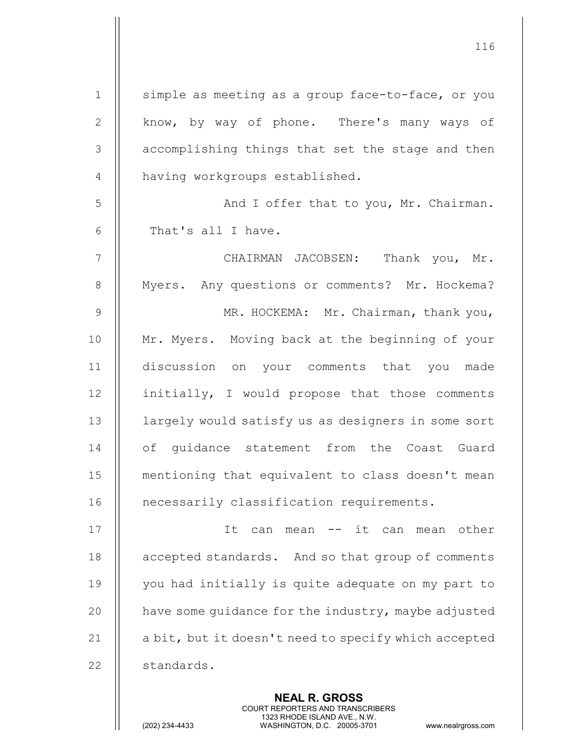| $\mathbf 1$    | simple as meeting as a group face-to-face, or you    |
|----------------|------------------------------------------------------|
| $\mathbf{2}$   | know, by way of phone. There's many ways of          |
| 3              | accomplishing things that set the stage and then     |
| $\overline{4}$ | having workgroups established.                       |
| 5              | And I offer that to you, Mr. Chairman.               |
| 6              | That's all I have.                                   |
| $\overline{7}$ | CHAIRMAN JACOBSEN: Thank you, Mr.                    |
| $8\,$          | Myers. Any questions or comments? Mr. Hockema?       |
| $\mathsf 9$    | MR. HOCKEMA: Mr. Chairman, thank you,                |
| 10             | Mr. Myers. Moving back at the beginning of your      |
| 11             | discussion on your comments that you<br>made         |
| 12             | initially, I would propose that those comments       |
| 13             | largely would satisfy us as designers in some sort   |
| 14             | of quidance statement from the Coast Guard           |
| 15             | mentioning that equivalent to class doesn't mean     |
| 16             | necessarily classification requirements.             |
| 17             | it can<br>other<br>It<br>can<br>mean<br>mean<br>——   |
| 18             | accepted standards. And so that group of comments    |
| 19             | you had initially is quite adequate on my part to    |
| 20             | have some quidance for the industry, maybe adjusted  |
| 21             | a bit, but it doesn't need to specify which accepted |
| 22             | standards.                                           |

NEAL R. GROSS

 COURT REPORTERS AND TRANSCRIBERS 1323 RHODE ISLAND AVE., N.W.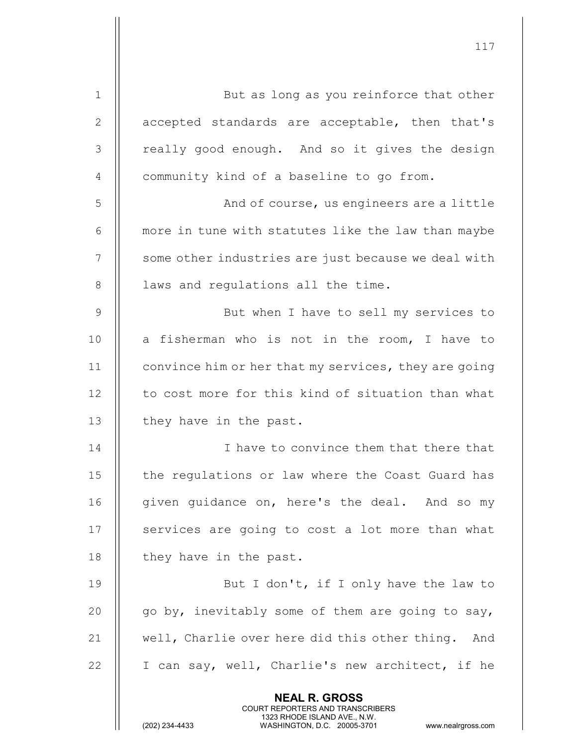| $\mathbf 1$  | But as long as you reinforce that other                                                                                                                                |
|--------------|------------------------------------------------------------------------------------------------------------------------------------------------------------------------|
| $\mathbf{2}$ | accepted standards are acceptable, then that's                                                                                                                         |
| 3            | really good enough. And so it gives the design                                                                                                                         |
| 4            | community kind of a baseline to go from.                                                                                                                               |
| 5            | And of course, us engineers are a little                                                                                                                               |
| 6            | more in tune with statutes like the law than maybe                                                                                                                     |
| 7            | some other industries are just because we deal with                                                                                                                    |
| $8\,$        | laws and regulations all the time.                                                                                                                                     |
| 9            | But when I have to sell my services to                                                                                                                                 |
| 10           | a fisherman who is not in the room, I have to                                                                                                                          |
| 11           | convince him or her that my services, they are going                                                                                                                   |
| 12           | to cost more for this kind of situation than what                                                                                                                      |
| 13           | they have in the past.                                                                                                                                                 |
| 14           | I have to convince them that there that                                                                                                                                |
| 15           | the regulations or law where the Coast Guard has                                                                                                                       |
| 16           | given quidance on, here's the deal. And so my                                                                                                                          |
| 17           | services are going to cost a lot more than what                                                                                                                        |
| 18           | they have in the past.                                                                                                                                                 |
| 19           | But I don't, if I only have the law to                                                                                                                                 |
| 20           | go by, inevitably some of them are going to say,                                                                                                                       |
| 21           | well, Charlie over here did this other thing. And                                                                                                                      |
| 22           | I can say, well, Charlie's new architect, if he                                                                                                                        |
|              | <b>NEAL R. GROSS</b><br><b>COURT REPORTERS AND TRANSCRIBERS</b><br>1323 RHODE ISLAND AVE., N.W.<br>(202) 234-4433<br>WASHINGTON, D.C. 20005-3701<br>www.nealrgross.com |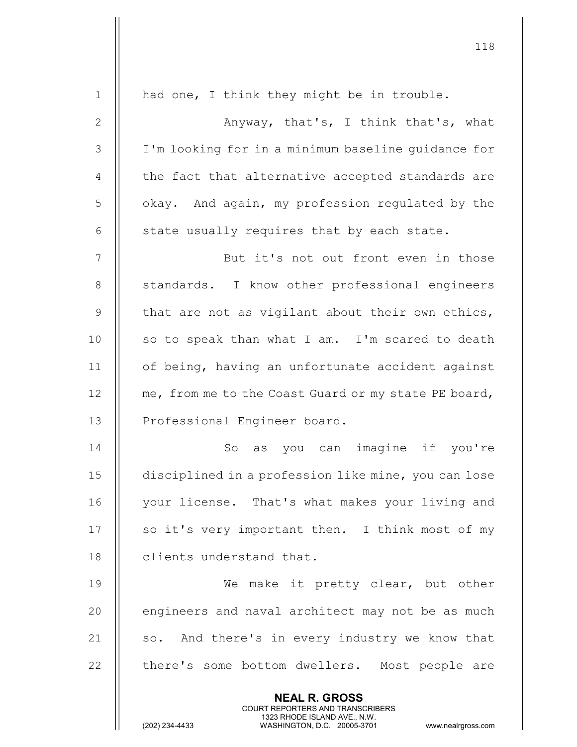| $\mathbf 1$      | had one, I think they might be in trouble.                                                                                                                      |
|------------------|-----------------------------------------------------------------------------------------------------------------------------------------------------------------|
| 2                | Anyway, that's, I think that's, what                                                                                                                            |
| $\mathfrak{Z}$   | I'm looking for in a minimum baseline guidance for                                                                                                              |
| 4                | the fact that alternative accepted standards are                                                                                                                |
| 5                | okay. And again, my profession regulated by the                                                                                                                 |
| 6                | state usually requires that by each state.                                                                                                                      |
| $\boldsymbol{7}$ | But it's not out front even in those                                                                                                                            |
| $8\,$            | standards. I know other professional engineers                                                                                                                  |
| $\mathcal{G}$    | that are not as vigilant about their own ethics,                                                                                                                |
| 10               | so to speak than what I am. I'm scared to death                                                                                                                 |
| 11               | of being, having an unfortunate accident against                                                                                                                |
| 12               | me, from me to the Coast Guard or my state PE board,                                                                                                            |
| 13               | Professional Engineer board.                                                                                                                                    |
| 14               | as you can imagine if you're<br>So                                                                                                                              |
| 15               | disciplined in a profession like mine, you can lose                                                                                                             |
| 16               | your license. That's what makes your living and                                                                                                                 |
| 17               | so it's very important then. I think most of my                                                                                                                 |
| 18               | clients understand that.                                                                                                                                        |
| 19               | We make it pretty clear, but other                                                                                                                              |
| 20               | engineers and naval architect may not be as much                                                                                                                |
| 21               | so. And there's in every industry we know that                                                                                                                  |
| 22               | there's some bottom dwellers. Most people are                                                                                                                   |
|                  | <b>NEAL R. GROSS</b><br>COURT REPORTERS AND TRANSCRIBERS<br>1323 RHODE ISLAND AVE., N.W.<br>(202) 234-4433<br>WASHINGTON, D.C. 20005-3701<br>www.nealrgross.com |

 $\mathsf{||}$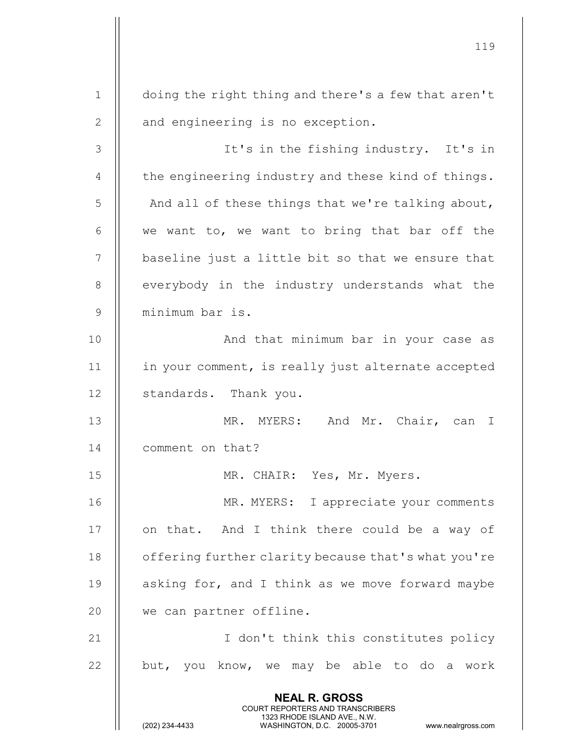119 NEAL R. GROSS COURT REPORTERS AND TRANSCRIBERS 1323 RHODE ISLAND AVE., N.W.<br>WASHINGTON, D.C. 20005-3701 WASHINGTON, D.C. 20005-3701 www.nealrgross.com 1 doing the right thing and there's a few that aren't 2 || and engineering is no exception. 3 It's in the fishing industry. It's in 4  $\parallel$  the engineering industry and these kind of things.  $5$  | And all of these things that we're talking about, 6  $\parallel$  we want to, we want to bring that bar off the  $7$   $\parallel$  baseline just a little bit so that we ensure that 8 || everybody in the industry understands what the 9 minimum bar is. 10 And that minimum bar in your case as 11 || in your comment, is really just alternate accepted 12 | standards. Thank you. 13 || MR. MYERS: And Mr. Chair, can I 14 | comment on that? 15 MR. CHAIR: Yes, Mr. Myers. 16 MR. MYERS: I appreciate your comments 17 || on that. And I think there could be a way of 18 | offering further clarity because that's what you're 19  $\parallel$  asking for, and I think as we move forward maybe 20 | we can partner offline. 21 || T don't think this constitutes policy  $22$  || but, you know, we may be able to do a work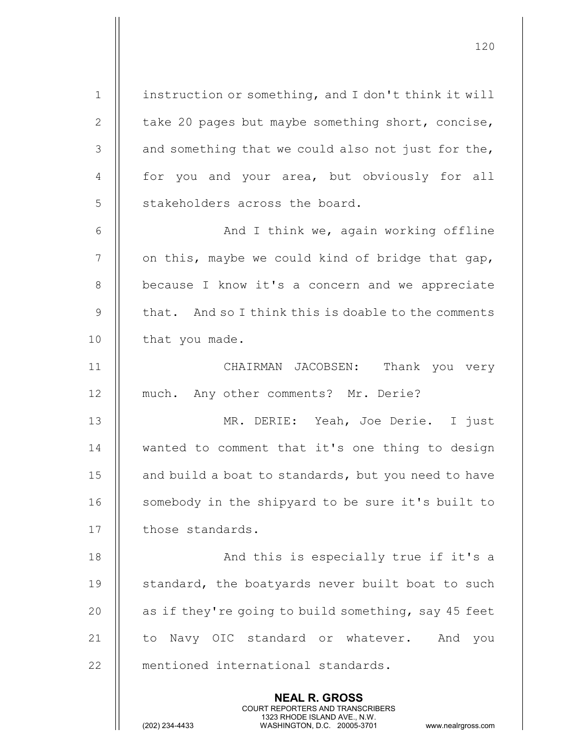NEAL R. GROSS COURT REPORTERS AND TRANSCRIBERS 1 | instruction or something, and I don't think it will 2 | take 20 pages but maybe something short, concise,  $3$  | and something that we could also not just for the, 4 || for you and your area, but obviously for all  $5$   $\parallel$  stakeholders across the board. 6  $\parallel$  and I think we, again working offline  $7$  | on this, maybe we could kind of bridge that gap, 8 | because I know it's a concern and we appreciate 9  $\parallel$  that. And so I think this is doable to the comments 10 | that you made. 11 || CHAIRMAN JACOBSEN: Thank you very 12 || much. Any other comments? Mr. Derie? 13 MR. DERIE: Yeah, Joe Derie. I just 14 || wanted to comment that it's one thing to design 15 | and build a boat to standards, but you need to have 16 || somebody in the shipyard to be sure it's built to 17 | those standards. 18 || And this is especially true if it's a 19 || standard, the boatyards never built boat to such 20  $\parallel$  as if they're going to build something, say 45 feet 21 || to Navy OIC standard or whatever. And you 22 || mentioned international standards.

120

1323 RHODE ISLAND AVE., N.W.<br>WASHINGTON, D.C. 20005-3701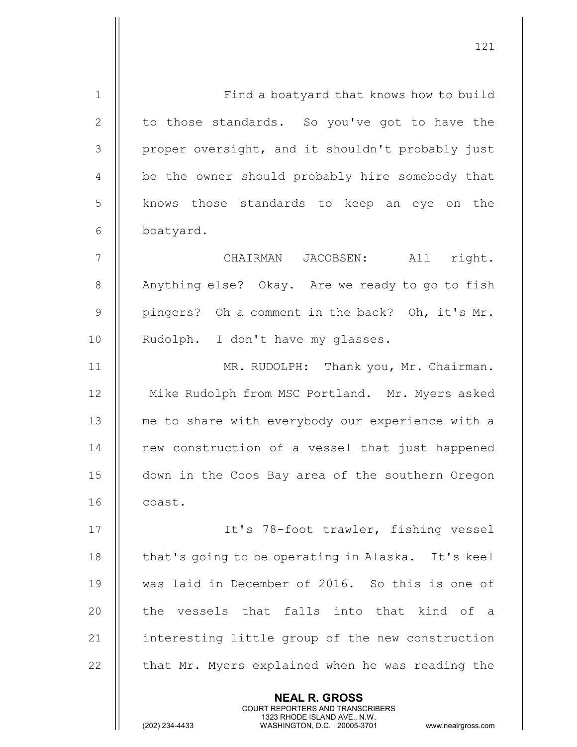| $\mathbf 1$    | Find a boatyard that knows how to build           |
|----------------|---------------------------------------------------|
| $\mathbf{2}$   | to those standards. So you've got to have the     |
| 3              | proper oversight, and it shouldn't probably just  |
| 4              | be the owner should probably hire somebody that   |
| 5              | knows those standards to keep an eye on the       |
| 6              | boatyard.                                         |
| $\overline{7}$ | CHAIRMAN JACOBSEN: All<br>right.                  |
| $8\,$          | Anything else? Okay. Are we ready to go to fish   |
| $\mathcal{G}$  | pingers? Oh a comment in the back? Oh, it's Mr.   |
| 10             | Rudolph. I don't have my glasses.                 |
| 11             | MR. RUDOLPH: Thank you, Mr. Chairman.             |
| 12             | Mike Rudolph from MSC Portland. Mr. Myers asked   |
| 13             | me to share with everybody our experience with a  |
| 14             | new construction of a vessel that just happened   |
| 15             | down in the Coos Bay area of the southern Oregon  |
| 16             | coast.                                            |
| 17             | It's 78-foot trawler, fishing vessel              |
| 18             | that's going to be operating in Alaska. It's keel |
| 19             | was laid in December of 2016. So this is one of   |
| 20             | the vessels that falls into that kind of a        |
| 21             | interesting little group of the new construction  |
| 22             | that Mr. Myers explained when he was reading the  |
|                | <b>NEAL R. GROSS</b>                              |

 COURT REPORTERS AND TRANSCRIBERS 1323 RHODE ISLAND AVE., N.W.

 $\prod$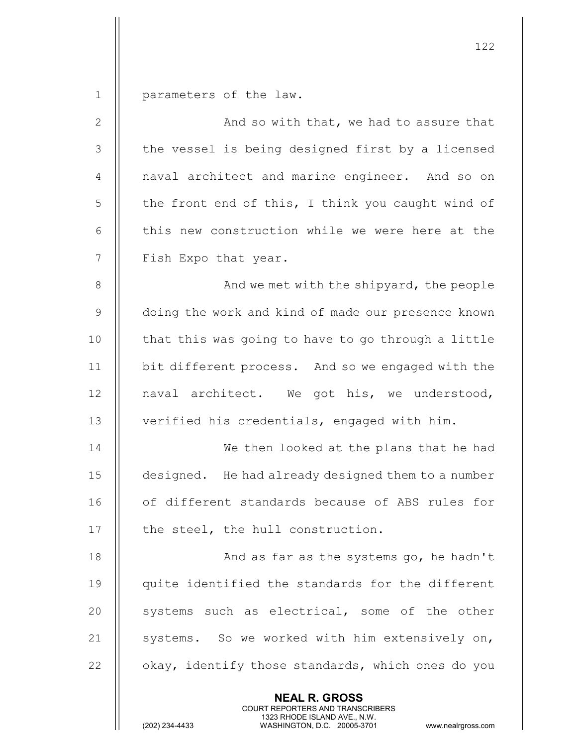1 | parameters of the law.

| $\mathbf{2}$   | And so with that, we had to assure that            |
|----------------|----------------------------------------------------|
| 3              | the vessel is being designed first by a licensed   |
| $\overline{4}$ | naval architect and marine engineer. And so on     |
| 5              | the front end of this, I think you caught wind of  |
| 6              | this new construction while we were here at the    |
| $\overline{7}$ | Fish Expo that year.                               |
| $8\,$          | And we met with the shipyard, the people           |
| 9              | doing the work and kind of made our presence known |
| 10             | that this was going to have to go through a little |
| 11             | bit different process. And so we engaged with the  |
| 12             | naval architect. We got his, we understood,        |
| 13             | verified his credentials, engaged with him.        |
| 14             | We then looked at the plans that he had            |
| 15             | designed. He had already designed them to a number |
| 16             | of different standards because of ABS rules for    |
| 17             | the steel, the hull construction.                  |
| 18             | And as far as the systems go, he hadn't            |
| 19             | quite identified the standards for the different   |
| 20             | systems such as electrical, some of the other      |
| 21             | systems. So we worked with him extensively on,     |
| 22             | okay, identify those standards, which ones do you  |
|                | <b>NEAL R. GROSS</b>                               |

 COURT REPORTERS AND TRANSCRIBERS 1323 RHODE ISLAND AVE., N.W.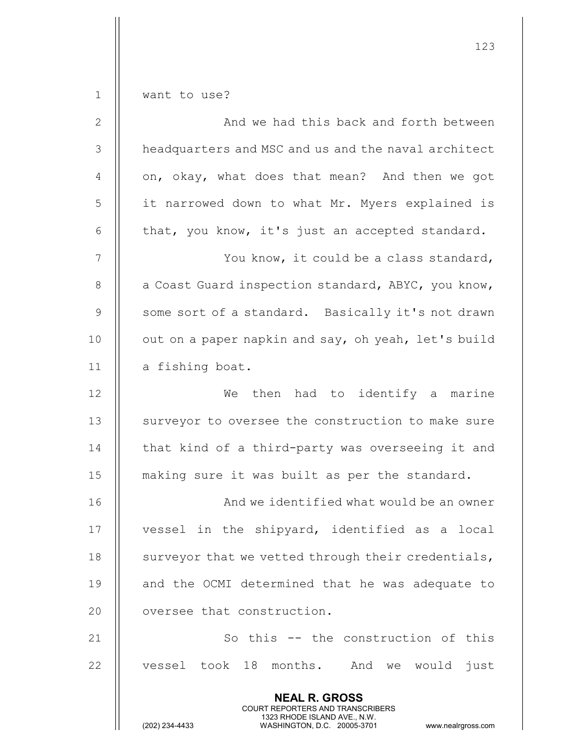| $1\,$          | want to use?                                                                                                                                                    |
|----------------|-----------------------------------------------------------------------------------------------------------------------------------------------------------------|
| $\mathbf{2}$   | And we had this back and forth between                                                                                                                          |
| 3              | headquarters and MSC and us and the naval architect                                                                                                             |
| 4              | on, okay, what does that mean? And then we got                                                                                                                  |
| 5              | it narrowed down to what Mr. Myers explained is                                                                                                                 |
| 6              | that, you know, it's just an accepted standard.                                                                                                                 |
| $\overline{7}$ | You know, it could be a class standard,                                                                                                                         |
| 8              | a Coast Guard inspection standard, ABYC, you know,                                                                                                              |
| $\mathsf 9$    | some sort of a standard. Basically it's not drawn                                                                                                               |
| 10             | out on a paper napkin and say, oh yeah, let's build                                                                                                             |
| 11             | a fishing boat.                                                                                                                                                 |
| 12             | then had to identify a marine<br>We                                                                                                                             |
| 13             | surveyor to oversee the construction to make sure                                                                                                               |
| 14             | that kind of a third-party was overseeing it and                                                                                                                |
| 15             | making sure it was built as per the standard.                                                                                                                   |
| 16             | And we identified what would be an owner                                                                                                                        |
| 17             | vessel in the shipyard, identified as a local                                                                                                                   |
| 18             | surveyor that we vetted through their credentials,                                                                                                              |
| 19             | and the OCMI determined that he was adequate to                                                                                                                 |
| 20             | oversee that construction.                                                                                                                                      |
| 21             | So this -- the construction of this                                                                                                                             |
| 22             | vessel took 18<br>months.<br>And<br>just<br>we would                                                                                                            |
|                | <b>NEAL R. GROSS</b><br>COURT REPORTERS AND TRANSCRIBERS<br>1323 RHODE ISLAND AVE., N.W.<br>(202) 234-4433<br>WASHINGTON, D.C. 20005-3701<br>www.nealrgross.com |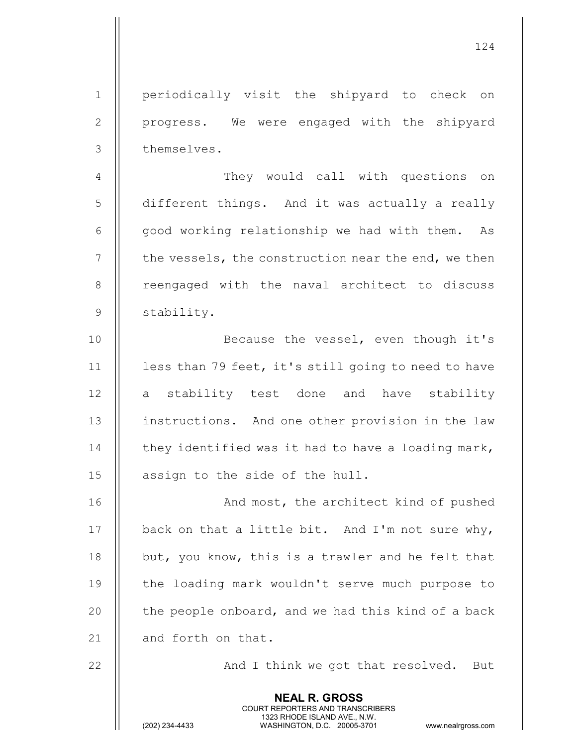1 || periodically visit the shipyard to check on 2 || progress. We were engaged with the shipyard 3 | themselves.

4 | They would call with questions on 5 different things. And it was actually a really 6  $\parallel$  good working relationship we had with them. As  $7 \parallel$  the vessels, the construction near the end, we then 8 || reengaged with the naval architect to discuss 9 Stability.

10 || Because the vessel, even though it's 11 | less than 79 feet, it's still going to need to have 12 || a stability test done and have stability 13 || instructions. And one other provision in the law 14  $\parallel$  they identified was it had to have a loading mark, 15 || assign to the side of the hull.

16 || And most, the architect kind of pushed  $\parallel$  back on that a little bit. And I'm not sure why,  $\parallel$  but, you know, this is a trawler and he felt that 19 || the loading mark wouldn't serve much purpose to  $\parallel$  the people onboard, and we had this kind of a back  $\parallel$  and forth on that.

> NEAL R. GROSS COURT REPORTERS AND TRANSCRIBERS

22 || And I think we got that resolved. But

1323 RHODE ISLAND AVE., N.W.<br>WASHINGTON, D.C. 20005-3701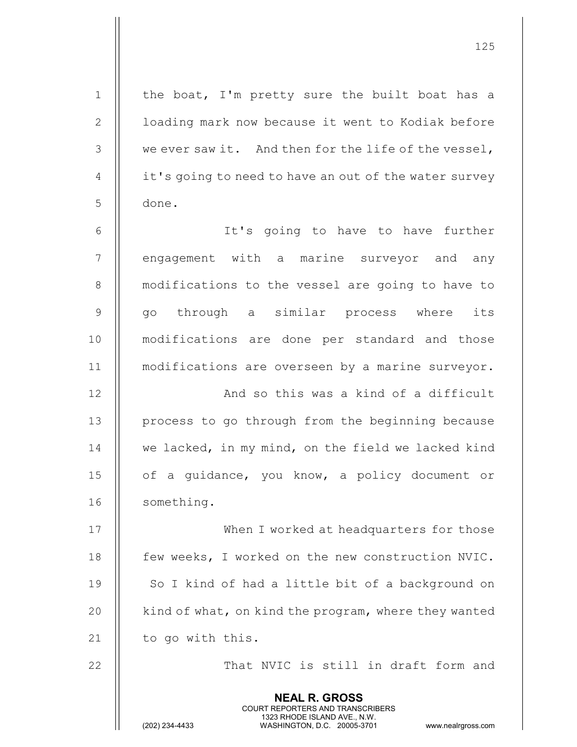NEAL R. GROSS COURT REPORTERS AND TRANSCRIBERS 1323 RHODE ISLAND AVE., N.W.<br>WASHINGTON, D.C. 20005-3701 WASHINGTON, D.C. 20005-3701 www.nealrgross.com 1 || the boat, I'm pretty sure the built boat has a 2 | | loading mark now because it went to Kodiak before 3 || we ever saw it. And then for the life of the vessel,  $4 \parallel$  it's going to need to have an out of the water survey 5 done. 6 It's going to have to have further 7 || engagement with a marine surveyor and any 8 | modifications to the vessel are going to have to 9 || qo through a similar process where its 10 modifications are done per standard and those 11 modifications are overseen by a marine surveyor. 12 || And so this was a kind of a difficult 13 | process to go through from the beginning because 14 || we lacked, in my mind, on the field we lacked kind 15 || of a quidance, you know, a policy document or 16 || something. 17 || When I worked at headquarters for those 18 | few weeks, I worked on the new construction NVIC. 19 || So I kind of had a little bit of a background on 20  $\parallel$  kind of what, on kind the program, where they wanted 21 | to go with this. 22 That NVIC is still in draft form and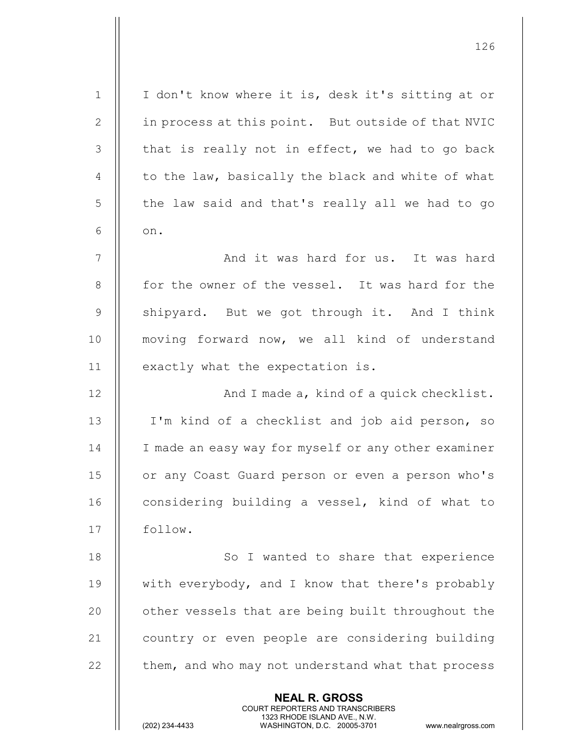| $\mathbf 1$ | I don't know where it is, desk it's sitting at or                                                                                                                      |
|-------------|------------------------------------------------------------------------------------------------------------------------------------------------------------------------|
| 2           | in process at this point. But outside of that NVIC                                                                                                                     |
| 3           | that is really not in effect, we had to go back                                                                                                                        |
| 4           | to the law, basically the black and white of what                                                                                                                      |
| 5           | the law said and that's really all we had to go                                                                                                                        |
| 6           | on.                                                                                                                                                                    |
| 7           | And it was hard for us. It was hard                                                                                                                                    |
| 8           | for the owner of the vessel. It was hard for the                                                                                                                       |
| $\mathsf 9$ | shipyard. But we got through it. And I think                                                                                                                           |
| 10          | moving forward now, we all kind of understand                                                                                                                          |
| 11          | exactly what the expectation is.                                                                                                                                       |
| 12          | And I made a, kind of a quick checklist.                                                                                                                               |
| 13          | I'm kind of a checklist and job aid person, so                                                                                                                         |
| 14          | I made an easy way for myself or any other examiner                                                                                                                    |
| 15          | or any Coast Guard person or even a person who's                                                                                                                       |
| 16          | considering building a vessel, kind of what to                                                                                                                         |
| 17          | follow.                                                                                                                                                                |
| 18          | So I wanted to share that experience                                                                                                                                   |
| 19          | with everybody, and I know that there's probably                                                                                                                       |
| 20          | other vessels that are being built throughout the                                                                                                                      |
| 21          | country or even people are considering building                                                                                                                        |
| 22          | them, and who may not understand what that process                                                                                                                     |
|             | <b>NEAL R. GROSS</b><br><b>COURT REPORTERS AND TRANSCRIBERS</b><br>1323 RHODE ISLAND AVE., N.W.<br>(202) 234-4433<br>WASHINGTON, D.C. 20005-3701<br>www.nealrgross.com |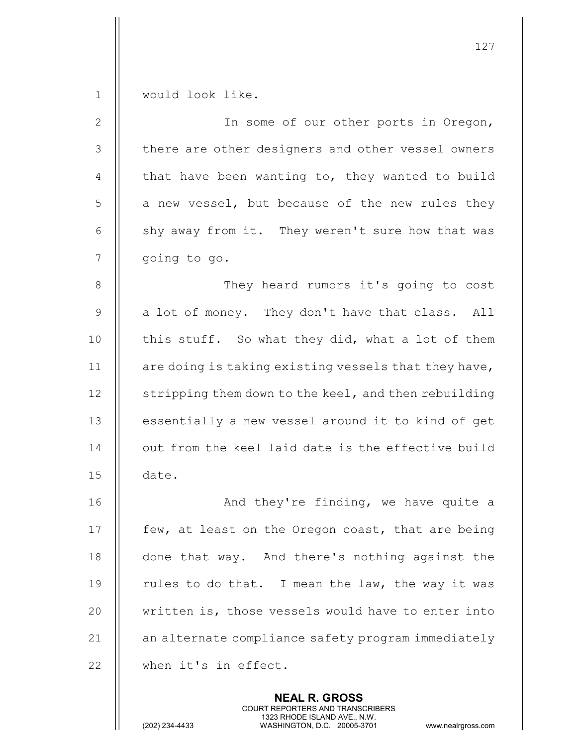| $\mathbf 1$    | would look like.                                                                                                                                                |
|----------------|-----------------------------------------------------------------------------------------------------------------------------------------------------------------|
| $\mathbf{2}$   | In some of our other ports in Oregon,                                                                                                                           |
| 3              | there are other designers and other vessel owners                                                                                                               |
| 4              | that have been wanting to, they wanted to build                                                                                                                 |
| 5              | a new vessel, but because of the new rules they                                                                                                                 |
| 6              | shy away from it. They weren't sure how that was                                                                                                                |
| $\overline{7}$ | going to go.                                                                                                                                                    |
| $8\,$          | They heard rumors it's going to cost                                                                                                                            |
| $\mathsf 9$    | a lot of money. They don't have that class. All                                                                                                                 |
| 10             | this stuff. So what they did, what a lot of them                                                                                                                |
| 11             | are doing is taking existing vessels that they have,                                                                                                            |
| 12             | stripping them down to the keel, and then rebuilding                                                                                                            |
| 13             | essentially a new vessel around it to kind of get                                                                                                               |
| 14             | out from the keel laid date is the effective build                                                                                                              |
| 15             | date.                                                                                                                                                           |
| 16             | And they're finding, we have quite a                                                                                                                            |
| 17             | few, at least on the Oregon coast, that are being                                                                                                               |
| 18             | done that way. And there's nothing against the                                                                                                                  |
| 19             | rules to do that. I mean the law, the way it was                                                                                                                |
| 20             | written is, those vessels would have to enter into                                                                                                              |
| 21             | an alternate compliance safety program immediately                                                                                                              |
| 22             | when it's in effect.                                                                                                                                            |
|                | <b>NEAL R. GROSS</b><br>COURT REPORTERS AND TRANSCRIBERS<br>1323 RHODE ISLAND AVE., N.W.<br>(202) 234-4433<br>WASHINGTON, D.C. 20005-3701<br>www.nealrgross.com |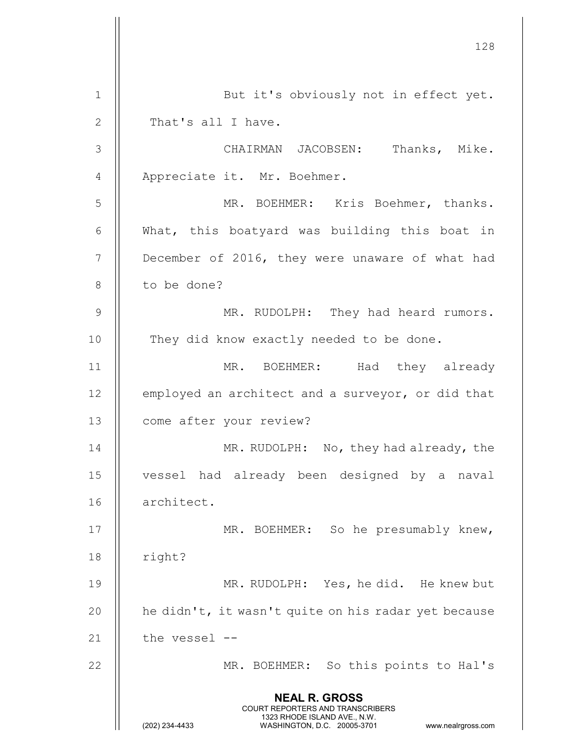128 NEAL R. GROSS COURT REPORTERS AND TRANSCRIBERS 1323 RHODE ISLAND AVE., N.W.<br>WASHINGTON, D.C. 20005-3701 WASHINGTON, D.C. WASHINGTON, D.C. 20005-3701 www.nealrgross.com 1 || But it's obviously not in effect yet. 2 || That's all I have. 3 CHAIRMAN JACOBSEN: Thanks, Mike. 4 || Appreciate it. Mr. Boehmer. 5 MR. BOEHMER: Kris Boehmer, thanks. 6  $\parallel$  What, this boatyard was building this boat in 7 | December of 2016, they were unaware of what had 8 || to be done? 9 || MR. RUDOLPH: They had heard rumors. 10 || They did know exactly needed to be done. 11 MR. BOEHMER: Had they already 12 | employed an architect and a surveyor, or did that 13 | come after your review? 14 || MR. RUDOLPH: No, they had already, the 15 vessel had already been designed by a naval 16 architect. 17 || MR. BOEHMER: So he presumably knew,  $18$  | right? 19 MR. RUDOLPH: Yes, he did. He knew but 20  $\parallel$  he didn't, it wasn't quite on his radar yet because  $21$  | the vessel --22 MR. BOEHMER: So this points to Hal's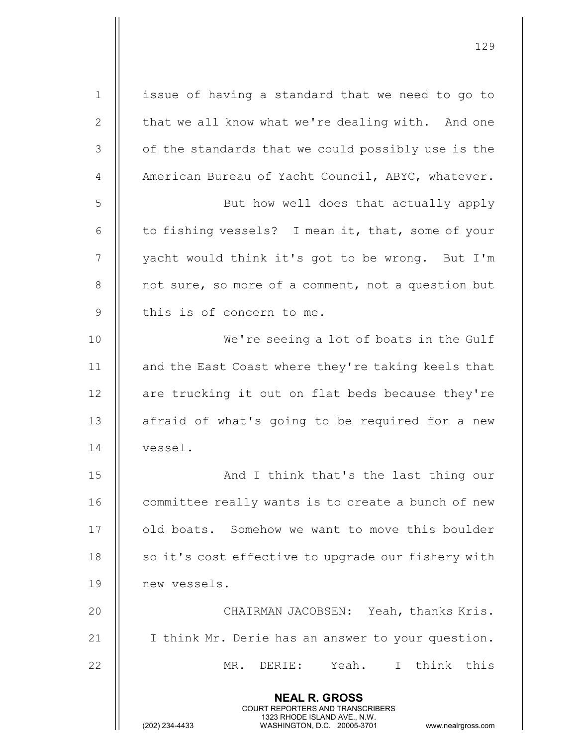NEAL R. GROSS COURT REPORTERS AND TRANSCRIBERS 1323 RHODE ISLAND AVE., N.W.<br>WASHINGTON, D.C. 20005-3701 WASHINGTON, D.C. 20005-3701 www.nealrgross.com 1 | issue of having a standard that we need to go to 2 | that we all know what we're dealing with. And one 3 || of the standards that we could possibly use is the 4 | American Bureau of Yacht Council, ABYC, whatever. 5 || But how well does that actually apply 6  $\parallel$  to fishing vessels? I mean it, that, some of your 7 || yacht would think it's got to be wrong. But I'm 8 || not sure, so more of a comment, not a question but  $9$  || this is of concern to me. 10 || We're seeing a lot of boats in the Gulf 11 || and the East Coast where they're taking keels that 12 || are trucking it out on flat beds because they're 13 || afraid of what's going to be required for a new 14 vessel. 15 And I think that's the last thing our 16 | committee really wants is to create a bunch of new 17 | old boats. Somehow we want to move this boulder 18  $\parallel$  so it's cost effective to upgrade our fishery with 19 new vessels. 20 CHAIRMAN JACOBSEN: Yeah, thanks Kris. 21 | I think Mr. Derie has an answer to your question. 22 MR. DERIE: Yeah. I think this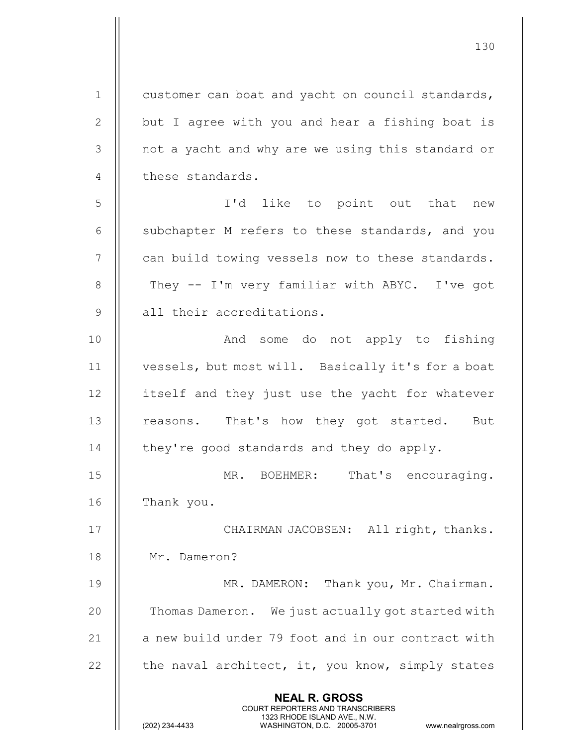| $\mathbf 1$    | customer can boat and yacht on council standards,                                                                                                                      |
|----------------|------------------------------------------------------------------------------------------------------------------------------------------------------------------------|
| $\mathbf{2}$   | but I agree with you and hear a fishing boat is                                                                                                                        |
| 3              | not a yacht and why are we using this standard or                                                                                                                      |
| 4              | these standards.                                                                                                                                                       |
| 5              | I'd like to point out that new                                                                                                                                         |
| 6              | subchapter M refers to these standards, and you                                                                                                                        |
| $\overline{7}$ | can build towing vessels now to these standards.                                                                                                                       |
| 8              | They -- I'm very familiar with ABYC. I've got                                                                                                                          |
| 9              | all their accreditations.                                                                                                                                              |
| 10             | And some do not apply to fishing                                                                                                                                       |
| 11             | vessels, but most will. Basically it's for a boat                                                                                                                      |
| 12             | itself and they just use the yacht for whatever                                                                                                                        |
| 13             | reasons. That's how they got started. But                                                                                                                              |
| 14             | they're good standards and they do apply.                                                                                                                              |
| 15             | That's encouraging.<br>MR. BOEHMER:                                                                                                                                    |
| 16             | Thank you.                                                                                                                                                             |
| 17             | CHAIRMAN JACOBSEN: All right, thanks.                                                                                                                                  |
| 18             | Mr. Dameron?                                                                                                                                                           |
| 19             | MR. DAMERON: Thank you, Mr. Chairman.                                                                                                                                  |
| 20             | Thomas Dameron. We just actually got started with                                                                                                                      |
| 21             | a new build under 79 foot and in our contract with                                                                                                                     |
| 22             | the naval architect, it, you know, simply states                                                                                                                       |
|                | <b>NEAL R. GROSS</b><br><b>COURT REPORTERS AND TRANSCRIBERS</b><br>1323 RHODE ISLAND AVE., N.W.<br>(202) 234-4433<br>WASHINGTON, D.C. 20005-3701<br>www.nealrgross.com |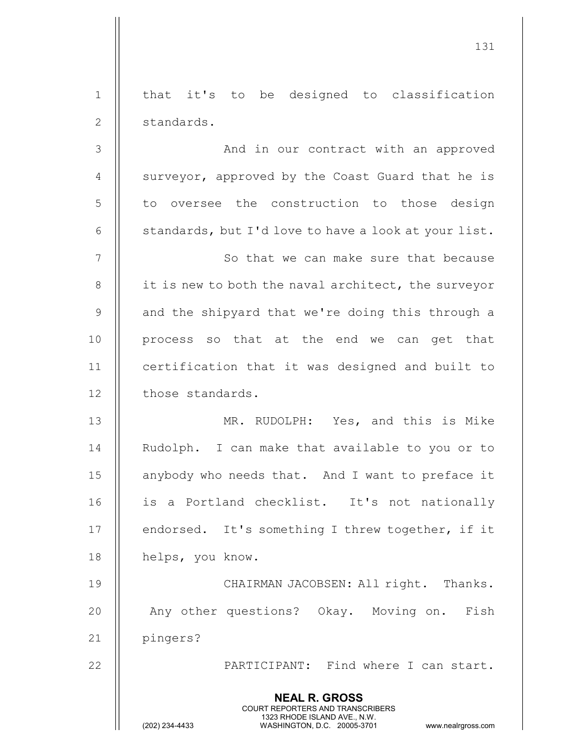|                | <b>NEAL R. GROSS</b><br>COURT REPORTERS AND TRANSCRIBERS<br>1323 RHODE ISLAND AVE., N.W.<br>(202) 234-4433<br>WASHINGTON, D.C. 20005-3701<br>www.nealrgross.com |
|----------------|-----------------------------------------------------------------------------------------------------------------------------------------------------------------|
| 22             | PARTICIPANT: Find where I can start.                                                                                                                            |
| 21             | pingers?                                                                                                                                                        |
| 20             | Any other questions? Okay. Moving on.<br>Fish                                                                                                                   |
| 19             | CHAIRMAN JACOBSEN: All right. Thanks.                                                                                                                           |
| 18             | helps, you know.                                                                                                                                                |
| 17             | endorsed. It's something I threw together, if it                                                                                                                |
| 16             | is a Portland checklist. It's not nationally                                                                                                                    |
| 15             | anybody who needs that. And I want to preface it                                                                                                                |
| 14             | Rudolph. I can make that available to you or to                                                                                                                 |
| 13             | MR. RUDOLPH: Yes, and this is Mike                                                                                                                              |
| 12             | those standards.                                                                                                                                                |
| 11             | certification that it was designed and built to                                                                                                                 |
| 10             | process so that at the end we can get that                                                                                                                      |
| $\mathsf 9$    | and the shipyard that we're doing this through a                                                                                                                |
| $8\,$          | it is new to both the naval architect, the surveyor                                                                                                             |
| $\overline{7}$ | So that we can make sure that because                                                                                                                           |
| 6              | standards, but I'd love to have a look at your list.                                                                                                            |
| 5              | to oversee the construction to those design                                                                                                                     |
| $\overline{4}$ | surveyor, approved by the Coast Guard that he is                                                                                                                |
| 3              | And in our contract with an approved                                                                                                                            |
| $\mathbf{2}$   | standards.                                                                                                                                                      |
| $\mathbf 1$    | that it's to be designed to classification                                                                                                                      |
|                |                                                                                                                                                                 |

 $\overline{\phantom{a}}$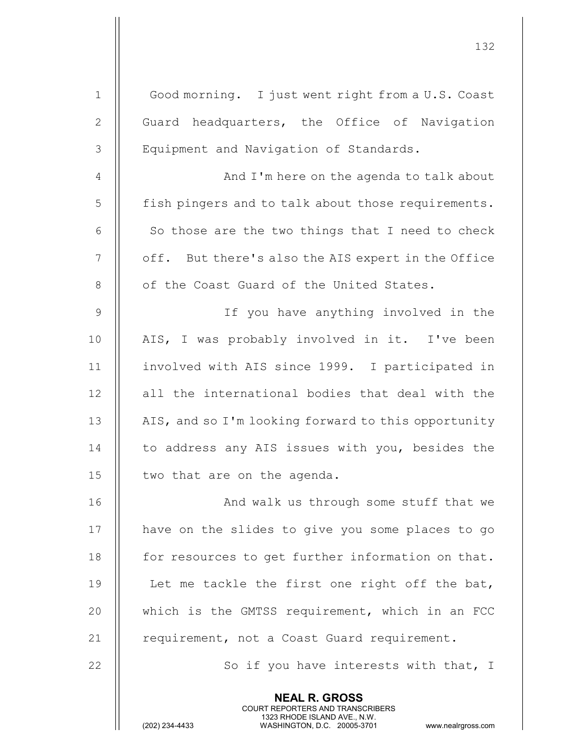| $1\,$          | Good morning. I just went right from a U.S. Coast                                                                                              |
|----------------|------------------------------------------------------------------------------------------------------------------------------------------------|
| $\mathbf{2}$   | Guard headquarters, the Office of Navigation                                                                                                   |
| $\mathfrak{Z}$ | Equipment and Navigation of Standards.                                                                                                         |
| $\overline{4}$ | And I'm here on the agenda to talk about                                                                                                       |
| 5              | fish pingers and to talk about those requirements.                                                                                             |
| $6\,$          | So those are the two things that I need to check                                                                                               |
| 7              | off. But there's also the AIS expert in the Office                                                                                             |
| $8\,$          | of the Coast Guard of the United States.                                                                                                       |
| $\mathsf 9$    | If you have anything involved in the                                                                                                           |
| 10             | AIS, I was probably involved in it. I've been                                                                                                  |
| 11             | involved with AIS since 1999. I participated in                                                                                                |
| 12             | all the international bodies that deal with the                                                                                                |
| 13             | AIS, and so I'm looking forward to this opportunity                                                                                            |
| 14             | to address any AIS issues with you, besides the                                                                                                |
| 15             | two that are on the agenda.                                                                                                                    |
| 16             | And walk us through some stuff that we                                                                                                         |
| 17             | have on the slides to give you some places to go                                                                                               |
| 18             | for resources to get further information on that.                                                                                              |
| 19             | Let me tackle the first one right off the bat,                                                                                                 |
| 20             | which is the GMTSS requirement, which in an FCC                                                                                                |
| 21             | requirement, not a Coast Guard requirement.                                                                                                    |
| 22             | So if you have interests with that, I                                                                                                          |
|                | <b>NEAL R. GROSS</b>                                                                                                                           |
|                | <b>COURT REPORTERS AND TRANSCRIBERS</b><br>1323 RHODE ISLAND AVE., N.W.<br>(202) 234-4433<br>WASHINGTON, D.C. 20005-3701<br>www.nealrgross.com |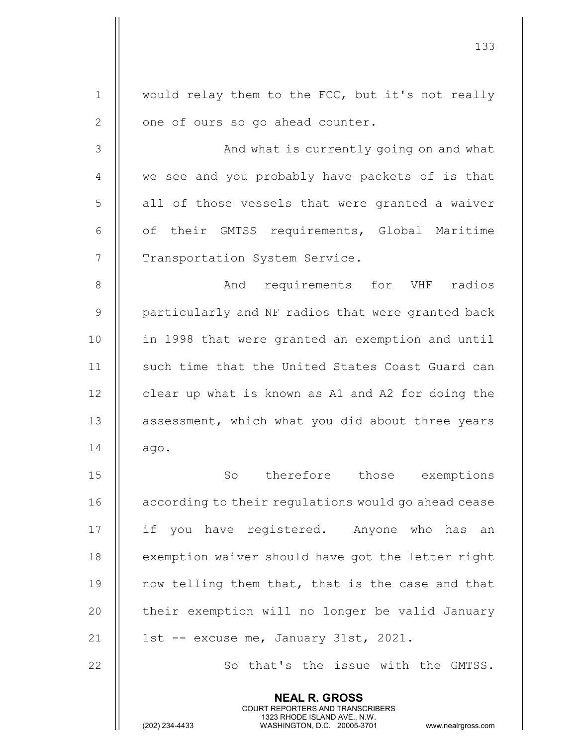| $\mathbf 1$    | would relay them to the FCC, but it's not really                                                                                                                |
|----------------|-----------------------------------------------------------------------------------------------------------------------------------------------------------------|
| $\mathbf{2}$   | one of ours so go ahead counter.                                                                                                                                |
| $\mathfrak{Z}$ | And what is currently going on and what                                                                                                                         |
| 4              | we see and you probably have packets of is that                                                                                                                 |
| 5              | all of those vessels that were granted a waiver                                                                                                                 |
| 6              | of their GMTSS requirements, Global Maritime                                                                                                                    |
| 7              | Transportation System Service.                                                                                                                                  |
| $\,8\,$        | And requirements for VHF radios                                                                                                                                 |
| $\mathsf 9$    | particularly and NF radios that were granted back                                                                                                               |
| 10             | in 1998 that were granted an exemption and until                                                                                                                |
| 11             | such time that the United States Coast Guard can                                                                                                                |
| 12             | clear up what is known as A1 and A2 for doing the                                                                                                               |
| 13             | assessment, which what you did about three years                                                                                                                |
| 14             | ago.                                                                                                                                                            |
| 15             | So therefore those exemptions                                                                                                                                   |
| 16             | according to their regulations would go ahead cease                                                                                                             |
| 17             | if you have registered. Anyone who has an                                                                                                                       |
| 18             | exemption waiver should have got the letter right                                                                                                               |
| 19             | now telling them that, that is the case and that                                                                                                                |
| 20             | their exemption will no longer be valid January                                                                                                                 |
| 21             | 1st -- excuse me, January 31st, 2021.                                                                                                                           |
| 22             | So that's the issue with the GMTSS.                                                                                                                             |
|                | <b>NEAL R. GROSS</b><br>COURT REPORTERS AND TRANSCRIBERS<br>1323 RHODE ISLAND AVE., N.W.<br>(202) 234-4433<br>WASHINGTON, D.C. 20005-3701<br>www.nealrgross.com |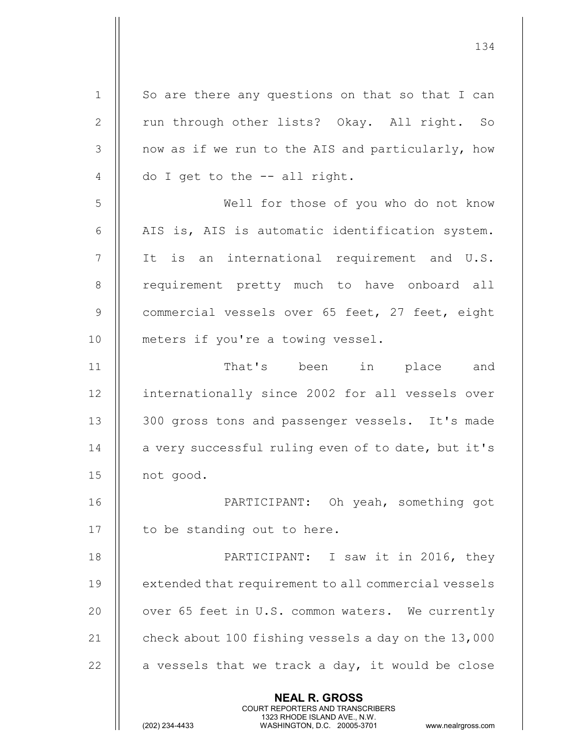NEAL R. GROSS COURT REPORTERS AND TRANSCRIBERS 1323 RHODE ISLAND AVE., N.W.<br>WASHINGTON, D.C. 20005-3701  $1 \parallel$  So are there any questions on that so that I can 2 || run through other lists? Okay. All right. So 3 || now as if we run to the AIS and particularly, how  $4 \parallel$  do I get to the -- all right. 5 Well for those of you who do not know 6 || AIS is, AIS is automatic identification system. 7 || It is an international requirement and U.S. 8 || requirement pretty much to have onboard all 9 Commercial vessels over 65 feet, 27 feet, eight 10 || meters if you're a towing vessel. 11 That's been in place and 12 || internationally since 2002 for all vessels over 13 || 300 gross tons and passenger vessels. It's made  $14$  | a very successful ruling even of to date, but it's 15 not good. 16 || PARTICIPANT: Oh yeah, something got 17 || to be standing out to here. 18 PARTICIPANT: I saw it in 2016, they 19 | extended that requirement to all commercial vessels 20 || over 65 feet in U.S. common waters. We currently 21  $\parallel$  check about 100 fishing vessels a day on the 13,000 22  $\parallel$  a vessels that we track a day, it would be close

134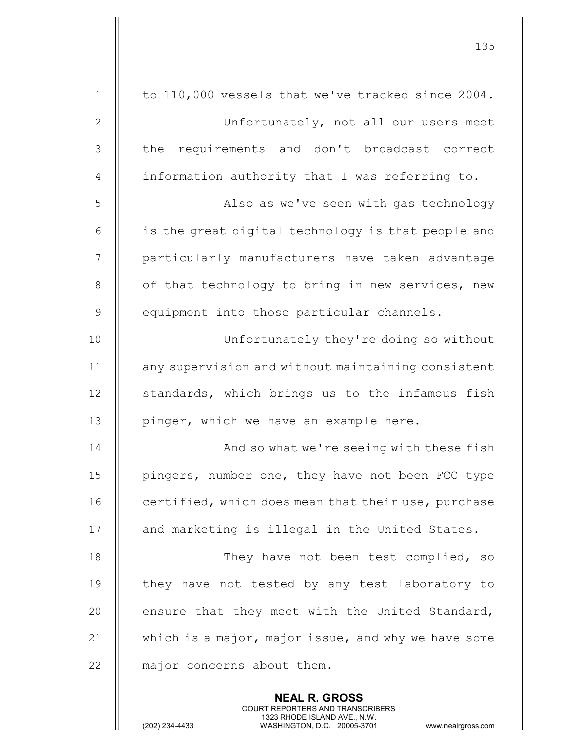|                | 135                                                      |
|----------------|----------------------------------------------------------|
| $\mathbf{1}$   | to 110,000 vessels that we've tracked since 2004.        |
| $\mathbf{2}$   | Unfortunately, not all our users meet                    |
| 3              | requirements and don't broadcast correct<br>the          |
| $\overline{4}$ | information authority that I was referring to.           |
| 5              | Also as we've seen with gas technology                   |
| 6              | is the great digital technology is that people and       |
| $\overline{7}$ | particularly manufacturers have taken advantage          |
| $8\,$          | of that technology to bring in new services, new         |
| $\overline{9}$ | equipment into those particular channels.                |
| 10             | Unfortunately they're doing so without                   |
| 11             | any supervision and without maintaining consistent       |
| 12             |                                                          |
|                | standards, which brings us to the infamous fish          |
| 13             | pinger, which we have an example here.                   |
| 14             | And so what we're seeing with these fish                 |
| 15             | pingers, number one, they have not been FCC type         |
| 16             | certified, which does mean that their use, purchase      |
| 17             | and marketing is illegal in the United States.           |
| 18             | They have not been test complied, so                     |
| 19             | they have not tested by any test laboratory to           |
| 20             | ensure that they meet with the United Standard,          |
| 21             | which is a major, major issue, and why we have some      |
| 22             | major concerns about them.                               |
|                | <b>NEAL R. GROSS</b><br>COURT REPORTERS AND TRANSCRIBERS |

 $\frac{1}{2}$ 

1323 RHODE ISLAND AVE., N.W.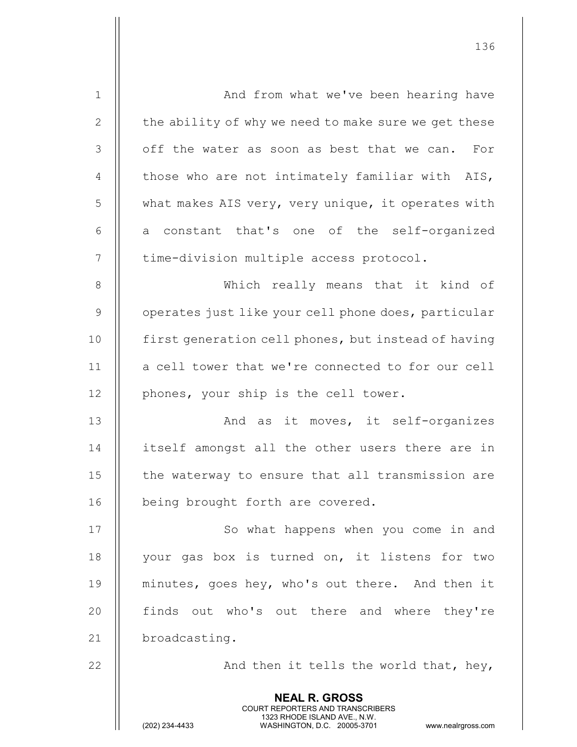| $\mathbf 1$    | And from what we've been hearing have                                                                                                                                  |
|----------------|------------------------------------------------------------------------------------------------------------------------------------------------------------------------|
| $\mathbf{2}$   | the ability of why we need to make sure we get these                                                                                                                   |
| 3              | off the water as soon as best that we can. For                                                                                                                         |
| $\overline{4}$ | those who are not intimately familiar with AIS,                                                                                                                        |
| 5              | what makes AIS very, very unique, it operates with                                                                                                                     |
| 6              | a constant that's one of the self-organized                                                                                                                            |
| $\overline{7}$ | time-division multiple access protocol.                                                                                                                                |
| 8              | Which really means that it kind of                                                                                                                                     |
| $\mathsf 9$    | operates just like your cell phone does, particular                                                                                                                    |
| 10             | first generation cell phones, but instead of having                                                                                                                    |
| 11             | a cell tower that we're connected to for our cell                                                                                                                      |
| 12             | phones, your ship is the cell tower.                                                                                                                                   |
| 13             | And as it moves, it self-organizes                                                                                                                                     |
| 14             | itself amongst all the other users there are in                                                                                                                        |
| 15             | the waterway to ensure that all transmission are                                                                                                                       |
| 16             | being brought forth are covered.                                                                                                                                       |
| 17             | So what happens when you come in and                                                                                                                                   |
| 18             | your gas box is turned on, it listens for two                                                                                                                          |
| 19             | minutes, goes hey, who's out there. And then it                                                                                                                        |
| 20             | finds out who's out there and where they're                                                                                                                            |
| 21             | broadcasting.                                                                                                                                                          |
| 22             | And then it tells the world that, hey,                                                                                                                                 |
|                | <b>NEAL R. GROSS</b><br><b>COURT REPORTERS AND TRANSCRIBERS</b><br>1323 RHODE ISLAND AVE., N.W.<br>(202) 234-4433<br>WASHINGTON, D.C. 20005-3701<br>www.nealrgross.com |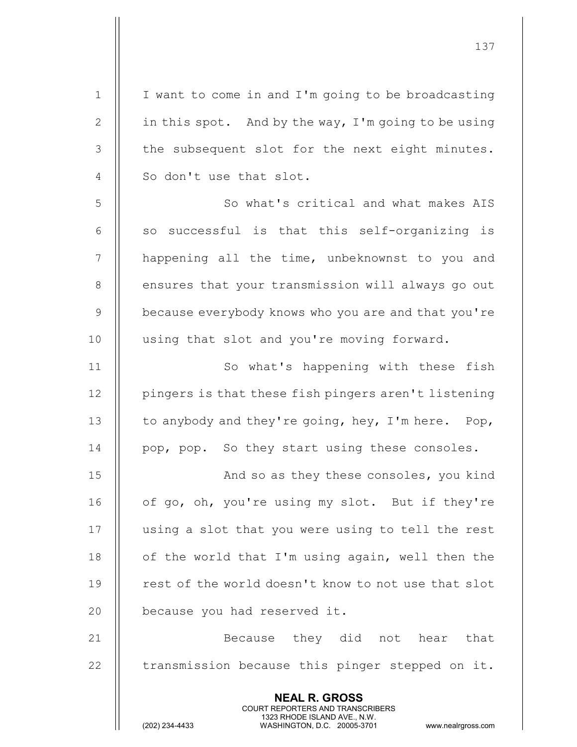| $1\,$          | I want to come in and I'm going to be broadcasting                                                  |
|----------------|-----------------------------------------------------------------------------------------------------|
| $\mathbf{2}$   | in this spot. And by the way, I'm going to be using                                                 |
| 3              | the subsequent slot for the next eight minutes.                                                     |
| $\overline{4}$ | So don't use that slot.                                                                             |
| 5              | So what's critical and what makes AIS                                                               |
| 6              | successful is that this self-organizing is<br>SO                                                    |
| $\overline{7}$ | happening all the time, unbeknownst to you and                                                      |
| 8              | ensures that your transmission will always go out                                                   |
| $\mathsf 9$    | because everybody knows who you are and that you're                                                 |
| 10             | using that slot and you're moving forward.                                                          |
| 11             | So what's happening with these fish                                                                 |
| 12             | pingers is that these fish pingers aren't listening                                                 |
| 13             | to anybody and they're going, hey, I'm here. Pop,                                                   |
| 14             | pop, pop. So they start using these consoles.                                                       |
| 15             | And so as they these consoles, you kind                                                             |
| 16             | of go, oh, you're using my slot. But if they're                                                     |
| 17             | using a slot that you were using to tell the rest                                                   |
| 18             | of the world that I'm using again, well then the                                                    |
| 19             | rest of the world doesn't know to not use that slot                                                 |
| 20             | because you had reserved it.                                                                        |
| 21             | Because they did not hear that                                                                      |
| 22             | transmission because this pinger stepped on it.                                                     |
|                |                                                                                                     |
|                | <b>NEAL R. GROSS</b><br>COURT REPORTERS AND TRANSCRIBERS                                            |
|                | 1323 RHODE ISLAND AVE., N.W.<br>(202) 234-4433<br>WASHINGTON, D.C. 20005-3701<br>www.nealrgross.com |
|                |                                                                                                     |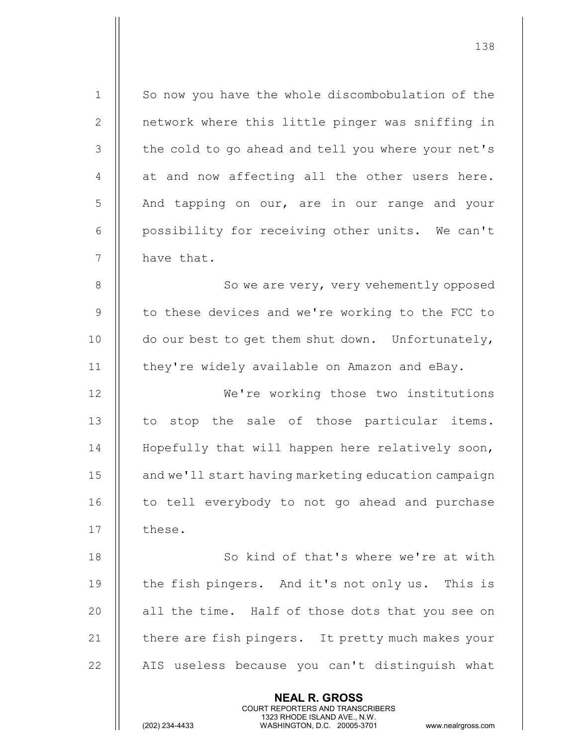NEAL R. GROSS COURT REPORTERS AND TRANSCRIBERS 1323 RHODE ISLAND AVE., N.W.<br>WASHINGTON, D.C. 20005-3701 WASHINGTON, D.C. 20005-3701 www.nealrgross.com 1 | So now you have the whole discombobulation of the 2 | network where this little pinger was sniffing in 3 || the cold to go ahead and tell you where your net's  $4 \parallel$  at and now affecting all the other users here. 5 And tapping on our, are in our range and your 6 | possibility for receiving other units. We can't  $7$  | have that. 8 | So we are very, very vehemently opposed 9 || to these devices and we're working to the FCC to 10  $\parallel$  do our best to get them shut down. Unfortunately, 11 | they're widely available on Amazon and eBay. 12 We're working those two institutions  $13$   $\parallel$  to stop the sale of those particular items. 14 || Hopefully that will happen here relatively soon, 15 | and we'll start having marketing education campaign 16 || to tell everybody to not go ahead and purchase  $17$   $\parallel$  these. 18 || So kind of that's where we're at with 19 || the fish pingers. And it's not only us. This is 20 || all the time. Half of those dots that you see on 21  $\parallel$  there are fish pingers. It pretty much makes your 22 || AIS useless because you can't distinguish what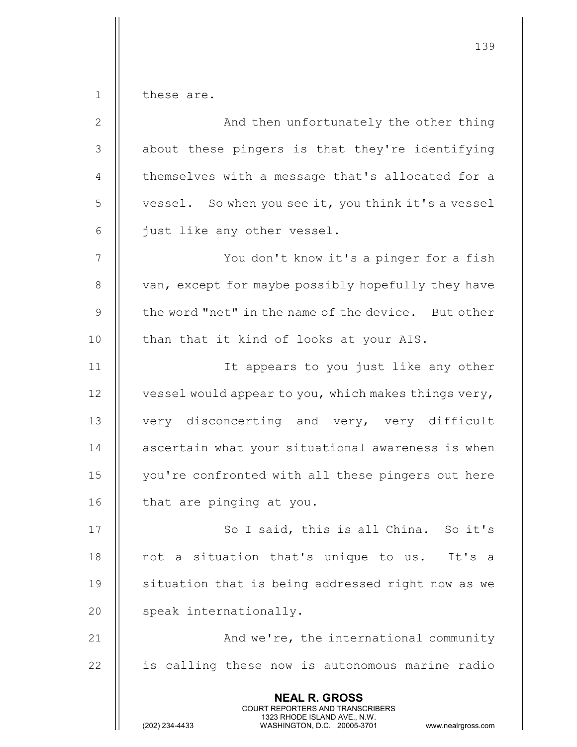1 | these are.

| $\overline{2}$  | And then unfortunately the other thing                                                                                                                                 |
|-----------------|------------------------------------------------------------------------------------------------------------------------------------------------------------------------|
| 3               | about these pingers is that they're identifying                                                                                                                        |
| $\overline{4}$  | themselves with a message that's allocated for a                                                                                                                       |
| 5               | vessel. So when you see it, you think it's a vessel                                                                                                                    |
| 6               | just like any other vessel.                                                                                                                                            |
| $7\phantom{.0}$ | You don't know it's a pinger for a fish                                                                                                                                |
| $8\,$           | van, except for maybe possibly hopefully they have                                                                                                                     |
| $\mathsf 9$     | the word "net" in the name of the device. But other                                                                                                                    |
| 10              | than that it kind of looks at your AIS.                                                                                                                                |
| 11              | It appears to you just like any other                                                                                                                                  |
| 12              | vessel would appear to you, which makes things very,                                                                                                                   |
| 13              | very disconcerting and very, very difficult                                                                                                                            |
| 14              | ascertain what your situational awareness is when                                                                                                                      |
| 15              | you're confronted with all these pingers out here                                                                                                                      |
| 16              | that are pinging at you.                                                                                                                                               |
| 17              | So I said, this is all China. So it's                                                                                                                                  |
| 18              | not a situation that's unique to us. It's a                                                                                                                            |
| 19              | situation that is being addressed right now as we                                                                                                                      |
| 20              | speak internationally.                                                                                                                                                 |
| 21              | And we're, the international community                                                                                                                                 |
| 22              | is calling these now is autonomous marine radio                                                                                                                        |
|                 | <b>NEAL R. GROSS</b><br><b>COURT REPORTERS AND TRANSCRIBERS</b><br>1323 RHODE ISLAND AVE., N.W.<br>(202) 234-4433<br>WASHINGTON, D.C. 20005-3701<br>www.nealrgross.com |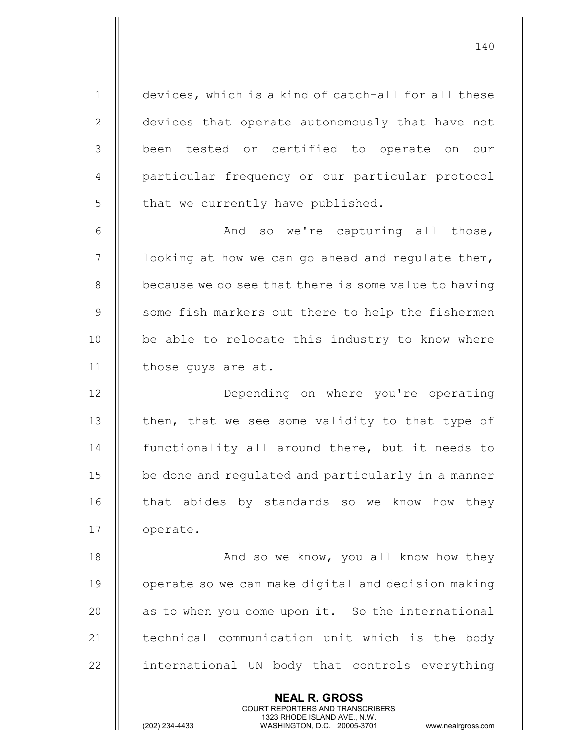1 devices, which is a kind of catch-all for all these 2 | devices that operate autonomously that have not 3 || been tested or certified to operate on our 4 | particular frequency or our particular protocol  $5$  | that we currently have published.

140

6 | Kand so we're capturing all those,  $7$  | 100king at how we can go ahead and regulate them, 8 | because we do see that there is some value to having 9 || some fish markers out there to help the fishermen 10 || be able to relocate this industry to know where 11 | those guys are at.

12 || **Depending on where you're operating** 13  $\parallel$  then, that we see some validity to that type of 14 **functionality all around there, but it needs to** 15 | be done and regulated and particularly in a manner 16 || that abides by standards so we know how they 17 | operate.

18 || And so we know, you all know how they 19 | operate so we can make digital and decision making  $20$  || as to when you come upon it. So the international  $21$   $\parallel$  technical communication unit which is the body 22 || international UN body that controls everything

> NEAL R. GROSS COURT REPORTERS AND TRANSCRIBERS

1323 RHODE ISLAND AVE., N.W.<br>WASHINGTON, D.C. 20005-3701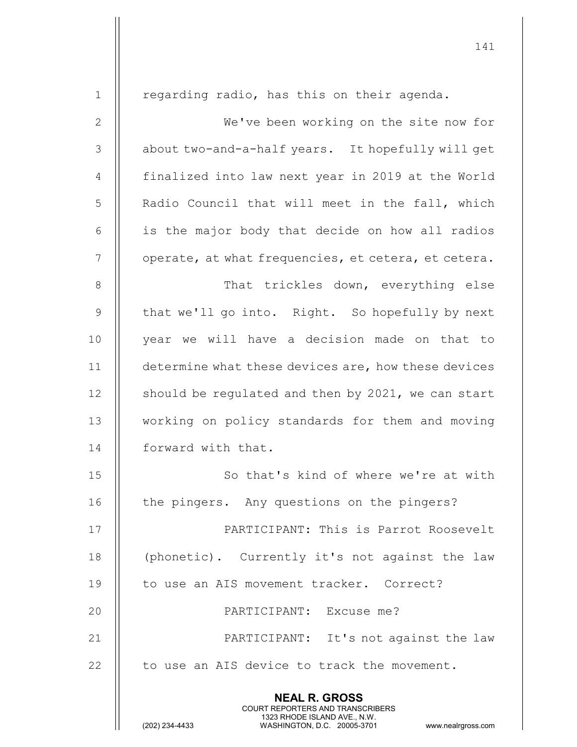| $\mathbf 1$    | regarding radio, has this on their agenda.                                                                                                                             |
|----------------|------------------------------------------------------------------------------------------------------------------------------------------------------------------------|
| $\mathbf{2}$   | We've been working on the site now for                                                                                                                                 |
| 3              | about two-and-a-half years. It hopefully will get                                                                                                                      |
| $\overline{4}$ | finalized into law next year in 2019 at the World                                                                                                                      |
| $\mathsf S$    | Radio Council that will meet in the fall, which                                                                                                                        |
| 6              | is the major body that decide on how all radios                                                                                                                        |
| $\overline{7}$ | operate, at what frequencies, et cetera, et cetera.                                                                                                                    |
| 8              | That trickles down, everything else                                                                                                                                    |
| 9              | that we'll go into. Right. So hopefully by next                                                                                                                        |
| 10             | year we will have a decision made on that to                                                                                                                           |
| 11             | determine what these devices are, how these devices                                                                                                                    |
| 12             | should be regulated and then by 2021, we can start                                                                                                                     |
| 13             | working on policy standards for them and moving                                                                                                                        |
| 14             | forward with that.                                                                                                                                                     |
| 15             | So that's kind of where we're at with                                                                                                                                  |
| 16             | the pingers. Any questions on the pingers?                                                                                                                             |
| 17             | PARTICIPANT: This is Parrot Roosevelt                                                                                                                                  |
| 18             | (phonetic). Currently it's not against the law                                                                                                                         |
| 19             | to use an AIS movement tracker. Correct?                                                                                                                               |
| 20             | PARTICIPANT: Excuse me?                                                                                                                                                |
| 21             | PARTICIPANT: It's not against the law                                                                                                                                  |
| 22             | to use an AIS device to track the movement.                                                                                                                            |
|                | <b>NEAL R. GROSS</b><br><b>COURT REPORTERS AND TRANSCRIBERS</b><br>1323 RHODE ISLAND AVE., N.W.<br>(202) 234-4433<br>WASHINGTON, D.C. 20005-3701<br>www.nealrgross.com |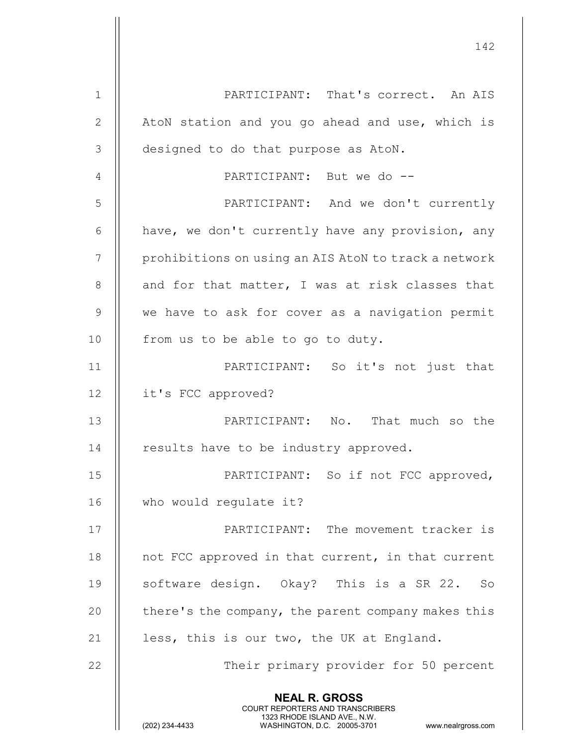|               | 142                                                                                                                                                                    |
|---------------|------------------------------------------------------------------------------------------------------------------------------------------------------------------------|
| $\mathbf 1$   | PARTICIPANT: That's correct. An AIS                                                                                                                                    |
| $\mathbf{2}$  | AtoN station and you go ahead and use, which is                                                                                                                        |
| 3             | designed to do that purpose as AtoN.                                                                                                                                   |
| 4             | PARTICIPANT: But we do --                                                                                                                                              |
| 5             | PARTICIPANT: And we don't currently                                                                                                                                    |
| 6             | have, we don't currently have any provision, any                                                                                                                       |
| 7             | prohibitions on using an AIS AtoN to track a network                                                                                                                   |
| 8             | and for that matter, I was at risk classes that                                                                                                                        |
| $\mathcal{G}$ | we have to ask for cover as a navigation permit                                                                                                                        |
| 10            | from us to be able to go to duty.                                                                                                                                      |
| 11            | PARTICIPANT: So it's not just that                                                                                                                                     |
| 12            | it's FCC approved?                                                                                                                                                     |
| 13            | PARTICIPANT: No. That much so the                                                                                                                                      |
| 14            | results have to be industry approved.                                                                                                                                  |
| 15            | PARTICIPANT: So if not FCC approved,                                                                                                                                   |
| 16            | who would regulate it?                                                                                                                                                 |
| 17            | PARTICIPANT: The movement tracker is                                                                                                                                   |
| 18            | not FCC approved in that current, in that current                                                                                                                      |
| 19            | software design. Okay? This is a SR 22. So                                                                                                                             |
| 20            | there's the company, the parent company makes this                                                                                                                     |
| 21            | less, this is our two, the UK at England.                                                                                                                              |
| 22            | Their primary provider for 50 percent                                                                                                                                  |
|               | <b>NEAL R. GROSS</b><br><b>COURT REPORTERS AND TRANSCRIBERS</b><br>1323 RHODE ISLAND AVE., N.W.<br>(202) 234-4433<br>WASHINGTON, D.C. 20005-3701<br>www.nealrgross.com |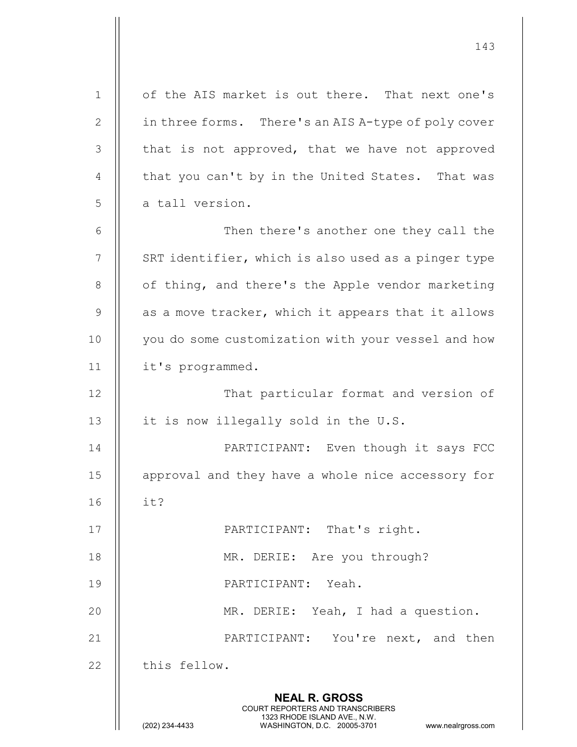NEAL R. GROSS COURT REPORTERS AND TRANSCRIBERS 1323 RHODE ISLAND AVE., N.W.<br>WASHINGTON, D.C. 20005-3701 WASHINGTON, D.C. WASHINGTON, D.C. 20005-3701 www.nealrgross.com 1 || of the AIS market is out there. That next one's 2 | in three forms. There's an AIS A-type of poly cover  $3$  || that is not approved, that we have not approved 4  $\parallel$  that you can't by in the United States. That was  $5 \parallel$  a tall version. 6 Then there's another one they call the  $7$   $\parallel$  SRT identifier, which is also used as a pinger type 8 | of thing, and there's the Apple vendor marketing  $9 \parallel$  as a move tracker, which it appears that it allows 10 || you do some customization with your vessel and how 11 it's programmed. 12 || That particular format and version of 13  $\parallel$  it is now illegally sold in the U.S. 14 || PARTICIPANT: Even though it says FCC 15 || approval and they have a whole nice accessory for 16 it? 17 || PARTICIPANT: That's right. 18 || MR. DERIE: Are you through? 19 PARTICIPANT: Yeah. 20 MR. DERIE: Yeah, I had a question. 21 || PARTICIPANT: You're next, and then 22 | this fellow.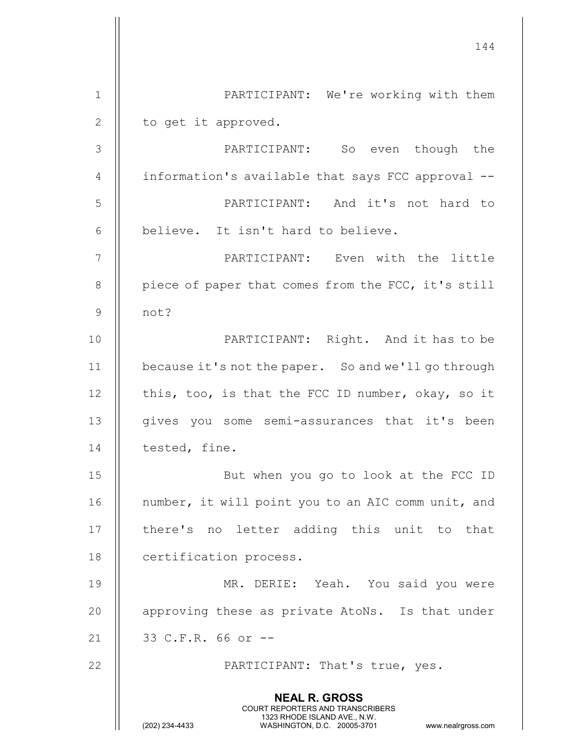144 NEAL R. GROSS COURT REPORTERS AND TRANSCRIBERS 1323 RHODE ISLAND AVE., N.W.<br>WASHINGTON, D.C. 20005-3701 WASHINGTON, D.C. WASHINGTON, D.C. 20005-3701 www.nealrgross.com 1 || PARTICIPANT: We're working with them 2 || to get it approved. 3 PARTICIPANT: So even though the 4 | information's available that says FCC approval --5 PARTICIPANT: And it's not hard to 6 | believe. It isn't hard to believe. 7 PARTICIPANT: Even with the little 8 | piece of paper that comes from the FCC, it's still 9 not? 10 || PARTICIPANT: Right. And it has to be 11 because it's not the paper. So and we'll go through 12  $\parallel$  this, too, is that the FCC ID number, okay, so it 13 || gives you some semi-assurances that it's been 14 | tested, fine. 15 But when you go to look at the FCC ID 16 || number, it will point you to an AIC comm unit, and 17 || there's no letter adding this unit to that 18 | certification process. 19 MR. DERIE: Yeah. You said you were 20 || approving these as private AtoNs. Is that under 21 || 33 C.F.R. 66 or --22 || PARTICIPANT: That's true, yes.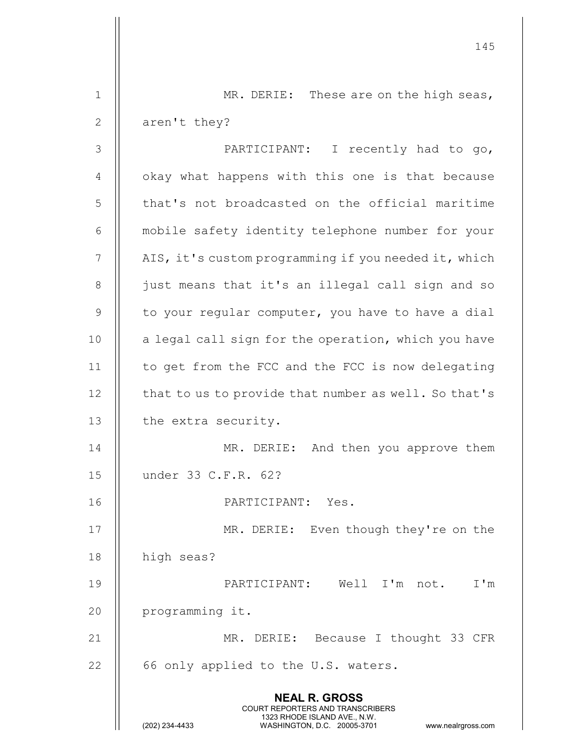|               | 145                                                                                                                                                                    |
|---------------|------------------------------------------------------------------------------------------------------------------------------------------------------------------------|
| $\mathbf 1$   | MR. DERIE: These are on the high seas,                                                                                                                                 |
| $\mathbf{2}$  | aren't they?                                                                                                                                                           |
| $\mathcal{S}$ | PARTICIPANT: I recently had to go,                                                                                                                                     |
| 4             | okay what happens with this one is that because                                                                                                                        |
| 5             | that's not broadcasted on the official maritime                                                                                                                        |
| 6             | mobile safety identity telephone number for your                                                                                                                       |
| 7             | AIS, it's custom programming if you needed it, which                                                                                                                   |
| $8\,$         | just means that it's an illegal call sign and so                                                                                                                       |
| $\mathcal{G}$ | to your regular computer, you have to have a dial                                                                                                                      |
| 10            | a legal call sign for the operation, which you have                                                                                                                    |
| 11            | to get from the FCC and the FCC is now delegating                                                                                                                      |
| 12            | that to us to provide that number as well. So that's                                                                                                                   |
| 13            | the extra security.                                                                                                                                                    |
| 14            | MR. DERIE: And then you approve them                                                                                                                                   |
| 15            | under 33 C.F.R. 62?                                                                                                                                                    |
| 16            | PARTICIPANT: Yes.                                                                                                                                                      |
| 17            | MR. DERIE: Even though they're on the                                                                                                                                  |
| 18            | high seas?                                                                                                                                                             |
| 19            | PARTICIPANT: Well I'm not. I'm                                                                                                                                         |
| 20            | programming it.                                                                                                                                                        |
| 21            | MR. DERIE: Because I thought 33 CFR                                                                                                                                    |
| 22            | 66 only applied to the U.S. waters.                                                                                                                                    |
|               | <b>NEAL R. GROSS</b><br><b>COURT REPORTERS AND TRANSCRIBERS</b><br>1323 RHODE ISLAND AVE., N.W.<br>(202) 234-4433<br>WASHINGTON, D.C. 20005-3701<br>www.nealrgross.com |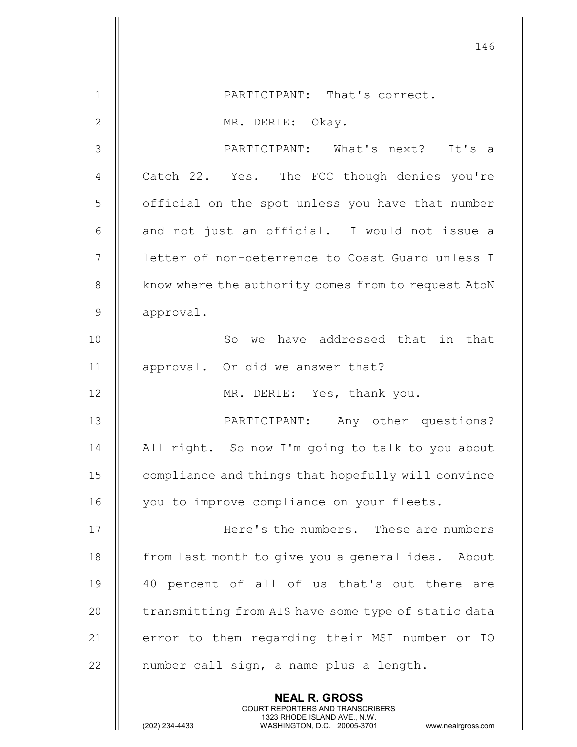|                | 146                                                 |
|----------------|-----------------------------------------------------|
| $\mathbf{1}$   | PARTICIPANT: That's correct.                        |
| $\mathbf{2}$   | MR. DERIE: Okay.                                    |
| 3              | PARTICIPANT: What's next? It's a                    |
| 4              | Catch 22. Yes. The FCC though denies you're         |
| 5              | official on the spot unless you have that number    |
| 6              | and not just an official. I would not issue a       |
| 7              | letter of non-deterrence to Coast Guard unless I    |
| $8\,$          | know where the authority comes from to request AtoN |
| $\overline{9}$ | approval.                                           |
| 10             | we have addressed that in that<br>So                |
| 11             | approval. Or did we answer that?                    |
| 12             | MR. DERIE: Yes, thank you.                          |
| 13             | PARTICIPANT: Any other questions?                   |
| 14             | All right. So now I'm going to talk to you about    |
| 15             | compliance and things that hopefully will convince  |
| 16             | you to improve compliance on your fleets.           |
| 17             | Here's the numbers. These are numbers               |
| 18             | from last month to give you a general idea. About   |
| 19             | 40 percent of all of us that's out there are        |
| 20             | transmitting from AIS have some type of static data |
| 21             | error to them regarding their MSI number or IO      |
| 22             | number call sign, a name plus a length.             |
|                |                                                     |
|                | <b>NEAL R. GROSS</b>                                |

COURT REPORTERS AND TRANSCRIBERS

1323 RHODE ISLAND AVE., N.W.

Ш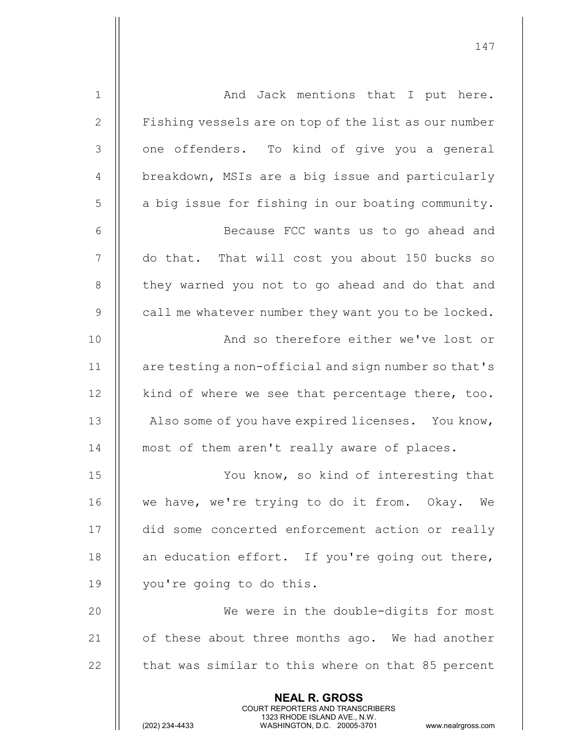| $\mathbf 1$  | And Jack mentions that I put here.                                                                                                                                     |
|--------------|------------------------------------------------------------------------------------------------------------------------------------------------------------------------|
| $\mathbf{2}$ | Fishing vessels are on top of the list as our number                                                                                                                   |
| 3            | one offenders. To kind of give you a general                                                                                                                           |
| 4            | breakdown, MSIs are a big issue and particularly                                                                                                                       |
| 5            | a big issue for fishing in our boating community.                                                                                                                      |
| 6            | Because FCC wants us to go ahead and                                                                                                                                   |
| 7            | do that. That will cost you about 150 bucks so                                                                                                                         |
| 8            | they warned you not to go ahead and do that and                                                                                                                        |
| $\mathsf 9$  | call me whatever number they want you to be locked.                                                                                                                    |
| 10           | And so therefore either we've lost or                                                                                                                                  |
| 11           | are testing a non-official and sign number so that's                                                                                                                   |
| 12           | kind of where we see that percentage there, too.                                                                                                                       |
| 13           | Also some of you have expired licenses. You know,                                                                                                                      |
| 14           | most of them aren't really aware of places.                                                                                                                            |
| 15           | You know, so kind of interesting that                                                                                                                                  |
| 16           | we have, we're trying to do it from. Okay. We                                                                                                                          |
| 17           | did some concerted enforcement action or really                                                                                                                        |
| 18           | an education effort. If you're going out there,                                                                                                                        |
| 19           | you're going to do this.                                                                                                                                               |
| 20           | We were in the double-digits for most                                                                                                                                  |
| 21           | of these about three months ago. We had another                                                                                                                        |
| 22           | that was similar to this where on that 85 percent                                                                                                                      |
|              |                                                                                                                                                                        |
|              | <b>NEAL R. GROSS</b><br><b>COURT REPORTERS AND TRANSCRIBERS</b><br>1323 RHODE ISLAND AVE., N.W.<br>(202) 234-4433<br>WASHINGTON, D.C. 20005-3701<br>www.nealrgross.com |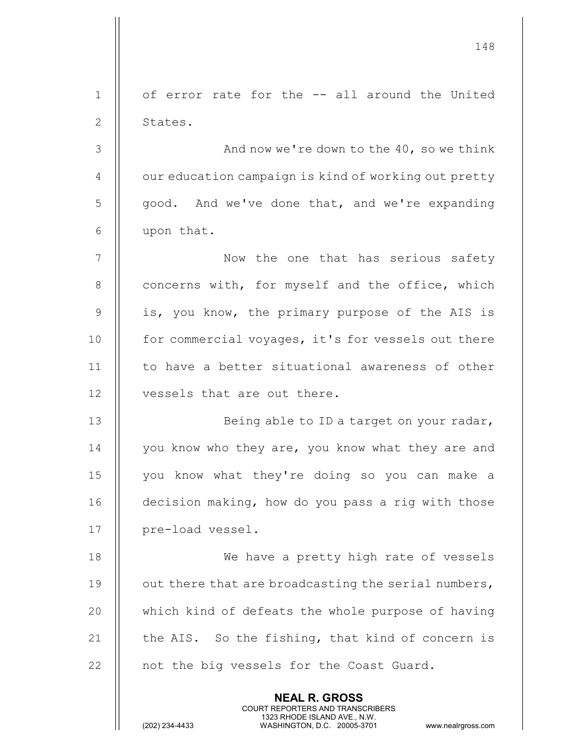|                | 148                                                  |
|----------------|------------------------------------------------------|
| $\mathbf{1}$   | of error rate for the -- all around the United       |
| $\mathbf{2}$   | States.                                              |
| 3              | And now we're down to the 40, so we think            |
| 4              | our education campaign is kind of working out pretty |
| 5              | good. And we've done that, and we're expanding       |
| 6              | upon that.                                           |
| $\overline{7}$ | Now the one that has serious safety                  |
| $8\,$          | concerns with, for myself and the office, which      |
| $\mathcal{G}$  | is, you know, the primary purpose of the AIS is      |
| 10             | for commercial voyages, it's for vessels out there   |
| 11             | to have a better situational awareness of other      |
| 12             | vessels that are out there.                          |
| 13             | Being able to ID a target on your radar,             |
| 14             | you know who they are, you know what they are and    |
| 15             | you know what they're doing so you can make a        |
| 16             | decision making, how do you pass a rig with those    |
| 17             | pre-load vessel.                                     |
| 18             | We have a pretty high rate of vessels                |
| 19             | out there that are broadcasting the serial numbers,  |
| 20             | which kind of defeats the whole purpose of having    |
| 21             | the AIS. So the fishing, that kind of concern is     |
| 22             | not the big vessels for the Coast Guard.             |
|                | <b>NEAL R. GROSS</b>                                 |

 COURT REPORTERS AND TRANSCRIBERS 1323 RHODE ISLAND AVE., N.W.

 $\mathbf{\mathsf{I}}$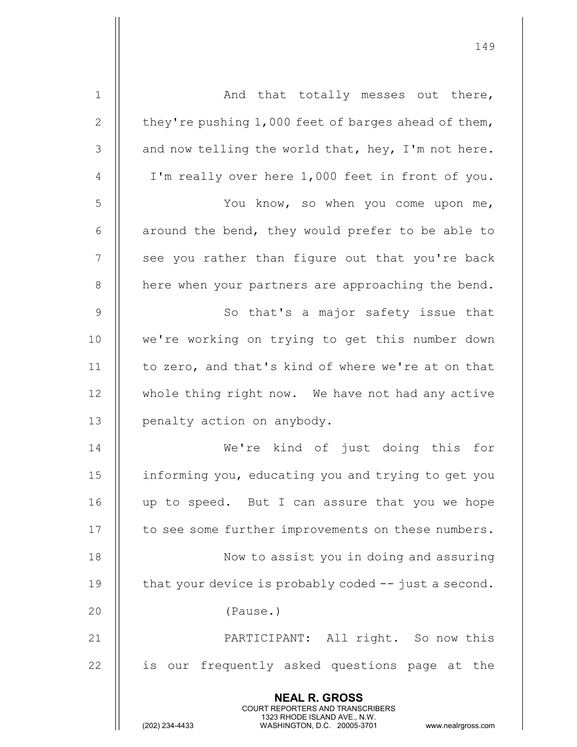| $\mathbf 1$    | And that totally messes out there,                                                                                                                              |
|----------------|-----------------------------------------------------------------------------------------------------------------------------------------------------------------|
| $\mathbf{2}$   | they're pushing 1,000 feet of barges ahead of them,                                                                                                             |
| $\mathfrak{Z}$ | and now telling the world that, hey, I'm not here.                                                                                                              |
| $\overline{4}$ | I'm really over here 1,000 feet in front of you.                                                                                                                |
| 5              | You know, so when you come upon me,                                                                                                                             |
| 6              | around the bend, they would prefer to be able to                                                                                                                |
| $\overline{7}$ | see you rather than figure out that you're back                                                                                                                 |
| $\,8\,$        | here when your partners are approaching the bend.                                                                                                               |
| $\mathsf 9$    | So that's a major safety issue that                                                                                                                             |
| 10             | we're working on trying to get this number down                                                                                                                 |
| 11             | to zero, and that's kind of where we're at on that                                                                                                              |
| 12             | whole thing right now. We have not had any active                                                                                                               |
| 13             | penalty action on anybody.                                                                                                                                      |
| 14             | We're kind of just doing this<br>for                                                                                                                            |
| 15             | informing you, educating you and trying to get you                                                                                                              |
| 16             | up to speed. But I can assure that you we hope                                                                                                                  |
| 17             | to see some further improvements on these numbers.                                                                                                              |
| 18             | Now to assist you in doing and assuring                                                                                                                         |
| 19             | that your device is probably coded -- just a second.                                                                                                            |
| 20             | (Pause.)                                                                                                                                                        |
| 21             | PARTICIPANT: All right. So now this                                                                                                                             |
| 22             | our frequently asked questions page at the<br>is                                                                                                                |
|                | <b>NEAL R. GROSS</b><br>COURT REPORTERS AND TRANSCRIBERS<br>1323 RHODE ISLAND AVE., N.W.<br>(202) 234-4433<br>WASHINGTON, D.C. 20005-3701<br>www.nealrgross.com |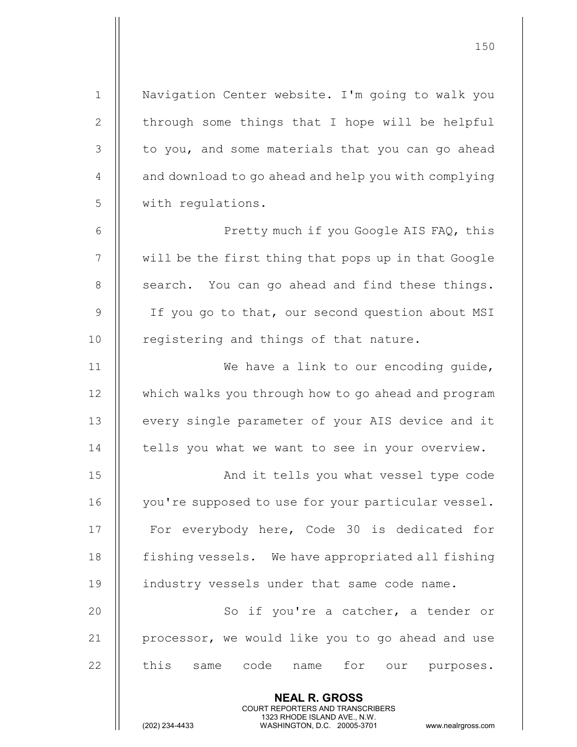NEAL R. GROSS 1 | Navigation Center website. I'm going to walk you 2  $\parallel$  through some things that I hope will be helpful 3 || to you, and some materials that you can go ahead  $4 \parallel$  and download to go ahead and help you with complying 5 || with requlations. 6 Pretty much if you Google AIS FAQ, this 7 | will be the first thing that pops up in that Google  $8$  || search. You can go ahead and find these things. 9 || If you go to that, our second question about MSI 10 || registering and things of that nature. 11 || We have a link to our encoding guide, 12 | which walks you through how to go ahead and program 13 || every single parameter of your AIS device and it  $14$   $\parallel$  tells you what we want to see in your overview. 15 || And it tells you what vessel type code 16 | you're supposed to use for your particular vessel. 17 || For everybody here, Code 30 is dedicated for 18 | fishing vessels. We have appropriated all fishing 19 || industry vessels under that same code name. 20 || So if you're a catcher, a tender or 21  $\parallel$  processor, we would like you to go ahead and use 22 || this same code name for our purposes.

COURT REPORTERS AND TRANSCRIBERS

150

1323 RHODE ISLAND AVE., N.W.<br>WASHINGTON, D.C. 20005-3701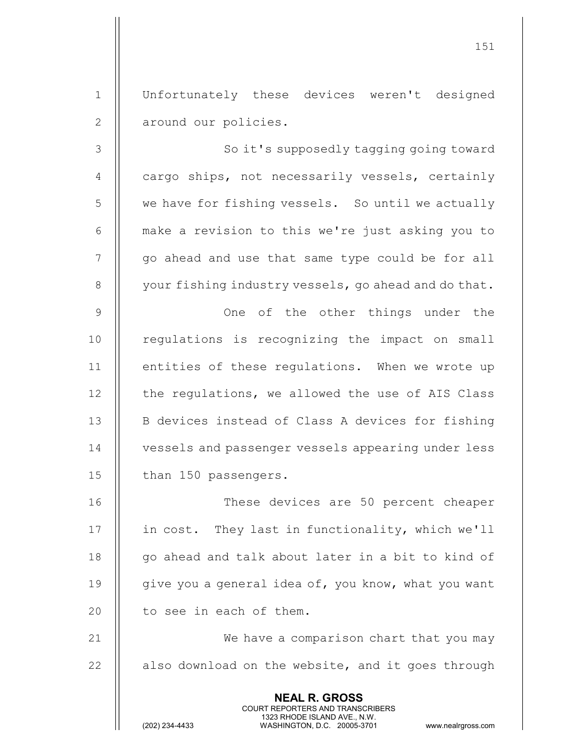1 Unfortunately these devices weren't designed 2 || around our policies.

3 || So it's supposedly tagging going toward 4  $\parallel$  cargo ships, not necessarily vessels, certainly 5 | we have for fishing vessels. So until we actually 6 make a revision to this we're just asking you to 7 || go ahead and use that same type could be for all  $8$  | your fishing industry vessels, go ahead and do that. 9 One of the other things under the 10 || regulations is recognizing the impact on small 11 || entities of these requlations. When we wrote up  $12$  | the regulations, we allowed the use of AIS Class 13 || B devices instead of Class A devices for fishing 14 vessels and passenger vessels appearing under less 15 | than 150 passengers. 16 These devices are 50 percent cheaper

17 | in cost. They last in functionality, which we'll 18 || go ahead and talk about later in a bit to kind of 19  $\parallel$  qive you a general idea of, you know, what you want 20  $\parallel$  to see in each of them.

21 || We have a comparison chart that you may  $22$   $\parallel$  also download on the website, and it goes through

> NEAL R. GROSS COURT REPORTERS AND TRANSCRIBERS

1323 RHODE ISLAND AVE., N.W.<br>WASHINGTON, D.C. 20005-3701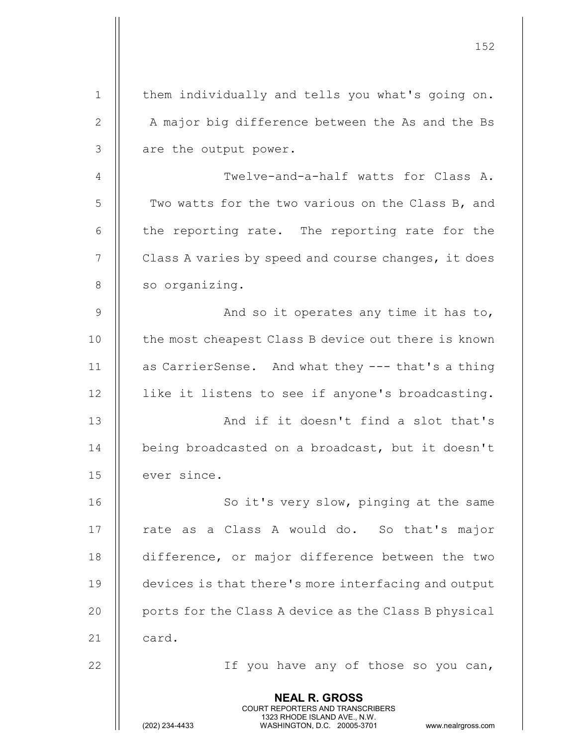|              | 152                                                                                                                                                                    |
|--------------|------------------------------------------------------------------------------------------------------------------------------------------------------------------------|
| $\mathbf 1$  | them individually and tells you what's going on.                                                                                                                       |
| $\mathbf{2}$ | A major big difference between the As and the Bs                                                                                                                       |
| 3            | are the output power.                                                                                                                                                  |
| 4            | Twelve-and-a-half watts for Class A.                                                                                                                                   |
| 5            | Two watts for the two various on the Class B, and                                                                                                                      |
| 6            | the reporting rate. The reporting rate for the                                                                                                                         |
| 7            | Class A varies by speed and course changes, it does                                                                                                                    |
| $8\,$        | so organizing.                                                                                                                                                         |
| $\mathsf 9$  | And so it operates any time it has to,                                                                                                                                 |
| 10           | the most cheapest Class B device out there is known                                                                                                                    |
| 11           | as CarrierSense. And what they --- that's a thing                                                                                                                      |
| 12           | like it listens to see if anyone's broadcasting.                                                                                                                       |
| 13           | And if it doesn't find a slot that's                                                                                                                                   |
| 14           | being broadcasted on a broadcast, but it doesn't                                                                                                                       |
| 15           | ever since.                                                                                                                                                            |
| 16           | So it's very slow, pinging at the same                                                                                                                                 |
| 17           | rate as a Class A would do. So that's major                                                                                                                            |
| 18           | difference, or major difference between the two                                                                                                                        |
| 19           | devices is that there's more interfacing and output                                                                                                                    |
| 20           | ports for the Class A device as the Class B physical                                                                                                                   |
| 21           | card.                                                                                                                                                                  |
| 22           | If you have any of those so you can,                                                                                                                                   |
|              | <b>NEAL R. GROSS</b><br><b>COURT REPORTERS AND TRANSCRIBERS</b><br>1323 RHODE ISLAND AVE., N.W.<br>(202) 234-4433<br>WASHINGTON, D.C. 20005-3701<br>www.nealrgross.com |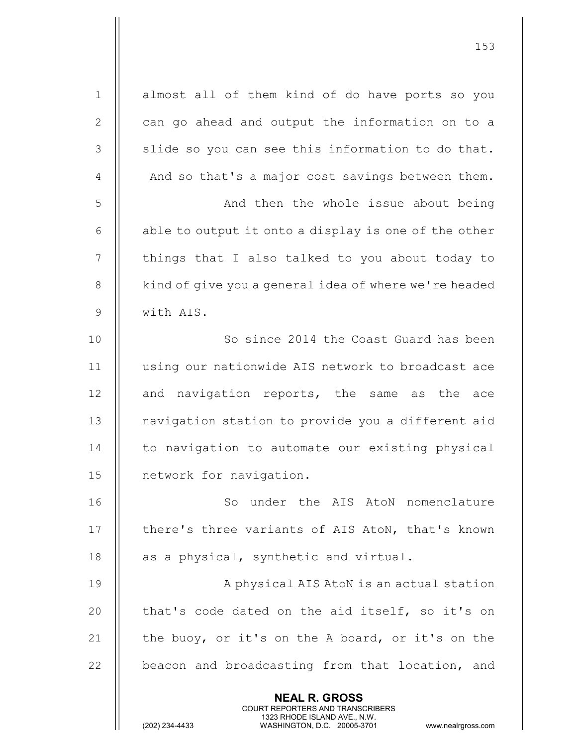NEAL R. GROSS COURT REPORTERS AND TRANSCRIBERS 1323 RHODE ISLAND AVE., N.W.<br>WASHINGTON, D.C. 20005-3701 1 || almost all of them kind of do have ports so you  $2 \parallel$  can go ahead and output the information on to a  $3$  || slide so you can see this information to do that.  $4$  |  $\blacksquare$  And so that's a major cost savings between them. 5 | And then the whole issue about being 6  $\parallel$  able to output it onto a display is one of the other 7 | things that I also talked to you about today to 8 | kind of give you a general idea of where we're headed 9 with AIS. 10 || So since 2014 the Coast Guard has been 11 using our nationwide AIS network to broadcast ace  $12$  || and navigation reports, the same as the ace 13 || navigation station to provide you a different aid 14 | to navigation to automate our existing physical 15 | network for navigation. 16 || So under the AIS AtoN nomenclature 17 | there's three variants of AIS AtoN, that's known 18  $\parallel$  as a physical, synthetic and virtual. 19 || A physical AIS AtoN is an actual station 20  $\parallel$  that's code dated on the aid itself, so it's on 21  $\parallel$  the buoy, or it's on the A board, or it's on the  $22$   $\parallel$  beacon and broadcasting from that location, and

153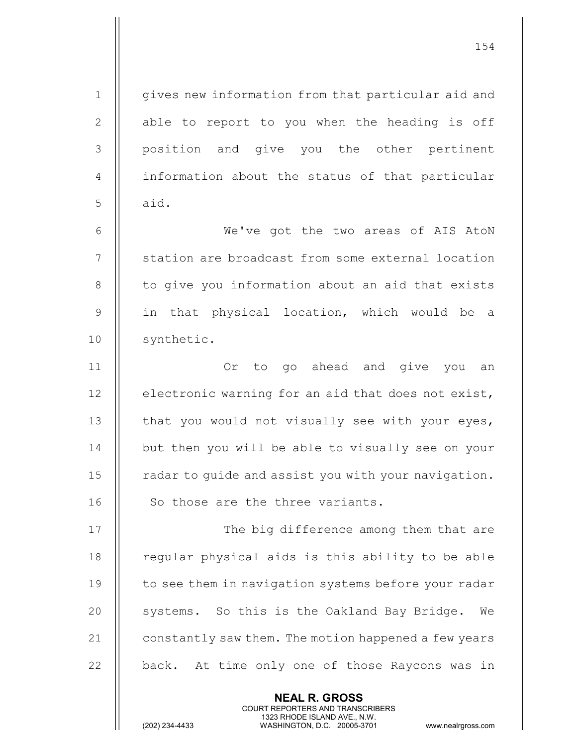| $\mathbf 1$                      | gives new information from that particular aid and   |
|----------------------------------|------------------------------------------------------|
| $\mathbf{2}$                     | able to report to you when the heading is off        |
| 3                                | position and give you the other pertinent            |
| 4                                | information about the status of that particular      |
| 5                                | aid.                                                 |
| 6                                | We've got the two areas of AIS AtoN                  |
| 7                                | station are broadcast from some external location    |
| 8                                | to give you information about an aid that exists     |
| 9                                | in that physical location, which would be a          |
| 10                               | synthetic.                                           |
| 11                               | Or to go ahead and give you an                       |
| 12                               | electronic warning for an aid that does not exist,   |
| 13                               | that you would not visually see with your eyes,      |
|                                  |                                                      |
|                                  | but then you will be able to visually see on your    |
|                                  | radar to guide and assist you with your navigation.  |
|                                  | So those are the three variants.                     |
|                                  | The big difference among them that are               |
|                                  | regular physical aids is this ability to be able     |
| 14<br>15<br>16<br>17<br>18<br>19 | to see them in navigation systems before your radar  |
| 20                               | systems. So this is the Oakland Bay Bridge.<br>We    |
| 21                               | constantly saw them. The motion happened a few years |
| 22                               | back. At time only one of those Raycons was in       |

NEAL R. GROSS

COURT REPORTERS AND TRANSCRIBERS

1323 RHODE ISLAND AVE., N.W.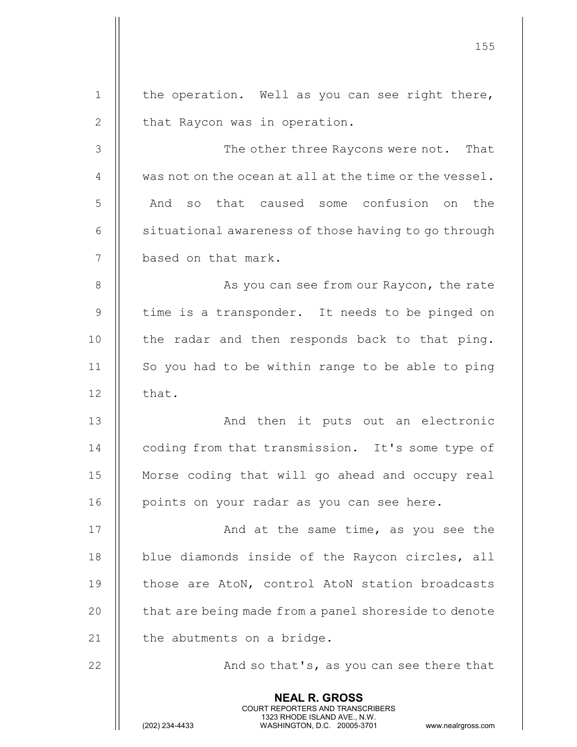|              | 155                                                                                                                                                                    |
|--------------|------------------------------------------------------------------------------------------------------------------------------------------------------------------------|
| $\mathbf{1}$ | the operation. Well as you can see right there,                                                                                                                        |
| $\mathbf{2}$ | that Raycon was in operation.                                                                                                                                          |
| 3            | The other three Raycons were not. That                                                                                                                                 |
| 4            | was not on the ocean at all at the time or the vessel.                                                                                                                 |
| 5            | that caused some confusion on<br>And<br>the<br>SO                                                                                                                      |
| 6            | situational awareness of those having to go through                                                                                                                    |
| 7            | based on that mark.                                                                                                                                                    |
| 8            | As you can see from our Raycon, the rate                                                                                                                               |
| 9            | time is a transponder. It needs to be pinged on                                                                                                                        |
| 10           | the radar and then responds back to that ping.                                                                                                                         |
| 11           | So you had to be within range to be able to ping                                                                                                                       |
| 12           | that.                                                                                                                                                                  |
| 13           | And then it puts out an electronic                                                                                                                                     |
| 14           | coding from that transmission. It's some type of                                                                                                                       |
| 15           | Morse coding that will go ahead and occupy real                                                                                                                        |
| 16           | points on your radar as you can see here.                                                                                                                              |
| 17           | And at the same time, as you see the                                                                                                                                   |
| 18           | blue diamonds inside of the Raycon circles, all                                                                                                                        |
| 19           | those are AtoN, control AtoN station broadcasts                                                                                                                        |
| 20           | that are being made from a panel shoreside to denote                                                                                                                   |
| 21           | the abutments on a bridge.                                                                                                                                             |
| 22           | And so that's, as you can see there that                                                                                                                               |
|              | <b>NEAL R. GROSS</b><br><b>COURT REPORTERS AND TRANSCRIBERS</b><br>1323 RHODE ISLAND AVE., N.W.<br>(202) 234-4433<br>WASHINGTON, D.C. 20005-3701<br>www.nealrgross.com |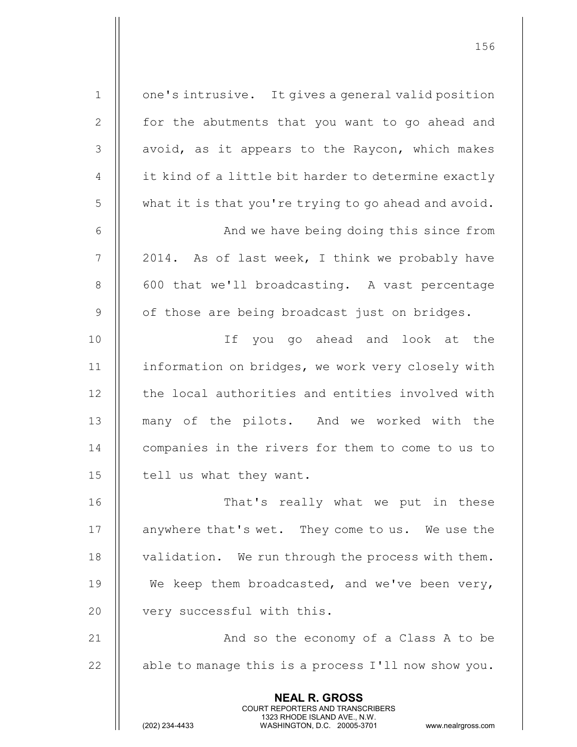NEAL R. GROSS COURT REPORTERS AND TRANSCRIBERS 1 | one's intrusive. It gives a general valid position 2 || for the abutments that you want to go ahead and  $3$  || avoid, as it appears to the Raycon, which makes  $4 \parallel$  it kind of a little bit harder to determine exactly 5 what it is that you're trying to go ahead and avoid. 6 And we have being doing this since from  $7 \parallel 2014$ . As of last week, I think we probably have 8 || 600 that we'll broadcasting. A vast percentage  $9$  | of those are being broadcast just on bridges. 10 If you go ahead and look at the 11 | information on bridges, we work very closely with 12 || the local authorities and entities involved with 13 || many of the pilots. And we worked with the 14 | companies in the rivers for them to come to us to 15 | tell us what they want. 16 || That's really what we put in these 17 | anywhere that's wet. They come to us. We use the 18 | validation. We run through the process with them. 19  $\parallel$  We keep them broadcasted, and we've been very, 20 || very successful with this. 21 || And so the economy of a Class A to be 22  $\parallel$  able to manage this is a process I'll now show you.

1323 RHODE ISLAND AVE., N.W.<br>WASHINGTON, D.C. 20005-3701

WASHINGTON, D.C. 20005-3701 www.nealrgross.com

156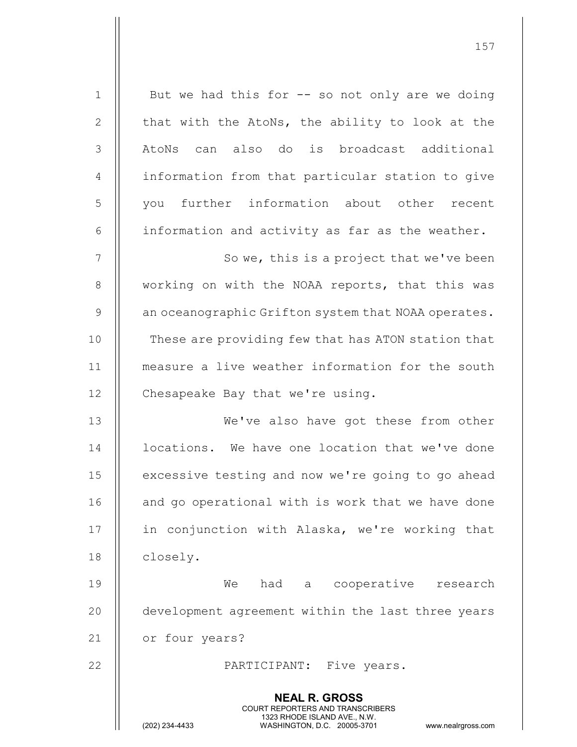NEAL R. GROSS COURT REPORTERS AND TRANSCRIBERS 1323 RHODE ISLAND AVE., N.W.<br>WASHINGTON, D.C. 20005-3701 WASHINGTON, D.C. 20005-3701 www.nealrgross.com  $1 \parallel$  But we had this for  $-$  so not only are we doing 2  $\parallel$  that with the AtoNs, the ability to look at the 3 || AtoNs can also do is broadcast additional 4 | information from that particular station to give 5 || vou further information about other recent 6  $\parallel$  information and activity as far as the weather. 7 || So we, this is a project that we've been 8 || working on with the NOAA reports, that this was  $9 \parallel$  an oceanographic Grifton system that NOAA operates. 10 || These are providing few that has ATON station that 11 measure a live weather information for the south 12 | Chesapeake Bay that we're using. 13 We've also have got these from other 14 | locations. We have one location that we've done 15 | excessive testing and now we're going to go ahead 16 || and go operational with is work that we have done 17 || in conjunction with Alaska, we're working that 18 | closely. 19 We had a cooperative research 20 || development agreement within the last three years 21 | or four years? 22 || PARTICIPANT: Five years.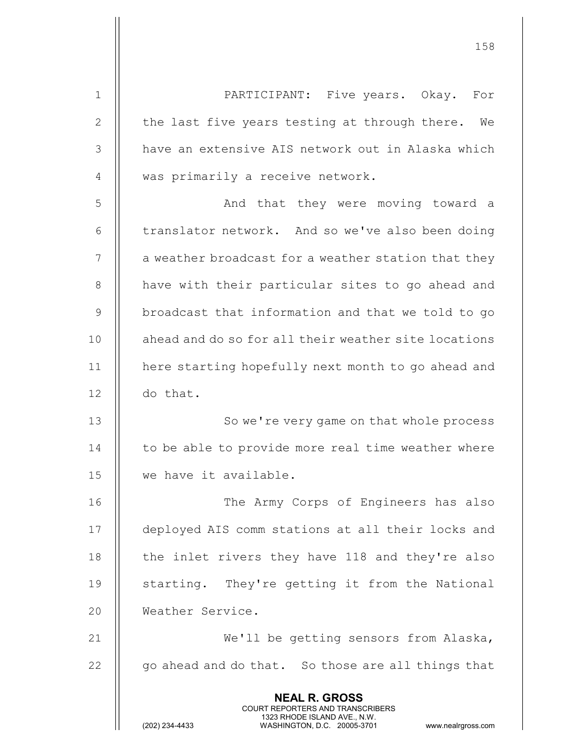NEAL R. GROSS COURT REPORTERS AND TRANSCRIBERS 1323 RHODE ISLAND AVE., N.W.<br>WASHINGTON, D.C. 20005-3701 WASHINGTON, D.C. 1 PARTICIPANT: Five years. Okay. For 2 | the last five years testing at through there. We 3 || have an extensive AIS network out in Alaska which 4 || was primarily a receive network. 5 || And that they were moving toward a 6  $\parallel$  translator network. And so we've also been doing  $7$   $\parallel$  a weather broadcast for a weather station that they 8 || have with their particular sites to go ahead and 9 || broadcast that information and that we told to go 10 || ahead and do so for all their weather site locations 11 | here starting hopefully next month to go ahead and 12 do that. 13 || So we're very game on that whole process 14 | to be able to provide more real time weather where 15 we have it available. 16 || The Army Corps of Engineers has also 17 deployed AIS comm stations at all their locks and 18  $\parallel$  the inlet rivers they have 118 and they're also 19 || starting. They're getting it from the National 20 | Weather Service. 21 || We'll be getting sensors from Alaska,  $22$   $\parallel$  go ahead and do that. So those are all things that

158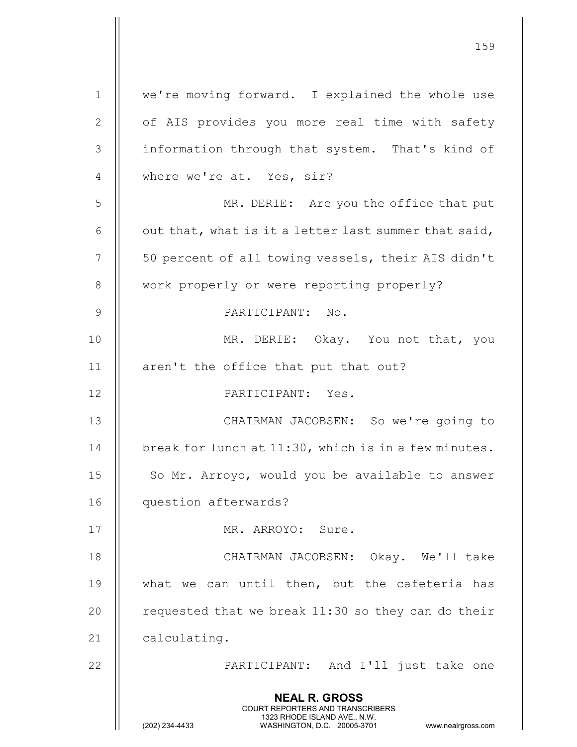|                | <b>NEAL R. GROSS</b><br><b>COURT REPORTERS AND TRANSCRIBERS</b><br>1323 RHODE ISLAND AVE., N.W.<br>(202) 234-4433<br>WASHINGTON, D.C. 20005-3701<br>www.nealrgross.com |
|----------------|------------------------------------------------------------------------------------------------------------------------------------------------------------------------|
| 22             | PARTICIPANT: And I'll just take one                                                                                                                                    |
| 21             | calculating.                                                                                                                                                           |
| 20             | requested that we break 11:30 so they can do their                                                                                                                     |
| 19             | what we can until then, but the cafeteria has                                                                                                                          |
| 18             | CHAIRMAN JACOBSEN: Okay. We'll take                                                                                                                                    |
| 17             | MR. ARROYO: Sure.                                                                                                                                                      |
| 16             | question afterwards?                                                                                                                                                   |
| 15             | So Mr. Arroyo, would you be available to answer                                                                                                                        |
| 14             | break for lunch at 11:30, which is in a few minutes.                                                                                                                   |
| 13             | CHAIRMAN JACOBSEN: So we're going to                                                                                                                                   |
| 12             | PARTICIPANT: Yes.                                                                                                                                                      |
| 11             | aren't the office that put that out?                                                                                                                                   |
| 10             | MR. DERIE: Okay. You not that, you                                                                                                                                     |
| $\mathsf 9$    | PARTICIPANT: No.                                                                                                                                                       |
| 8              | work properly or were reporting properly?                                                                                                                              |
| 7              | 50 percent of all towing vessels, their AIS didn't                                                                                                                     |
| 6              | out that, what is it a letter last summer that said,                                                                                                                   |
| 5              | MR. DERIE: Are you the office that put                                                                                                                                 |
| $\overline{4}$ | where we're at. Yes, sir?                                                                                                                                              |
| 3              | information through that system. That's kind of                                                                                                                        |
| $\mathbf{2}$   | of AIS provides you more real time with safety                                                                                                                         |
| $\mathbf 1$    | we're moving forward. I explained the whole use                                                                                                                        |
|                |                                                                                                                                                                        |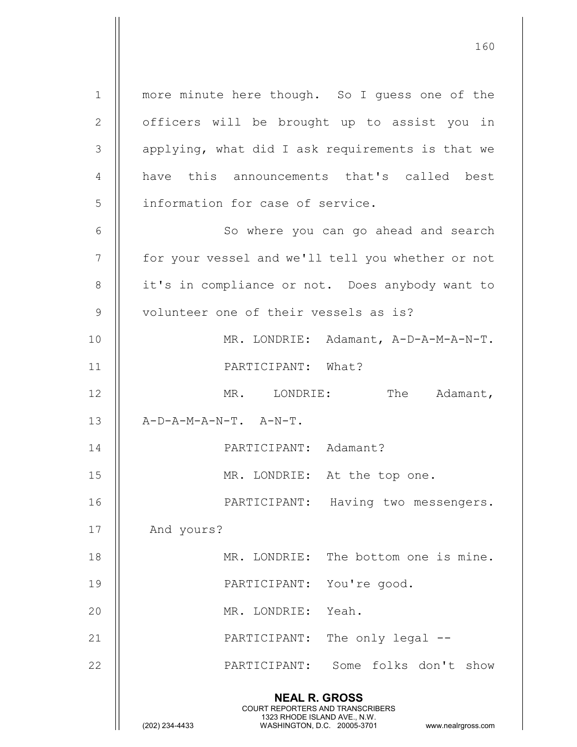NEAL R. GROSS COURT REPORTERS AND TRANSCRIBERS 1 || more minute here though. So I guess one of the 2 || officers will be brought up to assist you in  $3$  || applying, what did I ask requirements is that we 4 || have this announcements that's called best 5 || information for case of service. 6 || So where you can go ahead and search 7 || for your vessel and we'll tell you whether or not 8 || it's in compliance or not. Does anybody want to 9 || volunteer one of their vessels as is? 10 MR. LONDRIE: Adamant, A-D-A-M-A-N-T. 11 PARTICIPANT: What? 12 || MR. LONDRIE: The Adamant,  $13$   $\parallel$   $A-D-A-M-A-N-T$ .  $A-N-T$ . 14 PARTICIPANT: Adamant? 15 || MR. LONDRIE: At the top one. 16 || PARTICIPANT: Having two messengers. 17 || And yours? 18 MR. LONDRIE: The bottom one is mine. 19 PARTICIPANT: You're good. 20 MR. LONDRIE: Yeah. 21 || PARTICIPANT: The only legal --22 PARTICIPANT: Some folks don't show

160

1323 RHODE ISLAND AVE., N.W.<br>WASHINGTON, D.C. 20005-3701 WASHINGTON, D.C.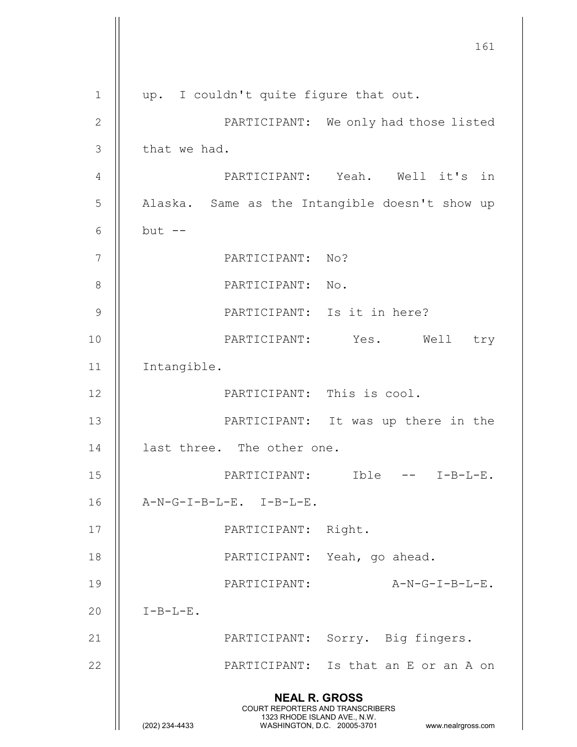161 NEAL R. GROSS COURT REPORTERS AND TRANSCRIBERS 1323 RHODE ISLAND AVE., N.W.<br>WASHINGTON, D.C. 20005-3701 WASHINGTON, D.C. 20005-3701 www.nealrgross.com 1 || up. I couldn't quite figure that out. 2 || PARTICIPANT: We only had those listed  $3$  | that we had. 4 PARTICIPANT: Yeah. Well it's in 5 | Alaska. Same as the Intangible doesn't show up 6  $\parallel$  but  $-$ 7 || PARTICIPANT: No? 8 || PARTICIPANT: No. 9 || PARTICIPANT: Is it in here? 10 PARTICIPANT: Yes. Well try 11 Intangible. 12 PARTICIPANT: This is cool. 13 || PARTICIPANT: It was up there in the 14 | last three. The other one. 15 PARTICIPANT: Ible -- I-B-L-E. 16 A-N-G-I-B-L-E. I-B-L-E. 17 || PARTICIPANT: Right. 18 || PARTICIPANT: Yeah, go ahead. 19 PARTICIPANT: A-N-G-I-B-L-E.  $20$  || I-B-L-E. 21 || PARTICIPANT: Sorry. Big fingers. 22 PARTICIPANT: Is that an E or an A on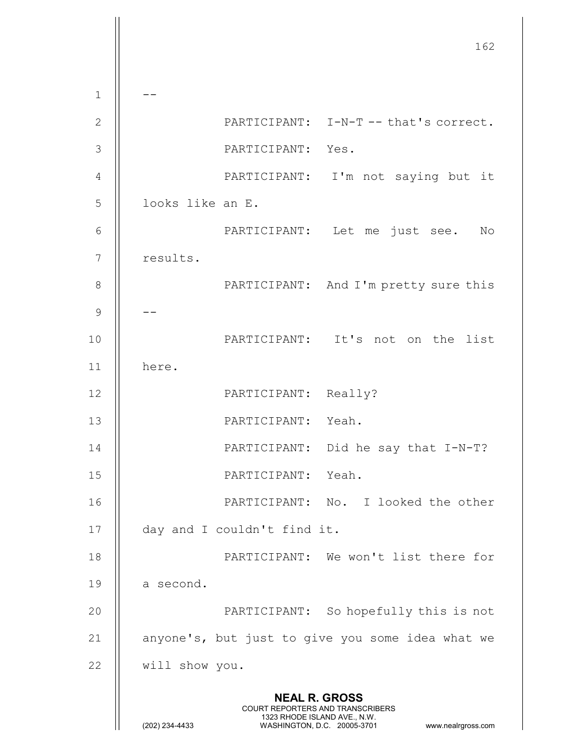162 NEAL R. GROSS COURT REPORTERS AND TRANSCRIBERS 1323 RHODE ISLAND AVE., N.W.<br>WASHINGTON, D.C. 20005-3701 WASHINGTON, D.C. WASHINGTON, D.C. 20005-3701 www.nealrgross.com  $1 \parallel - -$ 2 || PARTICIPANT: I-N-T -- that's correct. 3 PARTICIPANT: Yes. 4 || PARTICIPANT: I'm not saying but it 5 || looks like an E. 6 PARTICIPANT: Let me just see. No 7 | results. 8 || PARTICIPANT: And I'm pretty sure this 9  $\parallel$  --10 || PARTICIPANT: It's not on the list 11 here. 12 || PARTICIPANT: Really? 13 || PARTICIPANT: Yeah. 14 || PARTICIPANT: Did he say that I-N-T? 15 PARTICIPANT: Yeah. 16 PARTICIPANT: No. I looked the other 17 | day and I couldn't find it. 18 PARTICIPANT: We won't list there for 19  $\parallel$  a second. 20 || PARTICIPANT: So hopefully this is not 21  $\parallel$  anyone's, but just to give you some idea what we 22 will show you.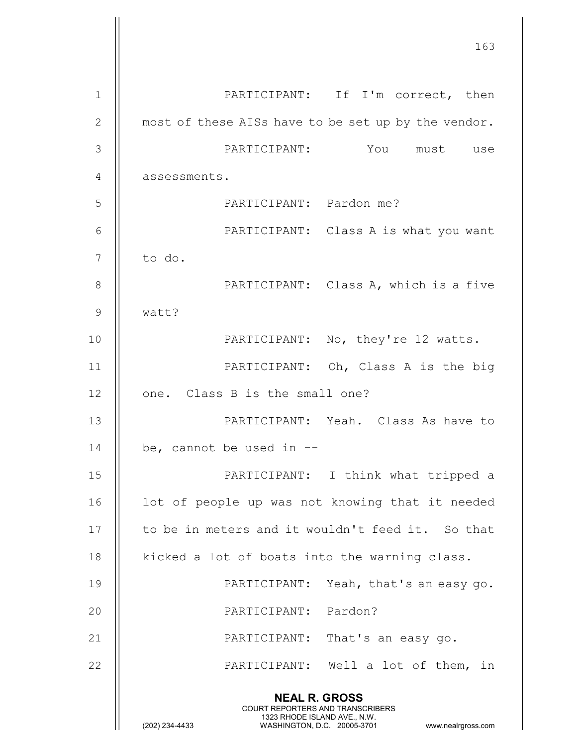|              | 163                                                                                                                                            |
|--------------|------------------------------------------------------------------------------------------------------------------------------------------------|
|              |                                                                                                                                                |
| $\mathbf{1}$ | PARTICIPANT: If I'm correct, then                                                                                                              |
| $\mathbf{2}$ | most of these AISs have to be set up by the vendor.                                                                                            |
| 3            | PARTICIPANT: You must use                                                                                                                      |
| 4            | assessments.                                                                                                                                   |
| 5            | PARTICIPANT: Pardon me?                                                                                                                        |
| 6            | PARTICIPANT: Class A is what you want                                                                                                          |
| 7            | to do.                                                                                                                                         |
| 8            | PARTICIPANT: Class A, which is a five                                                                                                          |
| 9            | watt?                                                                                                                                          |
| 10           | PARTICIPANT: No, they're 12 watts.                                                                                                             |
| 11           | PARTICIPANT: Oh, Class A is the big                                                                                                            |
| 12           | one. Class B is the small one?                                                                                                                 |
| 13           | PARTICIPANT: Yeah. Class As have to                                                                                                            |
| 14           | be, cannot be used in --                                                                                                                       |
| 15           | PARTICIPANT: I think what tripped a                                                                                                            |
| 16           | lot of people up was not knowing that it needed                                                                                                |
| 17           | to be in meters and it wouldn't feed it. So that                                                                                               |
| 18           | kicked a lot of boats into the warning class.                                                                                                  |
| 19           | PARTICIPANT: Yeah, that's an easy go.                                                                                                          |
| 20           | PARTICIPANT: Pardon?                                                                                                                           |
| 21           | PARTICIPANT: That's an easy go.                                                                                                                |
| 22           | PARTICIPANT: Well a lot of them, in                                                                                                            |
|              | <b>NEAL R. GROSS</b>                                                                                                                           |
|              | <b>COURT REPORTERS AND TRANSCRIBERS</b><br>1323 RHODE ISLAND AVE., N.W.<br>(202) 234-4433<br>WASHINGTON, D.C. 20005-3701<br>www.nealrgross.com |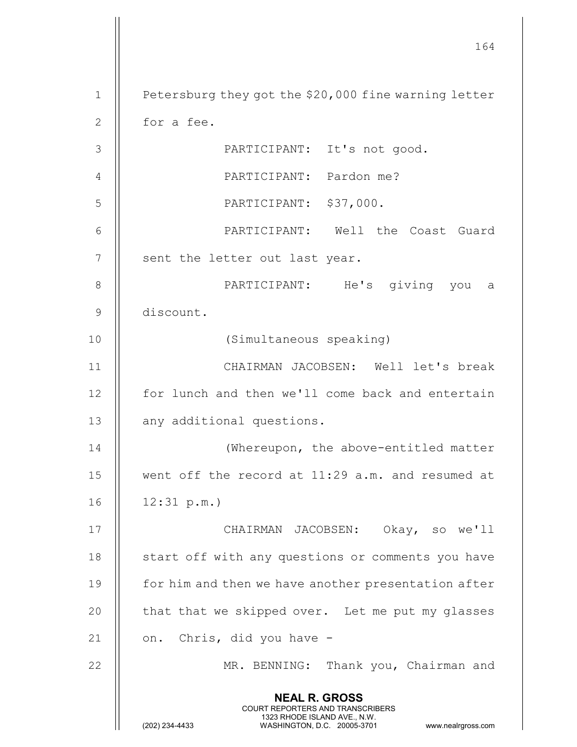|                | 164                                                                                                                                                                    |
|----------------|------------------------------------------------------------------------------------------------------------------------------------------------------------------------|
| $\mathbf 1$    | Petersburg they got the \$20,000 fine warning letter                                                                                                                   |
| $\overline{2}$ | for a fee.                                                                                                                                                             |
| 3              | PARTICIPANT: It's not good.                                                                                                                                            |
| 4              | PARTICIPANT: Pardon me?                                                                                                                                                |
| 5              | PARTICIPANT: \$37,000.                                                                                                                                                 |
| 6              | PARTICIPANT: Well the Coast Guard                                                                                                                                      |
| 7              | sent the letter out last year.                                                                                                                                         |
| 8              | PARTICIPANT: He's giving you a                                                                                                                                         |
| $\mathcal{G}$  | discount.                                                                                                                                                              |
| 10             | (Simultaneous speaking)                                                                                                                                                |
| 11             | CHAIRMAN JACOBSEN: Well let's break                                                                                                                                    |
| 12             | for lunch and then we'll come back and entertain                                                                                                                       |
| 13             | any additional questions.                                                                                                                                              |
| 14             | (Whereupon, the above-entitled matter                                                                                                                                  |
| 15             | went off the record at 11:29 a.m. and resumed at                                                                                                                       |
| 16             | 12:31 p.m.                                                                                                                                                             |
| 17             | CHAIRMAN JACOBSEN: Okay, so we'll                                                                                                                                      |
| 18             | start off with any questions or comments you have                                                                                                                      |
| 19             | for him and then we have another presentation after                                                                                                                    |
| 20             | that that we skipped over. Let me put my glasses                                                                                                                       |
| 21             | on. Chris, did you have -                                                                                                                                              |
| 22             | MR. BENNING: Thank you, Chairman and                                                                                                                                   |
|                | <b>NEAL R. GROSS</b><br><b>COURT REPORTERS AND TRANSCRIBERS</b><br>1323 RHODE ISLAND AVE., N.W.<br>(202) 234-4433<br>WASHINGTON, D.C. 20005-3701<br>www.nealrgross.com |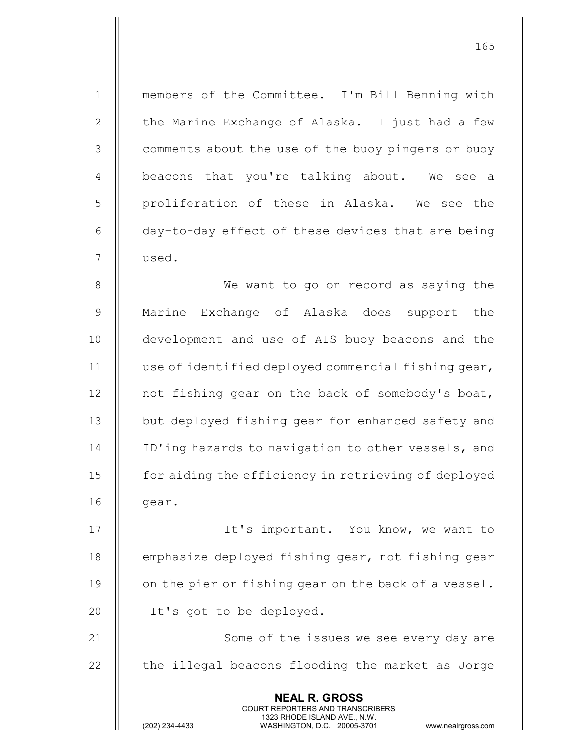NEAL R. GROSS COURT REPORTERS AND TRANSCRIBERS 1323 RHODE ISLAND AVE., N.W.<br>WASHINGTON, D.C. 20005-3701 WASHINGTON, D.C. 1 || members of the Committee. I'm Bill Benning with 2 | the Marine Exchange of Alaska. I just had a few 3 | comments about the use of the buoy pingers or buoy 4 || beacons that you're talking about. We see a 5 || proliferation of these in Alaska. We see the 6 day-to-day effect of these devices that are being 7 used. 8 || We want to go on record as saying the 9 Marine Exchange of Alaska does support the 10 || development and use of AIS buoy beacons and the 11 | use of identified deployed commercial fishing gear, 12 | not fishing gear on the back of somebody's boat, 13 || but deployed fishing gear for enhanced safety and 14 | ID'ing hazards to navigation to other vessels, and 15 **for aiding the efficiency in retrieving of deployed**  $16$  | qear. 17 || It's important. You know, we want to 18 | emphasize deployed fishing gear, not fishing gear 19  $\parallel$  on the pier or fishing gear on the back of a vessel. 20 || It's got to be deployed. 21 || Some of the issues we see every day are  $22$   $\parallel$  the illegal beacons flooding the market as Jorge

165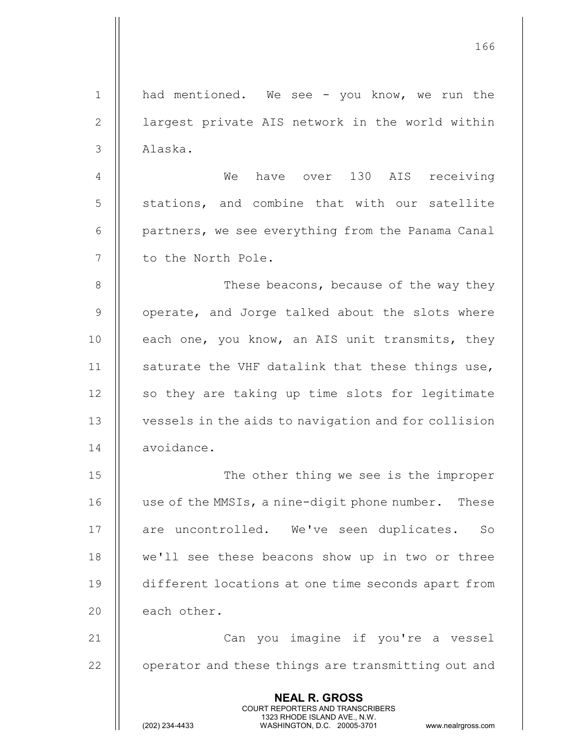NEAL R. GROSS COURT REPORTERS AND TRANSCRIBERS 1323 RHODE ISLAND AVE., N.W.<br>WASHINGTON, D.C. 20005-3701 1 || had mentioned. We see - you know, we run the 2 || largest private AIS network in the world within 3 Alaska. 4 We have over 130 AIS receiving 5 || stations, and combine that with our satellite 6 | partners, we see everything from the Panama Canal 7 || to the North Pole. 8 || These beacons, because of the way they 9 || operate, and Jorge talked about the slots where 10  $\parallel$  each one, you know, an AIS unit transmits, they 11  $\parallel$  saturate the VHF datalink that these things use, 12 || so they are taking up time slots for legitimate 13 vessels in the aids to navigation and for collision 14 | avoidance. 15 || The other thing we see is the improper 16 | use of the MMSIs, a nine-digit phone number. These 17 || are uncontrolled. We've seen duplicates. So 18 || we'll see these beacons show up in two or three 19 different locations at one time seconds apart from  $20$  | each other. 21 Can you imagine if you're a vessel  $22$   $\parallel$  operator and these things are transmitting out and

166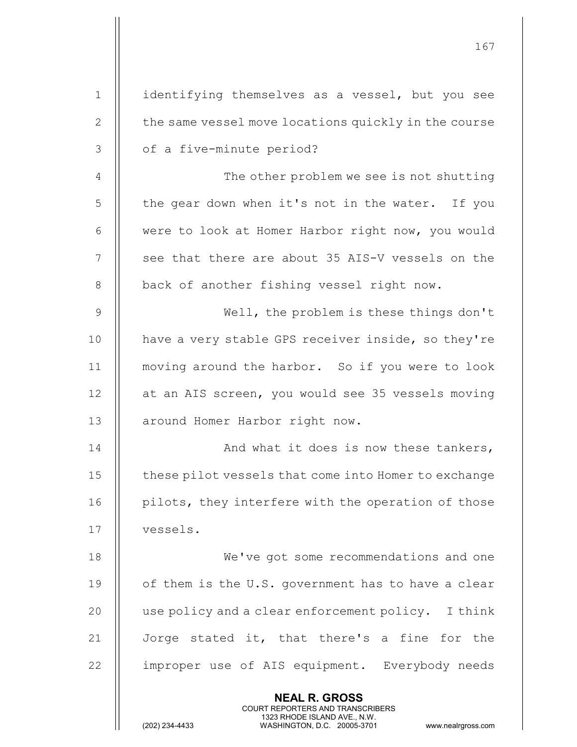|                | 167                                                                                                                                                                    |
|----------------|------------------------------------------------------------------------------------------------------------------------------------------------------------------------|
| 1              | identifying themselves as a vessel, but you see                                                                                                                        |
| $\mathbf{2}$   | the same vessel move locations quickly in the course                                                                                                                   |
| 3              | of a five-minute period?                                                                                                                                               |
| $\overline{4}$ | The other problem we see is not shutting                                                                                                                               |
| 5              | the gear down when it's not in the water. If you                                                                                                                       |
| 6              | were to look at Homer Harbor right now, you would                                                                                                                      |
| $\overline{7}$ | see that there are about 35 AIS-V vessels on the                                                                                                                       |
| 8              | back of another fishing vessel right now.                                                                                                                              |
| $\overline{9}$ | Well, the problem is these things don't                                                                                                                                |
| 10             | have a very stable GPS receiver inside, so they're                                                                                                                     |
| 11             | moving around the harbor. So if you were to look                                                                                                                       |
| 12             | at an AIS screen, you would see 35 vessels moving                                                                                                                      |
| 13             | around Homer Harbor right now.                                                                                                                                         |
| 14             | And what it does is now these tankers,                                                                                                                                 |
| 15             | these pilot vessels that come into Homer to exchange                                                                                                                   |
| 16             | pilots, they interfere with the operation of those                                                                                                                     |
| 17             | vessels.                                                                                                                                                               |
| 18             | We've got some recommendations and one                                                                                                                                 |
| 19             |                                                                                                                                                                        |
|                | of them is the U.S. government has to have a clear                                                                                                                     |
| 20             | use policy and a clear enforcement policy. I think                                                                                                                     |
| 21             | Jorge stated it, that there's a fine for the                                                                                                                           |
| 22             | improper use of AIS equipment. Everybody needs                                                                                                                         |
|                | <b>NEAL R. GROSS</b><br><b>COURT REPORTERS AND TRANSCRIBERS</b><br>1323 RHODE ISLAND AVE., N.W.<br>(202) 234-4433<br>WASHINGTON, D.C. 20005-3701<br>www.nealrgross.com |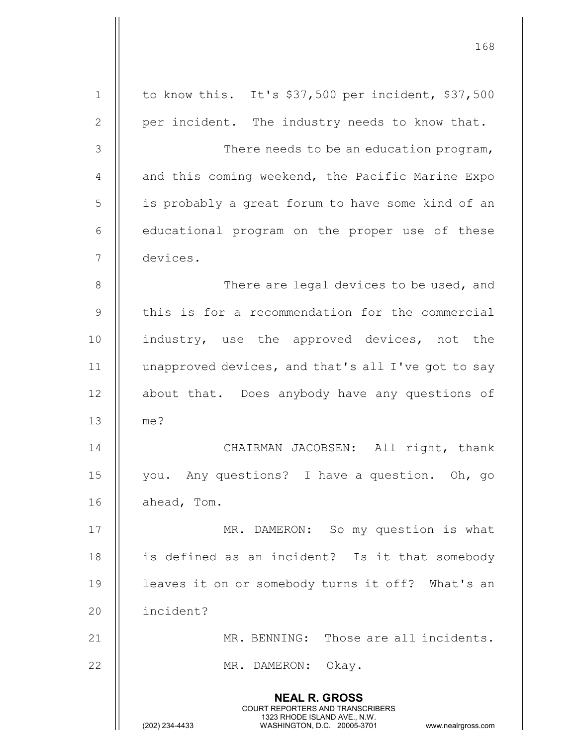|               | 168                                                                                                                                                             |
|---------------|-----------------------------------------------------------------------------------------------------------------------------------------------------------------|
| $\mathbf{1}$  | to know this. It's \$37,500 per incident, \$37,500                                                                                                              |
| $\mathbf{2}$  | per incident. The industry needs to know that.                                                                                                                  |
| 3             | There needs to be an education program,                                                                                                                         |
| 4             | and this coming weekend, the Pacific Marine Expo                                                                                                                |
| 5             | is probably a great forum to have some kind of an                                                                                                               |
| 6             | educational program on the proper use of these                                                                                                                  |
| 7             | devices.                                                                                                                                                        |
| $8\,$         | There are legal devices to be used, and                                                                                                                         |
| $\mathcal{G}$ | this is for a recommendation for the commercial                                                                                                                 |
| 10            | industry, use the approved devices, not the                                                                                                                     |
| 11            | unapproved devices, and that's all I've got to say                                                                                                              |
| 12            | about that. Does anybody have any questions of                                                                                                                  |
| 13            | me?                                                                                                                                                             |
| 14            | CHAIRMAN JACOBSEN: All right, thank                                                                                                                             |
| 15            | you. Any questions? I have a question. Oh, go                                                                                                                   |
| 16            | ahead, Tom.                                                                                                                                                     |
| 17            | MR. DAMERON: So my question is what                                                                                                                             |
| 18            | is defined as an incident? Is it that somebody                                                                                                                  |
| 19            | leaves it on or somebody turns it off? What's an                                                                                                                |
| 20            | incident?                                                                                                                                                       |
| 21            | MR. BENNING: Those are all incidents.                                                                                                                           |
| 22            | MR. DAMERON: Okay.                                                                                                                                              |
|               | <b>NEAL R. GROSS</b><br>COURT REPORTERS AND TRANSCRIBERS<br>1323 RHODE ISLAND AVE., N.W.<br>(202) 234-4433<br>WASHINGTON, D.C. 20005-3701<br>www.nealrgross.com |

 $\mathop{||}$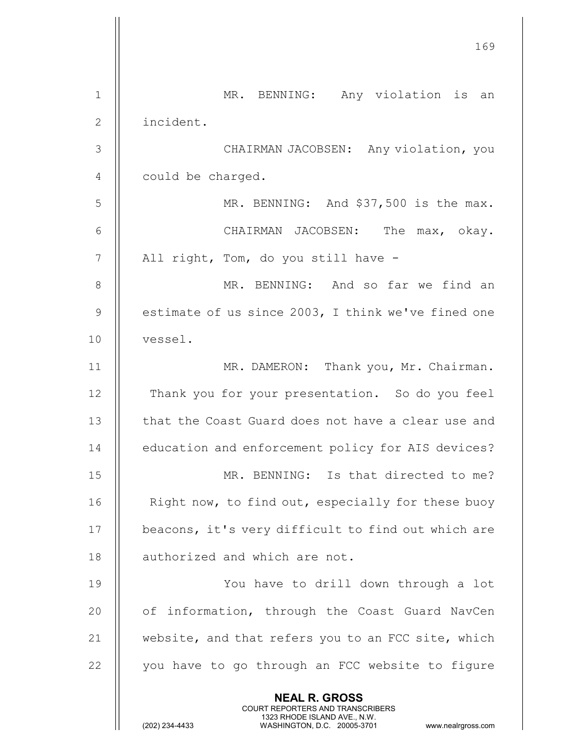|                | 169                                                                                                                                                                    |
|----------------|------------------------------------------------------------------------------------------------------------------------------------------------------------------------|
| 1              | MR. BENNING: Any violation is an                                                                                                                                       |
| $\overline{2}$ | incident.                                                                                                                                                              |
| 3              | CHAIRMAN JACOBSEN: Any violation, you                                                                                                                                  |
| 4              | could be charged.                                                                                                                                                      |
| 5              | MR. BENNING: And \$37,500 is the max.                                                                                                                                  |
| 6              | CHAIRMAN JACOBSEN: The max, okay.                                                                                                                                      |
| $\overline{7}$ | All right, Tom, do you still have -                                                                                                                                    |
| 8              | MR. BENNING: And so far we find an                                                                                                                                     |
| $\overline{9}$ | estimate of us since 2003, I think we've fined one                                                                                                                     |
| 10             | vessel.                                                                                                                                                                |
| 11             | MR. DAMERON: Thank you, Mr. Chairman.                                                                                                                                  |
| 12             | Thank you for your presentation. So do you feel                                                                                                                        |
| 13             | that the Coast Guard does not have a clear use and                                                                                                                     |
| 14             | education and enforcement policy for AIS devices?                                                                                                                      |
| 15             | MR. BENNING: Is that directed to me?                                                                                                                                   |
| 16             | Right now, to find out, especially for these buoy                                                                                                                      |
| 17             | beacons, it's very difficult to find out which are                                                                                                                     |
| 18             | authorized and which are not.                                                                                                                                          |
| 19             | You have to drill down through a lot                                                                                                                                   |
| 20             | of information, through the Coast Guard NavCen                                                                                                                         |
| 21             | website, and that refers you to an FCC site, which                                                                                                                     |
| 22             | you have to go through an FCC website to figure                                                                                                                        |
|                | <b>NEAL R. GROSS</b><br><b>COURT REPORTERS AND TRANSCRIBERS</b><br>1323 RHODE ISLAND AVE., N.W.<br>(202) 234-4433<br>WASHINGTON, D.C. 20005-3701<br>www.nealrgross.com |

 $\begin{array}{c} \hline \end{array}$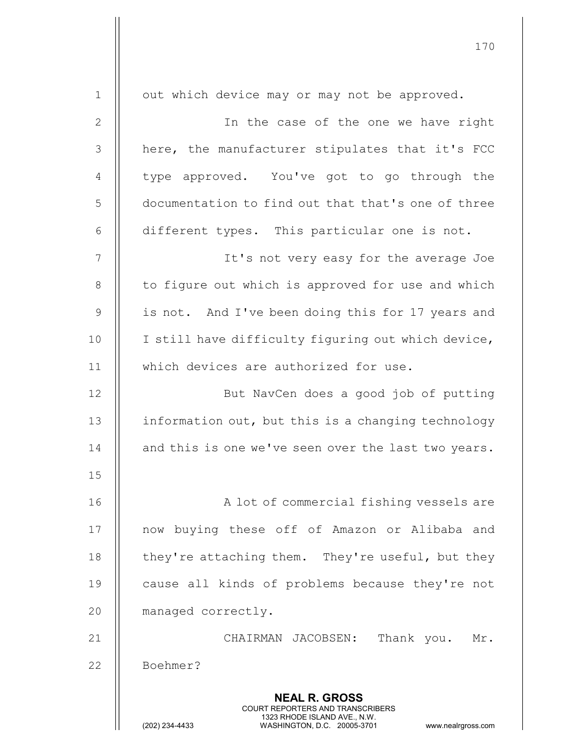|              | 170                                                                                                                                                                    |
|--------------|------------------------------------------------------------------------------------------------------------------------------------------------------------------------|
| $\mathbf 1$  | out which device may or may not be approved.                                                                                                                           |
| $\mathbf{2}$ | In the case of the one we have right                                                                                                                                   |
| 3            | here, the manufacturer stipulates that it's FCC                                                                                                                        |
|              |                                                                                                                                                                        |
| 4            | type approved. You've got to go through the                                                                                                                            |
| 5            | documentation to find out that that's one of three                                                                                                                     |
| 6            | different types. This particular one is not.                                                                                                                           |
| 7            | It's not very easy for the average Joe                                                                                                                                 |
| $\,8\,$      | to figure out which is approved for use and which                                                                                                                      |
| $\mathsf 9$  | is not. And I've been doing this for 17 years and                                                                                                                      |
| 10           | I still have difficulty figuring out which device,                                                                                                                     |
| 11           | which devices are authorized for use.                                                                                                                                  |
| 12           | But NavCen does a good job of putting                                                                                                                                  |
| 13           | information out, but this is a changing technology                                                                                                                     |
| 14           | and this is one we've seen over the last two years.                                                                                                                    |
| 15           |                                                                                                                                                                        |
| 16           | A lot of commercial fishing vessels are                                                                                                                                |
| 17           | now buying these off of Amazon or Alibaba and                                                                                                                          |
| 18           | they're attaching them. They're useful, but they                                                                                                                       |
| 19           | cause all kinds of problems because they're not                                                                                                                        |
| 20           | managed correctly.                                                                                                                                                     |
| 21           | Thank you.<br>CHAIRMAN JACOBSEN:<br>Mr.                                                                                                                                |
| 22           | Boehmer?                                                                                                                                                               |
|              | <b>NEAL R. GROSS</b><br><b>COURT REPORTERS AND TRANSCRIBERS</b><br>1323 RHODE ISLAND AVE., N.W.<br>(202) 234-4433<br>WASHINGTON, D.C. 20005-3701<br>www.nealrgross.com |

 $\mathbf{I}$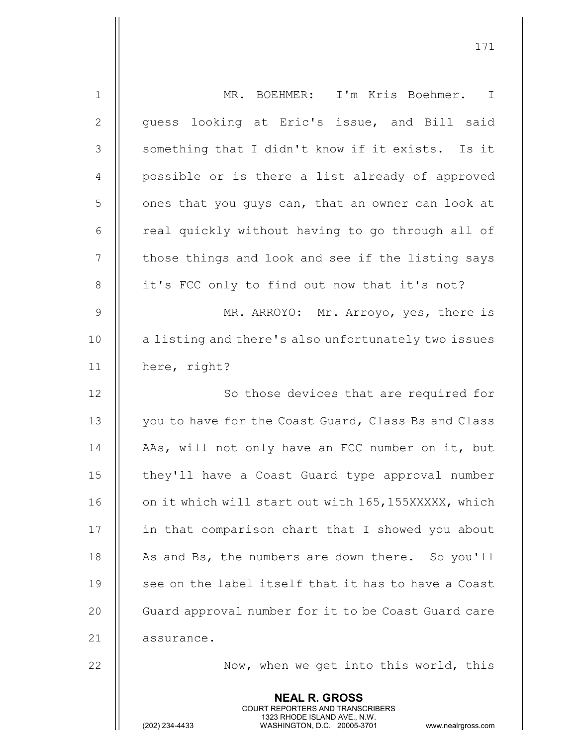|                | <b>NEAL R. GROSS</b><br><b>COURT REPORTERS AND TRANSCRIBERS</b><br>1323 RHODE ISLAND AVE., N.W.<br>(202) 234-4433<br>WASHINGTON, D.C. 20005-3701<br>www.nealrgross.com |
|----------------|------------------------------------------------------------------------------------------------------------------------------------------------------------------------|
| 22             | Now, when we get into this world, this                                                                                                                                 |
| 21             | assurance.                                                                                                                                                             |
| 20             | Guard approval number for it to be Coast Guard care                                                                                                                    |
| 19             | see on the label itself that it has to have a Coast                                                                                                                    |
| 18             | As and Bs, the numbers are down there. So you'll                                                                                                                       |
| 17             | in that comparison chart that I showed you about                                                                                                                       |
| 16             | on it which will start out with 165, 155XXXXX, which                                                                                                                   |
| 15             | they'll have a Coast Guard type approval number                                                                                                                        |
| 14             | AAs, will not only have an FCC number on it, but                                                                                                                       |
| 13             | you to have for the Coast Guard, Class Bs and Class                                                                                                                    |
| 12             | So those devices that are required for                                                                                                                                 |
| 11             | here, right?                                                                                                                                                           |
| 10             | a listing and there's also unfortunately two issues                                                                                                                    |
| $\mathsf 9$    | MR. ARROYO: Mr. Arroyo, yes, there is                                                                                                                                  |
| $8\,$          | it's FCC only to find out now that it's not?                                                                                                                           |
| $\overline{7}$ | those things and look and see if the listing says                                                                                                                      |
| 6              | real quickly without having to go through all of                                                                                                                       |
| 5              | ones that you guys can, that an owner can look at                                                                                                                      |
| $\overline{4}$ | possible or is there a list already of approved                                                                                                                        |
| 3              | something that I didn't know if it exists. Is it                                                                                                                       |
| $\mathbf{2}$   | guess looking at Eric's issue, and Bill said                                                                                                                           |
| $\mathbf 1$    | MR. BOEHMER: I'm Kris Boehmer. I                                                                                                                                       |
|                |                                                                                                                                                                        |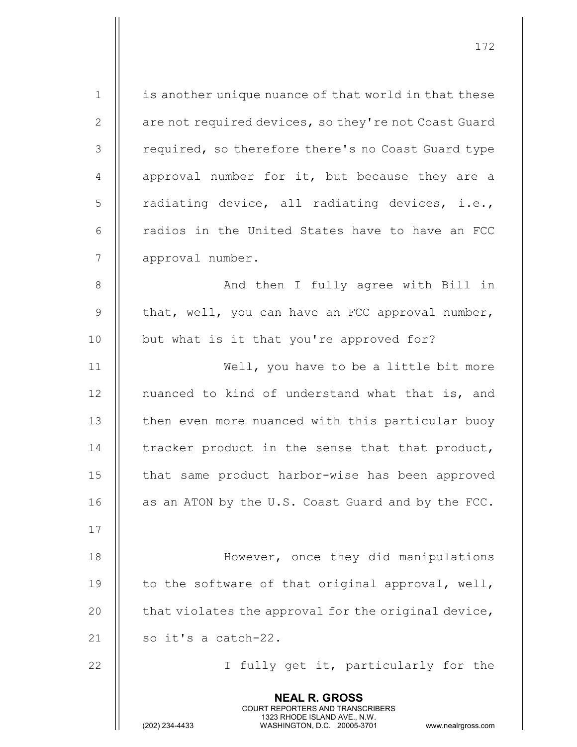| $\mathbf 1$    | is another unique nuance of that world in that these                                                                                                                   |
|----------------|------------------------------------------------------------------------------------------------------------------------------------------------------------------------|
| $\mathbf{2}$   | are not required devices, so they're not Coast Guard                                                                                                                   |
| 3              | required, so therefore there's no Coast Guard type                                                                                                                     |
| $\overline{4}$ | approval number for it, but because they are a                                                                                                                         |
| 5              | radiating device, all radiating devices, i.e.,                                                                                                                         |
| 6              | radios in the United States have to have an FCC                                                                                                                        |
| 7              | approval number.                                                                                                                                                       |
| $8\,$          | And then I fully agree with Bill in                                                                                                                                    |
| $\mathcal{G}$  | that, well, you can have an FCC approval number,                                                                                                                       |
| 10             | but what is it that you're approved for?                                                                                                                               |
| 11             | Well, you have to be a little bit more                                                                                                                                 |
| 12             | nuanced to kind of understand what that is, and                                                                                                                        |
| 13             | then even more nuanced with this particular buoy                                                                                                                       |
| 14             | tracker product in the sense that that product,                                                                                                                        |
| 15             | that same product harbor-wise has been approved                                                                                                                        |
| 16             | as an ATON by the U.S. Coast Guard and by the FCC.                                                                                                                     |
| 17             |                                                                                                                                                                        |
| 18             | However, once they did manipulations                                                                                                                                   |
| 19             | to the software of that original approval, well,                                                                                                                       |
| 20             | that violates the approval for the original device,                                                                                                                    |
| 21             | so it's a catch-22.                                                                                                                                                    |
| 22             | I fully get it, particularly for the                                                                                                                                   |
|                | <b>NEAL R. GROSS</b><br><b>COURT REPORTERS AND TRANSCRIBERS</b><br>1323 RHODE ISLAND AVE., N.W.<br>(202) 234-4433<br>WASHINGTON, D.C. 20005-3701<br>www.nealrgross.com |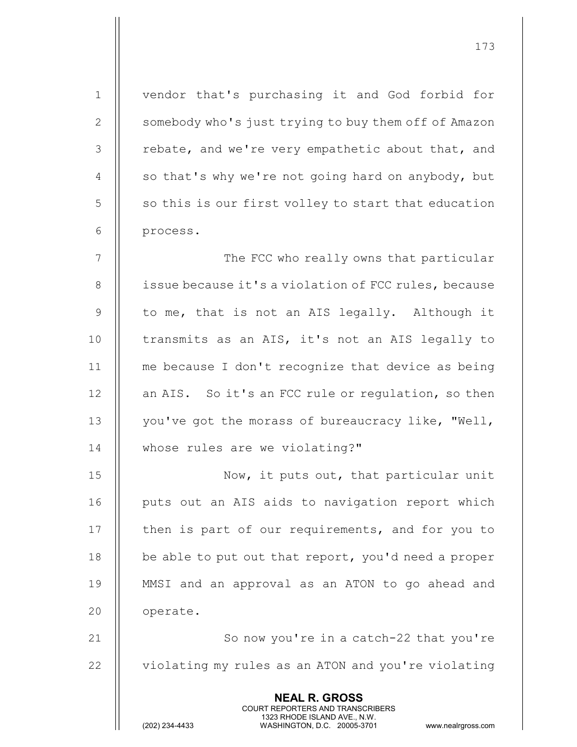NEAL R. GROSS COURT REPORTERS AND TRANSCRIBERS 1323 RHODE ISLAND AVE., N.W.<br>WASHINGTON, D.C. 20005-3701 1 vendor that's purchasing it and God forbid for 2 | somebody who's just trying to buy them off of Amazon  $3$  | rebate, and we're very empathetic about that, and 4  $\parallel$  so that's why we're not going hard on anybody, but  $5 \parallel$  so this is our first volley to start that education 6 || process. 7 || The FCC who really owns that particular 8 | issue because it's a violation of FCC rules, because 9  $\parallel$  to me, that is not an AIS legally. Although it 10 || transmits as an AIS, it's not an AIS legally to 11 me because I don't recognize that device as being 12 | an AIS. So it's an FCC rule or regulation, so then 13 || you've got the morass of bureaucracy like, "Well, 14 whose rules are we violating?" 15 || Now, it puts out, that particular unit 16 || puts out an AIS aids to navigation report which 17 || then is part of our requirements, and for you to 18 || be able to put out that report, you'd need a proper 19 MMSI and an approval as an ATON to go ahead and 20 | operate. 21 || So now you're in a catch-22 that you're 22 | violating my rules as an ATON and you're violating

173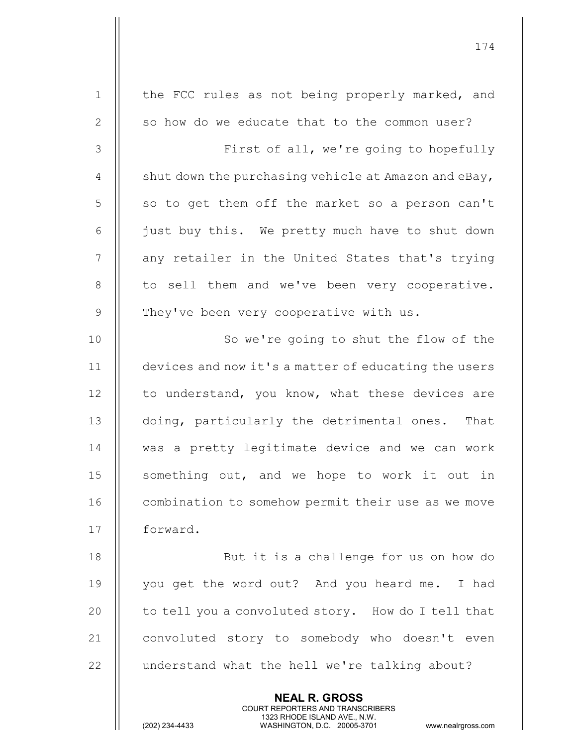| $\mathbf 1$    | the FCC rules as not being properly marked, and                                                                                                                        |
|----------------|------------------------------------------------------------------------------------------------------------------------------------------------------------------------|
| $\mathbf{2}$   | so how do we educate that to the common user?                                                                                                                          |
| 3              | First of all, we're going to hopefully                                                                                                                                 |
| $\overline{4}$ | shut down the purchasing vehicle at Amazon and eBay,                                                                                                                   |
| 5              | so to get them off the market so a person can't                                                                                                                        |
| 6              | just buy this. We pretty much have to shut down                                                                                                                        |
| 7              | any retailer in the United States that's trying                                                                                                                        |
| $8\,$          | to sell them and we've been very cooperative.                                                                                                                          |
| $\mathsf 9$    | They've been very cooperative with us.                                                                                                                                 |
| 10             | So we're going to shut the flow of the                                                                                                                                 |
| 11             | devices and now it's a matter of educating the users                                                                                                                   |
| 12             | to understand, you know, what these devices are                                                                                                                        |
| 13             | doing, particularly the detrimental ones. That                                                                                                                         |
| 14             | was a pretty legitimate device and we can work                                                                                                                         |
| 15             | something out, and we hope to work it out in                                                                                                                           |
| 16             | combination to somehow permit their use as we move                                                                                                                     |
| 17             | forward.                                                                                                                                                               |
| 18             | But it is a challenge for us on how do                                                                                                                                 |
| 19             | you get the word out? And you heard me. I had                                                                                                                          |
| 20             | to tell you a convoluted story. How do I tell that                                                                                                                     |
| 21             | convoluted story to somebody who doesn't even                                                                                                                          |
| 22             | understand what the hell we're talking about?                                                                                                                          |
|                | <b>NEAL R. GROSS</b><br><b>COURT REPORTERS AND TRANSCRIBERS</b><br>1323 RHODE ISLAND AVE., N.W.<br>(202) 234-4433<br>WASHINGTON, D.C. 20005-3701<br>www.nealrgross.com |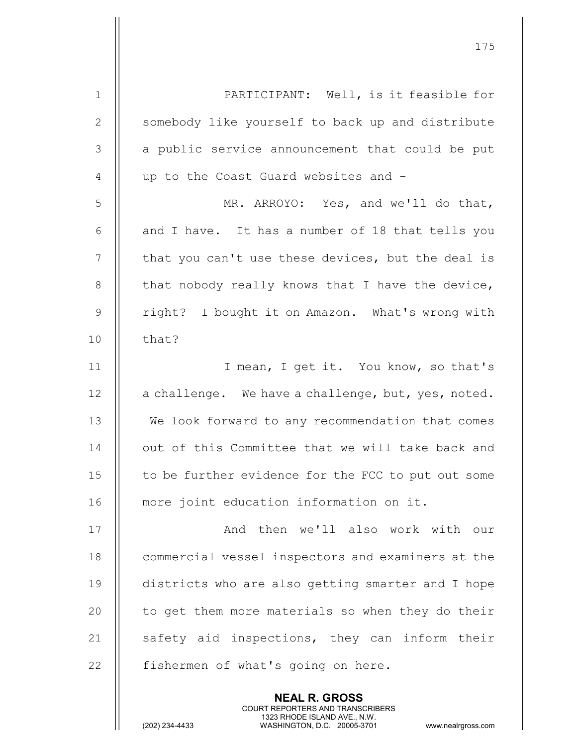| $\mathbf 1$    | PARTICIPANT: Well, is it feasible for              |
|----------------|----------------------------------------------------|
| $\mathbf{2}$   | somebody like yourself to back up and distribute   |
| 3              | a public service announcement that could be put    |
| $\overline{4}$ | up to the Coast Guard websites and -               |
| 5              | MR. ARROYO: Yes, and we'll do that,                |
| 6              | and I have. It has a number of 18 that tells you   |
| $\overline{7}$ | that you can't use these devices, but the deal is  |
| 8              | that nobody really knows that I have the device,   |
| $\overline{9}$ | right? I bought it on Amazon. What's wrong with    |
| 10             | that?                                              |
| 11             | I mean, I get it. You know, so that's              |
| 12             | a challenge. We have a challenge, but, yes, noted. |
| 13             | We look forward to any recommendation that comes   |
| 14             | out of this Committee that we will take back and   |
| 15             | to be further evidence for the FCC to put out some |
| 16             | more joint education information on it.            |
| 17             | And then we'll also work with our                  |
| 18             | commercial vessel inspectors and examiners at the  |
| 19             | districts who are also getting smarter and I hope  |
| 20             | to get them more materials so when they do their   |
| 21             | safety aid inspections, they can inform their      |
| 22             | fishermen of what's going on here.                 |
|                | <b>NEAL R. GROSS</b>                               |

 COURT REPORTERS AND TRANSCRIBERS 1323 RHODE ISLAND AVE., N.W.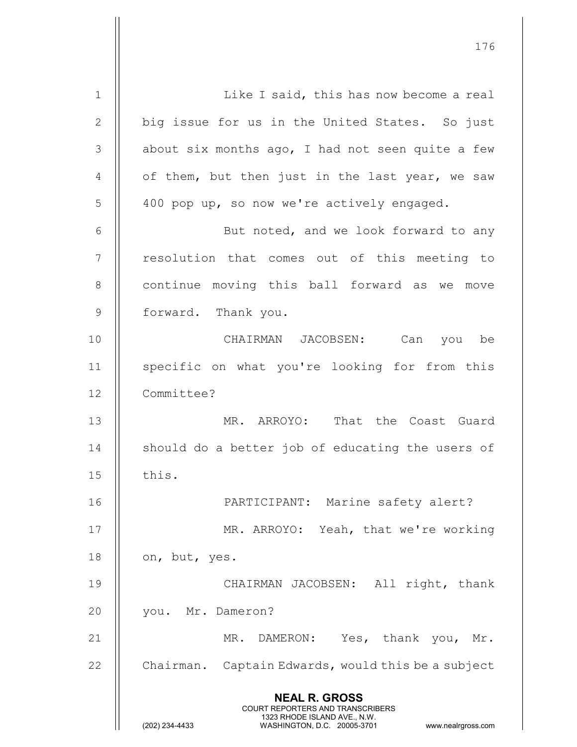NEAL R. GROSS COURT REPORTERS AND TRANSCRIBERS 1323 RHODE ISLAND AVE., N.W.<br>WASHINGTON, D.C. 20005-3701 WASHINGTON, D.C. WASHINGTON, D.C. 20005-3701 www.nealrgross.com 1 Like I said, this has now become a real 2 || big issue for us in the United States. So just  $3$  | about six months ago, I had not seen quite a few 4  $\parallel$  of them, but then just in the last year, we saw 5 | 400 pop up, so now we're actively engaged. 6 || But noted, and we look forward to any 7 || resolution that comes out of this meeting to 8 || continue moving this ball forward as we move 9 || forward. Thank you. 10 CHAIRMAN JACOBSEN: Can you be 11 || specific on what you're looking for from this 12 Committee? 13 MR. ARROYO: That the Coast Guard 14 || should do a better job of educating the users of  $15$   $\parallel$  this. 16 PARTICIPANT: Marine safety alert? 17 MR. ARROYO: Yeah, that we're working 18  $\parallel$  on, but, yes. 19 CHAIRMAN JACOBSEN: All right, thank 20 || you. Mr. Dameron? 21 || MR. DAMERON: Yes, thank you, Mr. 22  $\parallel$  Chairman. Captain Edwards, would this be a subject

176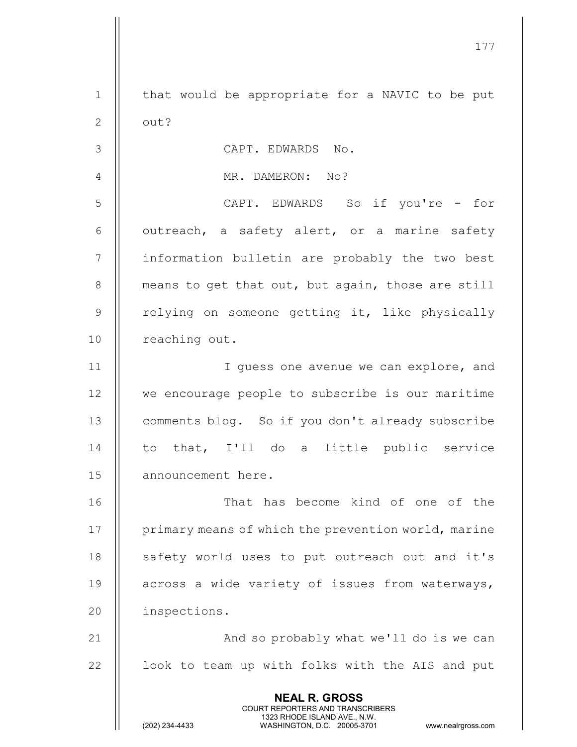177 NEAL R. GROSS COURT REPORTERS AND TRANSCRIBERS 1323 RHODE ISLAND AVE., N.W.<br>WASHINGTON, D.C. 20005-3701 WASHINGTON, D.C. WASHINGTON, D.C. 20005-3701 www.nealrgross.com 1 || that would be appropriate for a NAVIC to be put  $2 \parallel$  out? 3 CAPT. EDWARDS No. 4 MR. DAMERON: No? 5 CAPT. EDWARDS So if you're - for  $6 \parallel$  outreach, a safety alert, or a marine safety 7 || information bulletin are probably the two best 8 | means to get that out, but again, those are still 9 || relying on someone getting it, like physically 10 | reaching out. 11 || I guess one avenue we can explore, and 12 we encourage people to subscribe is our maritime 13 | comments blog. So if you don't already subscribe 14 || to that, I'll do a little public service 15 | announcement here. 16 || That has become kind of one of the 17 | primary means of which the prevention world, marine 18 || safety world uses to put outreach out and it's 19 || across a wide variety of issues from waterways, 20 || inspections. 21 And so probably what we'll do is we can  $22$  || look to team up with folks with the AIS and put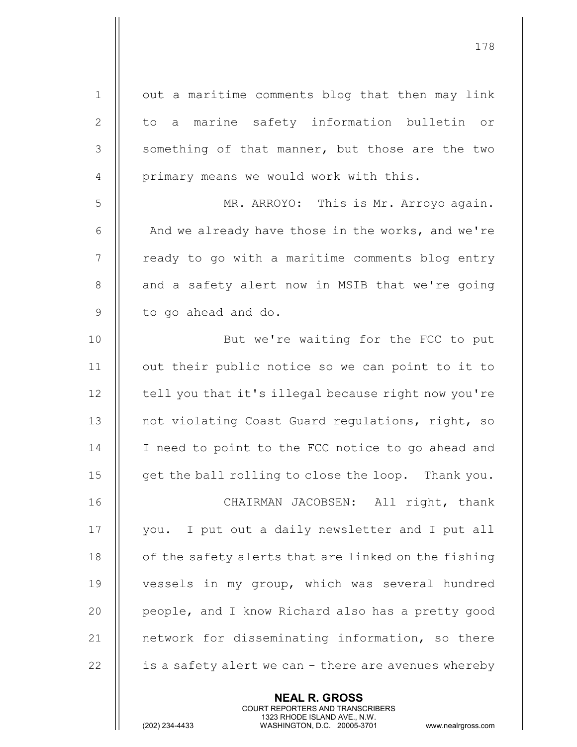| $\mathbf 1$ | out a maritime comments blog that then may link      |
|-------------|------------------------------------------------------|
| 2           | to a marine safety information bulletin or           |
| 3           | something of that manner, but those are the two      |
| 4           | primary means we would work with this.               |
| 5           | MR. ARROYO: This is Mr. Arroyo again.                |
| 6           | And we already have those in the works, and we're    |
| 7           | ready to go with a maritime comments blog entry      |
| 8           | and a safety alert now in MSIB that we're going      |
| 9           | to go ahead and do.                                  |
| 10          | But we're waiting for the FCC to put                 |
| 11          | out their public notice so we can point to it to     |
| 12          | tell you that it's illegal because right now you're  |
| 13          | not violating Coast Guard regulations, right, so     |
| 14          | I need to point to the FCC notice to go ahead and    |
| 15          | get the ball rolling to close the loop. Thank you.   |
| 16          | CHAIRMAN JACOBSEN: All right, thank                  |
| 17          | you. I put out a daily newsletter and I put all      |
| 18          | of the safety alerts that are linked on the fishing  |
| 19          | vessels in my group, which was several hundred       |
| 20          | people, and I know Richard also has a pretty good    |
| 21          | network for disseminating information, so there      |
| 22          | is a safety alert we can - there are avenues whereby |
|             |                                                      |

NEAL R. GROSS

 COURT REPORTERS AND TRANSCRIBERS 1323 RHODE ISLAND AVE., N.W.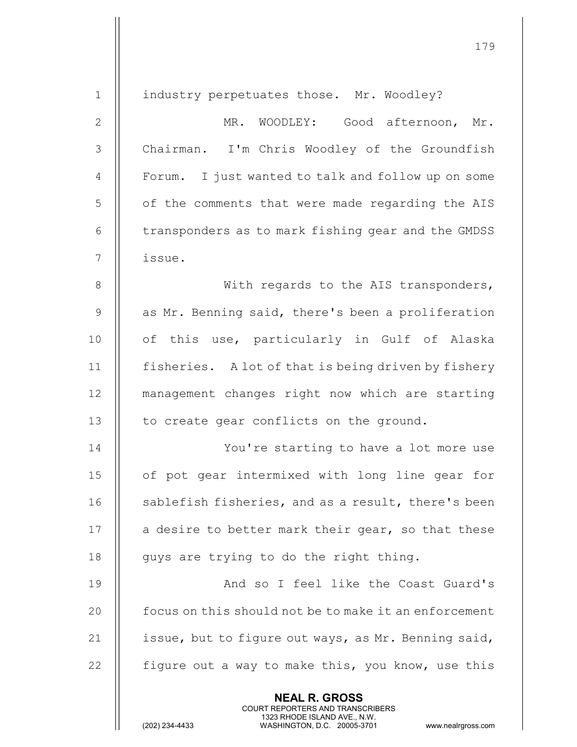| $\mathbf 1$    | industry perpetuates those. Mr. Woodley?                                                                                                                        |
|----------------|-----------------------------------------------------------------------------------------------------------------------------------------------------------------|
| $\mathbf{2}$   | MR. WOODLEY: Good afternoon, Mr.                                                                                                                                |
| $\mathfrak{Z}$ | Chairman. I'm Chris Woodley of the Groundfish                                                                                                                   |
| $\overline{4}$ | Forum. I just wanted to talk and follow up on some                                                                                                              |
| 5              | of the comments that were made regarding the AIS                                                                                                                |
| $6\,$          | transponders as to mark fishing gear and the GMDSS                                                                                                              |
| $\overline{7}$ | issue.                                                                                                                                                          |
| $\,8\,$        | With regards to the AIS transponders,                                                                                                                           |
| $\mathcal{G}$  | as Mr. Benning said, there's been a proliferation                                                                                                               |
| 10             | of this use, particularly in Gulf of Alaska                                                                                                                     |
| 11             | fisheries. A lot of that is being driven by fishery                                                                                                             |
| 12             | management changes right now which are starting                                                                                                                 |
| 13             | to create gear conflicts on the ground.                                                                                                                         |
| 14             | You're starting to have a lot more use                                                                                                                          |
| 15             | of pot gear intermixed with long line gear for                                                                                                                  |
| 16             | sablefish fisheries, and as a result, there's been                                                                                                              |
| 17             | a desire to better mark their gear, so that these                                                                                                               |
| 18             | guys are trying to do the right thing.                                                                                                                          |
| 19             | And so I feel like the Coast Guard's                                                                                                                            |
| 20             | focus on this should not be to make it an enforcement                                                                                                           |
| 21             | issue, but to figure out ways, as Mr. Benning said,                                                                                                             |
| 22             | figure out a way to make this, you know, use this                                                                                                               |
|                | <b>NEAL R. GROSS</b><br>COURT REPORTERS AND TRANSCRIBERS<br>1323 RHODE ISLAND AVE., N.W.<br>(202) 234-4433<br>WASHINGTON, D.C. 20005-3701<br>www.nealrgross.com |

 $\mathsf{I}$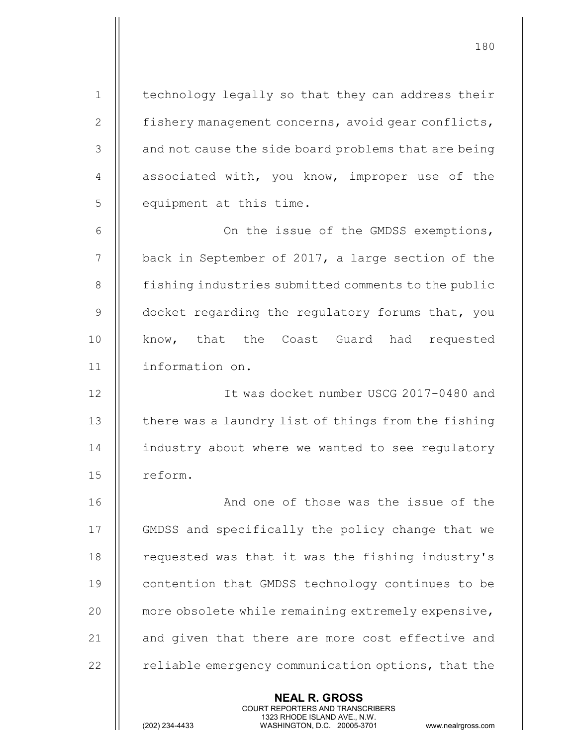1 | technology legally so that they can address their 2 | fishery management concerns, avoid gear conflicts, 3 || and not cause the side board problems that are being 4  $\parallel$  associated with, you know, improper use of the 5 || equipment at this time.

6 On the issue of the GMDSS exemptions, 7 | back in September of 2017, a large section of the 8 | fishing industries submitted comments to the public  $9$   $\parallel$  docket regarding the regulatory forums that, you 10 || know, that the Coast Guard had requested 11 information on.

12 It was docket number USCG 2017-0480 and 13  $\parallel$  there was a laundry list of things from the fishing 14 | industry about where we wanted to see regulatory 15 | reform.

16 || And one of those was the issue of the 17 GMDSS and specifically the policy change that we 18 | requested was that it was the fishing industry's 19 || contention that GMDSS technology continues to be 20 | more obsolete while remaining extremely expensive, 21  $\parallel$  and given that there are more cost effective and  $22$   $\parallel$  reliable emergency communication options, that the

> NEAL R. GROSS COURT REPORTERS AND TRANSCRIBERS

1323 RHODE ISLAND AVE., N.W.<br>WASHINGTON, D.C. 20005-3701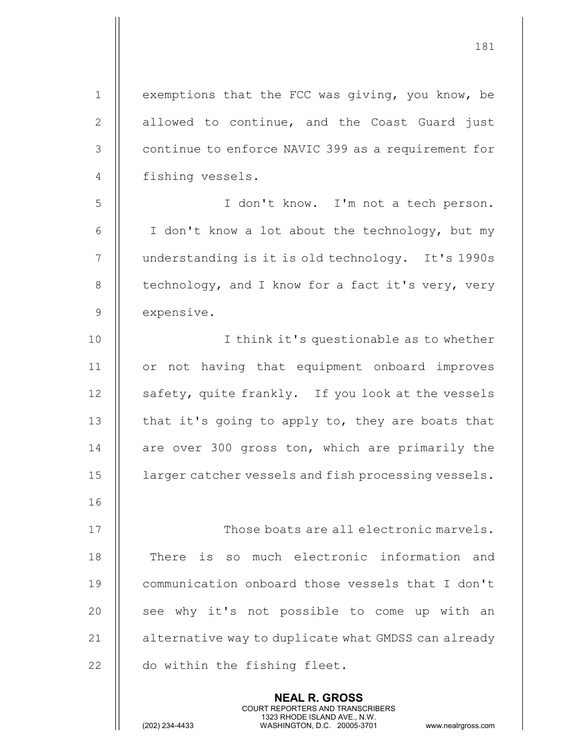1 | exemptions that the FCC was giving, you know, be 2 || allowed to continue, and the Coast Guard just 3 | continue to enforce NAVIC 399 as a requirement for 4 || fishing vessels. 5 I don't know. I'm not a tech person. 6  $\parallel$  I don't know a lot about the technology, but my 7 | understanding is it is old technology. It's 1990s 8  $\parallel$  technology, and I know for a fact it's very, very 9 expensive. 10 || I think it's questionable as to whether 11 or not having that equipment onboard improves 12 || safety, quite frankly. If you look at the vessels 13  $\parallel$  that it's going to apply to, they are boats that 14 || are over 300 gross ton, which are primarily the 15 **larger catcher vessels and fish processing vessels.** 16 17 || Those boats are all electronic marvels. 18 || There is so much electronic information and 19 || communication onboard those vessels that I don't 20 || see why it's not possible to come up with an 21 | alternative way to duplicate what GMDSS can already 22 | do within the fishing fleet.

> NEAL R. GROSS COURT REPORTERS AND TRANSCRIBERS

181

1323 RHODE ISLAND AVE., N.W.<br>WASHINGTON, D.C. 20005-3701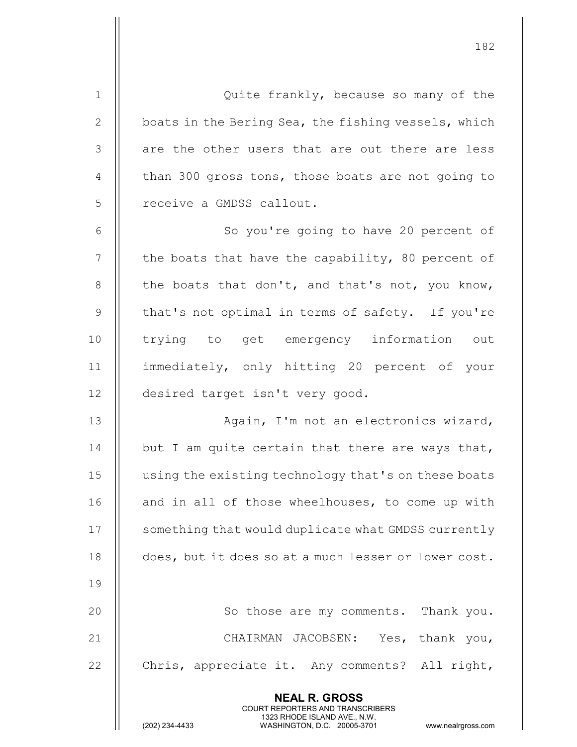NEAL R. GROSS COURT REPORTERS AND TRANSCRIBERS 1 Quite frankly, because so many of the 2  $\parallel$  boats in the Bering Sea, the fishing vessels, which  $3$   $\parallel$  are the other users that are out there are less 4  $\parallel$  than 300 gross tons, those boats are not going to 5 || receive a GMDSS callout. 6 || So you're going to have 20 percent of  $7$  | the boats that have the capability, 80 percent of 8  $\parallel$  the boats that don't, and that's not, you know,  $9$  || that's not optimal in terms of safety. If you're 10 || trying to get emergency information out 11 immediately, only hitting 20 percent of your 12 desired target isn't very good. 13 || Again, I'm not an electronics wizard, 14  $\parallel$  but I am quite certain that there are ways that, 15 | using the existing technology that's on these boats 16 || and in all of those wheelhouses, to come up with 17 | something that would duplicate what GMDSS currently 18 does, but it does so at a much lesser or lower cost. 19 20 || So those are my comments. Thank you. 21 || CHAIRMAN JACOBSEN: Yes, thank you, 22  $\parallel$  Chris, appreciate it. Any comments? All right,

182

1323 RHODE ISLAND AVE., N.W.<br>WASHINGTON, D.C. 20005-3701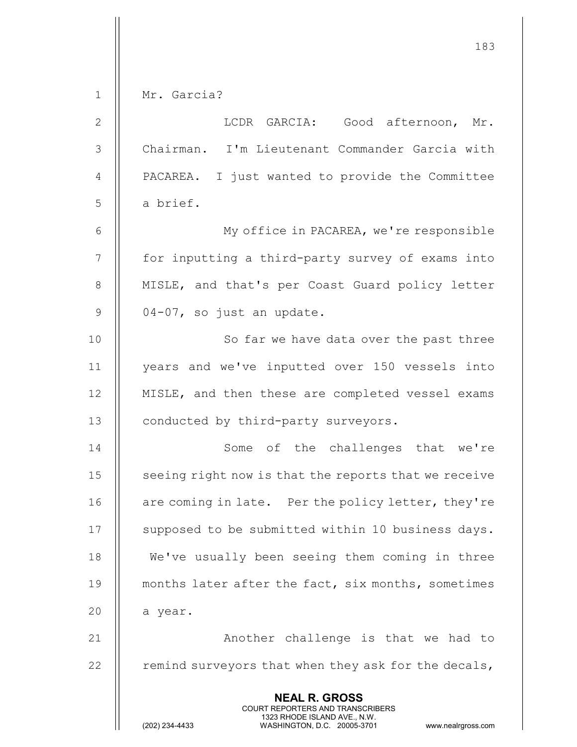|               | 183                                                                                                                                                                    |
|---------------|------------------------------------------------------------------------------------------------------------------------------------------------------------------------|
| $\mathbf 1$   | Mr. Garcia?                                                                                                                                                            |
| $\mathbf{2}$  | LCDR GARCIA: Good afternoon, Mr.                                                                                                                                       |
| $\mathcal{S}$ | Chairman. I'm Lieutenant Commander Garcia with                                                                                                                         |
| 4             | PACAREA. I just wanted to provide the Committee                                                                                                                        |
| 5             | a brief.                                                                                                                                                               |
| 6             | My office in PACAREA, we're responsible                                                                                                                                |
| 7             | for inputting a third-party survey of exams into                                                                                                                       |
| $\,8\,$       | MISLE, and that's per Coast Guard policy letter                                                                                                                        |
| $\mathcal{G}$ | 04-07, so just an update.                                                                                                                                              |
| 10            | So far we have data over the past three                                                                                                                                |
| 11            | years and we've inputted over 150 vessels into                                                                                                                         |
| 12            | MISLE, and then these are completed vessel exams                                                                                                                       |
| 13            | conducted by third-party surveyors.                                                                                                                                    |
| 14            | Some of the challenges that we're                                                                                                                                      |
| 15            | seeing right now is that the reports that we receive                                                                                                                   |
| 16            | are coming in late. Per the policy letter, they're                                                                                                                     |
| 17            | supposed to be submitted within 10 business days.                                                                                                                      |
| 18            | We've usually been seeing them coming in three                                                                                                                         |
| 19            | months later after the fact, six months, sometimes                                                                                                                     |
| 20            | a year.                                                                                                                                                                |
| 21            | Another challenge is that we had to                                                                                                                                    |
| 22            | remind surveyors that when they ask for the decals,                                                                                                                    |
|               | <b>NEAL R. GROSS</b><br><b>COURT REPORTERS AND TRANSCRIBERS</b><br>1323 RHODE ISLAND AVE., N.W.<br>(202) 234-4433<br>WASHINGTON, D.C. 20005-3701<br>www.nealrgross.com |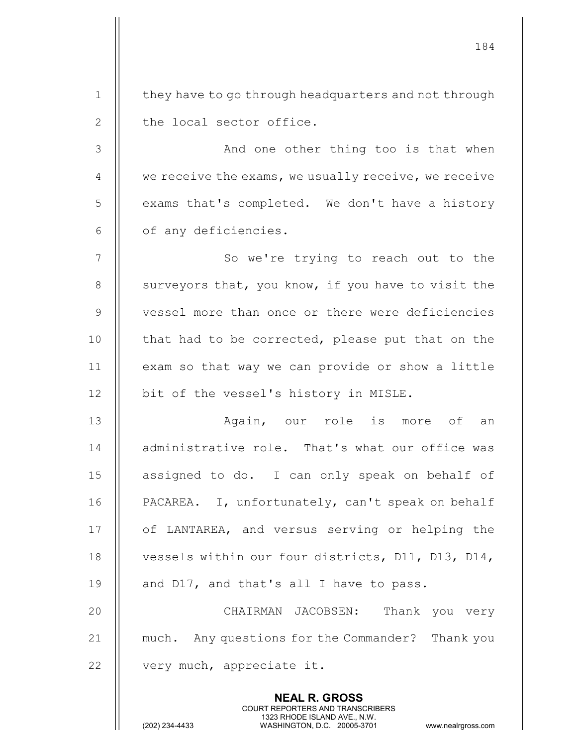| $\mathbf 1$    | they have to go through headquarters and not through                                                                                                                   |
|----------------|------------------------------------------------------------------------------------------------------------------------------------------------------------------------|
| $\mathbf{2}$   | the local sector office.                                                                                                                                               |
| $\mathfrak{Z}$ | And one other thing too is that when                                                                                                                                   |
| 4              | we receive the exams, we usually receive, we receive                                                                                                                   |
| 5              | exams that's completed. We don't have a history                                                                                                                        |
| 6              | of any deficiencies.                                                                                                                                                   |
| 7              | So we're trying to reach out to the                                                                                                                                    |
| 8              | surveyors that, you know, if you have to visit the                                                                                                                     |
| $\mathsf 9$    | vessel more than once or there were deficiencies                                                                                                                       |
| 10             | that had to be corrected, please put that on the                                                                                                                       |
| 11             | exam so that way we can provide or show a little                                                                                                                       |
| 12             | bit of the vessel's history in MISLE.                                                                                                                                  |
| 13             | Again, our role is more of<br>an                                                                                                                                       |
| 14             | administrative role. That's what our office was                                                                                                                        |
| 15             | assigned to do. I can only speak on behalf of                                                                                                                          |
| 16             | PACAREA. I, unfortunately, can't speak on behalf                                                                                                                       |
| 17             | of LANTAREA, and versus serving or helping the                                                                                                                         |
| 18             | vessels within our four districts, D11, D13, D14,                                                                                                                      |
| 19             | and D17, and that's all I have to pass.                                                                                                                                |
| 20             | CHAIRMAN JACOBSEN: Thank you very                                                                                                                                      |
| 21             | much. Any questions for the Commander?<br>Thank you                                                                                                                    |
| 22             | very much, appreciate it.                                                                                                                                              |
|                | <b>NEAL R. GROSS</b><br><b>COURT REPORTERS AND TRANSCRIBERS</b><br>1323 RHODE ISLAND AVE., N.W.<br>(202) 234-4433<br>WASHINGTON, D.C. 20005-3701<br>www.nealrgross.com |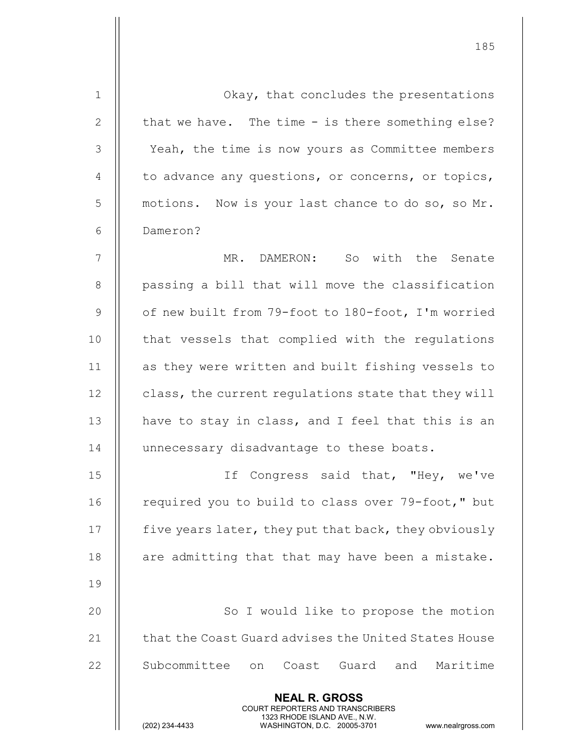| $\mathbf 1$    | Okay, that concludes the presentations                                                                                                                          |
|----------------|-----------------------------------------------------------------------------------------------------------------------------------------------------------------|
| $\mathbf{2}$   | that we have. The time - is there something else?                                                                                                               |
| 3              | Yeah, the time is now yours as Committee members                                                                                                                |
| $\overline{4}$ | to advance any questions, or concerns, or topics,                                                                                                               |
| 5              | motions. Now is your last chance to do so, so Mr.                                                                                                               |
| 6              | Dameron?                                                                                                                                                        |
| 7              | MR. DAMERON: So with the Senate                                                                                                                                 |
| 8              | passing a bill that will move the classification                                                                                                                |
| $\overline{9}$ | of new built from 79-foot to 180-foot, I'm worried                                                                                                              |
| 10             | that vessels that complied with the regulations                                                                                                                 |
| 11             | as they were written and built fishing vessels to                                                                                                               |
| 12             | class, the current regulations state that they will                                                                                                             |
| 13             | have to stay in class, and I feel that this is an                                                                                                               |
| 14             | unnecessary disadvantage to these boats.                                                                                                                        |
| 15             | If Congress said that, "Hey, we've                                                                                                                              |
| 16             | required you to build to class over 79-foot," but                                                                                                               |
| 17             | five years later, they put that back, they obviously                                                                                                            |
| 18             | are admitting that that may have been a mistake.                                                                                                                |
| 19             |                                                                                                                                                                 |
| 20             | So I would like to propose the motion                                                                                                                           |
| 21             | that the Coast Guard advises the United States House                                                                                                            |
| 22             | Subcommittee<br>Maritime<br>Coast<br>Guard and<br>on                                                                                                            |
|                | <b>NEAL R. GROSS</b><br>COURT REPORTERS AND TRANSCRIBERS<br>1323 RHODE ISLAND AVE., N.W.<br>(202) 234-4433<br>WASHINGTON, D.C. 20005-3701<br>www.nealrgross.com |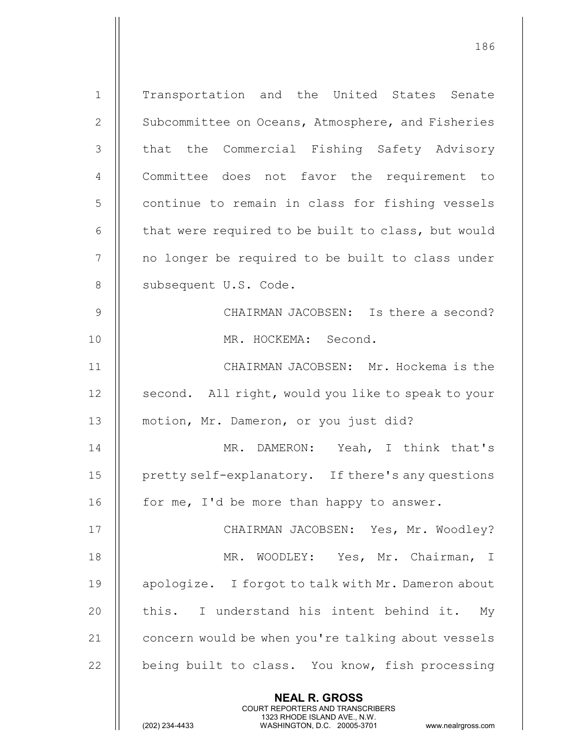NEAL R. GROSS COURT REPORTERS AND TRANSCRIBERS 1 Transportation and the United States Senate 2 | Subcommittee on Oceans, Atmosphere, and Fisheries 3 || that the Commercial Fishing Safety Advisory 4 || Committee does not favor the requirement to 5 | continue to remain in class for fishing vessels  $6$   $\parallel$  that were required to be built to class, but would 7 | | no longer be required to be built to class under 8 | subsequent U.S. Code. 9 || CHAIRMAN JACOBSEN: Is there a second? 10 MR. HOCKEMA: Second. 11 CHAIRMAN JACOBSEN: Mr. Hockema is the 12 | second. All right, would you like to speak to your 13 motion, Mr. Dameron, or you just did? 14 || MR. DAMERON: Yeah, I think that's 15 | pretty self-explanatory. If there's any questions 16  $\parallel$  for me, I'd be more than happy to answer. 17 CHAIRMAN JACOBSEN: Yes, Mr. Woodley? 18 || MR. WOODLEY: Yes, Mr. Chairman, I 19 || apologize. I forgot to talk with Mr. Dameron about 20  $\parallel$  this. I understand his intent behind it. My 21 | concern would be when you're talking about vessels 22  $\parallel$  being built to class. You know, fish processing

186

1323 RHODE ISLAND AVE., N.W.<br>WASHINGTON, D.C. 20005-3701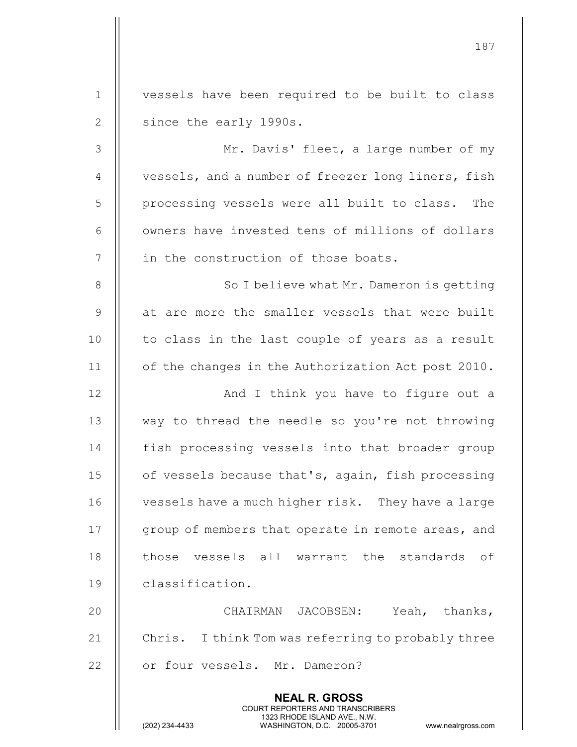|               | 187                                                                                             |
|---------------|-------------------------------------------------------------------------------------------------|
| $\mathbf{1}$  | vessels have been required to be built to class                                                 |
| $\mathbf{2}$  | since the early 1990s.                                                                          |
| 3             | Mr. Davis' fleet, a large number of my                                                          |
| 4             | vessels, and a number of freezer long liners, fish                                              |
| 5             | processing vessels were all built to class.<br>The                                              |
| 6             | owners have invested tens of millions of dollars                                                |
| 7             | in the construction of those boats.                                                             |
| $8\,$         | So I believe what Mr. Dameron is getting                                                        |
| $\mathcal{G}$ | at are more the smaller vessels that were built                                                 |
|               |                                                                                                 |
| 10            | to class in the last couple of years as a result                                                |
| 11            | of the changes in the Authorization Act post 2010.                                              |
| 12            | And I think you have to figure out a                                                            |
| 13            | way to thread the needle so you're not throwing                                                 |
| 14            | fish processing vessels into that broader group                                                 |
| 15            | of vessels because that's, again, fish processing                                               |
| 16            | vessels have a much higher risk. They have a large                                              |
| 17            | group of members that operate in remote areas, and                                              |
| 18            | those vessels all warrant the standards of                                                      |
| 19            | classification.                                                                                 |
| 20            | CHAIRMAN JACOBSEN: Yeah, thanks,                                                                |
| 21            | Chris. I think Tom was referring to probably three                                              |
| 22            | or four vessels. Mr. Dameron?                                                                   |
|               | <b>NEAL R. GROSS</b><br><b>COURT REPORTERS AND TRANSCRIBERS</b><br>1323 RHODE ISLAND AVE., N.W. |
|               | (202) 234-4433<br>WASHINGTON, D.C. 20005-3701<br>www.nealrgross.com                             |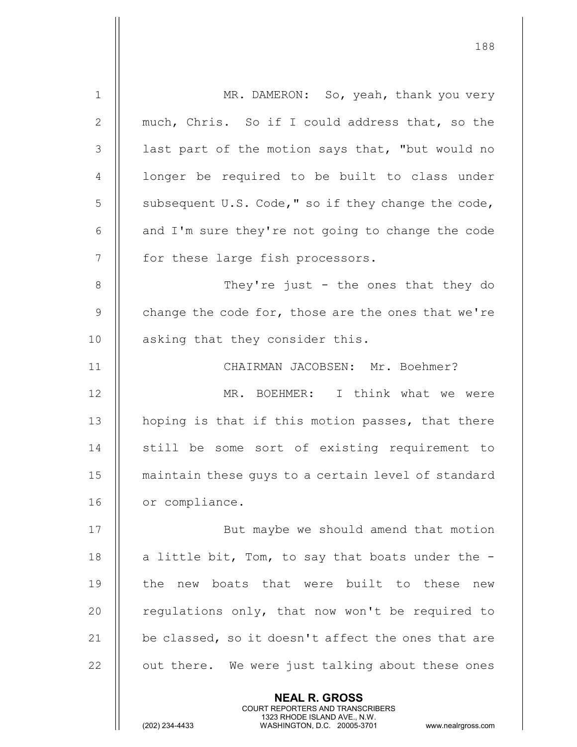| $\mathbf 1$     | MR. DAMERON: So, yeah, thank you very                                                                                                                                  |
|-----------------|------------------------------------------------------------------------------------------------------------------------------------------------------------------------|
| $\mathbf{2}$    | much, Chris. So if I could address that, so the                                                                                                                        |
| 3               | last part of the motion says that, "but would no                                                                                                                       |
| 4               | longer be required to be built to class under                                                                                                                          |
| 5               | subsequent U.S. Code," so if they change the code,                                                                                                                     |
| 6               | and I'm sure they're not going to change the code                                                                                                                      |
| $7\phantom{.0}$ | for these large fish processors.                                                                                                                                       |
| 8               | They're just - the ones that they do                                                                                                                                   |
| $\overline{9}$  | change the code for, those are the ones that we're                                                                                                                     |
| 10              | asking that they consider this.                                                                                                                                        |
| 11              | CHAIRMAN JACOBSEN: Mr. Boehmer?                                                                                                                                        |
| 12              | MR. BOEHMER: I think what we were                                                                                                                                      |
| 13              | hoping is that if this motion passes, that there                                                                                                                       |
| 14              | still be some sort of existing requirement to                                                                                                                          |
| 15              | maintain these guys to a certain level of standard                                                                                                                     |
| 16              | or compliance.                                                                                                                                                         |
| 17              | But maybe we should amend that motion                                                                                                                                  |
| 18              | a little bit, Tom, to say that boats under the -                                                                                                                       |
| 19              | new boats that were built to these new<br>the                                                                                                                          |
| 20              | regulations only, that now won't be required to                                                                                                                        |
| 21              | be classed, so it doesn't affect the ones that are                                                                                                                     |
| 22              | out there. We were just talking about these ones                                                                                                                       |
|                 | <b>NEAL R. GROSS</b><br><b>COURT REPORTERS AND TRANSCRIBERS</b><br>1323 RHODE ISLAND AVE., N.W.<br>(202) 234-4433<br>WASHINGTON, D.C. 20005-3701<br>www.nealrgross.com |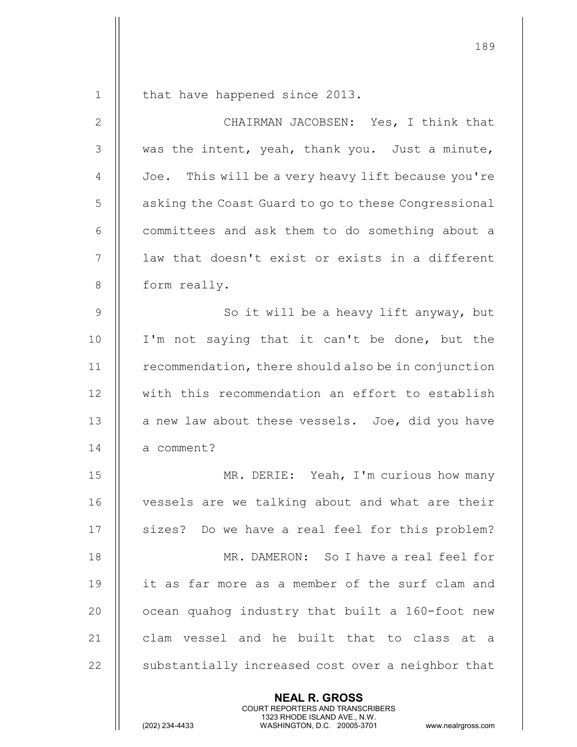NEAL R. GROSS 1 | that have happened since 2013. 2 CHAIRMAN JACOBSEN: Yes, I think that  $3$  || was the intent, yeah, thank you. Just a minute, 4 | Joe. This will be a very heavy lift because you're 5 | asking the Coast Guard to go to these Congressional 6 | committees and ask them to do something about a 7 || law that doesn't exist or exists in a different 8 | form really. 9 || So it will be a heavy lift anyway, but 10 || I'm not saying that it can't be done, but the 11 | recommendation, there should also be in conjunction 12 || with this recommendation an effort to establish  $13$  || a new law about these vessels. Joe, did you have 14 | a comment? 15 MR. DERIE: Yeah, I'm curious how many 16 || vessels are we talking about and what are their 17 || sizes? Do we have a real feel for this problem? 18 MR. DAMERON: So I have a real feel for 19 it as far more as a member of the surf clam and  $20$   $\parallel$  ocean quahog industry that built a 160-foot new 21 || clam vessel and he built that to class at a  $22$   $\parallel$  substantially increased cost over a neighbor that

COURT REPORTERS AND TRANSCRIBERS

189

1323 RHODE ISLAND AVE., N.W.<br>WASHINGTON, D.C. 20005-3701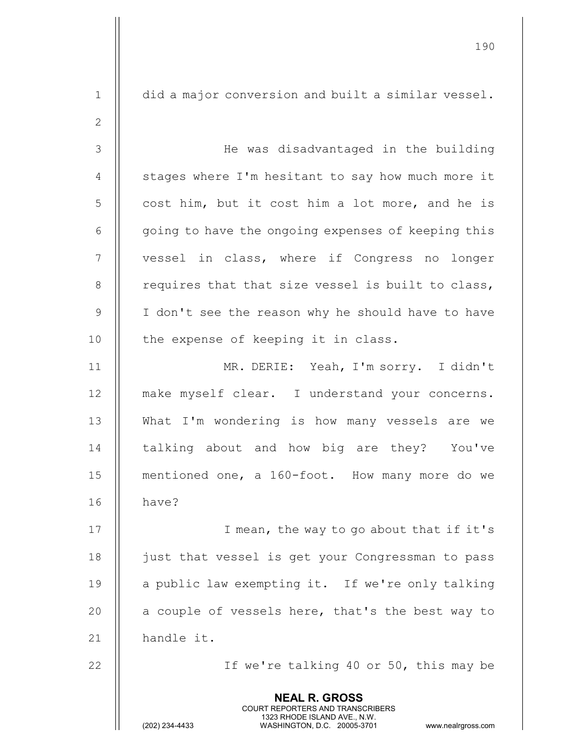NEAL R. GROSS COURT REPORTERS AND TRANSCRIBERS 1323 RHODE ISLAND AVE., N.W.<br>WASHINGTON, D.C. 20005-3701 WASHINGTON, D.C. 1 did a major conversion and built a similar vessel. 2 3 He was disadvantaged in the building  $4 \parallel$  stages where I'm hesitant to say how much more it  $5 \parallel$  cost him, but it cost him a lot more, and he is  $6 \parallel$  going to have the ongoing expenses of keeping this 7 || vessel in class, where if Congress no longer  $8$  || requires that that size vessel is built to class, 9 || I don't see the reason why he should have to have  $10$  | the expense of keeping it in class. 11 MR. DERIE: Yeah, I'm sorry. I didn't 12 || make myself clear. I understand your concerns. 13 What I'm wondering is how many vessels are we 14 || talking about and how big are they? You've 15 | mentioned one, a 160-foot. How many more do we 16 have? 17 || T mean, the way to go about that if it's 18 | just that vessel is get your Congressman to pass 19  $\parallel$  a public law exempting it. If we're only talking 20  $\parallel$  a couple of vessels here, that's the best way to 21 || handle it. 22 || If we're talking 40 or 50, this may be

190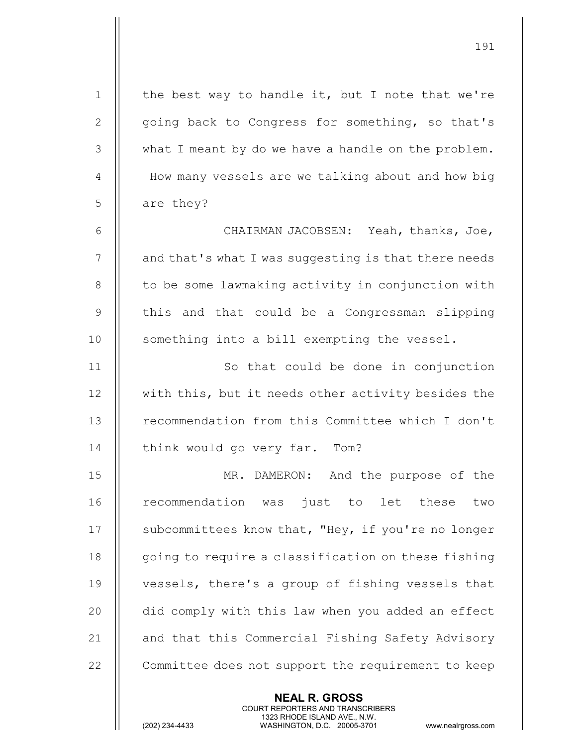| $\mathbf 1$ | the best way to handle it, but I note that we're     |
|-------------|------------------------------------------------------|
| 2           | going back to Congress for something, so that's      |
| 3           | what I meant by do we have a handle on the problem.  |
| 4           | How many vessels are we talking about and how big    |
| 5           | are they?                                            |
| 6           | CHAIRMAN JACOBSEN: Yeah, thanks, Joe,                |
| 7           | and that's what I was suggesting is that there needs |
| 8           | to be some lawmaking activity in conjunction with    |
| $\mathsf 9$ | this and that could be a Congressman slipping        |
| 10          | something into a bill exempting the vessel.          |
| 11          | So that could be done in conjunction                 |
| 12          | with this, but it needs other activity besides the   |
| 13          | recommendation from this Committee which I don't     |
| 14          | think would go very far. Tom?                        |
| 15          | MR. DAMERON: And the purpose of the                  |
| 16          | recommendation was just to let these<br>two          |
| 17          | subcommittees know that, "Hey, if you're no longer   |
| 18          | going to require a classification on these fishing   |
| 19          | vessels, there's a group of fishing vessels that     |
| 20          | did comply with this law when you added an effect    |
| 21          | and that this Commercial Fishing Safety Advisory     |
| 22          | Committee does not support the requirement to keep   |
|             |                                                      |

NEAL R. GROSS

COURT REPORTERS AND TRANSCRIBERS

1323 RHODE ISLAND AVE., N.W.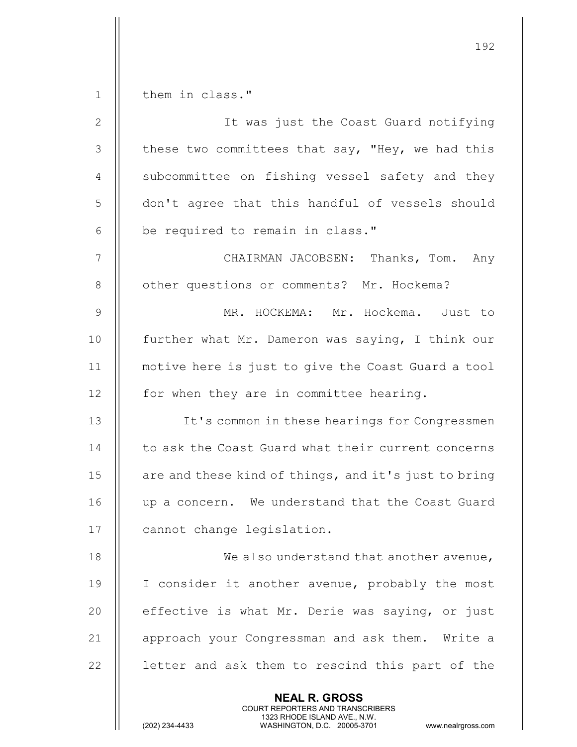192 NEAL R. GROSS COURT REPORTERS AND TRANSCRIBERS 1 | them in class." 2 It was just the Coast Guard notifying  $3$  | these two committees that say, "Hey, we had this 4 || subcommittee on fishing vessel safety and they 5 | don't agree that this handful of vessels should  $6$  || be required to remain in class." 7 CHAIRMAN JACOBSEN: Thanks, Tom. Any 8 | other questions or comments? Mr. Hockema? 9 MR. HOCKEMA: Mr. Hockema. Just to 10 || further what Mr. Dameron was saying, I think our 11 motive here is just to give the Coast Guard a tool 12 | for when they are in committee hearing. 13 || It's common in these hearings for Congressmen 14 | to ask the Coast Guard what their current concerns 15 || are and these kind of things, and it's just to bring 16 || up a concern. We understand that the Coast Guard 17 | cannot change legislation. 18 || We also understand that another avenue, 19 || I consider it another avenue, probably the most 20 || effective is what Mr. Derie was saying, or just 21 || approach your Congressman and ask them. Write a  $22$   $\parallel$  letter and ask them to rescind this part of the

1323 RHODE ISLAND AVE., N.W.<br>WASHINGTON, D.C. 20005-3701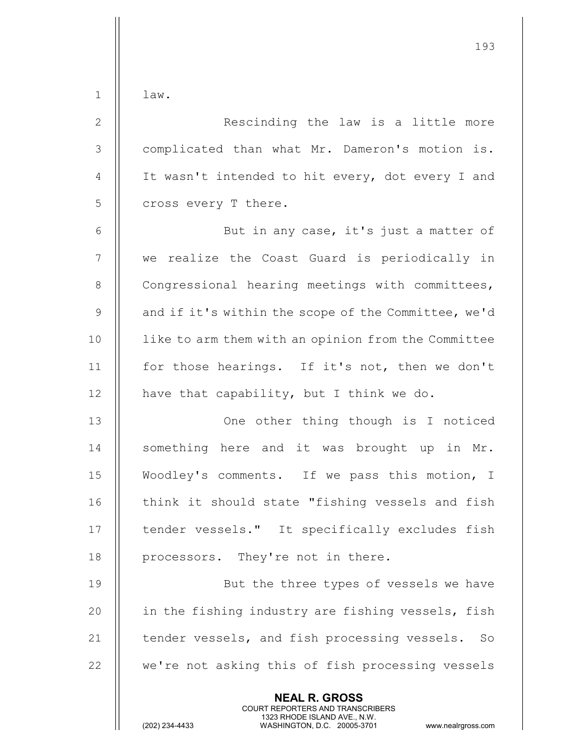$1 \parallel$  law.

| $\mathbf{2}$    | Rescinding the law is a little more                                                                                                                                    |
|-----------------|------------------------------------------------------------------------------------------------------------------------------------------------------------------------|
| 3               | complicated than what Mr. Dameron's motion is.                                                                                                                         |
| $\overline{4}$  | It wasn't intended to hit every, dot every I and                                                                                                                       |
| 5               | cross every T there.                                                                                                                                                   |
| $\epsilon$      | But in any case, it's just a matter of                                                                                                                                 |
| $7\phantom{.0}$ | we realize the Coast Guard is periodically in                                                                                                                          |
| 8               | Congressional hearing meetings with committees,                                                                                                                        |
| 9               | and if it's within the scope of the Committee, we'd                                                                                                                    |
| 10              | like to arm them with an opinion from the Committee                                                                                                                    |
| 11              | for those hearings. If it's not, then we don't                                                                                                                         |
| 12              | have that capability, but I think we do.                                                                                                                               |
| 13              | One other thing though is I noticed                                                                                                                                    |
| 14              | something here and it was brought up in Mr.                                                                                                                            |
| 15              | Woodley's comments. If we pass this motion, I                                                                                                                          |
| 16              | think it should state "fishing vessels and fish                                                                                                                        |
| 17              | tender vessels." It specifically excludes fish                                                                                                                         |
| 18              | processors. They're not in there.                                                                                                                                      |
| 19              | But the three types of vessels we have                                                                                                                                 |
| 20              | in the fishing industry are fishing vessels, fish                                                                                                                      |
| 21              | tender vessels, and fish processing vessels.<br>So                                                                                                                     |
| 22              | we're not asking this of fish processing vessels                                                                                                                       |
|                 | <b>NEAL R. GROSS</b><br><b>COURT REPORTERS AND TRANSCRIBERS</b><br>1323 RHODE ISLAND AVE., N.W.<br>(202) 234-4433<br>WASHINGTON, D.C. 20005-3701<br>www.nealrgross.com |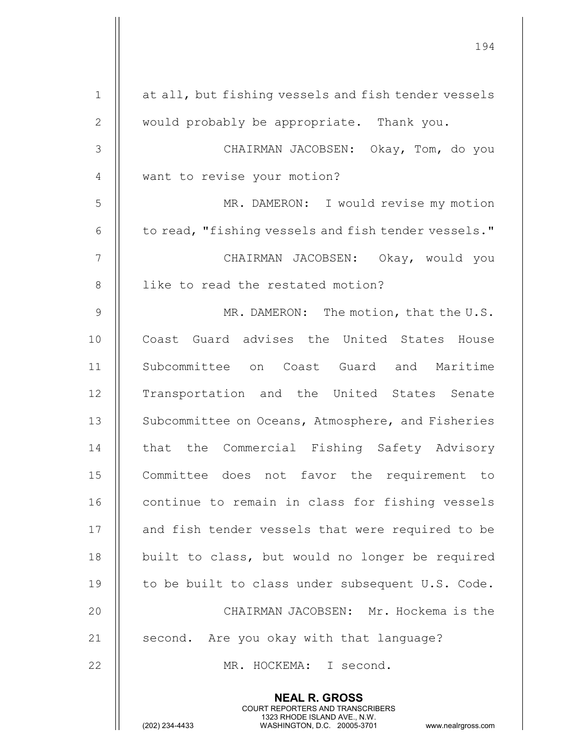| $\mathbf 1$   | at all, but fishing vessels and fish tender vessels                                                                                                                    |
|---------------|------------------------------------------------------------------------------------------------------------------------------------------------------------------------|
| $\mathbf{2}$  | would probably be appropriate. Thank you.                                                                                                                              |
| $\mathcal{S}$ | CHAIRMAN JACOBSEN: Okay, Tom, do you                                                                                                                                   |
| 4             | want to revise your motion?                                                                                                                                            |
| 5             | MR. DAMERON: I would revise my motion                                                                                                                                  |
| 6             | to read, "fishing vessels and fish tender vessels."                                                                                                                    |
| 7             | CHAIRMAN JACOBSEN: Okay, would you                                                                                                                                     |
| $8\,$         | like to read the restated motion?                                                                                                                                      |
| $\mathcal{G}$ | MR. DAMERON: The motion, that the U.S.                                                                                                                                 |
| 10            | Coast Guard advises the United States House                                                                                                                            |
| 11            | Subcommittee on Coast Guard and Maritime                                                                                                                               |
| 12            | Transportation and the United States Senate                                                                                                                            |
| 13            | Subcommittee on Oceans, Atmosphere, and Fisheries                                                                                                                      |
| 14            | that the Commercial Fishing Safety Advisory                                                                                                                            |
| 15            | favor the<br>Committee<br>does<br>not<br>requirement<br>to                                                                                                             |
| 16            | continue to remain in class for fishing vessels                                                                                                                        |
| 17            | and fish tender vessels that were required to be                                                                                                                       |
| 18            | built to class, but would no longer be required                                                                                                                        |
| 19            | to be built to class under subsequent U.S. Code.                                                                                                                       |
| 20            | CHAIRMAN JACOBSEN: Mr. Hockema is the                                                                                                                                  |
| 21            | second. Are you okay with that language?                                                                                                                               |
| 22            | MR. HOCKEMA: I second.                                                                                                                                                 |
|               | <b>NEAL R. GROSS</b><br><b>COURT REPORTERS AND TRANSCRIBERS</b><br>1323 RHODE ISLAND AVE., N.W.<br>(202) 234-4433<br>WASHINGTON, D.C. 20005-3701<br>www.nealrgross.com |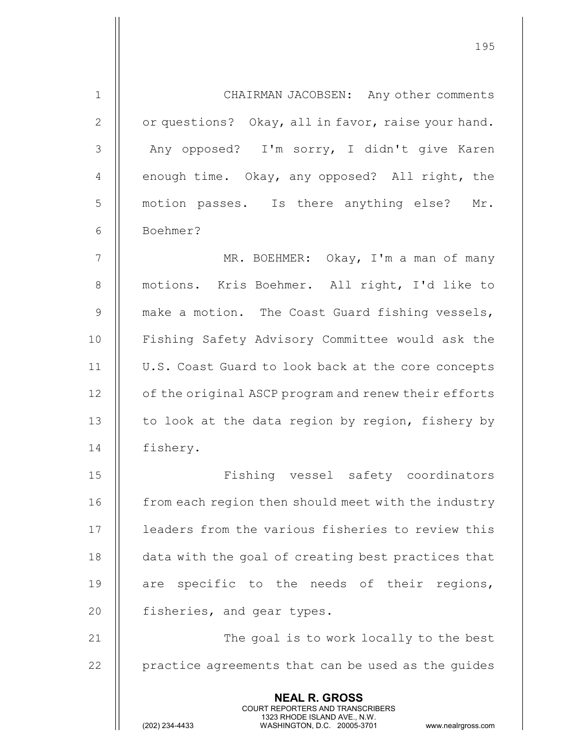| $\mathbf 1$  | CHAIRMAN JACOBSEN: Any other comments                                                                                                                           |
|--------------|-----------------------------------------------------------------------------------------------------------------------------------------------------------------|
| $\mathbf{2}$ | or questions? Okay, all in favor, raise your hand.                                                                                                              |
| 3            | Any opposed? I'm sorry, I didn't give Karen                                                                                                                     |
| 4            | enough time. Okay, any opposed? All right, the                                                                                                                  |
| 5            | motion passes. Is there anything else? Mr.                                                                                                                      |
| 6            | Boehmer?                                                                                                                                                        |
| 7            | MR. BOEHMER: Okay, I'm a man of many                                                                                                                            |
| 8            | motions. Kris Boehmer. All right, I'd like to                                                                                                                   |
| 9            | make a motion. The Coast Guard fishing vessels,                                                                                                                 |
| 10           | Fishing Safety Advisory Committee would ask the                                                                                                                 |
| 11           | U.S. Coast Guard to look back at the core concepts                                                                                                              |
| 12           | of the original ASCP program and renew their efforts                                                                                                            |
| 13           | to look at the data region by region, fishery by                                                                                                                |
| 14           | fishery.                                                                                                                                                        |
| 15           | Fishing vessel safety coordinators                                                                                                                              |
| 16           | from each region then should meet with the industry                                                                                                             |
| 17           | leaders from the various fisheries to review this                                                                                                               |
| 18           | data with the goal of creating best practices that                                                                                                              |
| 19           | specific to the needs of their regions,<br>are                                                                                                                  |
| 20           | fisheries, and gear types.                                                                                                                                      |
| 21           | The goal is to work locally to the best                                                                                                                         |
| 22           | practice agreements that can be used as the guides                                                                                                              |
|              | <b>NEAL R. GROSS</b><br>COURT REPORTERS AND TRANSCRIBERS<br>1323 RHODE ISLAND AVE., N.W.<br>WASHINGTON, D.C. 20005-3701<br>(202) 234-4433<br>www.nealrgross.com |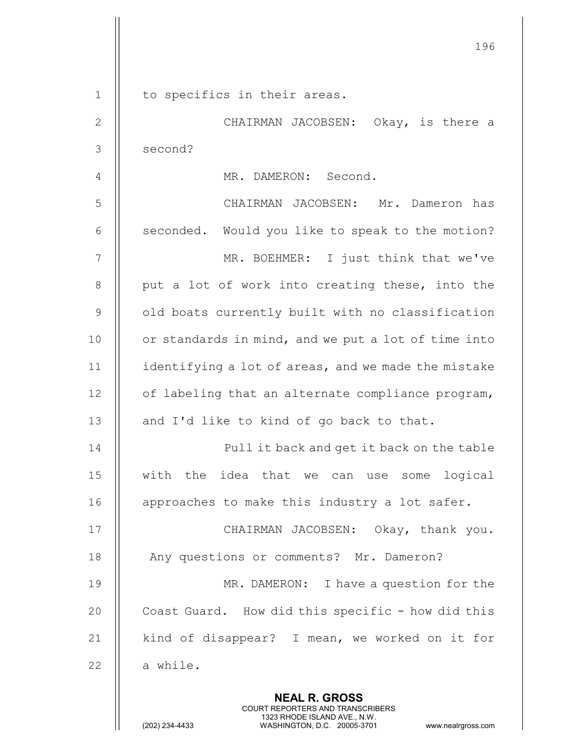|              | 196                                                      |
|--------------|----------------------------------------------------------|
| $\mathbf{1}$ | to specifics in their areas.                             |
| $\mathbf{2}$ | CHAIRMAN JACOBSEN: Okay, is there a                      |
| 3            | second?                                                  |
| 4            | MR. DAMERON: Second.                                     |
| 5            | CHAIRMAN JACOBSEN: Mr. Dameron has                       |
| 6            | seconded. Would you like to speak to the motion?         |
| 7            | MR. BOEHMER: I just think that we've                     |
| 8            | put a lot of work into creating these, into the          |
| $\mathsf 9$  | old boats currently built with no classification         |
| 10           | or standards in mind, and we put a lot of time into      |
| 11           | identifying a lot of areas, and we made the mistake      |
| 12           | of labeling that an alternate compliance program,        |
| 13           | and I'd like to kind of go back to that.                 |
| 14           | Pull it back and get it back on the table                |
| 15           | with the idea that we can use some logical               |
| 16           | approaches to make this industry a lot safer.            |
|              |                                                          |
| 17           | CHAIRMAN JACOBSEN: Okay, thank you.                      |
| 18           | Any questions or comments? Mr. Dameron?                  |
| 19           | MR. DAMERON: I have a question for the                   |
| 20           | Coast Guard. How did this specific - how did this        |
| 21           | kind of disappear? I mean, we worked on it for           |
| 22           | a while.                                                 |
|              | <b>NEAL R. GROSS</b><br>COURT REPORTERS AND TRANSCRIBERS |

1323 RHODE ISLAND AVE., N.W.

 $\frac{1}{2}$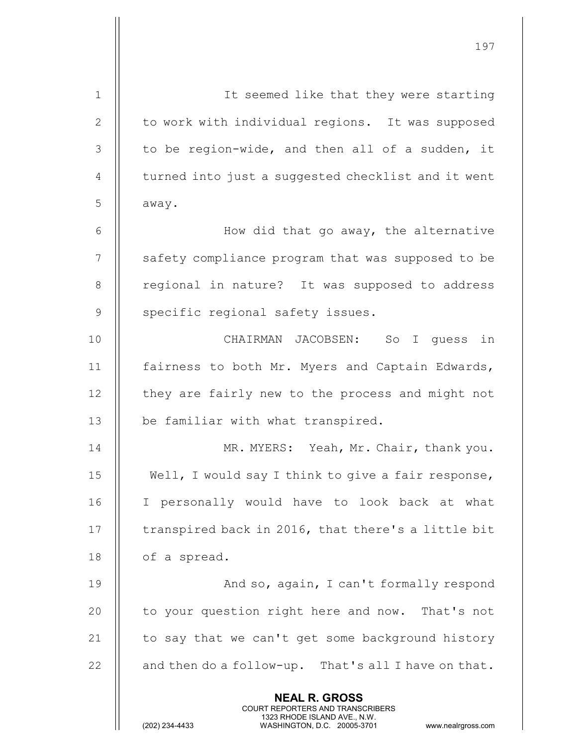| $\mathbf 1$    | It seemed like that they were starting                                                                                                                                 |
|----------------|------------------------------------------------------------------------------------------------------------------------------------------------------------------------|
| $\mathbf{2}$   | to work with individual regions. It was supposed                                                                                                                       |
| $\mathcal{S}$  | to be region-wide, and then all of a sudden, it                                                                                                                        |
| $\overline{4}$ | turned into just a suggested checklist and it went                                                                                                                     |
| 5              | away.                                                                                                                                                                  |
| $6\,$          | How did that go away, the alternative                                                                                                                                  |
| 7              | safety compliance program that was supposed to be                                                                                                                      |
| $8\,$          | regional in nature? It was supposed to address                                                                                                                         |
| $\mathcal{G}$  | specific regional safety issues.                                                                                                                                       |
| 10             | CHAIRMAN JACOBSEN: So I quess in                                                                                                                                       |
| 11             | fairness to both Mr. Myers and Captain Edwards,                                                                                                                        |
| 12             | they are fairly new to the process and might not                                                                                                                       |
| 13             | be familiar with what transpired.                                                                                                                                      |
| 14             | MR. MYERS: Yeah, Mr. Chair, thank you.                                                                                                                                 |
| 15             | Well, I would say I think to give a fair response,                                                                                                                     |
| 16             | I personally would have to look back at what                                                                                                                           |
| 17             | transpired back in 2016, that there's a little bit                                                                                                                     |
| 18             | of a spread.                                                                                                                                                           |
| 19             | And so, again, I can't formally respond                                                                                                                                |
| 20             | to your question right here and now. That's not                                                                                                                        |
| 21             | to say that we can't get some background history                                                                                                                       |
| 22             | and then do a follow-up. That's all I have on that.                                                                                                                    |
|                | <b>NEAL R. GROSS</b><br><b>COURT REPORTERS AND TRANSCRIBERS</b><br>1323 RHODE ISLAND AVE., N.W.<br>(202) 234-4433<br>WASHINGTON, D.C. 20005-3701<br>www.nealrgross.com |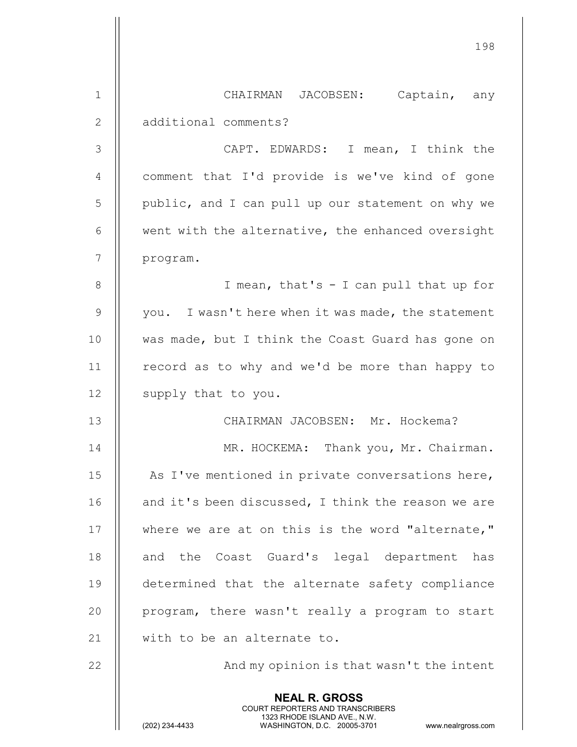|              | 198                                                                                                                                                                    |
|--------------|------------------------------------------------------------------------------------------------------------------------------------------------------------------------|
|              |                                                                                                                                                                        |
| $\mathbf 1$  | CHAIRMAN JACOBSEN: Captain, any                                                                                                                                        |
| $\mathbf{2}$ | additional comments?                                                                                                                                                   |
| 3            | CAPT. EDWARDS: I mean, I think the                                                                                                                                     |
| 4            | comment that I'd provide is we've kind of gone                                                                                                                         |
| 5            | public, and I can pull up our statement on why we                                                                                                                      |
| 6            | went with the alternative, the enhanced oversight                                                                                                                      |
| 7            | program.                                                                                                                                                               |
| 8            | I mean, that's - I can pull that up for                                                                                                                                |
| 9            | you. I wasn't here when it was made, the statement                                                                                                                     |
| 10           | was made, but I think the Coast Guard has gone on                                                                                                                      |
| 11           | record as to why and we'd be more than happy to                                                                                                                        |
| 12           | supply that to you.                                                                                                                                                    |
| 13           | CHAIRMAN JACOBSEN: Mr. Hockema?                                                                                                                                        |
| 14           | MR. HOCKEMA: Thank you, Mr. Chairman.                                                                                                                                  |
| 15           | As I've mentioned in private conversations here,                                                                                                                       |
| 16           | and it's been discussed, I think the reason we are                                                                                                                     |
| 17           | where we are at on this is the word "alternate,"                                                                                                                       |
| 18           | and the Coast Guard's legal department has                                                                                                                             |
| 19           | determined that the alternate safety compliance                                                                                                                        |
| 20           | program, there wasn't really a program to start                                                                                                                        |
| 21           | with to be an alternate to.                                                                                                                                            |
| 22           | And my opinion is that wasn't the intent                                                                                                                               |
|              | <b>NEAL R. GROSS</b><br><b>COURT REPORTERS AND TRANSCRIBERS</b><br>1323 RHODE ISLAND AVE., N.W.<br>(202) 234-4433<br>WASHINGTON, D.C. 20005-3701<br>www.nealrgross.com |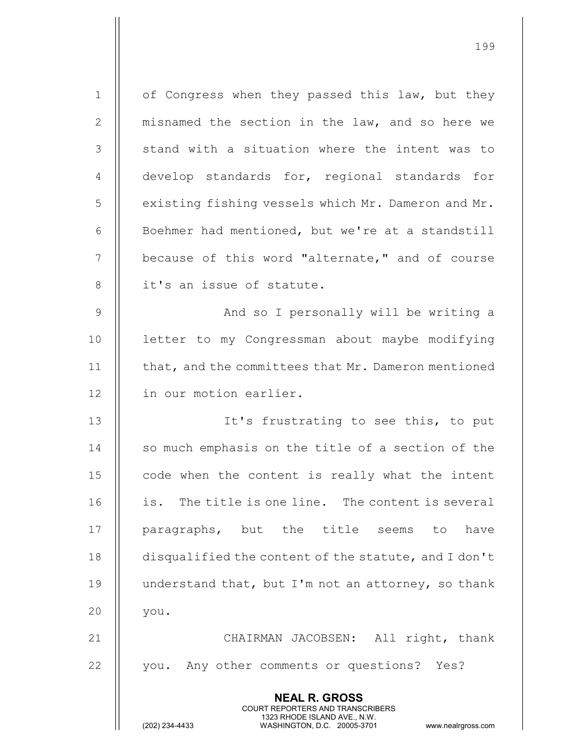| $\mathbf 1$    | of Congress when they passed this law, but they                                                                                                                 |
|----------------|-----------------------------------------------------------------------------------------------------------------------------------------------------------------|
| $\mathbf{2}$   | misnamed the section in the law, and so here we                                                                                                                 |
| 3              | stand with a situation where the intent was to                                                                                                                  |
| $\overline{4}$ | develop standards for, regional standards for                                                                                                                   |
| 5              | existing fishing vessels which Mr. Dameron and Mr.                                                                                                              |
| 6              | Boehmer had mentioned, but we're at a standstill                                                                                                                |
| 7              | because of this word "alternate," and of course                                                                                                                 |
| 8              | it's an issue of statute.                                                                                                                                       |
| $\overline{9}$ | And so I personally will be writing a                                                                                                                           |
| 10             | letter to my Congressman about maybe modifying                                                                                                                  |
| 11             | that, and the committees that Mr. Dameron mentioned                                                                                                             |
| 12             | in our motion earlier.                                                                                                                                          |
| 13             | It's frustrating to see this, to put                                                                                                                            |
| 14             | so much emphasis on the title of a section of the                                                                                                               |
| 15             | code when the content is really what the intent                                                                                                                 |
| 16             | is. The title is one line. The content is several                                                                                                               |
| 17             | paragraphs, but the title seems to have                                                                                                                         |
| 18             | disqualified the content of the statute, and I don't                                                                                                            |
| 19             | understand that, but I'm not an attorney, so thank                                                                                                              |
| 20             | you.                                                                                                                                                            |
| 21             | CHAIRMAN JACOBSEN: All right, thank                                                                                                                             |
| 22             | you. Any other comments or questions? Yes?                                                                                                                      |
|                | <b>NEAL R. GROSS</b><br>COURT REPORTERS AND TRANSCRIBERS<br>1323 RHODE ISLAND AVE., N.W.<br>(202) 234-4433<br>WASHINGTON, D.C. 20005-3701<br>www.nealrgross.com |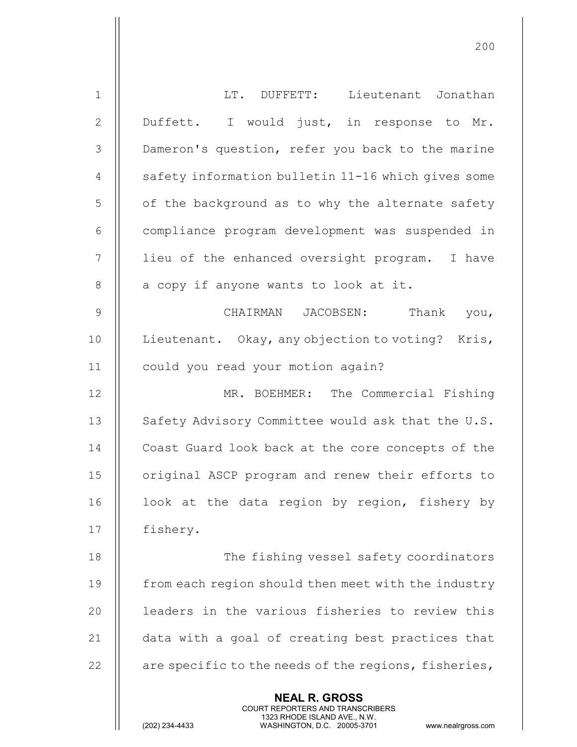| $\mathbf 1$  | LT. DUFFETT: Lieutenant Jonathan                                                                                                                                       |
|--------------|------------------------------------------------------------------------------------------------------------------------------------------------------------------------|
| $\mathbf{2}$ | Duffett. I would just, in response to Mr.                                                                                                                              |
| 3            | Dameron's question, refer you back to the marine                                                                                                                       |
| 4            | safety information bulletin 11-16 which gives some                                                                                                                     |
| 5            | of the background as to why the alternate safety                                                                                                                       |
| $6\,$        | compliance program development was suspended in                                                                                                                        |
| 7            | lieu of the enhanced oversight program. I have                                                                                                                         |
| 8            | a copy if anyone wants to look at it.                                                                                                                                  |
| 9            | CHAIRMAN JACOBSEN: Thank you,                                                                                                                                          |
| 10           | Lieutenant. Okay, any objection to voting? Kris,                                                                                                                       |
| 11           | could you read your motion again?                                                                                                                                      |
| 12           | MR. BOEHMER: The Commercial Fishing                                                                                                                                    |
| 13           | Safety Advisory Committee would ask that the U.S.                                                                                                                      |
| 14           | Coast Guard look back at the core concepts of the                                                                                                                      |
| 15           | original ASCP program and renew their efforts to                                                                                                                       |
| 16           | look at the data region by region, fishery by                                                                                                                          |
| 17           | fishery.                                                                                                                                                               |
| 18           | The fishing vessel safety coordinators                                                                                                                                 |
| 19           | from each region should then meet with the industry                                                                                                                    |
| 20           | leaders in the various fisheries to review this                                                                                                                        |
| 21           | data with a goal of creating best practices that                                                                                                                       |
| 22           | are specific to the needs of the regions, fisheries,                                                                                                                   |
|              | <b>NEAL R. GROSS</b><br><b>COURT REPORTERS AND TRANSCRIBERS</b><br>1323 RHODE ISLAND AVE., N.W.<br>(202) 234-4433<br>WASHINGTON, D.C. 20005-3701<br>www.nealrgross.com |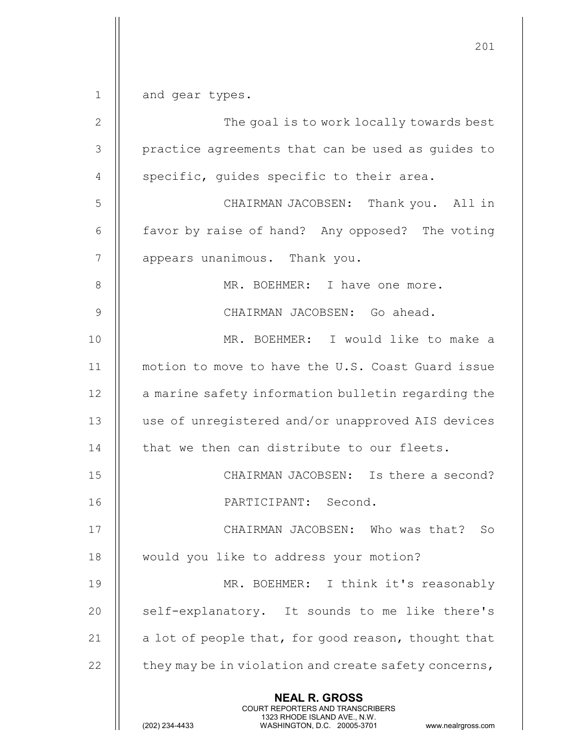201 NEAL R. GROSS COURT REPORTERS AND TRANSCRIBERS 1323 RHODE ISLAND AVE., N.W.<br>WASHINGTON, D.C. 20005-3701 WASHINGTON, D.C. WASHINGTON, D.C. 20005-3701 www.nealrgross.com 1 || and gear types. 2 || The goal is to work locally towards best 3 || practice agreements that can be used as guides to 4  $\parallel$  specific, quides specific to their area. 5 CHAIRMAN JACOBSEN: Thank you. All in 6  $\parallel$  favor by raise of hand? Any opposed? The voting 7 | appears unanimous. Thank you. 8 || MR. BOEHMER: I have one more. 9 CHAIRMAN JACOBSEN: Go ahead. 10 MR. BOEHMER: I would like to make a 11 motion to move to have the U.S. Coast Guard issue 12 | a marine safety information bulletin regarding the 13 || use of unregistered and/or unapproved AIS devices 14 | that we then can distribute to our fleets. 15 CHAIRMAN JACOBSEN: Is there a second? 16 PARTICIPANT: Second. 17 || CHAIRMAN JACOBSEN: Who was that? So 18 | would you like to address your motion? 19 MR. BOEHMER: I think it's reasonably 20  $\parallel$  self-explanatory. It sounds to me like there's 21  $\parallel$  a lot of people that, for good reason, thought that 22  $\parallel$  they may be in violation and create safety concerns,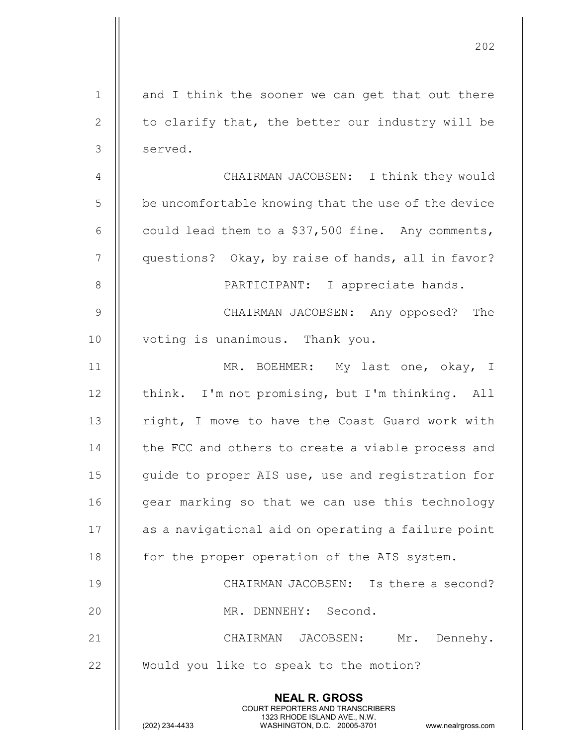|                | 202                                                                                                                                                             |
|----------------|-----------------------------------------------------------------------------------------------------------------------------------------------------------------|
| $\mathbf 1$    | and I think the sooner we can get that out there                                                                                                                |
| $\mathbf{2}$   | to clarify that, the better our industry will be                                                                                                                |
| $\mathcal{S}$  | served.                                                                                                                                                         |
| $\overline{4}$ | CHAIRMAN JACOBSEN: I think they would                                                                                                                           |
| 5              | be uncomfortable knowing that the use of the device                                                                                                             |
| 6              | could lead them to a \$37,500 fine. Any comments,                                                                                                               |
| 7              | questions? Okay, by raise of hands, all in favor?                                                                                                               |
| 8              | PARTICIPANT: I appreciate hands.                                                                                                                                |
| $\mathcal{G}$  | CHAIRMAN JACOBSEN: Any opposed? The                                                                                                                             |
| 10             | voting is unanimous. Thank you.                                                                                                                                 |
| 11             | MR. BOEHMER: My last one, okay, I                                                                                                                               |
| 12             | think. I'm not promising, but I'm thinking. All                                                                                                                 |
| 13             | right, I move to have the Coast Guard work with                                                                                                                 |
| 14             | the FCC and others to create a viable process and                                                                                                               |
| 15             | guide to proper AIS use, use and registration for                                                                                                               |
| 16             | gear marking so that we can use this technology                                                                                                                 |
| 17             | as a navigational aid on operating a failure point                                                                                                              |
| 18             | for the proper operation of the AIS system.                                                                                                                     |
| 19             | CHAIRMAN JACOBSEN: Is there a second?                                                                                                                           |
| 20             | MR. DENNEHY: Second.                                                                                                                                            |
| 21             | CHAIRMAN JACOBSEN: Mr. Dennehy.                                                                                                                                 |
| 22             | Would you like to speak to the motion?                                                                                                                          |
|                | <b>NEAL R. GROSS</b><br>COURT REPORTERS AND TRANSCRIBERS<br>1323 RHODE ISLAND AVE., N.W.<br>(202) 234-4433<br>WASHINGTON, D.C. 20005-3701<br>www.nealrgross.com |

 $\mathop{||}$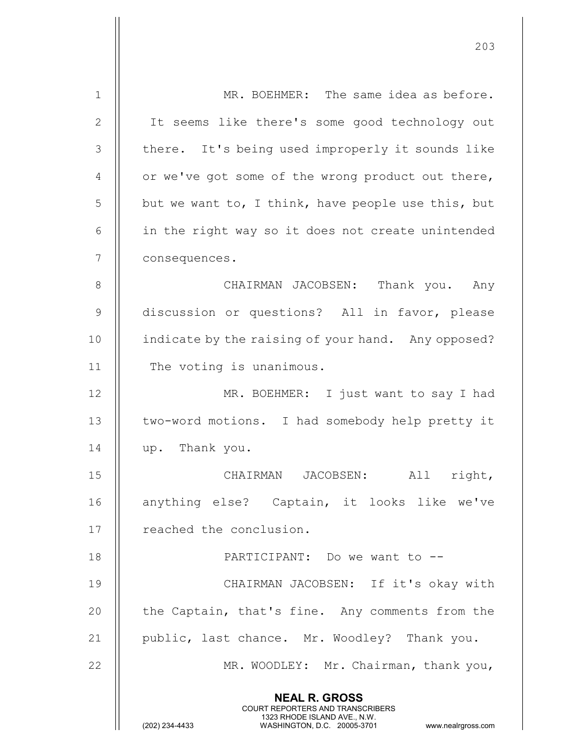| $\mathbf 1$ | MR. BOEHMER: The same idea as before.                                                                                                                                  |
|-------------|------------------------------------------------------------------------------------------------------------------------------------------------------------------------|
| 2           | It seems like there's some good technology out                                                                                                                         |
| 3           | there. It's being used improperly it sounds like                                                                                                                       |
| 4           | or we've got some of the wrong product out there,                                                                                                                      |
| 5           | but we want to, I think, have people use this, but                                                                                                                     |
| 6           | in the right way so it does not create unintended                                                                                                                      |
| 7           | consequences.                                                                                                                                                          |
| 8           | CHAIRMAN JACOBSEN: Thank you. Any                                                                                                                                      |
| 9           | discussion or questions? All in favor, please                                                                                                                          |
| 10          | indicate by the raising of your hand. Any opposed?                                                                                                                     |
| 11          | The voting is unanimous.                                                                                                                                               |
| 12          | MR. BOEHMER: I just want to say I had                                                                                                                                  |
| 13          | two-word motions. I had somebody help pretty it                                                                                                                        |
| 14          | up. Thank you.                                                                                                                                                         |
| 15          | JACOBSEN:<br>CHAIRMAN<br>All<br>right,                                                                                                                                 |
| 16          | anything else? Captain, it looks like we've                                                                                                                            |
| 17          | reached the conclusion.                                                                                                                                                |
| 18          | PARTICIPANT: Do we want to --                                                                                                                                          |
| 19          | CHAIRMAN JACOBSEN: If it's okay with                                                                                                                                   |
| 20          | the Captain, that's fine. Any comments from the                                                                                                                        |
| 21          | public, last chance. Mr. Woodley? Thank you.                                                                                                                           |
| 22          | MR. WOODLEY: Mr. Chairman, thank you,                                                                                                                                  |
|             | <b>NEAL R. GROSS</b><br><b>COURT REPORTERS AND TRANSCRIBERS</b><br>1323 RHODE ISLAND AVE., N.W.<br>(202) 234-4433<br>WASHINGTON, D.C. 20005-3701<br>www.nealrgross.com |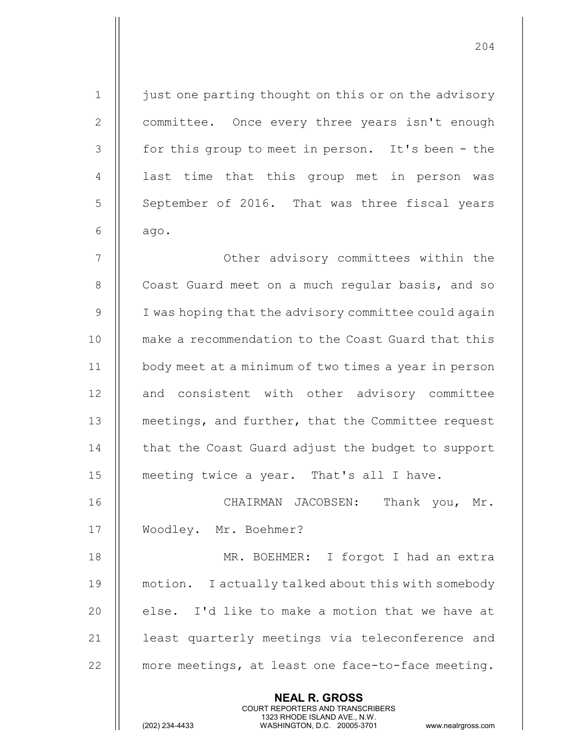1 | just one parting thought on this or on the advisory 2 | committee. Once every three years isn't enough 3 || for this group to meet in person. It's been - the 4 || last time that this group met in person was 5 September of 2016. That was three fiscal years 6  $\parallel$  ago.

7 || Other advisory committees within the 8 | Coast Guard meet on a much regular basis, and so 9 || I was hoping that the advisory committee could again 10 make a recommendation to the Coast Guard that this 11 body meet at a minimum of two times a year in person 12 || and consistent with other advisory committee 13 **metings, and further, that the Committee request** 14 | that the Coast Guard adjust the budget to support 15 meeting twice a year. That's all I have.

16 CHAIRMAN JACOBSEN: Thank you, Mr. 17 Woodley. Mr. Boehmer?

18 || MR. BOEHMER: I forgot I had an extra 19 | motion. I actually talked about this with somebody 20  $\parallel$  else. I'd like to make a motion that we have at 21 || least quarterly meetings via teleconference and 22 || more meetings, at least one face-to-face meeting.

> NEAL R. GROSS COURT REPORTERS AND TRANSCRIBERS

1323 RHODE ISLAND AVE., N.W.<br>WASHINGTON, D.C. 20005-3701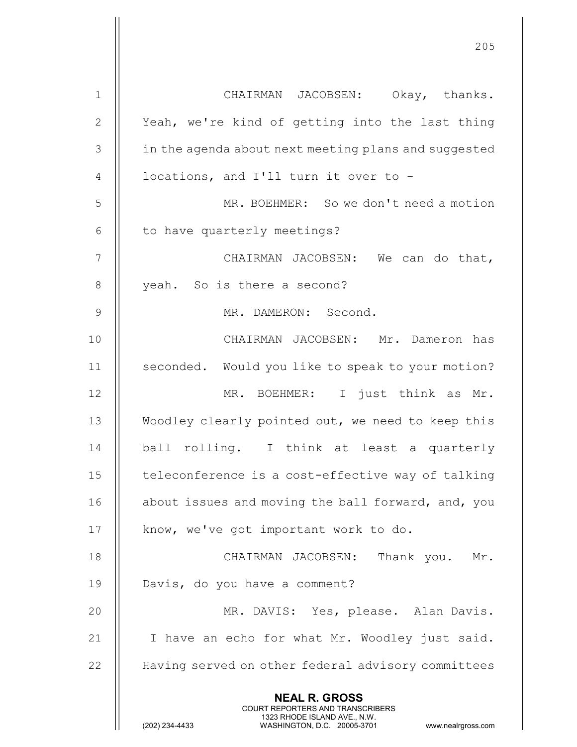| $\mathbf{1}$   | CHAIRMAN JACOBSEN: Okay, thanks.                                                                                                                                       |
|----------------|------------------------------------------------------------------------------------------------------------------------------------------------------------------------|
| $\mathbf{2}$   | Yeah, we're kind of getting into the last thing                                                                                                                        |
| $\mathcal{S}$  | in the agenda about next meeting plans and suggested                                                                                                                   |
| 4              | locations, and I'll turn it over to -                                                                                                                                  |
| 5              | MR. BOEHMER: So we don't need a motion                                                                                                                                 |
| $6\,$          | to have quarterly meetings?                                                                                                                                            |
| $\overline{7}$ | CHAIRMAN JACOBSEN: We can do that,                                                                                                                                     |
| $\,8\,$        | yeah. So is there a second?                                                                                                                                            |
| $\mathcal{G}$  | MR. DAMERON: Second.                                                                                                                                                   |
| 10             | CHAIRMAN JACOBSEN: Mr. Dameron has                                                                                                                                     |
| 11             | seconded. Would you like to speak to your motion?                                                                                                                      |
| 12             | MR. BOEHMER: I just think as Mr.                                                                                                                                       |
| 13             | Woodley clearly pointed out, we need to keep this                                                                                                                      |
| 14             | ball rolling. I think at least a quarterly                                                                                                                             |
| 15             | teleconference is a cost-effective way of talking                                                                                                                      |
| 16             | about issues and moving the ball forward, and, you                                                                                                                     |
| 17             | know, we've got important work to do.                                                                                                                                  |
| 18             | CHAIRMAN JACOBSEN:<br>Thank you. Mr.                                                                                                                                   |
| 19             | Davis, do you have a comment?                                                                                                                                          |
| 20             | MR. DAVIS: Yes, please. Alan Davis.                                                                                                                                    |
| 21             | I have an echo for what Mr. Woodley just said.                                                                                                                         |
| 22             | Having served on other federal advisory committees                                                                                                                     |
|                | <b>NEAL R. GROSS</b><br><b>COURT REPORTERS AND TRANSCRIBERS</b><br>1323 RHODE ISLAND AVE., N.W.<br>(202) 234-4433<br>WASHINGTON, D.C. 20005-3701<br>www.nealrgross.com |

 $\mathsf{I}$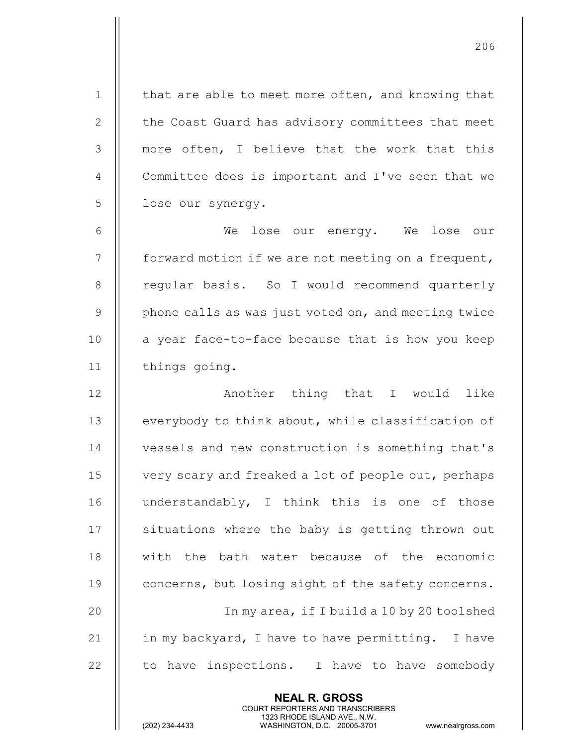1 | that are able to meet more often, and knowing that 2 | the Coast Guard has advisory committees that meet 3 || more often, I believe that the work that this 4 | Committee does is important and I've seen that we 5 | lose our synergy. 6 We lose our energy. We lose our  $7$  | forward motion if we are not meeting on a frequent, 8 || regular basis. So I would recommend quarterly 9  $\parallel$  phone calls as was just voted on, and meeting twice  $10$  | a year face-to-face because that is how you keep 11 | things going. 12 || Another thing that I would like 13 | everybody to think about, while classification of 14 **I** vessels and new construction is something that's 15 | very scary and freaked a lot of people out, perhaps 16 || understandably, I think this is one of those 17 || situations where the baby is getting thrown out 18 with the bath water because of the economic 19 | concerns, but losing sight of the safety concerns. 20 In my area, if I build a 10 by 20 toolshed 21  $\parallel$  in my backyard, I have to have permitting. I have 22  $\parallel$  to have inspections. I have to have somebody

> NEAL R. GROSS COURT REPORTERS AND TRANSCRIBERS

206

1323 RHODE ISLAND AVE., N.W.<br>WASHINGTON, D.C. 20005-3701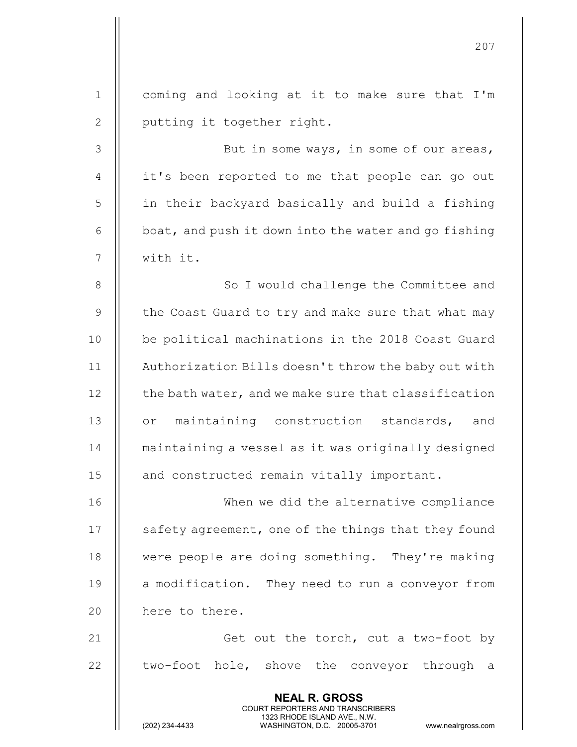|                | 207                                                                                                                                                             |
|----------------|-----------------------------------------------------------------------------------------------------------------------------------------------------------------|
| $\mathbf{1}$   | coming and looking at it to make sure that I'm                                                                                                                  |
| $\mathbf{2}$   | putting it together right.                                                                                                                                      |
| $\mathcal{S}$  | But in some ways, in some of our areas,                                                                                                                         |
| 4              | it's been reported to me that people can go out                                                                                                                 |
| 5              | in their backyard basically and build a fishing                                                                                                                 |
| 6              | boat, and push it down into the water and go fishing                                                                                                            |
| $\overline{7}$ | with it.                                                                                                                                                        |
| $8\,$          | So I would challenge the Committee and                                                                                                                          |
| 9              | the Coast Guard to try and make sure that what may                                                                                                              |
| 10             | be political machinations in the 2018 Coast Guard                                                                                                               |
| 11             | Authorization Bills doesn't throw the baby out with                                                                                                             |
| 12             | the bath water, and we make sure that classification                                                                                                            |
| 13             | maintaining construction standards, and<br>$\circ$ r                                                                                                            |
| 14             | maintaining a vessel as it was originally designed                                                                                                              |
| 15             | and constructed remain vitally important.                                                                                                                       |
| 16             | When we did the alternative compliance                                                                                                                          |
| 17             | safety agreement, one of the things that they found                                                                                                             |
| 18             | were people are doing something. They're making                                                                                                                 |
| 19             | a modification. They need to run a conveyor from                                                                                                                |
| 20             | here to there.                                                                                                                                                  |
| 21             | Get out the torch, cut a two-foot by                                                                                                                            |
| 22             | two-foot hole, shove the conveyor through a                                                                                                                     |
|                |                                                                                                                                                                 |
|                | <b>NEAL R. GROSS</b><br>COURT REPORTERS AND TRANSCRIBERS<br>1323 RHODE ISLAND AVE., N.W.<br>(202) 234-4433<br>WASHINGTON, D.C. 20005-3701<br>www.nealrgross.com |

 $\mathbf{I}$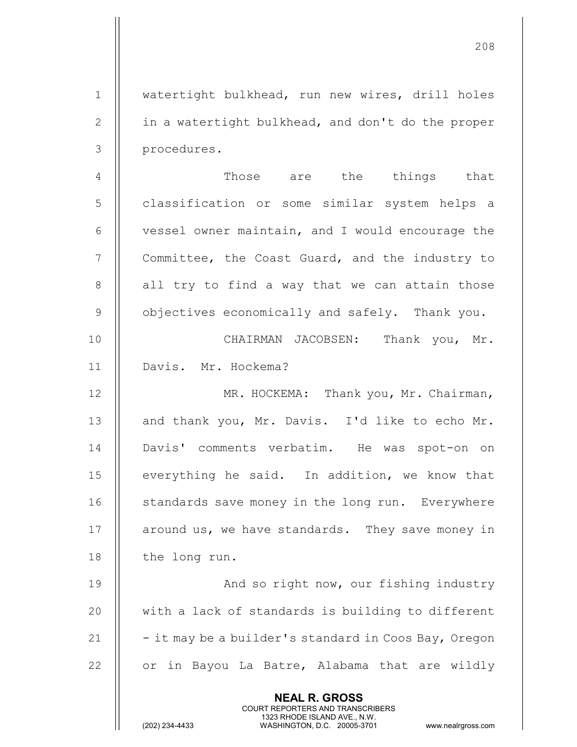NEAL R. GROSS COURT REPORTERS AND TRANSCRIBERS 1 || watertight bulkhead, run new wires, drill holes 2 | in a watertight bulkhead, and don't do the proper 3 procedures. 4 Those are the things that 5 || classification or some similar system helps a  $6$   $\parallel$  vessel owner maintain, and I would encourage the 7 | Committee, the Coast Guard, and the industry to  $8$  || all try to find a way that we can attain those  $9$   $\parallel$  objectives economically and safely. Thank you. 10 CHAIRMAN JACOBSEN: Thank you, Mr. 11 Davis. Mr. Hockema? 12 | MR. HOCKEMA: Thank you, Mr. Chairman, 13 || and thank you, Mr. Davis. I'd like to echo Mr. 14 || Davis' comments verbatim. He was spot-on on 15 || everything he said. In addition, we know that 16 | standards save money in the long run. Everywhere 17 | around us, we have standards. They save money in 18 | the long run. 19 || And so right now, our fishing industry  $20$   $\parallel$  with a lack of standards is building to different 21  $\parallel$  - it may be a builder's standard in Coos Bay, Oregon 22  $\parallel$  or in Bayou La Batre, Alabama that are wildly

208

1323 RHODE ISLAND AVE., N.W.<br>WASHINGTON, D.C. 20005-3701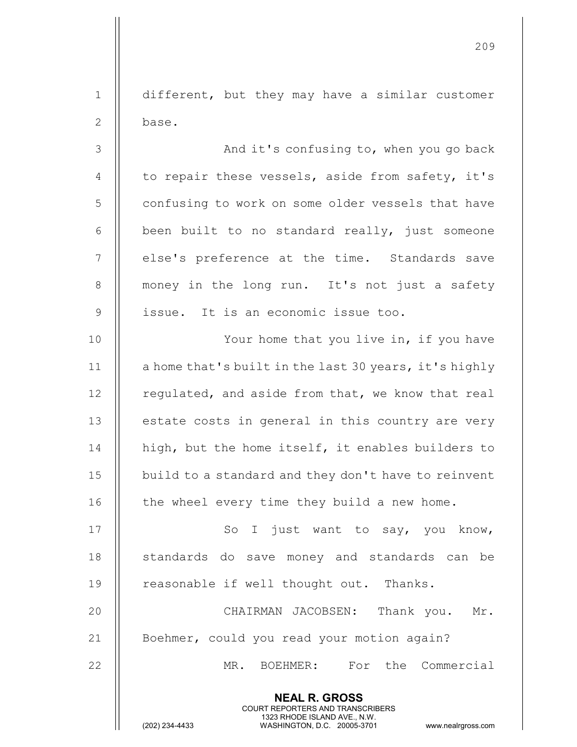1 different, but they may have a similar customer 2 ll base.

3 And it's confusing to, when you go back 4  $\parallel$  to repair these vessels, aside from safety, it's 5 | confusing to work on some older vessels that have  $6$  || been built to no standard really, just someone 7 || else's preference at the time. Standards save 8 || money in the long run. It's not just a safety 9 || issue. It is an economic issue too. 10 || Your home that you live in, if you have 11 | a home that's built in the last 30 years, it's highly

 $12$  | regulated, and aside from that, we know that real 13 || estate costs in general in this country are very 14 || high, but the home itself, it enables builders to 15 | build to a standard and they don't have to reinvent 16  $\parallel$  the wheel every time they build a new home.

17 || So I just want to say, you know, 18 || standards do save money and standards can be 19 | reasonable if well thought out. Thanks.

20 CHAIRMAN JACOBSEN: Thank you. Mr. 21 | Boehmer, could you read your motion again?

> NEAL R. GROSS COURT REPORTERS AND TRANSCRIBERS

22 MR. BOEHMER: For the Commercial

1323 RHODE ISLAND AVE., N.W.<br>WASHINGTON, D.C. 20005-3701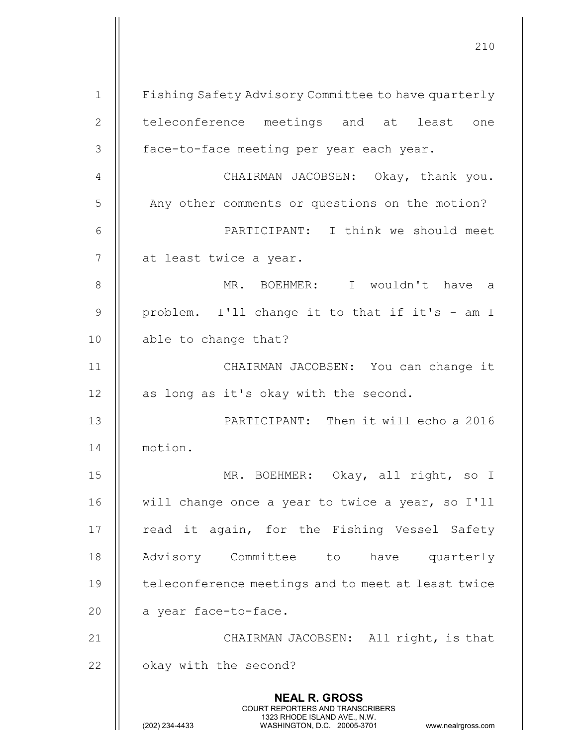210 NEAL R. GROSS COURT REPORTERS AND TRANSCRIBERS 1323 RHODE ISLAND AVE., N.W.<br>WASHINGTON, D.C. 20005-3701 WASHINGTON, D.C. 20005-3701 www.nealrgross.com 1 | Fishing Safety Advisory Committee to have quarterly 2 || teleconference meetings and at least one 3 || face-to-face meeting per year each year. 4 || CHAIRMAN JACOBSEN: Okay, thank you. 5 | Any other comments or questions on the motion? 6 PARTICIPANT: I think we should meet 7 || at least twice a year. 8 MR. BOEHMER: I wouldn't have a 9 || problem. I'll change it to that if it's  $-$  am I 10 | able to change that? 11 CHAIRMAN JACOBSEN: You can change it  $12$  | as long as it's okay with the second. 13 PARTICIPANT: Then it will echo a 2016 14 motion. 15 MR. BOEHMER: Okay, all right, so I 16 || will change once a year to twice a year, so I'll  $17$  || read it again, for the Fishing Vessel Safety 18 || Advisory Committee to have quarterly 19 || teleconference meetings and to meet at least twice 20 || a year face-to-face. 21 || CHAIRMAN JACOBSEN: All right, is that 22 | okay with the second?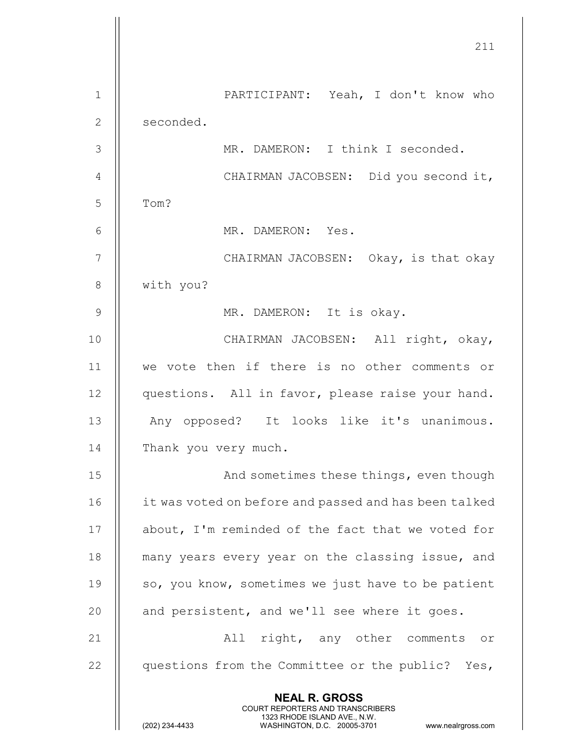|               | 211                                                                                                                                                                    |
|---------------|------------------------------------------------------------------------------------------------------------------------------------------------------------------------|
| $\mathbf 1$   | PARTICIPANT: Yeah, I don't know who                                                                                                                                    |
| $\mathbf{2}$  | seconded.                                                                                                                                                              |
| 3             | MR. DAMERON: I think I seconded.                                                                                                                                       |
| 4             | CHAIRMAN JACOBSEN: Did you second it,                                                                                                                                  |
| 5             | Tom?                                                                                                                                                                   |
| 6             | MR. DAMERON: Yes.                                                                                                                                                      |
| 7             | CHAIRMAN JACOBSEN: Okay, is that okay                                                                                                                                  |
| 8             | with you?                                                                                                                                                              |
| $\mathcal{G}$ | MR. DAMERON: It is okay.                                                                                                                                               |
| 10            | CHAIRMAN JACOBSEN: All right, okay,                                                                                                                                    |
| 11            | we vote then if there is no other comments or                                                                                                                          |
| 12            | questions. All in favor, please raise your hand.                                                                                                                       |
| 13            | Any opposed? It looks like it's unanimous.                                                                                                                             |
| 14            | Thank you very much.                                                                                                                                                   |
| 15            | And sometimes these things, even though                                                                                                                                |
| 16            | it was voted on before and passed and has been talked                                                                                                                  |
| 17            | about, I'm reminded of the fact that we voted for                                                                                                                      |
| 18            | many years every year on the classing issue, and                                                                                                                       |
| 19            | so, you know, sometimes we just have to be patient                                                                                                                     |
| 20            | and persistent, and we'll see where it goes.                                                                                                                           |
| 21            | All right, any other comments or                                                                                                                                       |
| 22            | questions from the Committee or the public? Yes,                                                                                                                       |
|               | <b>NEAL R. GROSS</b><br><b>COURT REPORTERS AND TRANSCRIBERS</b><br>1323 RHODE ISLAND AVE., N.W.<br>(202) 234-4433<br>WASHINGTON, D.C. 20005-3701<br>www.nealrgross.com |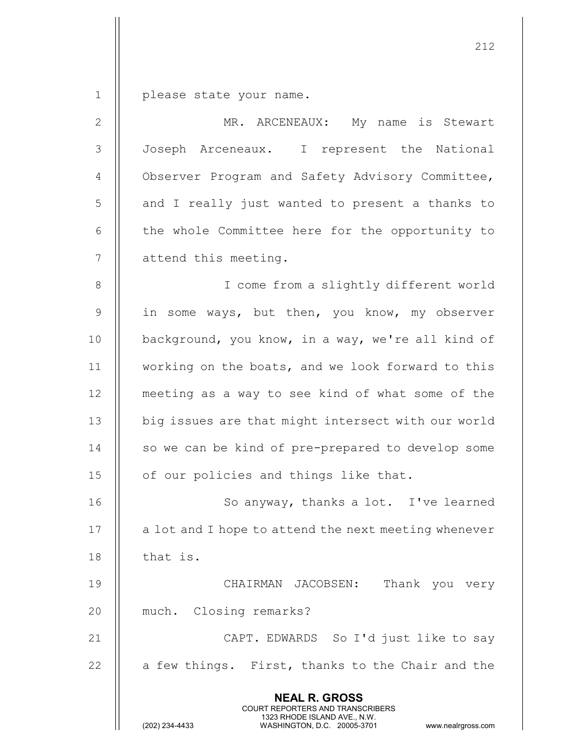1 | please state your name.

| $\mathbf{2}$   | MR. ARCENEAUX: My name is Stewart                                                                                                                                      |
|----------------|------------------------------------------------------------------------------------------------------------------------------------------------------------------------|
| 3              | Joseph Arceneaux. I represent the National                                                                                                                             |
| $\overline{4}$ | Observer Program and Safety Advisory Committee,                                                                                                                        |
| 5              | and I really just wanted to present a thanks to                                                                                                                        |
| $6\,$          | the whole Committee here for the opportunity to                                                                                                                        |
| $\overline{7}$ | attend this meeting.                                                                                                                                                   |
| 8              | I come from a slightly different world                                                                                                                                 |
| $\mathsf 9$    | in some ways, but then, you know, my observer                                                                                                                          |
| 10             | background, you know, in a way, we're all kind of                                                                                                                      |
| 11             | working on the boats, and we look forward to this                                                                                                                      |
| 12             | meeting as a way to see kind of what some of the                                                                                                                       |
| 13             | big issues are that might intersect with our world                                                                                                                     |
| 14             | so we can be kind of pre-prepared to develop some                                                                                                                      |
| 15             | of our policies and things like that.                                                                                                                                  |
| 16             | So anyway, thanks a lot. I've learned                                                                                                                                  |
| 17             | a lot and I hope to attend the next meeting whenever                                                                                                                   |
| 18             | that is.                                                                                                                                                               |
| 19             | CHAIRMAN JACOBSEN:<br>Thank you very                                                                                                                                   |
| 20             | much. Closing remarks?                                                                                                                                                 |
| 21             | CAPT. EDWARDS So I'd just like to say                                                                                                                                  |
| 22             | a few things. First, thanks to the Chair and the                                                                                                                       |
|                | <b>NEAL R. GROSS</b><br><b>COURT REPORTERS AND TRANSCRIBERS</b><br>1323 RHODE ISLAND AVE., N.W.<br>(202) 234-4433<br>WASHINGTON, D.C. 20005-3701<br>www.nealrgross.com |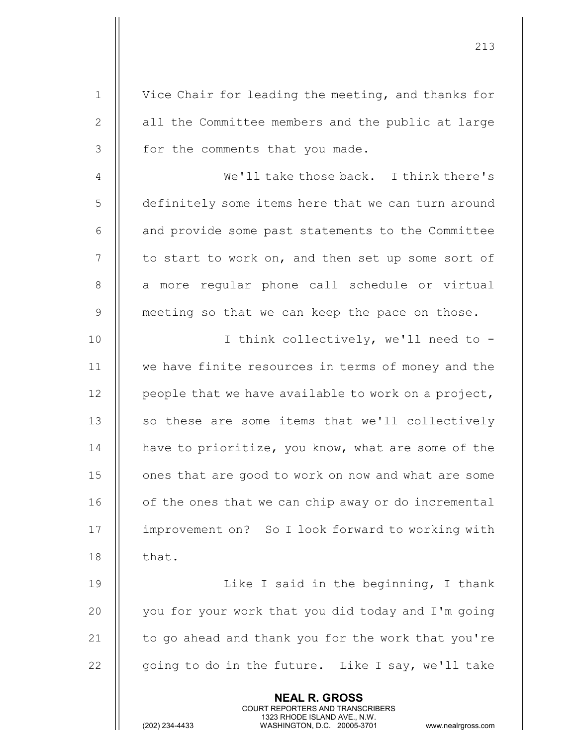|              | <b>NEAL R. GROSS</b><br>COURT REPORTERS AND TRANSCRIBERS<br>1323 RHODE ISLAND AVE., N.W.<br>(202) 234-4433<br>WASHINGTON, D.C. 20005-3701<br>www.nealrgross.com |
|--------------|-----------------------------------------------------------------------------------------------------------------------------------------------------------------|
| 22           | going to do in the future. Like I say, we'll take                                                                                                               |
| 21           | to go ahead and thank you for the work that you're                                                                                                              |
| 20           | you for your work that you did today and I'm going                                                                                                              |
| 19           | Like I said in the beginning, I thank                                                                                                                           |
| 18           | that.                                                                                                                                                           |
| 17           | improvement on? So I look forward to working with                                                                                                               |
| 16           | of the ones that we can chip away or do incremental                                                                                                             |
| 15           | ones that are good to work on now and what are some                                                                                                             |
| 14           | have to prioritize, you know, what are some of the                                                                                                              |
| 13           | so these are some items that we'll collectively                                                                                                                 |
| 12           | people that we have available to work on a project,                                                                                                             |
| 11           | we have finite resources in terms of money and the                                                                                                              |
| 10           | I think collectively, we'll need to -                                                                                                                           |
| 9            | meeting so that we can keep the pace on those.                                                                                                                  |
| $8\,$        | a more regular phone call schedule or virtual                                                                                                                   |
| 7            | to start to work on, and then set up some sort of                                                                                                               |
| 6            | and provide some past statements to the Committee                                                                                                               |
| 5            | definitely some items here that we can turn around                                                                                                              |
| 4            | We'll take those back. I think there's                                                                                                                          |
| 3            | for the comments that you made.                                                                                                                                 |
| $\mathbf{2}$ | all the Committee members and the public at large                                                                                                               |
| $\mathbf{1}$ | Vice Chair for leading the meeting, and thanks for                                                                                                              |
|              |                                                                                                                                                                 |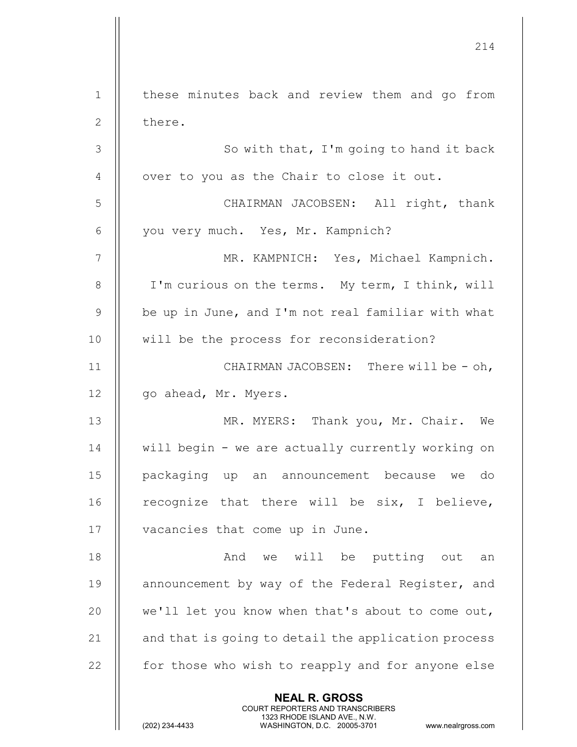214 NEAL R. GROSS COURT REPORTERS AND TRANSCRIBERS 1323 RHODE ISLAND AVE., N.W.<br>WASHINGTON, D.C. 20005-3701 1 || these minutes back and review them and go from 2 l there.  $3$  || So with that, I'm going to hand it back  $4 \parallel$  over to you as the Chair to close it out. 5 CHAIRMAN JACOBSEN: All right, thank 6 | you very much. Yes, Mr. Kampnich? 7 || MR. KAMPNICH: Yes, Michael Kampnich. 8 | I'm curious on the terms. My term, I think, will 9 || be up in June, and I'm not real familiar with what 10 || will be the process for reconsideration? 11 || CHAIRMAN JACOBSEN: There will be - oh, 12 | go ahead, Mr. Myers. 13 MR. MYERS: Thank you, Mr. Chair. We 14 || will begin - we are actually currently working on 15 packaging up an announcement because we do 16  $\parallel$  recognize that there will be six, I believe, 17 | vacancies that come up in June. 18 And we will be putting out an 19 || announcement by way of the Federal Register, and 20 || we'll let you know when that's about to come out, 21  $\parallel$  and that is going to detail the application process  $22$   $\parallel$  for those who wish to reapply and for anyone else